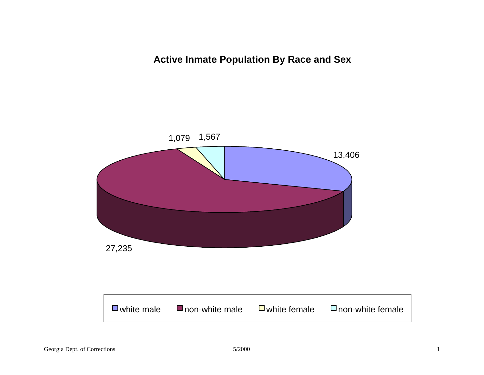**Active Inmate Population By Race and Sex**

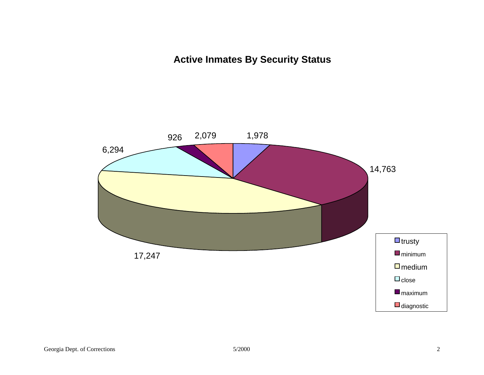# **Active Inmates By Security Status**

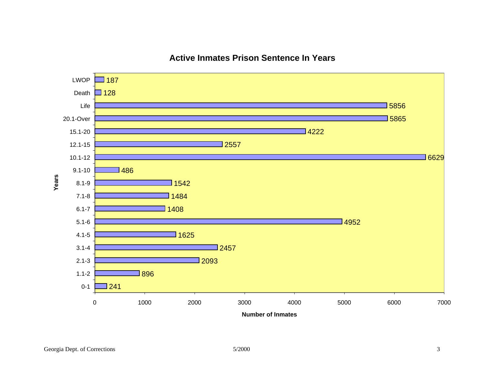

## **Active Inmates Prison Sentence In Years**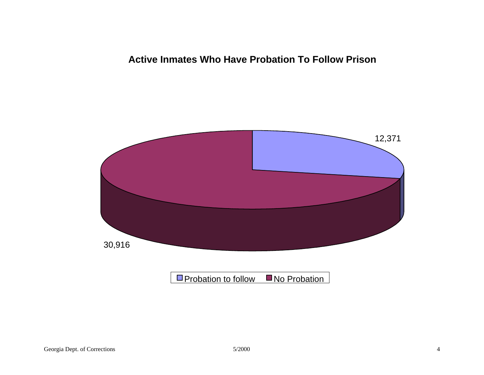## **Active Inmates Who Have Probation To Follow Prison**

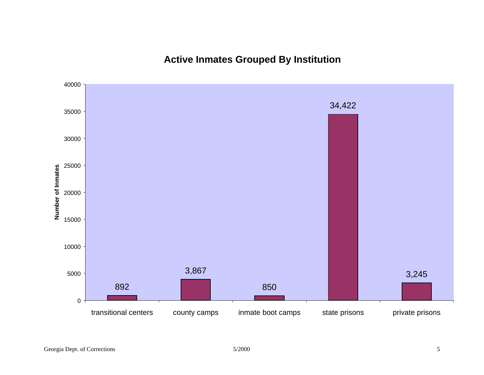**Active Inmates Grouped By Institution**

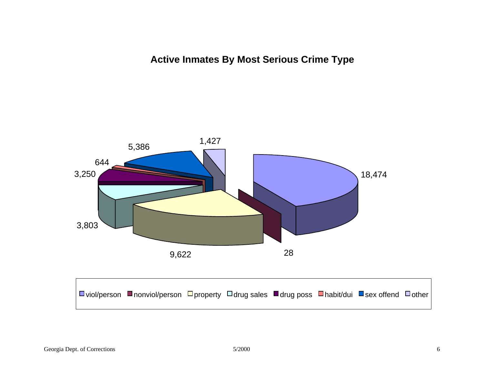**Active Inmates By Most Serious Crime Type**

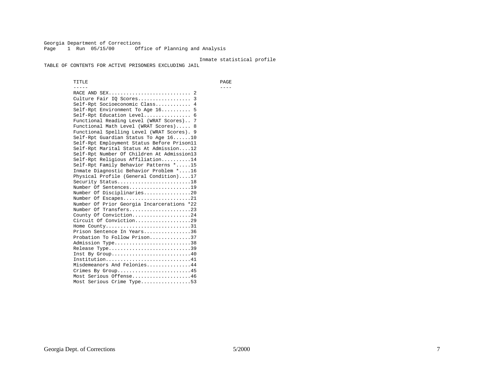Georgia Department of Corrections Page 1 Run 05/15/00 Office of Planning and Analysis

#### Inmate statistical profile

TABLE OF CONTENTS FOR ACTIVE PRISONERS EXCLUDING JAIL

 TITLE PAGE ----- ---- RACE AND SEX............................ 2 Culture Fair IQ Scores.................. 3 Self-Rpt Socioeconomic Class............ 4 Self-Rpt Environment To Age 16.......... 5 Self-Rpt Education Level................ 6 Functional Reading Level (WRAT Scores).. 7 Functional Math Level (WRAT Scores)..... 8 Functional Spelling Level (WRAT Scores). 9 Self-Rpt Guardian Status To Age 16......10 Self-Rpt Employment Status Before Prison11 Self-Rpt Marital Status At Admission....12 Self-Rpt Number Of Children At Admission13 Self-Rpt Religious Affiliation..........14 Self-Rpt Family Behavior Patterns \*.....15 Inmate Diagnostic Behavior Problem \*....16 Physical Profile (General Condition)....17 Security Status...........................18 Number Of Sentences.....................19 Number Of Disciplinaries................20 Number Of Escapes.........................21 Number Of Prior Georgia Incarcerations \*22 Number Of Transfers.....................23 County Of Conviction....................24 Circuit Of Conviction...................29 Home County.................................31 Prison Sentence In Years................36 Probation To Follow Prison..............37Admission Type.............................38 Release Type...............................39 Inst By Group.............................40 Institution.............................41 Misdemeanors And Felonies...............44 Crimes By Group.........................45 Most Serious Offense....................46 Most Serious Crime Type.................53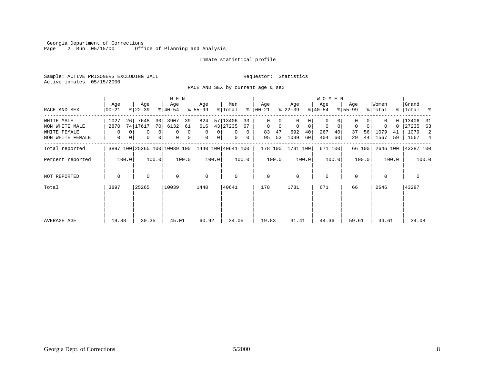Georgia Department of Corrections<br>Page 2 Run 05/15/00 0ff: Office of Planning and Analysis

#### Inmate statistical profile

Sample: ACTIVE PRISONERS EXCLUDING JAIL **Requestor:** Statistics Active inmates 05/15/2000

RACE AND SEX by current age & sex

|                  |           | M E N |            |                 |                              |       |           |         |                    |              |             |       |              |       | <b>WOMEN</b> |             |             |        |          |       |             |       |
|------------------|-----------|-------|------------|-----------------|------------------------------|-------|-----------|---------|--------------------|--------------|-------------|-------|--------------|-------|--------------|-------------|-------------|--------|----------|-------|-------------|-------|
|                  | Age       |       | Age        |                 | Age                          |       | Age       |         | Men                |              | Age         |       | Age          |       | Age          |             | Age         |        | Women    |       | Grand       |       |
| RACE AND SEX     | $ 00-21 $ |       | $ 22-39 $  |                 | $ 40-54 $                    |       | $8 55-99$ |         | % Total            | ွေ           | $ 00-21 $   |       | $ 22-39 $    |       | $ 40-54 $    |             | $8155 - 99$ |        | % Total  |       | %   Total % |       |
| WHITE MALE       | 1027      | 26    | 7648       | 30              | 3907                         | 39    | 824       |         | 57 13406           | 33           | 0           | 0     | $\mathbf{0}$ | 0     | $\mathbf{0}$ |             | 0           |        |          |       | 0   13406   | - 31  |
| NON WHITE MALE   | 2870      |       | 74   17617 | 70 <sub>1</sub> | 6132                         | 61    | 616       |         | 43 27235           | 67           | $\mathbf 0$ | 0     | 0            | 0     | 0            | $\mathbf 0$ | 0           |        | 0        |       | 0   27235   | 63    |
| WHITE FEMALE     | 0         |       | 0          | $\overline{0}$  | 0                            | 0     | 0         | 0       | 0                  | $\mathbf{0}$ | 83          | 47    | 692          | 40    | 267          | 40          | 37          | 56     | 1079     | 41    | 1079        | 2     |
| NON WHITE FEMALE | 0         | 0     | 0          | 0 <sup>1</sup>  | 0                            | 0     | 0         | $\circ$ | 0                  | 0            | 95          | 53    | 1039         | 60    | 404          | 60          | 29          | 44     | 1567     | 59    | 1567        | 4     |
| Total reported   |           |       |            |                 | 3897 100 25265 100 10039 100 |       |           |         | 1440 100 40641 100 |              | 178 100     |       | 1731 100     |       |              | 671 100     |             | 66 100 | 2646 100 |       | 43287 100   |       |
| Percent reported |           | 100.0 |            | 100.0           |                              | 100.0 |           | 100.0   |                    | 100.0        |             | 100.0 |              | 100.0 |              | 100.0       |             | 100.0  |          | 100.0 |             | 100.0 |
| NOT REPORTED     | 0         |       | 0          |                 | $\mathbf 0$                  |       | 0         |         | $\Omega$           |              | $\mathbf 0$ |       | $\mathbf 0$  |       | $\mathbf 0$  |             | $\Omega$    |        | 0        |       | $\mathbf 0$ |       |
| Total            | 3897      |       | 25265      |                 | 10039                        |       | 1440      |         | 40641              |              | 178         |       | 1731         |       | 671          |             | 66          |        | 2646     |       | 43287       |       |
|                  |           |       |            |                 |                              |       |           |         |                    |              |             |       |              |       |              |             |             |        |          |       |             |       |
|                  |           |       |            |                 |                              |       |           |         |                    |              |             |       |              |       |              |             |             |        |          |       |             |       |
| AVERAGE AGE      | 19.88     |       | 30.35      |                 | 45.01                        |       | 60.92     |         | 34.05              |              | 19.83       |       | 31.41        |       | 44.36        |             | 59.61       |        | 34.61    |       | 34.08       |       |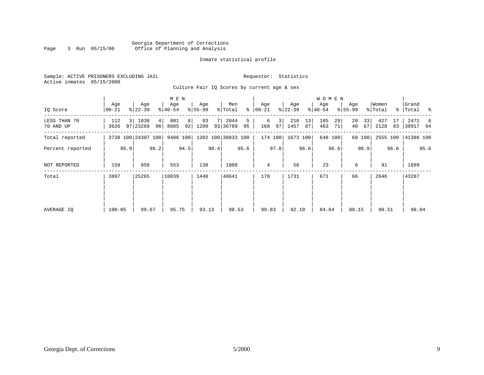#### Georgia Department of Corrections<br>3 Run 05/15/00 Office of Planning and Analysis Page 3 Run 05/15/00 Office of Planning and Analysis

#### Inmate statistical profile

|  |                           | Sample: ACTIVE PRISONERS EXCLUDING JAIL |  |
|--|---------------------------|-----------------------------------------|--|
|  | Active inmates 05/15/2000 |                                         |  |

Requestor: Statistics

Culture Fair IQ Scores by current age & sex

|                           | Age                |                | Age              |          | M E N<br>Age |          | Age        |      | Men                |         | Age            |                      | Age         |          | W O M E N<br>Age |          | Age         |          | Women       |          | Grand            |      |
|---------------------------|--------------------|----------------|------------------|----------|--------------|----------|------------|------|--------------------|---------|----------------|----------------------|-------------|----------|------------------|----------|-------------|----------|-------------|----------|------------------|------|
| IO Score                  | $ 00-21$           |                | $ 22-39 $        |          | $ 40-54 $    |          | $8 55-99$  |      | % Total            | ⊱       | $00 - 21$      |                      | $ 22-39 $   |          | $ 40-54 $        |          | $8155 - 99$ |          | % Total     |          | %   Total %      |      |
| LESS THAN 70<br>70 AND UP | 112<br>3626        | $\overline{3}$ | 1038<br>97 23269 | 4 <br>96 | 801<br>8685  | 8 <br>92 | 93<br>1209 |      | 2044<br>93 36789   | 5<br>95 | 6<br>168       | 3 <sup>1</sup><br>97 | 216<br>1457 | 13<br>87 | 185<br>463       | 29<br>71 | 20<br>40    | 33<br>67 | 427<br>2128 | 17<br>83 | 2471<br>38917 94 | - 6  |
| Total reported            | 3738 100 24307 100 |                |                  |          | 9486 100     |          |            |      | 1302 100 38833 100 |         | 174 100        |                      | 1673 100    |          |                  | 648 100  |             | 60 100   | 2555 100    |          | 41388 100        |      |
| Percent reported          |                    | 95.9           |                  | 96.2     |              | 94.5     |            | 90.4 |                    | 95.6    |                | 97.8                 |             | 96.6     |                  | 96.6     |             | 90.9     |             | 96.6     |                  | 95.6 |
| NOT REPORTED              | 159                |                | 958              |          | 553          |          | 138        |      | 1808               |         | $\overline{4}$ |                      | 58          |          | 23               |          | 6           |          | 91          |          | 1899             |      |
| Total                     | 3897               |                | 25265            |          | 10039        |          | 1440       |      | 40641              |         | 178            |                      | 1731        |          | 671              |          | 66          |          | 2646        |          | 43287            |      |
|                           |                    |                |                  |          |              |          |            |      |                    |         |                |                      |             |          |                  |          |             |          |             |          |                  |      |
| AVERAGE IO                | 100.05             |                | 99.67            |          | 95.75        |          | 93.13      |      | 98.53              |         | 99.83          |                      | 92.19       |          | 84.64            |          | 80.15       |          | 90.51       |          | 98.04            |      |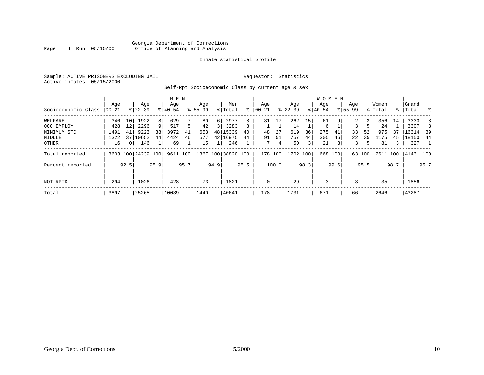#### Georgia Department of Corrections<br>4 Run 05/15/00 Office of Planning and Analysis Page 4 Run 05/15/00 Office of Planning and Analysis

#### Inmate statistical profile

Sample: ACTIVE PRISONERS EXCLUDING JAIL **Requestor:** Statistics Active inmates 05/15/2000

### Self-Rpt Socioeconomic Class by current age & sex

| Socioeconomic Class   00-21 | Age  |                | Age<br>$8 22-39$   |      | M E N<br>Age<br>$8 40-54$ |      | Age<br>$8 55-99$ |      | Men<br>% Total     | ∻    | Age<br>$ 00-21 $ |       | Age<br>$ 22-39 $ |      | W O M E N<br>Age<br>$8 40-54$ |         | Age<br>$8155 - 99$ |        | Women<br>% Total |      | Grand<br>%  Total | - 옹  |
|-----------------------------|------|----------------|--------------------|------|---------------------------|------|------------------|------|--------------------|------|------------------|-------|------------------|------|-------------------------------|---------|--------------------|--------|------------------|------|-------------------|------|
| WELFARE                     | 346  | 10             | 1922               | 8    | 629                       |      | 80               | 6    | 2977               | 8    | 31               | 17    | 262              | 15   | 61                            | 9       | 2                  | 3      | 356              | 14   | 3333              | 8    |
| OCC EMPLOY                  | 428  | 12             | 2296               | 9    | 517                       |      | 42               | 3    | 3283               | 8    |                  |       | 14               |      | 6                             |         |                    | 5      | 24               |      | 3307              | 8    |
| MINIMUM STD                 | 1491 | 41             | 9223               | 38   | 3972                      | 41   | 653              |      | 48 15339           | 40   | 48               | 27    | 619              | 36   | 275                           | 41      | 33                 | 52     | 975              | 37   | 16314             | 39   |
| MIDDLE                      | 1322 | 37             | 10652              | 44   | 4424                      | 46   | 577              |      | 42 16975           | 44   | 91               | 51    | 757              | 44   | 305                           | 46      | 22                 | 35     | 1175             | 45   | 18150             | 44   |
| OTHER                       | 16   | 0 <sup>1</sup> | 146                |      | 69                        |      | 15               |      | 246                |      | 7                | 4     | 50               | 3    | 21                            | 3       | 3                  | 5      | 81               |      | 327               |      |
| Total reported              |      |                | 3603 100 24239 100 |      | 9611 100                  |      |                  |      | 1367 100 38820 100 |      | 178              | 100   | 1702 100         |      |                               | 668 100 |                    | 63 100 | 2611 100         |      | 41431 100         |      |
| Percent reported            |      | 92.5           |                    | 95.9 |                           | 95.7 |                  | 94.9 |                    | 95.5 |                  | 100.0 |                  | 98.3 |                               | 99.6    |                    | 95.5   |                  | 98.7 |                   | 95.7 |
| NOT RPTD                    | 294  |                | 1026               |      | 428                       |      | 73               |      | 1821               |      | 0                |       | 29               |      | 3                             |         | 3                  |        | 35               |      | 1856              |      |
| Total                       | 3897 |                | 25265              |      | 10039                     |      | 1440             |      | 40641              |      | 178              |       | 1731             |      | 671                           |         | 66                 |        | 2646             |      | 43287             |      |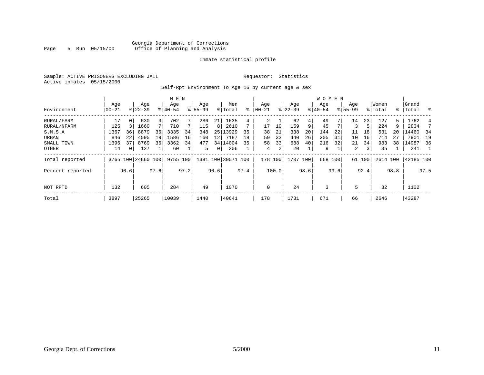#### Georgia Department of Corrections<br>5 Run 05/15/00 Office of Planning and Analysis Page 5 Run 05/15/00 Office of Planning and Analysis

#### Inmate statistical profile

Sample: ACTIVE PRISONERS EXCLUDING JAIL **Requestor:** Statistics Active inmates 05/15/2000

Self-Rpt Environment To Age 16 by current age & sex

|                  |           |      |                    |                | M E N       |      |             |      |                    |      |             |       |           |      | W O M E N |      |             |        |          |      |           |                |
|------------------|-----------|------|--------------------|----------------|-------------|------|-------------|------|--------------------|------|-------------|-------|-----------|------|-----------|------|-------------|--------|----------|------|-----------|----------------|
|                  | Age       |      | Age                |                | Age         |      | Age         |      | Men                |      | Age         |       | Age       |      | Age       |      | Age         |        | Women    |      | Grand     |                |
| Environment      | $00 - 21$ |      | $8 22-39$          |                | $8140 - 54$ |      | $8155 - 99$ |      | % Total            | ႜ    | $ 00 - 21$  |       | $ 22-39 $ |      | $ 40-54$  |      | $8155 - 99$ |        | % Total  |      | %   Total | ႜ              |
| RURAL/FARM       | 17        | 0    | 630                | $\overline{3}$ | 702         |      | 286         | 21   | 1635               | 4    | 2           |       | 62        | 4    | 49        |      | 14          | 23     | 127      | 5.   | 1762      | 4              |
| RURAL/NFARM      | 125       |      | 1660               |                | 710         |      | 115         | 8    | 2610               |      | 17          | 10    | 159       | 9    | 45        |      | 3           | 5      | 224      | 9    | 2834      |                |
| S.M.S.A          | 1367      | 36   | 8879               | 36             | 3335        | 34   | 348         | 25   | 13929              | 35   | 38          | 21    | 338       | 20   | 144       | 22   | 11          | 18     | 531      | 20   | 14460     | - 34           |
| URBAN            | 846       | 22   | 4595               | 19             | 1586        | 16   | 160         | 12   | 7187               | 18   | 59          | 33    | 440       | 26   | 205       | 31   | 10          | 16     | 714      | 27   | 7901      | 19             |
| SMALL TOWN       | 1396      | 37   | 8769               | 36             | 3362        | 34   | 477         |      | 34 14004           | 35   | 58          | 33    | 688       | 40   | 216       | 32   | 21          | 34     | 983      | 38   | 14987     | 36             |
| OTHER            | 14        | 0    | 127                |                | 60          |      | 5.          | 0    | 206                |      | 4           | 2     | 20        |      | 9         |      | 2           | 3      | 35       |      | 241       | $\overline{1}$ |
| Total reported   |           |      | 3765 100 24660 100 |                | 9755 100    |      |             |      | 1391 100 39571 100 |      | 178 100     |       | 1707 100  |      | 668 100   |      |             | 61 100 | 2614 100 |      | 42185 100 |                |
| Percent reported |           | 96.6 |                    | 97.6           |             | 97.2 |             | 96.6 |                    | 97.4 |             | 100.0 |           | 98.6 |           | 99.6 |             | 92.4   |          | 98.8 |           | 97.5           |
| NOT RPTD         | 132       |      | 605                |                | 284         |      | 49          |      | 1070               |      | $\mathbf 0$ |       | 24        |      | 3         |      | 5           |        | 32       |      | 1102      |                |
|                  |           |      |                    |                |             |      |             |      |                    |      |             |       |           |      |           |      |             |        |          |      |           |                |
| Total            | 3897      |      | 25265              |                | 10039       |      | 1440        |      | 40641              |      | 178         |       | 1731      |      | 671       |      | 66          |        | 2646     |      | 43287     |                |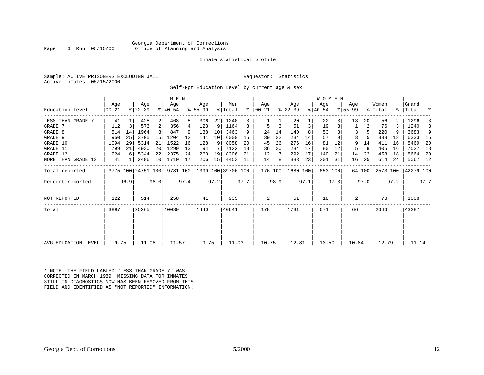#### Georgia Department of Corrections<br>6 Run 05/15/00 Office of Planning and Analysis Page 6 Run 05/15/00 Office of Planning and Analysis

#### Inmate statistical profile

|  | Sample: ACTIVE PRISONERS EXCLUDING JAI |  |
|--|----------------------------------------|--|
|  | Active inmates 05/15/2000              |  |

IL Requestor: Statistics

Self-Rpt Education Level by current age & sex

|                     |                 |      |                    |                | M E N            |      |                  |      |                    |           |                  |      |                  |                | W O M E N        |      |                  |        |                  |      |                      |      |
|---------------------|-----------------|------|--------------------|----------------|------------------|------|------------------|------|--------------------|-----------|------------------|------|------------------|----------------|------------------|------|------------------|--------|------------------|------|----------------------|------|
| Education Level     | Age<br>$ 00-21$ |      | Age<br>$ 22-39 $   |                | Age<br>$ 40-54 $ |      | Age<br>$ 55-99 $ |      | Men<br>% Total     | $\approx$ | Age<br>$ 00-21 $ |      | Age<br>$ 22-39 $ |                | Age<br>$ 40-54 $ |      | Age<br>$8 55-99$ |        | Women<br>% Total |      | l Grand<br>%   Total | ಿ    |
| LESS THAN GRADE 7   | 41              |      | 425                | $\overline{2}$ | 468              | 5    | 306              | 22   | 1240               | 3         |                  |      | 20               |                | 22               | 3 I  | 13               | 20     | 56               |      | 1296                 |      |
| GRADE 7             | 112             | 3    | 573                | 2              | 356              | 4    | 123              | 9    | 1164               | 3         |                  |      | 51               | $\overline{3}$ | 19               | 3    |                  | 2      | 76               |      | 1240                 | 3    |
| GRADE 8             | 514             | 14   | 1964               |                | 847              | 9    | 138              | 10   | 3463               | 9         | 24               | 14   | 140              | 8              | 53               |      | 3                |        | 220              |      | 3683                 | 9    |
| GRADE 9             | 950             | 25   | 3705               | 15             | 1204             | 12   | 141              | 10   | 6000               | 15        | 39               | 22   | 234              | 14             | 57               |      |                  |        | 333              | 13   | 6333                 | - 15 |
| GRADE 10            | 1094            | 29   | 5314               | 21             | 1522             | 16   | 128              | 9    | 8058               | 20        | 45               | 26   | 276              | 16             | 81               | 12   | 9                | 14     | 411              | 16   | 8469                 | 20   |
| GRADE 11            | 799             | 21   | 4930               | 20             | 1299             | 13   | 94               |      | 7122               | 18        | 36               | 20   | 284              | 17             | 80               | 12   | 5                | 8      | 405              | 16   | 7527                 | 18   |
| GRADE 12            | 224             |      | 5344               | 22             | 2375             | 24   | 263              | 19   | 8206               | 21        | 12               |      | 292              | 17             | 140              | 21   | 14               | 22     | 458              | 18   | 8664                 | -20  |
| MORE THAN GRADE 12  | 41              |      | 2496               | 10             | 1710             | 17   | 206              | 15   | 4453               | -11       | 14               | 8    | 383              | 23             | 201              | 31   | 16               | 25     | 614              | 24   | 5067                 | 12   |
| Total reported      |                 |      | 3775 100 24751 100 |                | 9781 100         |      |                  |      | 1399 100 39706 100 |           | 176 100          |      | 1680 100         |                | 653 100          |      |                  | 64 100 | 2573 100         |      | 42279 100            |      |
| Percent reported    |                 | 96.9 |                    | 98.0           |                  | 97.4 |                  | 97.2 |                    | 97.7      |                  | 98.9 |                  | 97.1           |                  | 97.3 |                  | 97.0   |                  | 97.2 |                      | 97.7 |
| <b>NOT REPORTED</b> | 122             |      | 514                |                | 258              |      | 41               |      | 935                |           | 2                |      | 51               |                | 18               |      | 2                |        | 73               |      | 1008                 |      |
| Total               | 3897            |      | 25265              |                | 10039            |      | 1440             |      | 40641              |           | 178              |      | 1731             |                | 671              |      | 66               |        | 2646             |      | 43287                |      |
|                     |                 |      |                    |                |                  |      |                  |      |                    |           |                  |      |                  |                |                  |      |                  |        |                  |      |                      |      |
| AVG EDUCATION LEVEL | 9.75            |      | 11.08              |                | 11.57            |      | 9.75             |      | 11.03              |           | 10.75            |      | 12.81            |                | 13.50            |      | 10.84            |        | 12.79            |      | 11.14                |      |

\* NOTE: THE FIELD LABLED "LESS THAN GRADE 7" WAS CORRECTED IN MARCH 1989: MISSING DATA FOR INMATES STILL IN DIAGNOSTICS NOW HAS BEEN REMOVED FROM THIS FIELD AND IDENTIFIED AS "NOT REPORTED" INFORMATION.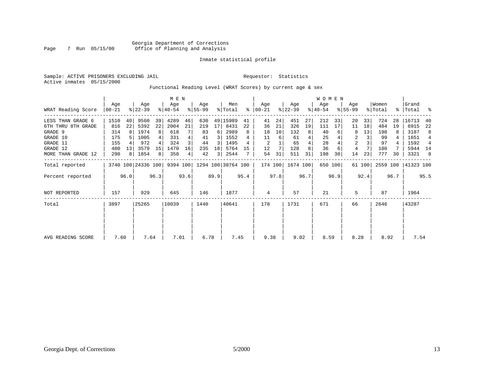#### Georgia Department of Corrections<br>7 Run 05/15/00 Office of Planning and Analysis Page 7 Run 05/15/00 Office of Planning and Analysis

#### Inmate statistical profile

Sample: ACTIVE PRISONERS EXCLUDING JAIL **Requestor:** Statistics Active inmates 05/15/2000

Functional Reading Level (WRAT Scores) by current age & sex

| WRAT Reading Score                                                                                           | Age<br>$00 - 21$                               |                          | Age<br>$ 22-39 $                                    |                                       | M E N<br>Age<br>$ 40-54 $                        |                                       | Age<br>$8 55-99$                          |                                                    | Men<br>% Total                                           | ႜ                        | Age<br>$ 00-21 $                      |                           | Age<br>$ 22-39 $                            |                          | WOMEN<br>Age<br>$ 40-54 $                 |                     | Age<br>$8 55-99$                                |                      | Women<br>% Total                            | $\frac{1}{6}$       | Grand<br>Total                                        | ႜ                                                        |
|--------------------------------------------------------------------------------------------------------------|------------------------------------------------|--------------------------|-----------------------------------------------------|---------------------------------------|--------------------------------------------------|---------------------------------------|-------------------------------------------|----------------------------------------------------|----------------------------------------------------------|--------------------------|---------------------------------------|---------------------------|---------------------------------------------|--------------------------|-------------------------------------------|---------------------|-------------------------------------------------|----------------------|---------------------------------------------|---------------------|-------------------------------------------------------|----------------------------------------------------------|
| LESS THAN GRADE 6<br>6TH THRU 8TH GRADE<br>GRADE 9<br>GRADE 10<br>GRADE 11<br>GRADE 12<br>MORE THAN GRADE 12 | 1510<br>816<br>314<br>175<br>155<br>480<br>290 | 40<br>22<br>8<br>13<br>8 | 9560<br>5392<br>1974<br>1005<br>972<br>3579<br>1854 | 39<br>22<br>8<br>15<br>8 <sup>1</sup> | 4289<br>2004<br>618<br>331<br>324<br>1470<br>358 | 46<br>21<br>4<br>16<br>4 <sub>1</sub> | 630<br>219<br>83<br>41<br>44<br>235<br>42 | 17<br>6<br>3<br>3<br>18<br>$\overline{\mathbf{3}}$ | 49 15989<br>8431<br>2989<br>1552<br>1495<br>5764<br>2544 | 41<br>22<br>8<br>4<br>15 | 41<br>36<br>18<br>11<br>2<br>12<br>54 | 24<br>21<br>10<br>6<br>31 | 451<br>326<br>132<br>61<br>65<br>128<br>511 | 27<br>19<br>8<br>4<br>31 | 212<br>111<br>40<br>25<br>28<br>36<br>198 | 33<br>17<br>6<br>30 | 20<br>11<br>8<br>2<br>$\overline{2}$<br>4<br>14 | 33<br>18<br>13<br>23 | 724<br>484<br>198<br>99<br>97<br>180<br>777 | 28<br>19<br>4<br>30 | 16713<br>8915<br>3187<br>1651<br>1592<br>5944<br>3321 | 40<br>22<br>8<br>$\overline{4}$<br>4<br>14<br>$_{\rm 8}$ |
| Total reported<br>Percent reported                                                                           |                                                | 96.0                     | 3740 100 24336 100                                  | 96.3                                  |                                                  | 93.6                                  | 9394 100 1294 100 38764 100               | 89.9                                               |                                                          | 95.4                     | 174 100                               | 97.8                      | 1674 100                                    | 96.7                     |                                           | 650 100<br>96.9     |                                                 | 61 100<br>92.4       | 2559 100                                    | 96.7                | 41323 100                                             | 95.5                                                     |
| <b>NOT REPORTED</b>                                                                                          | 157                                            |                          | 929                                                 |                                       | 645                                              |                                       | 146                                       |                                                    | 1877                                                     |                          | 4                                     |                           | 57                                          |                          | 21                                        |                     | 5                                               |                      | 87                                          |                     | 1964                                                  |                                                          |
| Total                                                                                                        | 3897                                           |                          | 25265                                               |                                       | 10039                                            |                                       | 1440                                      |                                                    | 40641                                                    |                          | 178                                   |                           | 1731                                        |                          | 671                                       |                     | 66                                              |                      | 2646                                        |                     | 43287                                                 |                                                          |
| AVG READING SCORE                                                                                            | 7.60                                           |                          | 7.64                                                |                                       | 7.01                                             |                                       | 6.78                                      |                                                    | 7.45                                                     |                          | 9.38                                  |                           | 9.02                                        |                          | 8.59                                      |                     | 8.28                                            |                      | 8.92                                        |                     | 7.54                                                  |                                                          |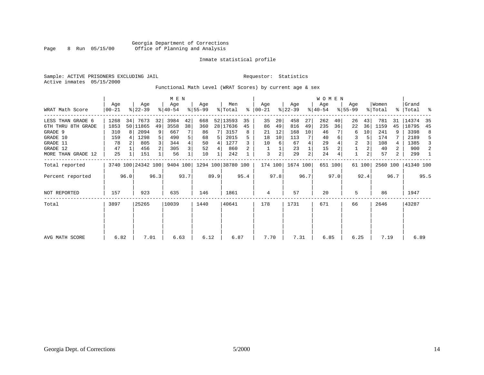#### Georgia Department of Corrections<br>8 Run 05/15/00 Office of Planning and Analysis Page 8 Run 05/15/00 Office of Planning and Analysis

#### Inmate statistical profile

Sample: ACTIVE PRISONERS EXCLUDING JAIL **Requestor:** Statistics Active inmates 05/15/2000

Functional Math Level (WRAT Scores) by current age & sex

|                    |                  | M E N        |                    |      |                  |      |                    |      |                |      |                  |                |                  |                | WOMEN            |         |                    |        |                  |                |                    |      |
|--------------------|------------------|--------------|--------------------|------|------------------|------|--------------------|------|----------------|------|------------------|----------------|------------------|----------------|------------------|---------|--------------------|--------|------------------|----------------|--------------------|------|
| WRAT Math Score    | Age<br>$ 00-21 $ |              | Age<br>$8 22-39$   |      | Age<br>$ 40-54 $ |      | Age<br>$8 55-99$   |      | Men<br>% Total | ွေ   | Aqe<br>$ 00-21 $ |                | Age<br>$ 22-39 $ |                | Age<br>$ 40-54 $ |         | Age<br>$8155 - 99$ |        | Women<br>% Total |                | Grand<br>%   Total |      |
| LESS THAN GRADE 6  | 1268             | 34           | 7673               | 32   | 3984             | 42   | 668                |      | 52 13593       | 35   | 35               | 20             | 458              | 27             | 262              | 40      | 26                 | 43     | 781              | 31             | 14374              | 35   |
| 6TH THRU 8TH GRADE | 1853             |              | 50 11865           | 49   | 3558             | 38   | 360                |      | 28 17636       | 45   | 86               | 49             | 816              | 49             | 235              | 36      | 22                 | 36     | 1159             | 45             | 18795              | 45   |
| GRADE 9            | 310              | $\mathsf{R}$ | 2094               | 9    | 667              |      | 86                 |      | 3157           | 8    | 21               | 12             | 168              | 10             | 46               |         | 6                  | 10     | 241              | 9              | 3398               | 8    |
| GRADE 10           | 159              |              | 1298               |      | 490              | 5    | 68                 |      | 2015           | 5    | 18               | 10             | 113              | 7              | 40               | 6       | 3                  |        | 174              |                | 2189               | -5   |
| GRADE 11           | 78               |              | 805                |      | 344              | 4    | 50                 | 4    | 1277           |      | 10               | 6              | 67               |                | 29               |         | 2                  |        | 108              | 4              | 1385               | 3    |
| GRADE 12           | 47               |              | 456                |      | 305              | 3    | 52                 | 4    | 860            |      |                  |                | 23               |                | 15               |         |                    |        | 40               | 2              | 900                | 2    |
| MORE THAN GRADE 12 | 25               |              | 151                |      | 56               |      | 10                 |      | 242            |      | 3                | $\overline{a}$ | 29               | $\overline{c}$ | 24               |         | $\mathbf{1}$       |        | 57               | $\overline{a}$ | 299                |      |
| Total reported     |                  |              | 3740 100 24342 100 |      | 9404 100         |      | 1294 100 38780 100 |      |                |      | 174 100          |                | 1674 100         |                |                  | 651 100 |                    | 61 100 | 2560 100         |                | 41340 100          |      |
| Percent reported   |                  | 96.0         |                    | 96.3 |                  | 93.7 |                    | 89.9 |                | 95.4 |                  | 97.8           |                  | 96.7           |                  | 97.0    |                    | 92.4   |                  | 96.7           |                    | 95.5 |
| NOT REPORTED       | 157              |              | 923                |      | 635              |      | 146                |      | 1861           |      | 4                |                | 57               |                | 20               |         | 5                  |        | 86               |                | 1947               |      |
| Total              | 3897             |              | 25265              |      | 10039            |      | 1440               |      | 40641          |      | 178              |                | 1731             |                | 671              |         | 66                 |        | 2646             |                | 43287              |      |
| AVG MATH SCORE     | 6.82             |              | 7.01               |      | 6.63             |      | 6.12               |      | 6.87           |      | 7.70             |                | 7.31             |                | 6.85             |         | 6.25               |        | 7.19             |                | 6.89               |      |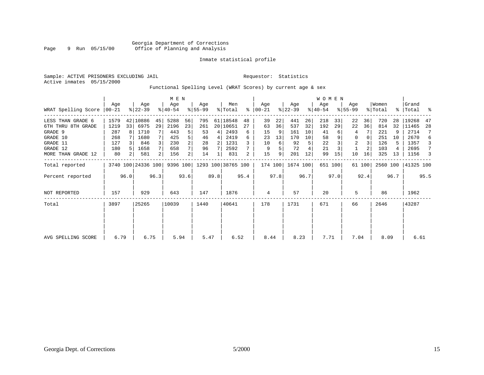#### Inmate statistical profile

Sample: ACTIVE PRISONERS EXCLUDING JAIL **Requestor:** Statistics Active inmates 05/15/2000

#### Functional Spelling Level (WRAT Scores) by current age & sex

|                     |                  |      |                    |      | M E N            |                |                 |      |                    |      |                  |      |                  |      | WOMEN            |         |                  |          |                  |           |                |      |
|---------------------|------------------|------|--------------------|------|------------------|----------------|-----------------|------|--------------------|------|------------------|------|------------------|------|------------------|---------|------------------|----------|------------------|-----------|----------------|------|
| WRAT Spelling Score | Age<br>$00 - 21$ |      | Age<br>$ 22-39 $   |      | Age<br>$ 40-54 $ |                | Age<br>$ 55-99$ |      | Men<br>% Total     | ႜ    | Age<br>$00 - 21$ |      | Age<br>$ 22-39 $ |      | Age<br>$ 40-54 $ |         | Age<br>$8 55-99$ |          | Women<br>% Total | % $\vert$ | Grand<br>Total | း    |
| LESS THAN GRADE 6   | 1579             | 42   | 10886              | 45   | 5288             | 56             | 795             |      | 61 18548           | 48   | 39               | 22   | 441              | 26   | 218              | 33      | 22               | 36       | 720              | 28        | 19268          | 47   |
| 6TH THRU 8TH GRADE  | 1219             | 33   | 6975               | 29   | 2196             | 23             | 261             |      | 20 10651           | 27   | 63               | 36   | 537              | 32   | 192              | 29      | 22               | 36       | 814              | 32        | 11465          | 28   |
| GRADE 9             | 287              | 8    | 1710               |      | 443              | 5              | 53              | 4    | 2493               | б.   | 15               | 9    | 161              | 10   | 41               |         | 4                |          | 221              | 9         | 2714           | 7    |
| GRADE 10            | 268              |      | 1680               |      | 425              | 5              | 46              | 4    | 2419               | 6    | 23               | 13   | 170              | 10   | 58               |         | 0                | $\Omega$ | 251              | 10        | 2670           | 6    |
| GRADE 11            | 127              |      | 846                |      | 230              | $\overline{a}$ | 28              | 2    | 1231               |      | 10               | 6    | 92               | 5    | 22               |         | $\overline{2}$   |          | 126              | 5         | 1357           | 3    |
| GRADE 12            | 180              |      | 1658               |      | 658              |                | 96              |      | 2592               |      | 9                | 5    | 72               |      | 21               |         |                  |          | 103              |           | 2695           | 7    |
| MORE THAN GRADE 12  | 80               | 2    | 581                |      | 156              | $\overline{2}$ | 14              |      | 831                | 2    | 15               | 9    | 201              | 12   | 99               | 15      | 10               | 16       | 325              | 13        | 1156           | 3    |
| Total reported      |                  |      | 3740 100 24336 100 |      | 9396 100         |                |                 |      | 1293 100 38765 100 |      | 174 100          |      | 1674 100         |      |                  | 651 100 |                  | 61 100   | 2560 100         |           | 41325 100      |      |
| Percent reported    |                  | 96.0 |                    | 96.3 |                  | 93.6           |                 | 89.8 |                    | 95.4 |                  | 97.8 |                  | 96.7 |                  | 97.0    |                  | 92.4     |                  | 96.7      |                | 95.5 |
| <b>NOT REPORTED</b> | 157              |      | 929                |      | 643              |                | 147             |      | 1876               |      | 4                |      | 57               |      | 20               |         | 5                |          | 86               |           | 1962           |      |
| Total               | 3897             |      | 25265              |      | 10039            |                | 1440            |      | 40641              |      | 178              |      | 1731             |      | 671              |         | 66               |          | 2646             |           | 43287          |      |
|                     |                  |      |                    |      |                  |                |                 |      |                    |      |                  |      |                  |      |                  |         |                  |          |                  |           |                |      |
| AVG SPELLING SCORE  | 6.79             |      | 6.75               |      | 5.94             |                | 5.47            |      | 6.52               |      | 8.44             |      | 8.23             |      | 7.71             |         | 7.04             |          | 8.09             |           | 6.61           |      |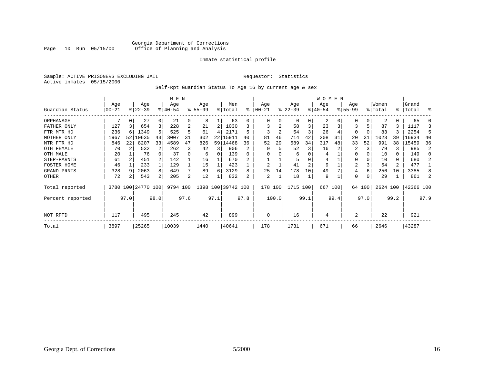#### Georgia Department of Corrections<br>Page 10 Run 05/15/00 office of Planning and Analysis Office of Planning and Analysis

#### Inmate statistical profile

Sample: ACTIVE PRISONERS EXCLUDING JAIL **Requestor:** Statistics Active inmates 05/15/2000

#### Self-Rpt Guardian Status To Age 16 by current age & sex

|                  | M E N     |                |                    |          |          |      |           |      |                    |      |                |       |           |      | <b>WOMEN</b> |      |                |          |          |      |           |      |
|------------------|-----------|----------------|--------------------|----------|----------|------|-----------|------|--------------------|------|----------------|-------|-----------|------|--------------|------|----------------|----------|----------|------|-----------|------|
|                  | Age       |                | Age                |          | Age      |      | Age       |      | Men                |      | Age            |       | Age       |      | Age          |      | Age            |          | Women    |      | Grand     |      |
| Guardian Status  | $00 - 21$ |                | $ 22-39 $          |          | $ 40-54$ |      | $8 55-99$ |      | % Total            | ⊱    | $ 00-21$       |       | $ 22-39 $ |      | $ 40-54 $    |      | $ 55-99 $      |          | % Total  |      | %   Total | ႜ    |
| ORPHANAGE        |           |                | 27                 | $\Omega$ | 21       | 0    | 8         |      | 63                 | 0    |                | 0     | 0         | 0    | 2            | O    | 0              | $\Omega$ | 2        | 0    | 65        |      |
| FATHER ONLY      | 127       |                | 654                |          | 228      | 2    | 21        |      | 1030               | 3    | 3              | 2     | 58        | 3    | 23           |      |                |          | 87       |      | 1117      | 3    |
| FTR MTR HD       | 236       |                | 1349               |          | 525      |      | 61        | 4    | 2171               | 5    |                | 2     | 54        | 3    | 26           |      | 0              |          | 83       |      | 2254      | .5   |
| MOTHER ONLY      | 1967      | 52             | 10635              | 43       | 3007     | 31   | 302       |      | 22 15911           | 40   | 81             | 46    | 714       | 42   | 208          | 31   | 20             | 31       | 1023     | 39   | 16934     | 40   |
| MTR FTR HD       | 846       | 22             | 8207               | 33       | 4589     | 47   | 826       |      | 59 14468           | 36   | 52             | 29    | 589       | 34   | 317          | 48   | 33             | 52       | 991      | 38   | 15459     | 36   |
| OTH FEMALE       | 70        |                | 532                |          | 262      | 3    | 42        | 3    | 906                | 2    | 9              |       | 52        | 3    | 16           |      | 2              |          | 79       | 3    | 985       | 2    |
| OTH MALE         | 20        |                | 76                 |          | 37       |      | 6         | 0    | 139                | 0    |                |       | 6         | 0    | 4            |      | 0              |          | 10       | 0    | 149       |      |
| STEP-PARNTS      | 61        |                | 451                |          | 142      |      | 16        |      | 670                |      |                |       | 5         |      | 4            |      | 0              |          | 10       | 0    | 680       |      |
| FOSTER HOME      | 46        |                | 233                |          | 129      |      | 15        |      | 423                |      | $\overline{2}$ |       | 41        | 2    | 9            |      | $\overline{2}$ |          | 54       | 2    | 477       |      |
| GRAND PRNTS      | 328       | 9              | 2063               | 8        | 649      | 7    | 89        | 6    | 3129               | 8    | 25             | 14    | 178       | 10   | 49           |      | 4              | 6        | 256      | 10   | 3385      |      |
| OTHER            | 72        | $\overline{2}$ | 543                | 2        | 205      | 2    | 12        |      | 832                | 2    | 2              |       | 18        |      | 9            |      | 0              |          | 29       |      | 861       |      |
| Total reported   |           |                | 3780 100 24770 100 |          | 9794 100 |      |           |      | 1398 100 39742 100 |      | 178 100        |       | 1715 100  |      | 667 100      |      |                | 64 100   | 2624 100 |      | 42366 100 |      |
| Percent reported |           | 97.0           |                    | 98.0     |          | 97.6 |           | 97.1 |                    | 97.8 |                | 100.0 |           | 99.1 |              | 99.4 |                | 97.0     |          | 99.2 |           | 97.9 |
| NOT RPTD         | 117       |                | 495                |          | 245      |      | 42        |      | 899                |      | $\Omega$       |       | 16        |      | 4            |      | 2              |          | 22       |      | 921       |      |
| Total            | 3897      |                | 25265              |          | 10039    |      | 1440      |      | 40641              |      | 178            |       | 1731      |      | 671          |      | 66             |          | 2646     |      | 43287     |      |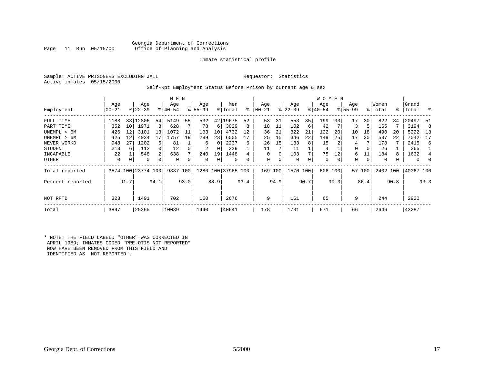#### Georgia Department of Corrections<br>Page 11 Run 05/15/00 office of Planning and Analysis Office of Planning and Analysis

#### Inmate statistical profile

|  |                           | Sample: ACTIVE PRISONERS EXCLUDING JAIL |  |
|--|---------------------------|-----------------------------------------|--|
|  | Active inmates 05/15/2000 |                                         |  |

#### Requestor: Statistics

#### Self-Rpt Employment Status Before Prison by current age & sex

|                  | Age       |      | Age                |      | M E N<br>Age |      | Age       |          | Men                |           | Age       |          | Age         |      | W O M E N<br>Age |      | Age         |          | Women    |      | Grand     |          |
|------------------|-----------|------|--------------------|------|--------------|------|-----------|----------|--------------------|-----------|-----------|----------|-------------|------|------------------|------|-------------|----------|----------|------|-----------|----------|
| Employment       | $00 - 21$ |      | $ 22 - 39 $        |      | $8 40-54$    |      | $ 55-99 $ |          | % Total            | $\approx$ | $00 - 21$ |          | $ 22-39 $   |      | $ 40-54 $        |      | $8155 - 99$ |          | % Total  |      | %   Total | ి        |
| FULL TIME        | 1188      |      | 33 12806           | 54   | 5149         | 55   | 532       | 42       | 9675               | 52        | 53        | 31       | 553         | 35   | 199              | 33   | 17          | 30       | 822      | 34   | 20497     | 51       |
| PART TIME        | 352       | 10   | 1971               | 8    | 628          |      | 78        | 6        | 3029               | 8         | 18        | 11       | 102         | 6    | 42               |      | 3           | 5        | 165      |      | 3194      | 8        |
| UNEMPL < 6M      | 426       | 12   | 3101               | 13   | 1072         | 11   | 133       | 10       | 4732               | 12        | 36        | 21       | 322         | 21   | 122              | 20   | 10          | 18       | 490      | 20   | 5222      | 13       |
| UNEMPL > 6M      | 425       | 12   | 4034               |      | 1757         | 19   | 289       | 23       | 6505               |           | 25        | 15       | 346         | 22   | 149              | 25   | 17          | 30       | 537      | 22   | 7042      | 17       |
| NEVER WORKD      | 948       | 27   | 1202               | 5    | 81           |      | 6         | $\Omega$ | 2237               | 6         | 26        | 15       | 133         | 8    | 15               |      | 4           |          | 178      |      | 2415      | 6        |
| <b>STUDENT</b>   | 213       | 6    | 112                | 0    | 12           |      | 2         | 0        | 339                |           | 11        |          | 11          |      | 4                |      | 0           | $\Omega$ | 26       |      | 365       |          |
| INCAPABLE        | 22        |      | 548                | 2    | 638          |      | 240       | 19       | 1448               |           | $\Omega$  | $\Omega$ | 103         |      | 75               | 12   | 6           |          | 184      |      | 1632      | 4        |
| OTHER            | 0         | 0    | 0                  | 0    | 0            |      | 0         | 0        | $\Omega$           |           | 0         | 0        | $\mathbf 0$ | 0    | 0                | 0    | 0           | 0        | $\Omega$ |      | $\Omega$  | $\Omega$ |
| Total reported   |           |      | 3574 100 23774 100 |      | 9337         | 100  |           |          | 1280 100 37965 100 |           | 169 100   |          | 1570 100    |      | 606 100          |      |             | 57 100   | 2402 100 |      | 40367 100 |          |
| Percent reported |           | 91.7 |                    | 94.1 |              | 93.0 |           | 88.9     |                    | 93.4      |           | 94.9     |             | 90.7 |                  | 90.3 |             | 86.4     |          | 90.8 |           | 93.3     |
| NOT RPTD         | 323       |      | 1491               |      | 702          |      | 160       |          | 2676               |           | 9         |          | 161         |      | 65               |      | 9           |          | 244      |      | 2920      |          |
| Total            | 3897      |      | 25265              |      | 10039        |      | 1440      |          | 40641              |           | 178       |          | 1731        |      | 671              |      | 66          |          | 2646     |      | 43287     |          |

\* NOTE: THE FIELD LABELD "OTHER" WAS CORRECTED IN APRIL 1989; INMATES CODED "PRE-OTIS NOT REPORTED" NOW HAVE BEEN REMOVED FROM THIS FIELD AND IDENTIFIED AS "NOT REPORTED".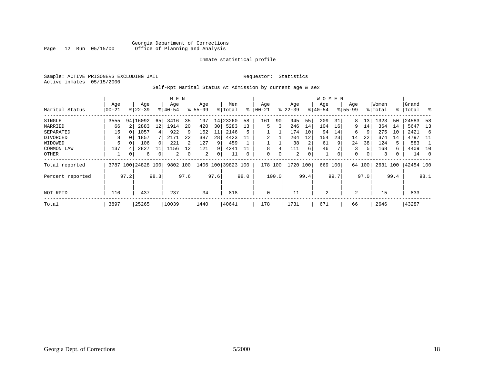#### Georgia Department of Corrections<br>Page 12 Run 05/15/00 Office of Planning and Analysis Office of Planning and Analysis

#### Inmate statistical profile

Sample: ACTIVE PRISONERS EXCLUDING JAIL **Requestor:** Statistics Active inmates 05/15/2000

#### Self-Rpt Marital Status At Admission by current age & sex

|                  |           |      |               |      | M E N     |      |          |                 |                    |           |          |       |           |      | <b>WOMEN</b> |      |             |        |          |      |           |          |
|------------------|-----------|------|---------------|------|-----------|------|----------|-----------------|--------------------|-----------|----------|-------|-----------|------|--------------|------|-------------|--------|----------|------|-----------|----------|
|                  | Age       |      | Age           |      | Age       |      | Age      |                 | Men                |           | Age      |       | Age       |      | Age          |      | Age         |        | Women    |      | Grand     |          |
| Marital Status   | $00 - 21$ |      | $ 22-39 $     |      | $8 40-54$ |      | $ 55-99$ |                 | % Total            | $\approx$ | 00-21    |       | $ 22-39 $ |      | $ 40-54$     |      | $8155 - 99$ |        | % Total  |      | %   Total | - 옹      |
| SINGLE           | 3555      |      | 94   16092    | 65   | 3416      | 35   | 197      | 14              | 23260              | 58        | 161      | 90    | 945       | 55   | 209          | 31   | 8.          | 13     | 1323     | 50   | 24583     | 58       |
| MARRIED          | 66        |      | 2883          | 12   | 1914      | 20   | 420      | 30 <sup>1</sup> | 5283               | 13        | 5        | 3     | 246       | 14   | 104          | 16   | 9.          | 14     | 364      | 14   | 5647      | 13       |
| SEPARATED        | 15        |      | 1057          | 4    | 922       | 9    | 152      | 11              | 2146               | 5         |          |       | 174       | 10   | 94           | 14   | 6           | 9      | 275      | 10   | 2421      | -6       |
| DIVORCED         | 8         |      | 1857          |      | 2171      | 22   | 387      | 28              | 4423               |           |          |       | 204       | 12   | 154          | 23   | 14          | 22     | 374      | 14   | 4797      | -11      |
| WIDOWED          |           |      | 106           |      | 221       |      | 127      | 9               | 459                |           |          |       | 38        | 2    | 61           | 9    | 24          | 38     | 124      |      | 583       |          |
| COMMON LAW       | 137       |      | 2827          |      | 1156      | 12   | 121      | 9               | 4241               |           | 8        |       | 111       | 6    | 46           |      | 3           | 5      | 168      | 6.   | 4409      | 10       |
| OTHER            |           | 0    | 6             | 0    | 2         |      | 2        | 0               | 11                 |           | $\Omega$ | 0     | 2         | 0    | 1            | 0    | 0           | 0      | 3        |      | 14        | $\Omega$ |
| Total reported   | 3787      |      | 100 24828 100 |      | 9802      | 100  |          |                 | 1406 100 39823 100 |           | 178      | 100   | 1720      | 100  | 669          | 100  |             | 64 100 | 2631 100 |      | 42454 100 |          |
| Percent reported |           | 97.2 |               | 98.3 |           | 97.6 |          | 97.6            |                    | 98.0      |          | 100.0 |           | 99.4 |              | 99.7 |             | 97.0   |          | 99.4 |           | 98.1     |
|                  |           |      |               |      |           |      |          |                 |                    |           |          |       |           |      |              |      |             |        |          |      |           |          |
| NOT RPTD         | 110       |      | 437           |      | 237       |      | 34       |                 | 818                |           | 0        |       | 11        |      | 2            |      | 2           |        | 15       |      | 833       |          |
| Total            | 3897      |      | 25265         |      | 10039     |      | 1440     |                 | 40641              |           | 178      |       | 1731      |      | 671          |      | 66          |        | 2646     |      | 43287     |          |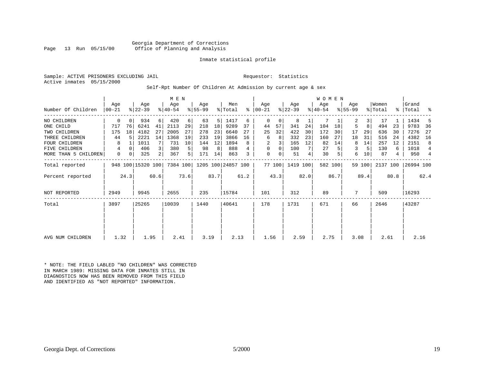Georgia Department of Corrections<br>Page 13 Run 05/15/00 office of Planning and Analysis Office of Planning and Analysis

#### Inmate statistical profile

Sample: ACTIVE PRISONERS EXCLUDING JAIL **Requestor:** Statistics Active inmates 05/15/2000

#### Self-Rpt Number Of Children At Admission by current age & sex

|                      | Age   |      | Age               |                | M E N<br>Age |      | Age       |      | Men                         |      | Age       |        | Age       |      | <b>WOMEN</b><br>Age |         | Age       |        | Women    |      | Grand     |      |
|----------------------|-------|------|-------------------|----------------|--------------|------|-----------|------|-----------------------------|------|-----------|--------|-----------|------|---------------------|---------|-----------|--------|----------|------|-----------|------|
| Number Of Children   | 00-21 |      | $ 22-39 $         |                | $ 40-54 $    |      | $8 55-99$ |      | % Total                     | ႜ    | $ 00-21 $ |        | $ 22-39 $ |      | $ 40-54 $           |         | $8 55-99$ |        | % Total  | ွေ   | 'Total    | ႜ    |
| NO CHILDREN          | 0     | 0    | 934               | 6              | 420          | 6    | 63        | 5    | 1417                        | 6    | 0         | 0      | 8         |      |                     |         | 2         | 3      | 17       |      | 1434      | 5    |
| ONE CHILD            | 717   | 76   | 6241              | 41             | 2113         | 29   | 218       | 18   | 9289                        | 37   | 44        | 57     | 341       | 24   | 104                 | 18      | 5         | 8      | 494      | 23   | 9783      | 36   |
| TWO CHILDREN         | 175   | 18   | 4182              | 27             | 2005         | 27   | 278       | 23   | 6640                        | 27   | 25        | 32     | 422       | 30   | 172                 | 30      | 17        | 29     | 636      | 30   | 7276      | 27   |
| THREE CHILDREN       | 44    |      | 2221              | 14             | 1368         | 19   | 233       | 19   | 3866                        | 16   | 6         | 8      | 332       | 23   | 160                 | 27      | 18        | 31     | 516      | 24   | 4382      | 16   |
| <b>FOUR CHILDREN</b> | 8     |      | 1011              |                | 731          | 10   | 144       | 12   | 1894                        | 8    | 2         | 3      | 165       | 12   | 82                  | 14      | 8         | 14     | 257      | 12   | 2151      | 8    |
| FIVE CHILDREN        | 4     | 0    | 406               | $\mathbf{3}$   | 380          | 5    | 98        | 8    | 888                         |      | 0         | 0      | 100       |      | 27                  |         | 3         |        | 130      | 6    | 1018      | 4    |
| MORE THAN 5 CHILDREN | 0     | 0    | 325               | $\overline{2}$ | 367          | 5    | 171       | 14   | 863                         | 3    | 0         | 0      | 51        | 4    | 30                  | 5       | 6         | 10     | 87       | 4    | 950       | 4    |
| Total reported       |       |      | 948 100 15320 100 |                |              |      |           |      | 7384 100 1205 100 24857 100 |      |           | 77 100 | 1419 100  |      |                     | 582 100 |           | 59 100 | 2137 100 |      | 26994 100 |      |
| Percent reported     |       | 24.3 |                   | 60.6           |              | 73.6 |           | 83.7 |                             | 61.2 |           | 43.3   |           | 82.0 |                     | 86.7    |           | 89.4   |          | 80.8 |           | 62.4 |
| NOT REPORTED         | 2949  |      | 9945              |                | 2655         |      | 235       |      | 15784                       |      | 101       |        | 312       |      | 89                  |         | 7         |        | 509      |      | 16293     |      |
| Total                | 3897  |      | 25265             |                | 10039        |      | 1440      |      | 40641                       |      | 178       |        | 1731      |      | 671                 |         | 66        |        | 2646     |      | 43287     |      |
|                      |       |      |                   |                |              |      |           |      |                             |      |           |        |           |      |                     |         |           |        |          |      |           |      |
|                      |       |      |                   |                |              |      |           |      |                             |      |           |        |           |      |                     |         |           |        |          |      |           |      |
| AVG NUM CHILDREN     | 1.32  |      | 1.95              |                | 2.41         |      | 3.19      |      | 2.13                        |      | 1.56      |        | 2.59      |      | 2.75                |         | 3.08      |        | 2.61     |      | 2.16      |      |

\* NOTE: THE FIELD LABLED "NO CHILDREN" WAS CORRECTED IN MARCH 1989: MISSING DATA FOR INMATES STILL IN DIAGNOSTICS NOW HAS BEEN REMOVED FROM THIS FIELD AND IDENTIFIED AS "NOT REPORTED" INFORMATION.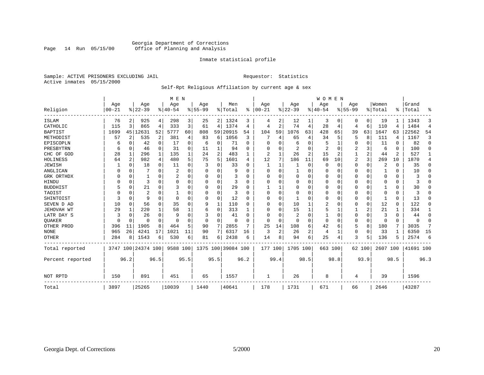#### Georgia Department of Corrections Office of Planning and Analysis

#### Inmate statistical profile

Sample: ACTIVE PRISONERS EXCLUDING JAIL **Requestor:** Statistics Active inmates 05/15/2000

#### Self-Rpt Religious Affiliation by current age & sex

|                  |           |              |                    |          | M E N          |                         |           |          |                    |      |          |                |          |      | <b>WOMEN</b> |             |                |          |          |          |           |                |
|------------------|-----------|--------------|--------------------|----------|----------------|-------------------------|-----------|----------|--------------------|------|----------|----------------|----------|------|--------------|-------------|----------------|----------|----------|----------|-----------|----------------|
|                  | Age       |              | Age                |          | Age            |                         | Age       |          | Men                |      | Age      |                | Age      |      | Age          |             | Age            |          | Women    |          | Grand     |                |
| Religion         | $00 - 21$ |              | $ 22-39$           |          | $ 40-54$       |                         | $8 55-99$ |          | % Total            | ∻    | $ 00-21$ |                | $ 22-39$ |      | $8 40-54$    |             | $8155 - 99$    |          | % Total  | ి        | Total     | ႜ              |
| ISLAM            | 76        | 2            | 925                | 4        | 298            | $\overline{\mathbf{3}}$ | 25        | 2        | 1324               | 3    | 4        | 2              | 12       |      | 3            | $\left($    | 0              | 0        | 19       |          | 1343      | 3              |
| CATHOLIC         | 115       | 3            | 865                | 4        | 333            | 3                       | 61        | 4        | 1374               | 4    | 4        | 2              | 74       | 4    | 28           | 4           | 4              | 6        | 110      | 4        | 1484      | $\overline{4}$ |
| <b>BAPTIST</b>   | 1699      |              | 45 12631           | 52       | 5777           | 60                      | 808       | 59       | 20915              | 54   | 104      | 59             | 1076     | 63   | 428          | 65          | 39             | 63       | 1647     | 63       | 22562     | 54             |
| METHODIST        | 57        | 2            | 535                | 2        | 381            | 4                       | 83        | 6        | 1056               | 3    |          | 4              | 65       | 4    | 34           | 5           | 5              | 8        | 111      | 4        | 1167      | 3              |
| EPISCOPLN        | 6         | <sup>0</sup> | 42                 | $\Omega$ | 17             | 0                       | 6         | 0        | 71                 | 0    | ∩        |                | 6        | 0    | 5            |             | 0              | $\Omega$ | 11       | $\Omega$ | 82        | $\Omega$       |
| PRESBYTRN        | 6         | $\Omega$     | 46                 | $\Omega$ | 31             | 0                       | 11        | 1        | 94                 | O    | O        |                | 2        | 0    | 2            | $\Omega$    | 2              | 3        | 6        | $\Omega$ | 100       | $\Omega$       |
| CHC OF GOD       | 28        | 1            | 296                | 1        | 135            | 1                       | 24        | 2        | 483                |      | 2        |                | 26       | 2    | 15           | 2           |                | 2        | 44       | 2        | 527       | 1              |
| HOLINESS         | 64        | 2            | 982                | 4        | 480            | 5                       | 75        | 5        | 1601               | 4    | 12       | 7              | 186      | 11   | 69           | 10          | $\overline{2}$ | 3        | 269      | 10       | 1870      | 4              |
| JEWISH           |           | $\Omega$     | 18                 | 0        | 11             | 0                       | 3         | O        | 33                 | O    | 1        |                |          | 0    | O            | $\mathbf 0$ | 0              | $\Omega$ | 2        | $\Omega$ | 35        | $\Omega$       |
| ANGLICAN         | O         | O            |                    | $\Omega$ | 2              | 0                       | U         | U        | 9                  | U    | $\Omega$ | $\Omega$       | 1        | U    | O            | $\Omega$    | 0              | $\Omega$ |          | $\Omega$ | 10        | $\Omega$       |
| GRK ORTHDX       |           | O            |                    | U        | $\overline{2}$ | 0                       | U         | 0        | 3                  | U    | ∩        |                | $\Omega$ | 0    | $\Omega$     | $\Omega$    | 0              | $\Omega$ | $\Omega$ | $\Omega$ |           | $\Omega$       |
| HINDU            |           | O            | 3                  | $\Omega$ | $\Omega$       | U                       |           | 0        | 3                  | U    |          |                | 0        | 0    |              | $\Omega$    | Ω              | $\Omega$ |          | $\Omega$ |           | U              |
| <b>BUDDHIST</b>  | 5         | $\Omega$     | 21                 | 0        | 3              | O                       | U         | O        | 29                 | U    |          |                | 0        | 0    | 0            | $\Omega$    | 0              | $\Omega$ |          | $\Omega$ | 30        | U              |
| TAOIST           |           | U            | 2                  | U        |                | O                       | U         | O        | २                  | U    | $\Omega$ | $\Omega$       | $\Omega$ | U    | O            | $\Omega$    | 0              | $\Omega$ | $\Omega$ | $\Omega$ |           |                |
| SHINTOIST        | ζ         | $\Omega$     | 9                  | $\Omega$ | $\cap$         | $\Omega$                | $\Omega$  | $\Omega$ | 12                 | U    | $\Omega$ | $\Omega$       |          | U    | $\Omega$     | $\Omega$    | O              | $\Omega$ |          | $\Omega$ | 13        | U              |
| SEVEN D AD       | 10        | 0            | 56                 | 0        | 35             | $\Omega$                | 9         | 1        | 110                | O    | $\Omega$ | $\Omega$       | 10       |      | 2            | $\Omega$    | Ω              | 0        | 12       | $\Omega$ | 122       | $\Omega$       |
| JEHOVAH WT       | 29        |              | 220                | 1        | 58             |                         | 6         | 0        | 313                |      | $\Omega$ | $\Omega$       | 15       |      | 5            |             |                | 2        | 21       |          | 334       | 1              |
| LATR DAY S       | 3         | $\Omega$     | 26                 | 0        | 9              | $\Omega$                |           | 0        | 41                 | O    | ∩        | $\Omega$       | 2        | 0    |              | $\Omega$    | 0              | $\Omega$ | 3        | $\Omega$ | 44        | $\Omega$       |
| QUAKER           | 0         | $\Omega$     | 0                  | $\Omega$ | $\Omega$       | 0                       | $\Omega$  | 0        | 0                  | O    | $\Omega$ | $\Omega$       | $\Omega$ | 0    | $\Omega$     | $\Omega$    | 0              | 0        | $\Omega$ | $\Omega$ | $\Omega$  | $\Omega$       |
| OTHER PROD       | 396       | 11           | 1905               | 8        | 464            | 5                       | 90        | 7        | 2855               | 7    | 25       | 14             | 108      | 6    | 42           | 6           | 5              | 8        | 180      |          | 3035      | 7              |
| <b>NONE</b>      | 965       | 26           | 4241               | 17       | 1021           | 11                      | 90        | 7        | 6317               | 16   | 3        | $\overline{2}$ | 26       | 2    | 4            |             | 0              | 0        | 33       |          | 6350      | 15             |
| <b>OTHER</b>     | 284       | 8            | 1543               | $6 \mid$ | 530            | 6                       | 81        | б.       | 2438               | 6    | 14       | 8              | 94       | 6    | 25           | 4           | 3              | 5        | 136      | 5        | 2574      | 6              |
| Total reported   |           |              | 3747 100 24374 100 |          | 9588 100       |                         |           |          | 1375 100 39084 100 |      | 177      | 100            | 1705 100 |      | 663 100      |             |                | 62 100   | 2607 100 |          | 41691 100 |                |
| Percent reported |           | 96.2         |                    | 96.5     |                | 95.5                    |           | 95.5     |                    | 96.2 |          | 99.4           |          | 98.5 |              | 98.8        |                | 93.9     |          | 98.5     |           | 96.3           |
| NOT RPTD         | 150       |              | 891                |          | 451            |                         | 65        |          | 1557               |      |          |                | 26       |      | 8            |             | 4              |          | 39       |          | 1596      |                |
| Total            | 3897      |              | 25265              |          | 10039          |                         | 1440      |          | 40641              |      | 178      |                | 1731     |      | 671          |             | 66             |          | 2646     |          | 43287     |                |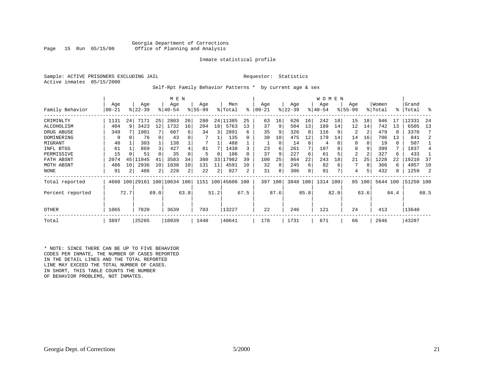#### Georgia Department of Corrections<br>Page 15 Run 05/15/00 office of Planning and Analysis Office of Planning and Analysis

#### Inmate statistical profile

|  | Sample: ACTIVE PRISONERS EXCLUDING JAI |  |
|--|----------------------------------------|--|
|  | Active inmates 05/15/2000              |  |

IL Requestor: Statistics

#### Self-Rpt Family Behavior Patterns \* by current age & sex

|                  |            |      |           |          | M E N                   |                |          |      |                    |      |           |          |           |      | W O M E N |      |          |        |          |      |           |      |
|------------------|------------|------|-----------|----------|-------------------------|----------------|----------|------|--------------------|------|-----------|----------|-----------|------|-----------|------|----------|--------|----------|------|-----------|------|
|                  | Age        |      | Age       |          | Age                     |                | Age      |      | Men                |      | Age       |          | Age       |      | Age       |      | Age      |        | Women    |      | Grand     |      |
| Family Behavior  | $ 00 - 21$ |      | $ 22-39 $ |          | $8140 - 54$             |                | $ 55-99$ |      | % Total            | ⊱    | $00 - 21$ |          | $ 22-39 $ |      | $ 40-54 $ |      | $ 55-99$ |        | % Total  |      | %   Total | ႜ    |
| CRIMINLTY        | 1131       | 24   | 7171      | 25       | 2803                    | 26             | 280      |      | 24 11385           | 25   | 63        | 16       | 626       | 16   | 242       | 18   | 15       | 18     | 946      | -17  | 12331     | 24   |
| ALCOHOLISM       | 404        | 9    | 3423      | 12       | 1732                    | 16             | 204      | 18   | 5763               | 13   | 37        | 9        | 504       | 13   | 189       | 14   | 12       | 14     | 742      | 13   | 6505      | 13   |
| DRUG ABUSE       | 349        |      | 1901      |          | 607                     | 6              | 34       | 3    | 2891               | 6    | 35        |          | 326       | 8    | 116       | 9    |          | 2      | 479      |      | 3370      |      |
| DOMINERING       | 9          | 0    | 76        | $\Omega$ | 43                      |                |          |      | 135                |      | 38        | 10       | 475       | 12   | 179       | 14   | 14       | 16     | 706      | 13   | 841       | 2    |
| MIGRANT          | 40         |      | 303       |          | 138                     |                |          |      | 488                |      |           | $\Omega$ | 14        | 0    | 4         |      | 0        | 0      | 19       | 0    | 507       |      |
| INFL BTGS        | 61         |      | 869       | 3        | 427                     |                | 81       |      | 1438               |      | 23        | 6        | 261       |      | 107       |      | 8        | 9      | 399      |      | 1837      |      |
| PERMISSIVE       | 15         |      | 51        |          | 35                      |                | 5        | 0    | 106                |      | 37        |          | 227       | 6    | 61        |      | 2        |        | 327      | 6    | 433       |      |
| FATH ABSNT       | 2074       | 45   | 1945.     | 41       | 3583                    | 34             | 380      | 33   | 17982              | 39   | 100       | 25       | 864       | 22   | 243       | 18   | 21       | 25     | 1228     | 22   | 19210     | 37   |
| MOTH ABSNT       | 486        | 10   | 2936      | 10       | 1038                    | 10             | 131      | 11   | 4591               | 10   | 32        | 8        | 245       | 6    | 82        | 6    |          | 8      | 366      | 6    | 4957      | 10   |
| <b>NONE</b>      | 91         |      | 486       | 2        | 228                     | $\overline{a}$ | 22       | 2    | 827                |      | 31        | 8        | 306       | 8    | 91        |      | 4        |        | 432      | 8    | 1259      | 2    |
| Total reported   | 4660       |      |           |          | 100 29161 100 10634 100 |                |          |      | 1151 100 45606 100 |      | 397 100   |          | 3848 100  |      | 1314 100  |      |          | 85 100 | 5644 100 |      | 51250 100 |      |
| Percent reported |            | 72.7 |           | 69.0     |                         | 63.8           |          | 51.2 |                    | 67.5 |           | 87.6     |           | 85.8 |           | 82.0 |          | 63.6   |          | 84.4 |           | 68.5 |
| OTHER            | 1065       |      | 7820      |          | 3639                    |                | 703      |      | 13227              |      | 22        |          | 246       |      | 121       |      | 24       |        | 413      |      | 13640     |      |
| Total            | 3897       |      | 25265     |          | 10039                   |                | 1440     |      | 40641              |      | 178       |          | 1731      |      | 671       |      | 66       |        | 2646     |      | 43287     |      |

\* NOTE: SINCE THERE CAN BE UP TO FIVE BEHAVIOR CODES PER INMATE, THE NUMBER OF CASES REPORTED IN THE DETAIL LINES AND THE TOTAL REPORTED LINE MAY EXCEED THE TOTAL NUMBER OF CASES. IN SHORT, THIS TABLE COUNTS THE NUMBER OF BEHAVIOR PROBLEMS, NOT INMATES.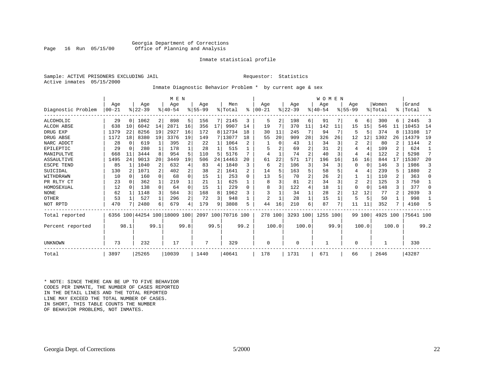#### Georgia Department of Corrections<br>Page 16 Run 05/15/00 office of Planning and Analysis Office of Planning and Analysis

#### Inmate statistical profile

|  | Sample: ACTIVE PRISONERS EXCLUDING JAI |  |
|--|----------------------------------------|--|
|  | Active inmates 05/15/2000              |  |

IL Requestor: Statistics

#### Inmate Diagnostic Behavior Problem \* by current age & sex

|                    |            |              |                              |                | M E N     |          |             |                 |                    |           |           |          |          |       | WOMEN     |      |             |             |          |              |           |      |
|--------------------|------------|--------------|------------------------------|----------------|-----------|----------|-------------|-----------------|--------------------|-----------|-----------|----------|----------|-------|-----------|------|-------------|-------------|----------|--------------|-----------|------|
|                    | Age        |              | Age                          |                | Age       |          | Age         |                 | Men                |           | Age       |          | Age      |       | Age       |      | Age         |             | Women    |              | Grand     |      |
| Diagnostic Problem | $ 00 - 21$ |              | $ 22-39 $                    |                | $8 40-54$ |          | $8155 - 99$ |                 | % Total            | $\approx$ | $00 - 21$ |          | $ 22-39$ |       | $8 40-54$ |      | $8155 - 99$ |             | % Total  | ⊱            | Total     | °    |
| <b>ALCOHOLIC</b>   | 29         | $\Omega$     | 1062                         | 2 <sup>1</sup> | 898       | 5.       | 156         | 7 I             | 2145               | 3         | 5         |          | 198      | 6     | 91        |      | 6           | 6           | 300      | 6            | 2445      | 3    |
| ALCOH ABSE         | 638        | 10           | 6042                         | 14             | 2871      | 16       | 356         | 17 <sup>1</sup> | 9907               | 14        | 19        |          | 370      | 11    | 142       | 11   | 15          | 15          | 546      | 11           | 10453     | 14   |
| DRUG EXP           | 1379       | 22           | 8256                         | 19             | 2927      | 16       | 172         |                 | 8 12734            | 18        | 30        | 11       | 245      |       | 94        | 7    | 5           | 5           | 374      | 8            | 13108     | 17   |
| DRUG ABSE          | 1172       | 18           | 8380                         | 19             | 3376      | 19       | 149         |                 | 7 13077            | 18        | 55        | 20       | 909      | 28    | 326       | 26   | 12          | 12          | 1302     | 26           | 14379     | 19   |
| NARC ADDCT         | 28         | $\Omega$     | 619                          | 1              | 395       | 2        | 22          | 1               | 1064               |           |           | $\Omega$ | 43       |       | 34        | 3    | 2           | 2           | 80       |              | 1144      | 2    |
| EPILEPTIC          | 29         | 0            | 280                          | 1              | 178       |          | 28          |                 | 515                |           |           |          | 69       | 2     | 31        |      |             | 4           | 109      | $\mathbf{2}$ | 624       |      |
| MANIPULTVE         | 668        | 11           | 3444                         | 8              | 954       |          | 110         | 5               | 5176               |           | 4         |          | 74       | 2     | 40        | 3    | 4           | 4           | 122      |              | 5298      | 7    |
| ASSAULTIVE         | 1495       | 2.4          | 9013                         | 20             | 3449      | 19       | 506         | 24 I            | 14463              | 20        | 61        | 22       | 571      | 17    | 196       | 16   | 16          | 16          | 844      | 17           | 15307     | 20   |
| ESCPE TEND         | 85         |              | 1040                         | 2              | 632       |          | 83          | 4               | 1840               | ζ         | 6         | 2        | 106      | 3     | 34        | 3    | 0           | $\mathbf 0$ | 146      |              | 1986      | 3    |
| SUICIDAL           | 130        |              | 1071                         | $\overline{2}$ | 402       | 2        | 38          | 2               | 1641               |           | 14        |          | 163      | 5     | 58        |      |             | 4           | 239      |              | 1880      | 2    |
| WITHDRAWN          | 10         | $\cap$       | 160                          | 0              | 68        | U        | 15          |                 | 253                | n         | 13        |          | 70       | 2     | 26        |      |             | 1           | 110      |              | 363       | 0    |
| PR RLTY CT         | 23         | <sup>0</sup> | 362                          | 1              | 219       |          | 21          |                 | 625                |           | 8         |          | 81       | 2     | 34        | ζ    | 2           | 2           | 125      | 3            | 750       |      |
| HOMOSEXUAL         | 12         | $\Omega$     | 138                          | $\Omega$       | 64        | $\Omega$ | 15          |                 | 229                | U         | 8         |          | 122      | 4     | 18        |      | $\Omega$    | $\Omega$    | 148      | ζ            | 377       | 0    |
| <b>NONE</b>        | 62         |              | 1148                         | 3              | 584       |          | 168         | 8               | 1962               | 3         |           |          | 34       |       | 28        |      | 12          | 12          | 77       | $\mathbf{2}$ | 2039      | 3    |
| OTHER              | 53         |              | 527                          | 1              | 296       | 2        | 72          | 3               | 948                |           | 2         |          | 28       |       | 15        |      | 5           | 5           | 50       |              | 998       |      |
| NOT RPTD           | 470        |              | 2480                         | 6              | 679       |          | 179         | 9               | 3808               |           | 44        | 16       | 210      | б.    | 87        | 7    | 11          | 11          | 352      |              | 4160      | 5    |
| Total reported     |            |              | 6356 100 44254 100 18009 100 |                |           |          |             |                 | 2097 100 70716 100 |           | 278 100   |          | 3293 100 |       | 1255 100  |      |             | 99 100      | 4925 100 |              | 75641 100 |      |
| Percent reported   |            | 98.1         |                              | 99.1           |           | 99.8     |             | 99.5            |                    | 99.2      |           | 100.0    |          | 100.0 |           | 99.9 |             | 100.0       |          | 100.0        |           | 99.2 |
|                    |            |              |                              |                |           |          |             |                 |                    |           |           |          |          |       |           |      |             |             |          |              |           |      |
| UNKNOWN            | 73         |              | 232                          |                | 17        |          | 7           |                 | 329                |           | $\Omega$  |          | 0        |       |           |      | 0           |             |          |              | 330       |      |
| Total              | 3897       |              | 25265                        |                | 10039     |          | 1440        |                 | 40641              |           | 178       |          | 1731     |       | 671       |      | 66          |             | 2646     |              | 43287     |      |

\* NOTE: SINCE THERE CAN BE UP TO FIVE BEHAVIOR CODES PER INMATE, THE NUMBER OF CASES REPORTED IN THE DETAIL LINES AND THE TOTAL REPORTED LINE MAY EXCEED THE TOTAL NUMBER OF CASES.IN SHORT, THIS TABLE COUNTS THE NUMBER OF BEHAVIOR PROBLEMS, NOT INMATES.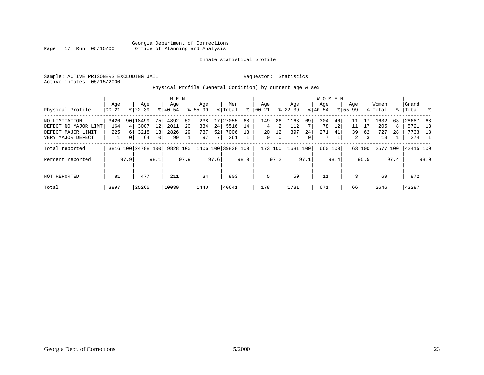#### Georgia Department of Corrections Office of Planning and Analysis

#### Inmate statistical profile

Sample: ACTIVE PRISONERS EXCLUDING JAIL **Requestor:** Statistics Active inmates 05/15/2000

Physical Profile (General Condition) by current age & sex

|                      |       |                 |                    |          | M E N     |      |             |      |                    |      |            |         |           |      | W O M E N |         |                |        |         |      |           |      |
|----------------------|-------|-----------------|--------------------|----------|-----------|------|-------------|------|--------------------|------|------------|---------|-----------|------|-----------|---------|----------------|--------|---------|------|-----------|------|
|                      | Aqe   |                 | Age                |          | Age       |      | Age         |      | Men                |      | Aqe        |         | Aqe       |      | Aqe       |         | Age            |        | Women   |      | l Grand   |      |
| Physical Profile     | 00-21 |                 | $8 22-39$          |          | $8 40-54$ |      | $8155 - 99$ |      | % Total            | ႜ    | $ 00 - 21$ |         | $8 22-39$ |      | $ 40-54 $ |         | $8155 - 99$    |        | % Total |      | %   Total | - 옹  |
| NO LIMITATION        | 3426  | 90 <sub>1</sub> | 18499              | 75       | 4892      | 50   | 238         | 17   | 27055              | 68   | 149        | 86      | 1168      | 69   | 304       | 46      | 11             | 17     | 1632    | 63   | 28687     | 68   |
| DEFECT NO MAJOR LIMT | 164   | 4               | 3007               | 12       | 2011      | 20   | 334         | 24   | 5516               | 14   | 4          | 2       | 112       | 7    | 78        | 12      | 11             |        | 205     | 8    | 5721      | - 13 |
| DEFECT MAJOR LIMIT   | 225   | 6 <sup>1</sup>  | 3218               | 13       | 2826      | 29   | 737         | 52   | 7006               | 18   | 20         | 12      | 397       | 24   | 271       | 41      | 39             | 62     | 727     | 28   | 7733      | 18   |
| VERY MAJOR DEFECT    |       |                 | 64                 | $\Omega$ | 99        |      | 97          | 7    | 261                |      | 0          | 0       | 4         | 0    |           |         | $\overline{2}$ | 3      | 13      |      | 274       |      |
| Total reported       |       |                 | 3816 100 24788 100 |          | 9828 100  |      |             |      | 1406 100 39838 100 |      |            | 173 100 | 1681 100  |      |           | 660 100 |                | 63 100 | 2577    | 100  | 42415 100 |      |
| Percent reported     |       | 97.9            |                    | 98.1     |           | 97.9 |             | 97.6 |                    | 98.0 |            | 97.2    |           | 97.1 |           | 98.4    |                | 95.5   |         | 97.4 |           | 98.0 |
| NOT REPORTED         | 81    |                 | 477                |          | 211       |      | 34          |      | 803                |      | 5          |         | 50        |      |           |         |                |        | 69      |      | 872       |      |
| Total                | 3897  |                 | 25265              |          | 10039     |      | 1440        |      | 40641              |      | 178        |         | 1731      |      | 671       |         | 66             |        | 2646    |      | 43287     |      |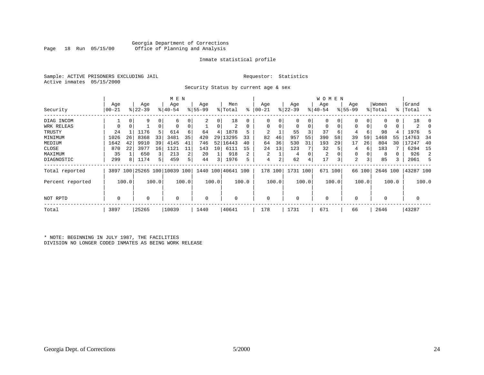#### Georgia Department of Corrections<br>Page 18 Run 05/15/00 office of Planning and Analysis Office of Planning and Analysis

#### Inmate statistical profile

|  | Sample: ACTIVE PRISONERS EXCLUDING JAII |  |
|--|-----------------------------------------|--|
|  | Active inmates 05/15/2000               |  |

L<br>
Requestor: Statistics

Security Status by current age & sex

|                  |                |       |                  |             | M E N                        |       |                    |       |                    |           |                    |          |                  |          | <b>WOMEN</b>     |       |                    |        |                  |       |                    |          |
|------------------|----------------|-------|------------------|-------------|------------------------------|-------|--------------------|-------|--------------------|-----------|--------------------|----------|------------------|----------|------------------|-------|--------------------|--------|------------------|-------|--------------------|----------|
| Security         | Age<br>  00-21 |       | Age<br>$8 22-39$ |             | Age<br>$ 40-54 $             |       | Age<br>$8155 - 99$ |       | Men<br>% Total     | $\approx$ | Age<br>$ 00 - 21 $ |          | Age<br>$ 22-39 $ |          | Age<br>$8 40-54$ |       | Age<br>$8155 - 99$ |        | Women<br>% Total |       | Grand<br>%   Total | - 옹      |
| DIAG INCOM       |                | 0     | 9                | 0           | 6                            |       | 2                  | 0     | 18                 |           | 0                  |          | $\mathbf 0$      |          | $\mathbf 0$      | 0     | 0                  | 0      | $\Omega$         |       | 18                 | $\Omega$ |
| WRK RELEAS       | $\mathbf 0$    | 0     |                  | $\mathbf 0$ | $\Omega$                     |       |                    | 0     | 2                  | $\Omega$  | $\Omega$           | $\Omega$ | $\mathbf 0$      | $\Omega$ | $\mathbf 0$      | 0     | 0                  | 0      | $\Omega$         |       | 2                  | 0        |
| TRUSTY           | 24             |       | 1176             | 5           | 614                          |       | 64                 | 4     | 1878               |           |                    |          | 55               |          | 37               | 6     | 4                  | 6      | 98               |       | 1976               | 5        |
| MINIMUM          | 1026           | 26    | 8368             | 33          | 3481                         | 35    | 420                | 29    | 13295              | 33        | 82                 | 46       | 957              | 55       | 390              | 58    | 39                 | 59     | 1468             | 55    | 14763              | 34       |
| MEDIUM           | 1642           | 42    | 9910             | 39          | 4145                         | 41    | 746                | 52    | 16443              | 40        | 64                 | 36       | 530              | 31       | 193              | 29    | 17                 | 26     | 804              | 30    | 17247              | 40       |
| CLOSE            | 870            | 22    | 3977             | 16          | 1121                         | 11    | 143                | 10    | 6111               | 15        | 24                 | 13       | 123              |          | 32               | 5     | 4                  | 6      | 183              |       | 6294               | 15       |
| MAXIMUM          | 35             |       | 650              | 3           | 213                          | 2     | 20                 |       | 918                |           |                    |          | $\overline{4}$   |          | 2                |       | 0                  | 0      | 8                |       | 926                | 2        |
| DIAGNOSTIC       | 299            | 8     | 1174             | 5           | 459                          | 5     | 44                 | 3     | 1976               | 5         | 4                  | $\sim$   | 62               | 4        | 17               | 3     | 2                  | 3      | 85               |       | 2061               | 5        |
| Total reported   |                |       |                  |             | 3897 100 25265 100 10039 100 |       |                    |       | 1440 100 40641 100 |           | 178 100            |          | 1731 100         |          | 671 100          |       |                    | 66 100 | 2646 100         |       | 43287 100          |          |
| Percent reported |                | 100.0 |                  | 100.0       |                              | 100.0 |                    | 100.0 |                    | 100.0     |                    | 100.0    |                  | 100.0    |                  | 100.0 |                    | 100.0  |                  | 100.0 |                    | 100.0    |
| NOT RPTD         | 0              |       | 0                |             | 0                            |       | 0                  |       |                    |           | $\Omega$           |          | $\mathbf 0$      |          | $\mathbf 0$      |       | 0                  |        | 0                |       | 0                  |          |
| Total            | 3897           |       | 25265            |             | 10039                        |       | 1440               |       | 40641              |           | 178                |          | 1731             |          | 671              |       | 66                 |        | 2646             |       | 43287              |          |

\* NOTE: BEGINNING IN JULY 1987, THE FACILITIES DIVISION NO LONGER CODED INMATES AS BEING WORK RELEASE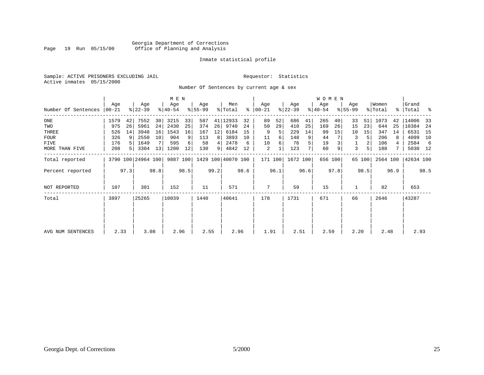#### Georgia Department of Corrections Office of Planning and Analysis

#### Inmate statistical profile

Sample: ACTIVE PRISONERS EXCLUDING JAIL **Requestor:** Statistics Active inmates 05/15/2000

Number Of Sentences by current age & sex

|                     |           |                |                    |                 | M E N       |      |             |      |                    |      |               |         |             |      | W O M E N |         |             |                |          |      |           |      |
|---------------------|-----------|----------------|--------------------|-----------------|-------------|------|-------------|------|--------------------|------|---------------|---------|-------------|------|-----------|---------|-------------|----------------|----------|------|-----------|------|
|                     | Age       |                | Age                |                 | Age         |      | Age         |      | Men                |      | Age           |         | Age         |      | Age       |         | Age         |                | Women    |      | Grand     |      |
| Number Of Sentences | $ 00-21 $ |                | $ 22-39 $          |                 | $8140 - 54$ |      | $8155 - 99$ |      | % Total            |      | $8   00 - 21$ |         | $ 22 - 39 $ |      | $8 40-54$ |         | $8155 - 99$ |                | % Total  |      | %   Total | ႜ    |
| ONE                 | 1579      | 42             | 7552               | 30              | 3215        | 33   | 587         | 41   | 12933              | 32   | 89            | 52      | 686         | 41   | 265       | 40      | 33          | 51             | 1073     | 42   | 14006     | 33   |
| TWO                 | 975       | 26             | 5961               | 24              | 2430        | 25   | 374         | 26   | 9740               | 24   | 50            | 29      | 410         | 25   | 169       | 26      | 15          | 23             | 644      | 25   | 10384     | -24  |
| THREE               | 526       | 14             | 3948               | 16              | 1543        | 16   | 167         | 12   | 6184               | 15   | 9             |         | 229         | 14   | 99        | 15      | 10          | 15             | 347      | 14   | 6531      | 15   |
| <b>FOUR</b>         | 326       | -9             | 2550               | 10 <sup>1</sup> | 904         | 9    | 113         | 8    | 3893               | 10   | 11            | 6       | 148         | 9    | 44        |         | 3           | 5 <sup>1</sup> | 206      | 8    | 4099      | 10   |
| <b>FIVE</b>         | 176       | 5 <sup>1</sup> | 1649               |                 | 595         | 6    | 58          |      | 2478               | 6    | 10            | 6       | 76          | 5    | 19        |         | 1           | 2              | 106      | 4    | 2584      | -6   |
| MORE THAN FIVE      | 208       | 5 <sup>1</sup> | 3304               | 13              | 1200        | 12   | 130         | 9    | 4842               | 12   | 2             |         | 123         |      | 60        | 9       | 3           | 51             | 188      |      | 5030 12   |      |
| Total reported      |           |                | 3790 100 24964 100 |                 | 9887 100    |      |             |      | 1429 100 40070 100 |      |               | 171 100 | 1672 100    |      |           | 656 100 |             | 65 100         | 2564 100 |      | 42634 100 |      |
| Percent reported    |           | 97.3           |                    | 98.8            |             | 98.5 |             | 99.2 |                    | 98.6 |               | 96.1    |             | 96.6 |           | 97.8    |             | 98.5           |          | 96.9 |           | 98.5 |
| NOT REPORTED        | 107       |                | 301                |                 | 152         |      | 11          |      | 571                |      | 7             |         | 59          |      | 15        |         |             |                | 82       |      | 653       |      |
| Total               | 3897      |                | 25265              |                 | 10039       |      | 1440        |      | 40641              |      | 178           |         | 1731        |      | 671       |         | 66          |                | 2646     |      | 43287     |      |
|                     |           |                |                    |                 |             |      |             |      |                    |      |               |         |             |      |           |         |             |                |          |      |           |      |
|                     |           |                |                    |                 |             |      |             |      |                    |      |               |         |             |      |           |         |             |                |          |      |           |      |
|                     |           |                |                    |                 |             |      |             |      |                    |      |               |         |             |      |           |         |             |                |          |      |           |      |
| AVG NUM SENTENCES   | 2.33      |                | 3.08               |                 | 2.96        |      | 2.55        |      | 2.96               |      | 1.91          |         | 2.51        |      | 2.59      |         | 2.20        |                | 2.48     |      | 2.93      |      |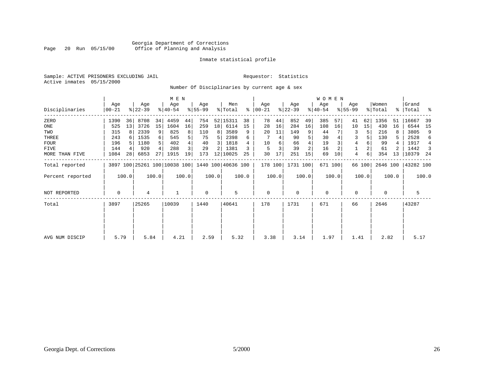#### Georgia Department of Corrections<br>Page 20 Run 05/15/00 office of Planning and Analysis Office of Planning and Analysis

#### Inmate statistical profile

Sample: ACTIVE PRISONERS EXCLUDING JAIL **Requestor:** Statistics Active inmates 05/15/2000

Number Of Disciplinaries by current age & sex

|                     |                |       |                  |       | M E N                        |       |                 |       |                    |       |                   |       |                  |                | WOMEN            |         |                  |        |                  |           |                |                |
|---------------------|----------------|-------|------------------|-------|------------------------------|-------|-----------------|-------|--------------------|-------|-------------------|-------|------------------|----------------|------------------|---------|------------------|--------|------------------|-----------|----------------|----------------|
| Disciplinaries      | Age<br>  00-21 |       | Age<br>$ 22-39 $ |       | Age<br>$ 40-54 $             |       | Age<br>$ 55-99$ |       | Men<br>% Total     | ⊱     | Age<br>$ 00 - 21$ |       | Age<br>$ 22-39 $ |                | Age<br>$ 40-54 $ |         | Age<br>$ 55-99 $ |        | Women<br>% Total | % $\vert$ | Grand<br>Total | ಿ              |
| ZERO                | 1390           | 36    | 8708             | 34    | 4459                         | 44    | 754             |       | 52 15311           | 38    | 78                | 44    | 852              | 49             | 385              | 57      | 41               | 62     | 1356             | 51        | 16667          | 39             |
| ONE                 | 525            | 13    | 3726             | 15    | 1604                         | 16    | 259             | 18    | 6114               | 15    | 28                | 16    | 284              | 16             | 108              | 16      | 10               | 15     | 430              | 16        | 6544           | 15             |
| TWO                 | 315            | 8     | 2339             | 9     | 825                          | 8     | 110             | 8     | 3589               | 9     | 20                | 11    | 149              | 9              | 44               |         | 3                | 5      | 216              |           | 3805           | 9              |
| THREE               | 243            |       | 1535             | б.    | 545                          | 5     | 75              |       | 2398               | 6     |                   | 4     | 90               |                | 30               |         | 3                |        | 130              |           | 2528           | 6              |
| <b>FOUR</b>         | 196            |       | 1180             |       | 402                          | 4     | 40              | 3     | 1818               |       | 10                | 6     | 66               |                | 19               |         | 4                |        | 99               |           | 1917           | $\overline{4}$ |
| FIVE                | 144            |       | 920              |       | 288                          | 3     | 29              |       | 1381               |       | 5                 | 3     | 39               | $\overline{a}$ | 16               |         |                  |        | 61               |           | 1442           | 3              |
| MORE THAN FIVE      | 1084           | 28    | 6853             | 27    | 1915                         | 19    | 173             |       | 12 10025           | 25    | 30                | 17    | 251              | 15             | 69               | 10      | 4                | 6      | 354              | 13        | 10379          | - 24           |
| Total reported      |                |       |                  |       | 3897 100 25261 100 10038 100 |       |                 |       | 1440 100 40636 100 |       | 178 100           |       | 1731 100         |                |                  | 671 100 |                  | 66 100 | 2646 100         |           | 43282 100      |                |
| Percent reported    |                | 100.0 |                  | 100.0 |                              | 100.0 |                 | 100.0 |                    | 100.0 |                   | 100.0 |                  | 100.0          |                  | 100.0   |                  | 100.0  |                  | 100.0     |                | 100.0          |
| <b>NOT REPORTED</b> | 0              |       | 4                |       |                              |       | $\mathbf 0$     |       | 5                  |       | $\mathbf 0$       |       | $\mathbf 0$      |                | $\mathbf 0$      |         | 0                |        | $\mathbf 0$      |           | 5              |                |
| Total               | 3897           |       | 25265            |       | 10039                        |       | 1440            |       | 40641              |       | 178               |       | 1731             |                | 671              |         | 66               |        | 2646             |           | 43287          |                |
|                     |                |       |                  |       |                              |       |                 |       |                    |       |                   |       |                  |                |                  |         |                  |        |                  |           |                |                |
| AVG NUM DISCIP      | 5.79           |       | 5.84             |       | 4.21                         |       | 2.59            |       | 5.32               |       | 3.38              |       | 3.14             |                | 1.97             |         | 1.41             |        | 2.82             |           | 5.17           |                |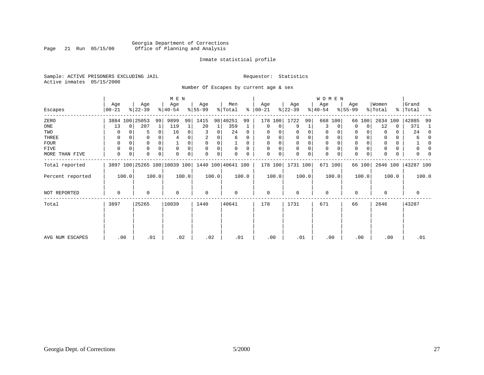#### Georgia Department of Corrections<br>Page 21 Run 05/15/00 Office of Planning and Analysis Page 21 Run 05/15/00 Office of Planning and Analysis

#### Inmate statistical profile

Sample: ACTIVE PRISONERS EXCLUDING JAIL **Requestor:** Statistics Active inmates 05/15/2000

Number Of Escapes by current age & sex

|                     |                |          |                  |       | M E N                        |       |                 |          |                    |          |                   |             |                  |             | WOMEN            |             |                  |        |                  |               |                  |          |
|---------------------|----------------|----------|------------------|-------|------------------------------|-------|-----------------|----------|--------------------|----------|-------------------|-------------|------------------|-------------|------------------|-------------|------------------|--------|------------------|---------------|------------------|----------|
| Escapes             | Age<br>  00-21 |          | Age<br>$ 22-39 $ |       | Age<br>$ 40-54 $             |       | Age<br>$ 55-99$ |          | Men<br>% Total     | ៖        | Age<br>$ 00 - 21$ |             | Age<br>$ 22-39 $ |             | Age<br>$ 40-54 $ |             | Age<br>$8 55-99$ |        | Women<br>% Total | $\frac{1}{6}$ | Grand<br>Total % |          |
| ZERO                |                |          | 3884 100 25053   | 99    | 9899                         | 99    | 1415            |          | 98 40251           | 99       | 178               | 100         | 1722             | 99          |                  | 668 100     | 66               | 100    | 2634 100         |               | 42885            | 99       |
| ONE                 | 13             | $\Omega$ | 207              | 1     | 119                          |       | 20              | 1        | 359                |          | $\mathbf 0$       | 0           | 9                | 1           | 3                | 0           | 0                | 0      | 12               | $\mathbf 0$   | 371              | 1        |
| TWO                 |                |          | 5                | 0     | 16                           | 0     |                 | 0        | 24                 | $\Omega$ | $\Omega$          |             | 0                | 0           | 0                |             | 0                |        | $\Omega$         | 0             | 24               | $\Omega$ |
| THREE               | 0              |          |                  |       |                              |       |                 |          | 6                  | 0        | $\Omega$          |             | $\mathbf 0$      | 0           | 0                |             | 0                |        | $\Omega$         | 0             | 6                | $\Omega$ |
| FOUR                | $\Omega$       |          |                  |       |                              | 0     | $\Omega$        | $\Omega$ |                    | $\Omega$ | $\Omega$          | $\Omega$    | $\Omega$         | 0           | 0                |             | $\Omega$         |        | $\Omega$         | 0             |                  | 0        |
| FIVE                | 0              |          | 0                |       | 0                            | 0     | $\Omega$        | 0        | 0                  | $\Omega$ |                   | 0           | $\mathbf 0$      | 0           | $\mathbf 0$      | 0           | $\mathbf 0$      |        | $\Omega$         | 0             |                  | O        |
| MORE THAN FIVE      | $\mathbf 0$    | 0        | 0                | 0     | 0                            | 0     | $\mathbf 0$     | 0        |                    | $\Omega$ | $\Omega$          | $\mathbf 0$ | $\mathbf 0$      | $\mathbf 0$ | $\mathbf 0$      | $\mathbf 0$ | $\mathbf 0$      | 0      | $\mathbf 0$      | 0             |                  |          |
| Total reported      |                |          |                  |       | 3897 100 25265 100 10039 100 |       |                 |          | 1440 100 40641 100 |          |                   | 178 100     | 1731 100         |             |                  | 671 100     |                  | 66 100 | 2646 100         |               | 43287 100        |          |
| Percent reported    |                | 100.0    |                  | 100.0 |                              | 100.0 |                 | 100.0    |                    | 100.0    |                   | 100.0       |                  | 100.0       |                  | 100.0       |                  | 100.0  |                  | 100.0         |                  | 100.0    |
| <b>NOT REPORTED</b> | 0              |          | 0                |       | 0                            |       | 0               |          | $\mathbf 0$        |          | 0                 |             | $\mathbf 0$      |             | $\mathbf 0$      |             | 0                |        | $\mathbf 0$      |               | 0                |          |
| Total               | 3897           |          | 25265            |       | 10039                        |       | 1440            |          | 40641              |          | 178               |             | 1731             |             | 671              |             | 66               |        | 2646             |               | 43287            |          |
|                     |                |          |                  |       |                              |       |                 |          |                    |          |                   |             |                  |             |                  |             |                  |        |                  |               |                  |          |
|                     |                |          |                  |       |                              |       |                 |          |                    |          |                   |             |                  |             |                  |             |                  |        |                  |               |                  |          |
| AVG NUM ESCAPES     | .00            |          | .01              |       | .02                          |       | .02             |          |                    | .01      | .00               |             | .01              |             |                  | .00         | .00              |        | .00              |               | .01              |          |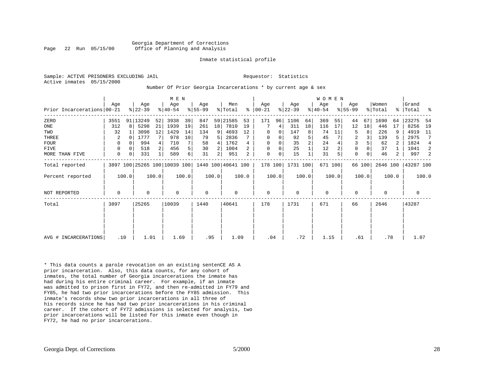Georgia Department of Corrections Page 22 Run 05/15/00 Office of Planning and Analysis

#### Inmate statistical profile

Sample: ACTIVE PRISONERS EXCLUDING JAIL **Requestor:** Statistics Active inmates 05/15/2000

#### Number Of Prior Georgia Incarcerations \* by current age & sex

|                            |          |              |                  |       | M E N            |       |                 |                |                                                 |                |                      |       |                  |                | <b>WOMEN</b>     |       |                    |        |                  |       |                    |       |
|----------------------------|----------|--------------|------------------|-------|------------------|-------|-----------------|----------------|-------------------------------------------------|----------------|----------------------|-------|------------------|----------------|------------------|-------|--------------------|--------|------------------|-------|--------------------|-------|
| Prior Incarcerations 00-21 | Aqe      |              | Age<br>$ 22-39 $ |       | Age<br>$ 40-54 $ |       | Age<br>$ 55-99$ |                | Men<br>% Total                                  |                | Aqe<br>$8   00 - 21$ |       | Age<br>$ 22-39 $ |                | Age<br>$ 40-54 $ |       | Age<br>$8155 - 99$ |        | Women<br>% Total |       | Grand<br>%   Total | ್ಠಿ   |
| ZERO                       | 3551     |              | 91 13249         | 52    | 3938             | 39    | 847             |                | 59 21585                                        | 53             | 171                  | 96    | 1106             | 64             | 369              | 55    | 44                 | 67     | 1690             | 64    | 23275              | 54    |
| ONE                        | 312      | $\mathsf{R}$ | 5298             | 21    | 1939             | 19    | 261             | 18             | 7810                                            | 19             |                      | 4     | 311              | 18             | 116              | 17    | 12                 | 18     | 446              | 17    | 8256               | 19    |
| TWO                        | 32       |              | 3098             | 12    | 1429             | 14    | 134             | 9              | 4693                                            | 12             | 0                    | 0     | 147              | 8              | 74               | 11    | 5                  | 8      | 226              |       | 4919               | 11    |
| THREE                      | 2        | -0           | 1777             |       | 978              | 10    | 79              |                | 2836                                            |                | 0                    | 0     | 92               | 5              | 45               |       | $\overline{2}$     |        | 139              |       | 2975               | 7     |
| FOUR                       | $\Omega$ |              | 994              |       | 710              | 7     | 58              | 4              | 1762                                            |                | $\Omega$             |       | 35               | $\overline{2}$ | 24               |       | 3                  |        | 62               |       | 1824               | 4     |
| FIVE                       | 0        | $\Omega$     | 518              |       | 456              | 5     | 30              | 2              | 1004                                            | $\overline{a}$ | 0                    | 0     | 25               |                | 12               |       | $\mathbf{0}$       |        | 37               |       | 1041               | 2     |
| MORE THAN FIVE             | 0        | 0            | 331              |       | 589              | 6     | 31              | 2 <sub>1</sub> | 951                                             | 2              | $\mathbf 0$          | 0     | 15               |                | 31               | 5     | $\mathbf 0$        | 0      | 46               | 2     | 997                | 2     |
| Total reported             |          |              |                  |       |                  |       |                 |                | 3897 100 25265 100 10039 100 1440 100 40641 100 |                | 178 100              |       | 1731 100         |                | 671 100          |       |                    | 66 100 | 2646 100         |       | 43287 100          |       |
| Percent reported           |          | 100.0        |                  | 100.0 |                  | 100.0 |                 | 100.0          |                                                 | 100.0          |                      | 100.0 |                  | 100.0          |                  | 100.0 |                    | 100.0  |                  | 100.0 |                    | 100.0 |
| <b>NOT REPORTED</b>        | 0        |              | $\Omega$         |       | $\Omega$         |       | 0               |                | 0                                               |                | $\mathbf 0$          |       | $\Omega$         |                | 0                |       | $\Omega$           |        | $\Omega$         |       | $\mathbf 0$        |       |
| Total                      | 3897     |              | 25265            |       | 10039            |       | 1440            |                | 40641                                           |                | 178                  |       | 1731             |                | 671              |       | 66                 |        | 2646             |       | 43287              |       |
|                            |          |              |                  |       |                  |       |                 |                |                                                 |                |                      |       |                  |                |                  |       |                    |        |                  |       |                    |       |
|                            |          |              |                  |       |                  |       |                 |                |                                                 |                |                      |       |                  |                |                  |       |                    |        |                  |       |                    |       |
| AVG # INCARCERATIONS       |          | .10          | 1.01             |       | 1.69             |       | .95             |                | 1.09                                            |                | .04                  |       | .72              |                | 1.15             |       | .61                |        | .78              |       | 1.07               |       |

\* This data counts a parole revocation on an existing sentenCE AS A prior incarceration. Also, this data counts, for any cohort of inmates, the total number of Georgia incarcerations the inmate has had during his entire criminal career. For example, if an inmate was admitted to prison first in FY72, and then re-admitted in FY79 and FY85, he had two prior incarcerations before the FY85 admission. This inmate's records show two prior incarcerations in all three of his records since he has had two prior incarcerations in his criminal career. If the cohort of FY72 admissions is selected for analysis, two prior incarcerations will be listed for this inmate even though in FY72, he had no prior incarcerations.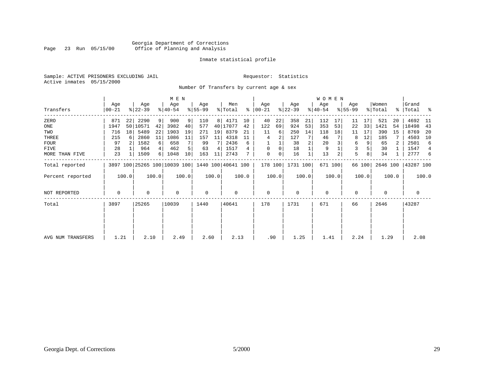#### Georgia Department of Corrections<br>Page 23 Run 05/15/00 office of Planning and Analysis Office of Planning and Analysis

#### Inmate statistical profile

Sample: ACTIVE PRISONERS EXCLUDING JAIL **Requestor:** Statistics Active inmates 05/15/2000

Number Of Transfers by current age & sex

|                   |                 |                 |                  |       | M E N                        |       |                    |                |                |       |                 |       |                  |       | W O M E N        |         |                  |                |                  |       |                |       |
|-------------------|-----------------|-----------------|------------------|-------|------------------------------|-------|--------------------|----------------|----------------|-------|-----------------|-------|------------------|-------|------------------|---------|------------------|----------------|------------------|-------|----------------|-------|
| Transfers         | Age<br>$ 00-21$ |                 | Age<br>$ 22-39 $ |       | Age<br>$ 40-54 $             |       | Age<br>$ 55-99$    |                | Men<br>% Total | ႜ     | Age<br>$ 00-21$ |       | Age<br>$ 22-39 $ |       | Age<br>$ 40-54 $ |         | Age<br>$8 55-99$ |                | Women<br>% Total | %     | Grand<br>Total | း     |
| ZERO              | 871             | 22              | 2290             | 9     | 900                          | 9     | 110                | 8 <sup>1</sup> | 4171           | 10    | 40              | 22    | 358              | 21    | 112              | 17      | 11               | 17             | 521              | 20    | 4692           | - 11  |
| ONE               | 1947            |                 | 50 10571         | 42    | 3982                         | 40    | 577                |                | 40 17077       | 42    | 122             | 69    | 924              | 53    | 353              | 53      | 22               | 33             | 1421             | 54    | 18498          | 43    |
| TWO               | 716             | 18 <sup>1</sup> | 5489             | 22    | 1903                         | 19    | 271                | 19             | 8379           | 21    | 11              | 6     | 250              | 14    | 118              | 18      | 11               | 17             | 390              | 15    | 8769           | 20    |
| THREE             | 215             |                 | 2860             | 11    | 1086                         | 11    | 157                | 11             | 4318           | 11    | 4               | 2     | 127              |       | 46               |         | 8                | 12             | 185              |       | 4503           | 10    |
| <b>FOUR</b>       | 97              |                 | 1582             | 6     | 658                          |       | 99                 | 7              | 2436           | 6     |                 |       | 38               | 2     | 20               |         | 6                | 9 <sup>1</sup> | 65               | 2     | 2501           | 6     |
| FIVE              | 28              |                 | 964              |       | 462                          | 5     | 63                 | 4              | 1517           |       | 0               | 0     | 18               |       | 9                |         | 3                |                | 30               |       | 1547           | 4     |
| MORE THAN FIVE    | 23              |                 | 1509             | 6     | 1048                         | 10    | 163                | 11             | 2743           |       | $\Omega$        | 0     | 16               |       | 13               | 2       | 5                | 8              | 34               |       | 2777           | 6     |
| Total reported    |                 |                 |                  |       | 3897 100 25265 100 10039 100 |       | 1440 100 40641 100 |                |                |       | 178 100         |       | 1731 100         |       |                  | 671 100 |                  | 66 100         | 2646 100         |       | 43287 100      |       |
| Percent reported  |                 | 100.0           |                  | 100.0 |                              | 100.0 |                    | 100.0          |                | 100.0 |                 | 100.0 |                  | 100.0 |                  | 100.0   |                  | 100.0          |                  | 100.0 |                | 100.0 |
| NOT REPORTED      | 0               |                 | 0                |       | $\mathbf 0$                  |       | $\mathbf 0$        |                | 0              |       | $\mathbf 0$     |       | $\mathbf 0$      |       | $\mathbf 0$      |         | $\mathbf 0$      |                | $\mathbf 0$      |       | $\mathbf 0$    |       |
| Total             | 3897            |                 | 25265            |       | 10039                        |       | 1440               |                | 40641          |       | 178             |       | 1731             |       | 671              |         | 66               |                | 2646             |       | 43287          |       |
| AVG NUM TRANSFERS | 1.21            |                 | 2.10             |       | 2.49                         |       | 2.60               |                | 2.13           |       | .90             |       | 1.25             |       | 1.41             |         | 2.24             |                | 1.29             |       | 2.08           |       |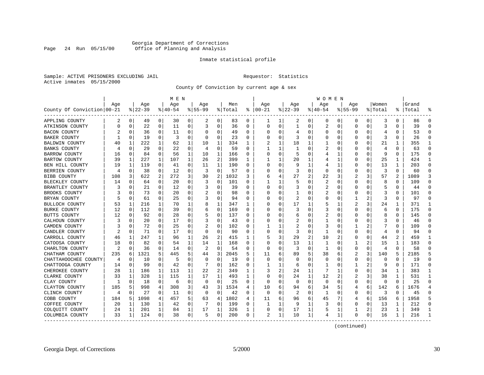#### Georgia Department of Corrections<br>Page 24 Run 05/15/00 office of Planning and Analysis Office of Planning and Analysis

#### Inmate statistical profile

Sample: ACTIVE PRISONERS EXCLUDING JAIL **Requestor:** Statistics Active inmates 05/15/2000

County Of Conviction by current age & sex

|                            |     | M E N        |          |              |          |              |                |                |         |          |               |             |              |                | W O M E N |             |                |          |         |                |           |                |
|----------------------------|-----|--------------|----------|--------------|----------|--------------|----------------|----------------|---------|----------|---------------|-------------|--------------|----------------|-----------|-------------|----------------|----------|---------|----------------|-----------|----------------|
|                            | Age |              | Age      |              | Age      |              | Age            |                | Men     |          | Age           |             | Aqe          |                | Age       |             | Aqe            |          | Women   |                | Grand     |                |
| County Of Conviction 00-21 |     |              | $ 22-39$ |              | $ 40-54$ |              | $8155 - 99$    |                | % Total |          | $8   00 - 21$ |             | $ 22-39$     |                | $ 40-54$  |             | $8155 - 99$    |          | % Total |                | %   Total |                |
| APPLING COUNTY             | 2   | $\mathbf{0}$ | 49       | 0            | 30       | 0            | 2              | 0              | 83      | 0        | ı             | 1           | 2            | 0              | 0         | 0           | 0              | 0        | 3       | 0              | 86        | $\Omega$       |
| ATKINSON COUNTY            | 0   | $\mathbf 0$  | 22       | 0            | 11       | 0            | 3              | 0              | 36      | $\Omega$ | $\Omega$      | $\mathbf 0$ | $\mathbf{1}$ | 0              | 2         | 0           | $\Omega$       | $\Omega$ | 3       | $\Omega$       | 39        | $\Omega$       |
| <b>BACON COUNTY</b>        |     | $\Omega$     | 36       | 0            | 11       | 0            | O              | 0              | 49      | 0        | O             | 0           | 4            | 0              | 0         | 0           | O              | $\Omega$ | 4       | 0              | 53        | $\Omega$       |
| <b>BAKER COUNTY</b>        |     | $\Omega$     | 19       | 0            | 3        | 0            | O              | 0              | 23      | U        |               | 0           | 3            | $\Omega$       | O         | 0           | O              | O        | 3       | O              | 26        | ∩              |
| BALDWIN COUNTY             | 40  | 1            | 222      | 1            | 62       | 1            | 10             | 1              | 334     | 1        |               | 1           | 18           | 1              |           | $\Omega$    | O              | U        | 21      | 1              | 355       | -1             |
| <b>BANKS COUNTY</b>        | 4   | $\Omega$     | 29       | 0            | 22       | 0            | 4              | 0              | 59      | U        |               | 1           | -1           | 0              | 2         | 0           | 0              | 0        | 4       | 0              | 63        | $\Omega$       |
| <b>BARROW COUNTY</b>       | 16  | 0            | 84       | 0            | 56       | 1            | 10             | 1              | 166     | 0        | O             | 0           | 5            | 0              | 4         | 1           | 0              | 0        | 9       | 0              | 175       | $\Omega$       |
| <b>BARTOW COUNTY</b>       | 39  | 1            | 227      | $\mathbf{1}$ | 107      | $\mathbf{1}$ | 26             | 2              | 399     | 1        |               | 1           | 20           | 1              | 4         | 1           | 0              | $\Omega$ | 25      | 1              | 424       | $\mathbf{1}$   |
| BEN HILL COUNTY            | 19  | 1            | 119      | $\Omega$     | 41       | $\Omega$     | 11             | 1              | 190     | 0        | $\cap$        | 0           | 9            | $\mathbf{1}$   | 4         | 1           | 0              | $\Omega$ | 13      | 1              | 203       | $\Omega$       |
| BERRIEN COUNTY             | 4   | 0            | 38       | 0            | 12       | $\Omega$     | 3              | 0              | 57      | 0        |               | 0           | 3            | $\Omega$       | $\Omega$  | 0           | 0              | 0        | 3       | $\Omega$       | 60        | $\Omega$       |
| <b>BIBB COUNTY</b>         | 108 | 3            | 622      | 2            | 272      | 3            | 30             | $\overline{c}$ | 1032    | 3        | 6             | 4           | 27           | $\overline{2}$ | 22        | 3           | 2              | 3        | 57      | $\mathfrak{D}$ | 1089      |                |
| BLECKLEY COUNTY            | 14  | $\Omega$     | 64       | $\Omega$     | 20       | 0            | 3              | 0              | 101     | U        | 1             | 1           | 5            | $\Omega$       | 2         | $\Omega$    | $\Omega$       | 0        | 8       | 0              | 109       | $\Omega$       |
| BRANTLEY COUNTY            |     | 0            | 21       | 0            | 12       | 0            | 3              | 0              | 39      | U        | O             | 0           | 3            | 0              | 2         | 0           | 0              | 0        | 5       | $\Omega$       | 44        |                |
| BROOKS COUNTY              |     | $\Omega$     | 73       | 0            | 20       | 0            |                | 0              | 98      | 0        | C             | 0           | -1           | 0              | 2         | 0           | 0              | O        | 3       | $\Omega$       | 101       | $\Omega$       |
| BRYAN COUNTY               |     | 0            | 61       | 0            | 25       | 0            | 3              | 0              | 94      | 0        | C             | 0           | 2            | 0              | 0         | 0           | 1              |          | 3       | 0              | 97        | $\Omega$       |
| BULLOCH COUNTY             | 53  | 1            | 216      | 1            | 70       | 1            | 8              | 1              | 347     | 1        |               | 0           | 17           | 1              | 5         |             | 2              | 3        | 24      |                | 371       | $\mathbf{1}$   |
| <b>BURKE COUNTY</b>        | 12  | $\Omega$     | 112      | $\Omega$     | 39       | 0            | 6              | $\Omega$       | 169     | 0        | C             | $\Omega$    | 3            | 0              | 3         | $\Omega$    | $\Omega$       | O        | 6       | $\Omega$       | 175       | $\Omega$       |
| BUTTS COUNTY               | 12  | $\Omega$     | 92       | $\Omega$     | 28       | 0            | 5              | 0              | 137     | 0        | 0             | $\Omega$    | 6            | $\Omega$       | 2         | $\Omega$    | $\Omega$       | 0        | 8       | $\Omega$       | 145       | ∩              |
| CALHOUN COUNTY             |     | 0            | 20       | $\Omega$     | 17       | O            | 3              | 0              | 43      | U        |               | 0           | 2            | 0              |           | $\mathbf 0$ | O              | $\Omega$ |         | $\Omega$       | 46        |                |
| CAMDEN COUNTY              |     | $\Omega$     | 72       | 0            | 25       | 0            | $\overline{2}$ | 0              | 102     | U        |               | 1           | 2            | O              | 3         | 0           | 1              | 2        |         | 0              | 109       | $\Omega$       |
| CANDLER COUNTY             |     | 0            | 71       | 0            | 17       | 0            | $\Omega$       | 0              | 90      | 0        | C             | 0           | 3            | $\Omega$       |           | 0           | 0              | O        | 4       | 0              | 94        | $\Omega$       |
| CARROLL COUNTY             | 46  | 1            | 247      |              | 96       | 1            | 26             | 2              | 415     | 1        |               | 3           | 29           | 2              | 10        | 2           | 0              | 0        | 44      | 2              | 459       |                |
| CATOOSA COUNTY             | 18  | $\Omega$     | 82       | $\Omega$     | 54       | 1            | 14             | 1              | 168     | 0        | C             | 0           | 13           | 1              | 1         | 0           | 1              | 2        | 15      | 1              | 183       | $\cap$         |
| CHARLTON COUNTY            | 2   | 0            | 36       | 0            | 14       | 0            | 2              | 0              | 54      | 0        | O             | 0           | 3            | 0              | 1         | 0           | 0              | 0        | 4       | 0              | 58        |                |
| CHATHAM COUNTY             | 235 | 6            | 1321     | 5            | 445      | 5            | 44             | 3              | 2045    | 5        | 11            | б.          | 89           | 5              | 38        | 6           | $\overline{2}$ | 3        | 140     | 5              | 2185      |                |
| CHATTAHOOCHEE COUNTY       | 4   | $\Omega$     | 10       | 0            | 5        | $\Omega$     | $\Omega$       | $\Omega$       | 19      | 0        | $\Omega$      | $\Omega$    | $\Omega$     | $\Omega$       | $\Omega$  | $\Omega$    | 0              | $\Omega$ | 0       | $\Omega$       | 19        | $\Omega$       |
| CHATTOOGA COUNTY           | 14  | 0            | 99       | 0            | 42       | 0            |                | $\Omega$       | 162     | 0        |               | 1           | 6            | $\Omega$       | 1         | 0           | 1              | 2        | 9       | 0              | 171       | $\Omega$       |
| CHEROKEE COUNTY            | 28  | 1            | 186      | 1            | 113      | 1            | 22             | 2              | 349     | 1        |               | 2           | 24           | 1              |           | 1           | 0              | O        | 34      |                | 383       | -1             |
| CLARKE COUNTY              | 33  | 1            | 328      | 1            | 115      | 1            | 17             | 1              | 493     | 1        | $\cap$        | $\Omega$    | 24           | 1              | 12        | 2           | 2              | 3        | 38      | 1              | 531       | -1             |
| CLAY COUNTY                | 1   | 0            | 18       | 0            | 6        | 0            | 0              | 0              | 25      | 0        | $\cap$        | $\Omega$    | $\Omega$     | 0              | 0         | 0           | $\Omega$       | 0        | 0       | $\Omega$       | 25        | ∩              |
| CLAYTON COUNTY             | 185 | 5            | 998      | 4            | 308      | 3            | 43             | 3              | 1534    | 4        | 10            | 6           | 94           | 6              | 34        | 5           | 4              | 6        | 142     | 6              | 1676      | $\overline{4}$ |
| CLINCH COUNTY              | 4   | $\mathbf 0$  | 27       | 0            | 11       | 0            | $\Omega$       | 0              | 42      | 0        | $\Omega$      | 0           | 2            | 0              | 1         | $\mathbf 0$ | 0              | 0        | 3       | $\Omega$       | 45        | $\cap$         |
| COBB COUNTY                | 184 | 5            | 1098     | 4            | 457      | 5            | 63             | 4              | 1802    | 4        | 11            | 6           | 96           | 6              | 45        | 7           | 4              | 6        | 156     | 6              | 1958      | 5              |
| COFFEE COUNTY              | 20  | 1            | 130      | 1            | 42       | 0            |                | $\Omega$       | 199     | 0        |               | 1           | 9            | 1              | 3         | 0           | 0              | 0        | 13      |                | 212       | $\Omega$       |
| COLQUITT COUNTY            | 24  | 1            | 201      | 1            | 84       | 1            | 17             | 1              | 326     | 1        | 0             | 0           | 17           | 1              | 5         | 1           | 1              | 2        | 23      | 1              | 349       | -1             |
| COLUMBIA COUNTY            | 33  | 1            | 124      | 0            | 38       | 0            | 5              | 0              | 200     | 0        | 2             | 1           | 10           | 1              | 4         | 1           | $\Omega$       | 0        | 16      | 1              | 216       |                |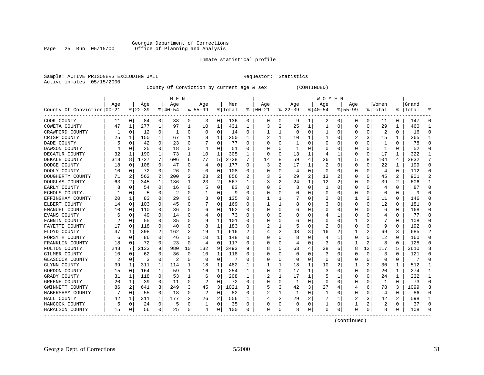#### Georgia Department of Corrections<br>Page 25 Run 05/15/00 office of Planning and Analysis Page 25 Run 05/15/00 Office of Planning and Analysis

#### Inmate statistical profile

|  |                           | Sample: ACTIVE PRISONERS EXCLUDING JAI |  |
|--|---------------------------|----------------------------------------|--|
|  | Active inmates 05/15/2000 |                                        |  |

IL Requestor: Statistics

#### County Of Conviction by current age & sex (CONTINUED)

|                            | M E N |          |           |          |           |             |           |                |         |          |          |          |           |          | W O M E N    |          |             |                |          |          |           |                |
|----------------------------|-------|----------|-----------|----------|-----------|-------------|-----------|----------------|---------|----------|----------|----------|-----------|----------|--------------|----------|-------------|----------------|----------|----------|-----------|----------------|
|                            | Age   |          | Age       |          | Age       |             | Age       |                | Men     |          | Age      |          | Age       |          | Age          |          | Age         |                | Women    |          | Grand     |                |
| County Of Conviction 00-21 |       |          | $8 22-39$ |          | $8 40-54$ |             | $8 55-99$ |                | % Total | ະ        | $ 00-21$ |          | $ 22-39 $ |          | $ 40-54$     |          | $8155 - 99$ |                | % Total  |          | %   Total | ႜ              |
| COOK COUNTY                | 11    | 0        | 84        | 0        | 38        | 0           | 3         | 0              | 136     | 0        | 0        | 0        | 9         | 1        | 2            | 0        | 0           | 0              | 11       | $\Omega$ | 147       | $\Omega$       |
| COWETA COUNTY              | 47    | 1        | 277       | 1        | 97        | 1           | 10        | 1              | 431     | 1        | 3        | 2        | 25        | 1        |              | 0        | 0           | 0              | 29       |          | 460       | $\mathbf{1}$   |
| CRAWFORD COUNTY            | 1     | 0        | 12        | 0        |           | 0           | 0         | 0              | 14      | 0        |          |          | $\Omega$  | 0        |              | $\Omega$ | 0           | 0              |          | $\Omega$ | 16        | $\Omega$       |
| CRISP COUNTY               | 25    | 1        | 150       | 1        | 67        | 1           |           | 1              | 250     | 1        |          | 1        | 10        | 1        |              | O        | 2           | 3              | 15       | 1        | 265       | 1              |
| DADE COUNTY                | 5     | $\Omega$ | 42        | 0        | 23        | 0           |           | 0              | 77      | $\Omega$ |          | O        | -1        | U        |              | $\Omega$ | 0           | O              | 1        | $\Omega$ | 78        | $\Omega$       |
| DAWSON COUNTY              |       | $\Omega$ | 25        | 0        | 18        | $\Omega$    | 4         | 0              | 51      | O        |          | $\Omega$ | 1         | N        |              | $\Omega$ | 0           | $\Omega$       | 1        | $\Omega$ | 52        | $\Omega$       |
| DECATUR COUNTY             | 32    | -1       | 190       | 1        | 73        | 1           | 10        | 1              | 305     | 1        | $\Omega$ | 0        | 13        | 1        | 4            | 1        | 0           | 0              | 17       | 1        | 322       | $\mathbf{1}$   |
| DEKALB COUNTY              | 318   | 8        | 1727      | 7        | 606       | 6           | 77        | 5              | 2728    | 7        | 14       |          | 59        | 4        | 26           | 4        |             | 8              | 104      | 4        | 2832      | 7              |
| DODGE COUNTY               | 18    | 0        | 108       | 0        | 47        | 0           | 4         | 0              | 177     | 0        | 3        | 2        | 17        | 1        | 2            | 0        | 0           | 0              | 22       | 1        | 199       | 0              |
| DOOLY COUNTY               | 10    | 0        | 72        | 0        | 26        | 0           | O         | 0              | 108     | 0        |          |          | 4         | 0        |              | 0        | 0           | 0              | 4        | $\Omega$ | 112       | $\mathbf 0$    |
| DOUGHERTY COUNTY           | 71    | 2        | 562       | 2        | 200       | 2           | 23        | 2              | 856     |          | 3        | 2        | 29        | 2        | 13           | 2        | Ω           | O              | 45       | 2        | 901       | $\overline{a}$ |
| DOUGLAS COUNTY             | 63    | 2        | 345       | 1        | 136       | 1           | 23        | $\overline{c}$ | 567     | 1        | 3        | 2        | 24        | 1        | 12           | 2        | 0           | $\Omega$       | 39       | 2        | 606       | 1              |
| EARLY COUNTY               | 8     | 0        | 54        | 0        | 16        | 0           | 5         | $\mathbf 0$    | 83      | 0        |          | O        | 3         | 0        |              | $\Omega$ | 0           | 0              | 4        | 0        | 87        | $\Omega$       |
| ECHOLS COUNTY.             |       | $\Omega$ | 5         | 0        | 2         | 0           |           | 0              | 9       | $\Omega$ |          | O        | 0         | N        |              | $\Omega$ | 0           | $\Omega$       | $\Omega$ | $\Omega$ | 9         | $\Omega$       |
| EFFINGHAM COUNTY           | 20    | 1        | 83        | $\Omega$ | 29        | 0           | 3         | 0              | 135     | $\Omega$ |          |          | 7         | N        |              | $\Omega$ |             | 2              | 11       | $\Omega$ | 146       | $\Omega$       |
| ELBERT COUNTY              | 14    | 0        | 103       | $\Omega$ | 45        | 0           |           | $\Omega$       | 169     | $\Omega$ |          |          | 8         | U        |              | $\Omega$ | O           | $\Omega$       | 12       | $\Omega$ | 181       | $\Omega$       |
| EMANUEL COUNTY             | 10    | $\Omega$ | 110       | 0        | 36        | 0           | 6         | $\Omega$       | 162     | $\Omega$ |          | O        | 6         | 0        |              | $\Omega$ | 0           | 0              | 6        | $\Omega$ | 168       | $\Omega$       |
| <b>EVANS COUNTY</b>        | 6     | 0        | 49        | 0        | 14        | 0           | 4         | 0              | 73      | 0        |          |          |           | N        |              | 1        |             | 0              | 4        | $\Omega$ | 77        | $\Omega$       |
| FANNIN COUNTY              | 2     | $\Omega$ | 55        | 0        | 35        | 0           | 9         | 1              | 101     | $\Omega$ |          | O        | 6         | U        |              | $\Omega$ |             | 2              |          | $\Omega$ | 108       | $\Omega$       |
| FAYETTE COUNTY             | 17    | $\Omega$ | 118       | 0        | 40        | 0           | 8         | 1              | 183     | 0        | 2        |          | 5         | U        | 2            | $\Omega$ | 0           | $\Omega$       | 9        | $\Omega$ | 192       | $\Omega$       |
| FLOYD COUNTY               | 37    | 1        | 398       | 2        | 162       | 2           | 19        | 1              | 616     | 2        |          | 2        | 48        | 3        | 16           | 2        |             | 2              | 69       | 3        | 685       | $\overline{a}$ |
| FORSYTH COUNTY             | 6     | $\Omega$ | 86        | 0        | 46        | $\Omega$    | 10        | 1              | 148     | 0        |          | O        | 8         | 0        |              | 1        | 0           | 0              | 12       | $\Omega$ | 160       | $\Omega$       |
| FRANKLIN COUNTY            | 18    | 0        | 72        | 0        | 23        | $\mathbf 0$ | 4         | $\mathbf 0$    | 117     | $\Omega$ |          | O        | 4         | 0        | 3            | $\Omega$ |             | $\overline{a}$ | 8        | $\Omega$ | 125       | $\Omega$       |
| FULTON COUNTY              | 248   |          | 2133      | 9        | 980       | 10          | 132       | 9              | 3493    | q        |          |          | 63        | 4        | 38           | 6        | 8           | 12             | 117      | 5        | 3610      | 8              |
| GILMER COUNTY              | 10    | 0        | 62        | O        | 36        | 0           | 10        | 1              | 118     | O        |          |          | 0         | N        | 3            | O        | Ω           | 0              | 3        |          | 121       | $\Omega$       |
| <b>GLASCOCK COUNTY</b>     |       | $\Omega$ | 3         | 0        | 2         | 0           | $\Omega$  | 0              |         | $\Omega$ |          | O        | $\Omega$  | 0        | <sup>0</sup> | $\Omega$ | 0           | $\Omega$       | $\Omega$ | $\Omega$ | 7         | $\Omega$       |
| GLYNN COUNTY               | 39    | 1        | 311       | 1        | 114       | 1           | 18        | 1              | 482     | -1       |          | 1        | 18        | 1        | 10           | 2        |             | 2              | 30       | 1        | 512       | -1             |
| GORDON COUNTY              | 15    | 0        | 164       | 1        | 59        | 1           | 16        | 1              | 254     | 1        | 0        | $\Omega$ | 17        | 1        | 3            | $\Omega$ | 0           | 0              | 20       | 1        | 274       | 1              |
| GRADY COUNTY               | 31    | 1        | 118       | 0        | 53        | 1           | 6         | $\mathbf 0$    | 208     | 1        | 2        |          | 17        | 1        |              | 1        | 0           | 0              | 24       |          | 232       | 1              |
| GREENE COUNTY              | 20    | 1        | 39        | 0        | 11        | 0           |           | 0              | 72      | $\Omega$ |          | $\Omega$ | 1         | $\Omega$ | <sup>0</sup> | $\Omega$ | Ω           | $\Omega$       | 1        | $\Omega$ | 73        | $\Omega$       |
| GWINNETT COUNTY            | 86    | 2        | 641       | 3        | 249       | 3           | 45        | 3              | 1021    | 3        |          | 3        | 42        | 3        | 27           | 4        |             | 6              | 78       | 3        | 1099      | 3              |
| HABERSHAM COUNTY           |       | 0        | 55        | 0        | 18        | 0           | 2         | 0              | 82      | 0        | 2        | 1        | 1         | 0        | 1            | 0        | 0           | 0              | 4        | $\Omega$ | 86        | 0              |
| HALL COUNTY                | 42    | 1        | 311       | 1        | 177       | 2           | 26        | 2              | 556     | 1        |          | 2        | 29        | 2        |              | 1        | 2           | 3              | 42       | 2        | 598       | 1              |
| HANCOCK COUNTY             | 5     | 0        | 24        | 0        | 5         | 0           |           | 0              | 35      | 0        |          | 0        | 0         | 0        |              | $\Omega$ |             | 2              |          | $\Omega$ | 37        | $\Omega$       |
| HARALSON COUNTY            | 15    | 0        | 56        | 0        | 25        | 0           | 4         | 0              | 100     | $\Omega$ | $\Omega$ | 0        | 8         | 0        | $\Omega$     | 0        | $\Omega$    | 0              | 8        | $\Omega$ | 108       | $\cap$         |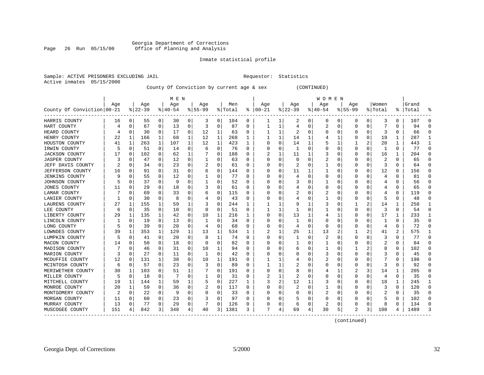#### Georgia Department of Corrections<br>Page 26 Run 05/15/00 office of Planning and Analysis Page 26 Run 05/15/00 Office of Planning and Analysis

#### Inmate statistical profile

|  |                           | Sample: ACTIVE PRISONERS EXCLUDING JAI |  |
|--|---------------------------|----------------------------------------|--|
|  | Active inmates 05/15/2000 |                                        |  |

IL Requestor: Statistics

#### County Of Conviction by current age & sex (CONTINUED)

|                            |     | M E N        |           |          |           |          |           |             |         |          |          |          |          |   | WOMEN    |              |           |          |                |          |           |          |
|----------------------------|-----|--------------|-----------|----------|-----------|----------|-----------|-------------|---------|----------|----------|----------|----------|---|----------|--------------|-----------|----------|----------------|----------|-----------|----------|
|                            | Age |              | Age       |          | Age       |          | Aqe       |             | Men     |          | Age      |          | Age      |   | Aqe      |              | Aqe       |          | Women          |          | Grand     |          |
| County Of Conviction 00-21 |     |              | $8 22-39$ |          | $8 40-54$ |          | $8 55-99$ |             | % Total | ႜ        | $ 00-21$ |          | $ 22-39$ |   | $ 40-54$ |              | $8 55-99$ |          | % Total        |          | %   Total | ៖        |
| HARRIS COUNTY              | 16  | 0            | 55        | 0        | 30        | 0        | 3         | 0           | 104     | 0        |          | 1        | 2        | 0 | 0        | 0            | 0         | 0        | 3              | 0        | 107       | $\Omega$ |
| HART COUNTY                |     | $\mathbf 0$  | 67        | 0        | 13        | $\Omega$ | 3         | 0           | 87      | $\Omega$ |          | 1        | 4        | 0 | 2        | $\mathbf 0$  | 0         | 0        |                | $\Omega$ | 94        | $\Omega$ |
| HEARD COUNTY               |     | $\Omega$     | 30        | $\Omega$ | 17        | $\Omega$ | 12        | 1           | 63      | 0        |          | 1        | 2        | 0 |          | $\Omega$     |           | 0        | 3              | 0        | 66        | $\Omega$ |
| HENRY COUNTY               | 22  | 1            | 166       | 1        | 68        | 1        | 12        | 1           | 268     | 1        |          | 1        | 14       | 1 |          | 1            |           | 0        | 19             | 1        | 287       | 1        |
| HOUSTON COUNTY             | 41  | 1            | 263       | 1        | 107       | 1        | 12        | $\mathbf 1$ | 423     | 1        |          | 0        | 14       | 1 |          |              |           | 2        | 20             | 1        | 443       |          |
| IRWIN COUNTY               | 5   | 0            | 51        | 0        | 14        | 0        | 6         | 0           | 76      | $\Omega$ |          | 0        | -1       | U |          | $\Omega$     | 0         | 0        | 1              | $\Omega$ | 77        | $\Omega$ |
| <b>JACKSON COUNTY</b>      | 17  | 0            | 102       | 0        | 62        | 1        |           | 0           | 188     | $\Omega$ |          | 1        | 11       | 1 |          | $\Omega$     | U         | 0        | 16             | 1        | 204       | $\Omega$ |
| <b>JASPER COUNTY</b>       |     | 0            | 47        | 0        | 12        | 0        |           | 0           | 63      | 0        | U        | 0        | 0        | U |          | $\Omega$     | U         | U        | 2              | 0        | 65        | $\Omega$ |
| JEFF DAVIS COUNTY          |     | 0            | 34        | 0        | 23        | $\Omega$ |           | 0           | 61      | 0        |          | O        | 2        | U |          | O            |           | U        | 3              | O        | 64        | $\Omega$ |
| JEFFERSON COUNTY           | 16  | -0           | 91        | 0        | 31        | 0        | 6         | 0           | 144     | 0        |          |          | 11       |   |          | 0            |           | 0        | 12             | 0        | 156       | $\Omega$ |
| <b>JENKINS COUNTY</b>      |     | $\mathsf{C}$ | 55        | 0        | 12        | 0        |           | 0           | 77      | $\Omega$ |          |          | 4        | U |          | n            |           | U        |                | U        | 81        | ∩        |
| JOHNSON COUNTY             |     | 0            | 37        | 0        | 9         | 0        |           | 0           | 52      | 0        |          | U        |          | U |          | $\Omega$     | Ω         | 0        | 4              | 0        | 56        | ∩        |
| <b>JONES COUNTY</b>        | 11  | 0            | 29        | 0        | 18        | 0        |           | 0           | 61      | O        |          | U        | 4        | U |          | $\Omega$     |           | 0        | 4              | 0        | 65        | $\Omega$ |
| LAMAR COUNTY               |     | $\Omega$     | 69        | $\Omega$ | 33        | $\Omega$ | h         | $\mathbf 0$ | 115     | O        |          | O        |          | U |          | $\Omega$     |           | 0        |                | $\Omega$ | 119       | $\Omega$ |
| LANIER COUNTY              |     | $\Omega$     | 30        | 0        | 8         | 0        |           | 0           | 43      | 0        |          | 0        |          | 0 |          | $\Omega$     | U         | $\Omega$ | 5              | $\Omega$ | 48        | $\Omega$ |
| LAURENS COUNTY             | 27  | 1            | 155       | 1        | 59        | 1        |           | 0           | 244     | 1        |          |          | 9        |   |          | $\Omega$     |           | 2        | 14             | 1        | 258       | 1        |
| LEE COUNTY                 | 6   | 0            | 35        | 0        | 10        | 0        | 0         | 0           | 51      | $\Omega$ |          |          |          | 0 |          | 0            | Ω         | 0        | 3              | 0        | 54        | $\Omega$ |
| LIBERTY COUNTY             | 29  | 1            | 135       | 1        | 42        | 0        | 10        | 1           | 216     |          |          | 0        | 13       | 1 |          | -1           |           | 0        | 17             | 1        | 233       | 1        |
| LINCOLN COUNTY             | 1   | 0            | 19        | $\Omega$ | 13        | 0        | 1         | 0           | 34      | $\Omega$ |          | O        | -1       | U |          | $\Omega$     |           | U        | -1             | 0        | 35        | $\Omega$ |
| LONG COUNTY                | 5   | $\Omega$     | 39        | 0        | 20        | 0        | 4         | 0           | 68      | 0        |          | $\Omega$ | 4        | U | O        | $\Omega$     | Ω         | 0        | $\overline{4}$ | 0        | 72        | $\Omega$ |
| LOWNDES COUNTY             | 39  | 1            | 353       | 1        | 129       | 1        | 13        | 1           | 534     | 1        | 2        | 1        | 25       | 1 | 13       | 2            |           | 2        | 41             | 2        | 575       |          |
| LUMPKIN COUNTY             |     | 0            | 41        | 0        | 20        | 0        | 8         | $\mathbf 1$ | 74      | 0        |          | $\Omega$ |          | 0 | 2        | $\Omega$     | 0         | O        | 3              | $\Omega$ | 77        | $\Omega$ |
| MACON COUNTY               | 14  | C.           | 50        | $\Omega$ | 18        | $\Omega$ | O         | $\Omega$    | 82      | $\Omega$ |          | U        | 1        | U |          | O            | 0         | 0        | 2              | $\Omega$ | 84        | $\Omega$ |
| MADISON COUNTY             |     | $\Omega$     | 46        | $\Omega$ | 31        | $\Omega$ | 10        | 1           | 94      | $\Omega$ |          | 0        | 6        | 0 |          | $\Omega$     |           | 2        | 8              | 0        | 102       | $\Omega$ |
| MARION COUNTY              | 3   | 0            | 27        | 0        | 11        | 0        | -1        | 0           | 42      | 0        |          |          | 0        | O | 3        | O            |           | U        | 3              | 0        | 45        | $\Omega$ |
| MCDUFFIE COUNTY            | 12  | 0            | 131       | 1        | 38        | 0        | 10        | 1           | 191     | O        |          |          | 4        | O |          | <sup>0</sup> |           | U        |                | O        | 198       | $\Omega$ |
| MCINTOSH COUNTY            | 6   | 0            | 57        | $\Omega$ | 23        | 0        | 3         | 0           | 89      | $\Omega$ |          |          | 2        | U |          | O            | Ω         | 0        | 3              | 0        | 92        | $\Omega$ |
| MERIWETHER COUNTY          | 30  | 1            | 103       | 0        | 51        | 1        |           | 0           | 191     | 0        | O        | 0        | 8        | U |          | -1           |           | 3        | 14             | 1        | 205       | ∩        |
| MILLER COUNTY              | 5   | $\mathbf 0$  | 18        | 0        | -7        | $\Omega$ |           | 0           | 31      | 0        | 2        | 1        | 2        | U |          | O            | U         | 0        | 4              | $\Omega$ | 35        | $\Omega$ |
| MITCHELL COUNTY            | 19  | 1            | 144       | 1        | 59        | 1        |           | 0           | 227     | 1        |          | 2        | 12       | 1 |          | $\Omega$     | 0         | 0        | 18             | 1        | 245       | 1        |
| MONROE COUNTY              | 20  | 1            | 59        | 0        | 36        | 0        |           | 0           | 117     | $\Omega$ |          | O        | 2        | 0 |          | 0            | Ω         | 0        | 3              | 0        | 120       | $\Omega$ |
| MONTGOMERY COUNTY          |     | 0            | 22        | 0        | 9         | $\Omega$ | O         | 0           | 33      | 0        |          | 0        | 0        | 0 |          | 0            | U         | 0        | 2              | 0        | 35        | $\Omega$ |
| MORGAN COUNTY              | 11  | 0            | 60        | 0        | 23        | 0        |           | 0           | 97      | 0        |          | O        | 5        | O |          | $\Omega$     |           | 0        | 5              | 0        | 102       | 0        |
| MURRAY COUNTY              | 13  | 0            | 77        | 0        | 29        | 0        |           | 0           | 126     | 0        |          | 0        | 6        | 0 | 2        | 0            |           | 0        |                | O        | 134       | $\Omega$ |
| MUSCOGEE COUNTY            | 151 | 4            | 842       | 3        | 348       | 4        | 40        | 3           | 1381    | 3        | 7        | 4        | 69       | 4 | 30       | 5            | 2         | 3        | 108            | 4        | 1489      |          |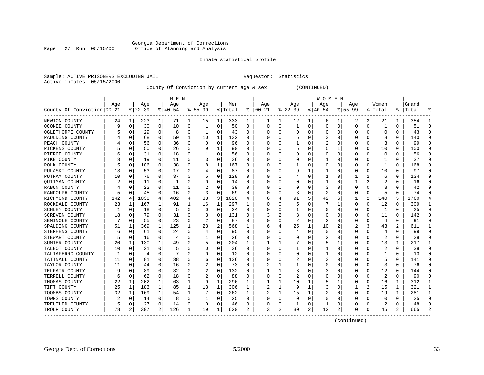#### Georgia Department of Corrections Page 27 Run 05/15/00 Office of Planning and Analysis

#### Inmate statistical profile

|  | Sample: ACTIVE PRISONERS EXCLUDING JAI |  |
|--|----------------------------------------|--|
|  | Active inmates 05/15/2000              |  |

IL Requestor: Statistics

County Of Conviction by current age & sex (CONTINUED)

|                            |     | M E N       |           |              |           |          |          |             |         |          |              |              |                |                | <b>WOMEN</b> |             |             |          |                |          |           |              |
|----------------------------|-----|-------------|-----------|--------------|-----------|----------|----------|-------------|---------|----------|--------------|--------------|----------------|----------------|--------------|-------------|-------------|----------|----------------|----------|-----------|--------------|
|                            | Age |             | Age       |              | Age       |          | Age      |             | Men     |          | Age          |              | Age            |                | Aqe          |             | Age         |          | Women          |          | Grand     |              |
| County Of Conviction 00-21 |     |             | $8 22-39$ |              | $8 40-54$ |          | $ 55-99$ |             | % Total | ႜ        | $ 00-21$     |              | $ 22-39$       |                | $ 40-54$     |             | $8155 - 99$ |          | % Total        |          | %   Total |              |
| NEWTON COUNTY              | 24  | 1           | 223       | 1            | 71        | 1        | 15       | 1           | 333     | 1        |              | 1            | 12             | 1              | 6            | 1           | 2           | 3        | 21             | 1        | 354       |              |
| OCONEE COUNTY              | 9   | 0           | 30        | 0            | 10        | 0        | 1        | 0           | 50      | 0        | $\Omega$     | $\Omega$     | $\mathbf{1}$   | 0              | U            | 0           | $\Omega$    | $\Omega$ | $\mathbf{1}$   | $\Omega$ | 51        | $\Omega$     |
| OGLETHORPE COUNTY          |     | $\mathbf 0$ | 29        | $\Omega$     | 8         | $\Omega$ | 1        | $\Omega$    | 43      | $\Omega$ |              | U            | $\Omega$       | 0              |              | $\Omega$    | 0           | $\Omega$ | $\Omega$       | $\Omega$ | 43        | $\cap$       |
| PAULDING COUNTY            |     | $\Omega$    | 68        | $\Omega$     | 50        | 1        | 10       | 1           | 132     | 0        |              | 0            | 5              | 0              | 3            | $\Omega$    | 0           | O        | 8              | 0        | 140       |              |
| PEACH COUNTY               |     | 0           | 56        | 0            | 36        | 0        | 0        | $\mathbf 0$ | 96      | 0        |              | U            |                | 0              | 2            | 0           | 0           | 0        | 3              | O        | 99        |              |
| PICKENS COUNTY             |     | $\mathbf 0$ | 50        | 0            | 26        | 0        |          | 1           | 90      | O        |              | O            | 5              | 0              |              | 1           | 0           | $\Omega$ | 10             | 0        | 100       |              |
| PIERCE COUNTY              |     | 0           | 31        | $\Omega$     | 18        | 0        |          | 0           | 56      | $\Omega$ |              | 0            |                | 0              | C            | 0           | 0           | O        | 0              | $\Omega$ | 56        | ∩            |
| PIKE COUNTY                |     | 0           | 19        | $\Omega$     | 11        | 0        |          | 0           | 36      | 0        |              | 0            | Ω              | U              |              | 0           | 0           | O        | -1             | $\Omega$ | 37        | ∩            |
| POLK COUNTY                | 15  | 0           | 106       | $\Omega$     | 38        | 0        | 8        | 1           | 167     | O        |              |              |                | U              | C            | 0           | U           | O        | -1             | $\Omega$ | 168       | $\Omega$     |
| PULASKI COUNTY             | 13  | $\Omega$    | 53        | 0            | 17        | 0        | 4        | 0           | 87      | 0        |              |              | 9              | 1              |              | $\Omega$    | 0           | 0        | 10             | 0        | 97        |              |
| PUTNAM COUNTY              | 10  | 0           | 76        | $\Omega$     | 37        | 0        | 5        | 0           | 128     | O        |              | U            | 4              | 0              |              | 0           |             |          | 6              | $\Omega$ | 134       | $\cap$       |
| QUITMAN COUNTY             |     | $\Omega$    | 11        | 0            | 1         | 0        | 0        | 0           | 14      | 0        |              | <sup>0</sup> | 0              | 0              |              | 0           |             |          | 2              | 0        | 16        | n            |
| RABUN COUNTY               |     | 0           | 22        | 0            | 11        | 0        |          | 0           | 39      | 0        |              | $\Omega$     |                | 0              | 3            | 0           | 0           | $\Omega$ | 3              | O        | 42        |              |
| RANDOLPH COUNTY            | 5   | $\Omega$    | 45        | $\mathbf 0$  | 16        | $\Omega$ | 3        | $\mathbf 0$ | 69      | O        |              | $\Omega$     | 3              | O              | 2            | 0           | U           | $\Omega$ | 5              | $\Omega$ | 74        | $\Omega$     |
| RICHMOND COUNTY            | 142 | 4           | 1038      | 4            | 402       | 4        | 38       | 3           | 1620    | 4        |              | 4            | 91             | 5              | 42           | 6           | 1           | 2        | 140            | 5        | 1760      |              |
| ROCKDALE COUNTY            | 23  | 1           | 167       | $\mathbf{1}$ | 91        | 1        | 16       | 1           | 297     | 1        |              | 0            | 5              | O              | 7            | 1           | 0           | $\Omega$ | 12             | $\Omega$ | 309       | -1           |
| SCHLEY COUNTY              |     | 0           | 18        | $\Omega$     | 5         | 0        | $\Omega$ | $\Omega$    | 24      | 0        |              | 0            |                | 0              |              | 0           | 0           | 0        | -1             | $\Omega$ | 25        | ∩            |
| SCREVEN COUNTY             | 18  | $\Omega$    | 79        | U            | 31        | 0        |          | 0           | 131     | 0        |              | 2            | 8              | 0              |              | 0           | 0           | 0        | 11             | O        | 142       |              |
| SEMINOLE COUNTY            |     | 0           | 55        | $\Omega$     | 23        | 0        | 2        | 0           | 87      | 0        |              | U            | 2              | 0              | 2            | 0           | 0           | O        | 4              | $\Omega$ | 91        |              |
| SPALDING COUNTY            | 51  | 1           | 369       | 1            | 125       | 1        | 23       | 2           | 568     | ı        | 6            | 4            | 25             | 1              | 10           | 2           | 2           | 3        | 43             | 2        | 611       |              |
| STEPHENS COUNTY            |     | 0           | 61        | 0            | 24        | 0        |          | 0           | 95      | O        |              | $\Omega$     | 4              | 0              |              | $\mathbf 0$ | $\Omega$    | 0        | 4              | O        | 99        | $\Omega$     |
| STEWART COUNTY             |     | 0           | 16        | 0            | 4         | $\Omega$ |          | $\mathbf 0$ | 26      | O        |              | $\Omega$     |                | 0              | 2            | 0           | 0           | $\Omega$ | $\overline{c}$ | $\Omega$ | 28        |              |
| SUMTER COUNTY              | 20  | 1           | 130       | $\mathbf{1}$ | 49        | $\Omega$ |          | 0           | 204     | 1        |              | 1            |                | 0              |              | 1           | $\Omega$    | $\Omega$ | 13             | 1        | 217       | $\mathbf{1}$ |
| TALBOT COUNTY              | 10  | 0           | 21        | $\Omega$     | 5         | 0        | O        | 0           | 36      | $\Omega$ | <sup>0</sup> | 0            |                | 0              |              | 0           | 0           | 0        | 2              | $\Omega$ | 38        | ∩            |
| TALIAFERRO COUNTY          |     | 0           | 4         | 0            |           | 0        | O        | 0           | 12      | 0        |              |              | 0              | 0              |              | 0           | 0           | 0        |                | 0        | 13        | $\Omega$     |
| TATTNALL COUNTY            | 11  | 0           | 81        | 0            | 38        | 0        | 6        | 0           | 136     | O        |              |              | 2              | 0              | 3            | $\Omega$    | 0           | O        |                | 0        | 141       | ∩            |
| TAYLOR COUNTY              | 11  | 0           | 44        | $\Omega$     | 16        | 0        |          | 0           | 73      | O        |              |              |                | U              |              | 0           | O           | O        | 3              | $\Omega$ | 76        | $\cap$       |
| TELFAIR COUNTY             |     | $\Omega$    | 89        | $\Omega$     | 32        | 0        |          | 0           | 132     | 0        |              | 1            | 8              | U              |              | 0           | O           | $\Omega$ | 12             | 0        | 144       |              |
| TERRELL COUNTY             | 6   | 0           | 62        | 0            | 18        | 0        |          | 0           | 88      | O        |              | $\Omega$     | $\overline{2}$ | O              |              | 0           | U           | $\Omega$ | 2              | $\Omega$ | 90        |              |
| THOMAS COUNTY              | 22  | 1           | 202       | $\mathbf{1}$ | 63        | 1        | 9        | 1           | 296     |          |              | 1            | 10             | 1              |              | 1           | 0           | 0        | 16             | 1        | 312       | -1           |
| TIFT COUNTY                | 25  | 1           | 183       | $\mathbf{1}$ | 85        | 1        | 13       | $\mathbf 1$ | 306     | 1        |              | 1            | 9              | 1              | 3            | 0           | 1           | 2        | 15             | 1        | 321       | 1            |
| TOOMBS COUNTY              | 32  | 1           | 169       | 1            | 54        | 1        |          | 0           | 262     | 1        |              | 1            | 15             | 1              | 2            | 0           | 0           | 0        | 19             | 1        | 281       | -1           |
| TOWNS COUNTY               | 2   | 0           | 14        | 0            | 8         | 0        |          | 0           | 25      | 0        |              | 0            | 0              | 0              | 0            | 0           | 0           | 0        | 0              | 0        | 25        | ∩            |
| TREUTLEN COUNTY            |     | 0           | 27        | 0            | 14        | 0        | 0        | 0           | 46      | 0        |              | 0            | -1             | 0              |              | 0           | 0           | 0        | 2              | 0        | 48        |              |
| TROUP COUNTY               | 78  | 2           | 397       | 2            | 126       | 1        | 19       | 1           | 620     | 2        | 3            | 2            | 30             | $\overline{a}$ | 12           | 2           | O           | 0        | 45             | 2        | 665       |              |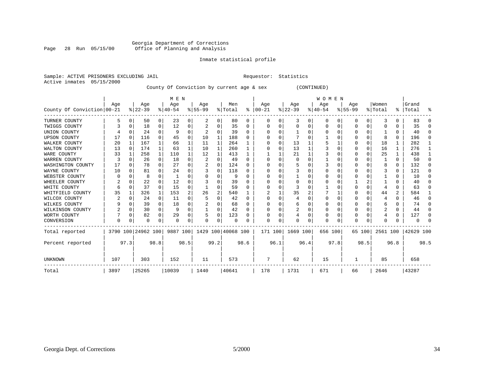#### Georgia Department of Corrections Page 28 Run 05/15/00 Office of Planning and Analysis

#### Inmate statistical profile

|  | SAMPIE: ACIIVE PRISONERS EACLODING |  |
|--|------------------------------------|--|
|  | Active inmates 05/15/2000          |  |

Sample: ACTIVE PRISONERS EXCLUDING JAIL **Requestor:** Statistics

County Of Conviction by current age & sex (CONTINUED)

|                            |          |          |                    |              | M E N     |                |             |              |                    |              |          |          |           |          | WOMEN    |          |             |          |          |              |           |          |
|----------------------------|----------|----------|--------------------|--------------|-----------|----------------|-------------|--------------|--------------------|--------------|----------|----------|-----------|----------|----------|----------|-------------|----------|----------|--------------|-----------|----------|
|                            | Age      |          | Age                |              | Age       |                | Aqe         |              | Men                |              | Age      |          | Age       |          | Age      |          | Age         |          | Women    |              | Grand     |          |
| County Of Conviction 00-21 |          |          | $ 22-39 $          |              | $8 40-54$ |                | $8155 - 99$ |              | % Total            | ∻            | $ 00-21$ |          | $ 22-39 $ |          | $ 40-54$ |          | $8155 - 99$ |          | % Total  |              | %   Total | ႜ        |
| TURNER COUNTY              | 5        | 0        | 50                 | 0            | 23        | 0              | 2           | 0            | 80                 | 0            | $\Omega$ | $\Omega$ | 3         | 0        | $\Omega$ | 0        | 0           | $\Omega$ | 3        | <sup>0</sup> | 83        | $\Omega$ |
| TWIGGS COUNTY              | 3        | $\Omega$ | 18                 | 0            | 12        | 0              |             | 0            | 35                 | $\Omega$     |          |          | $\Omega$  | 0        |          | $\Omega$ | 0           | $\Omega$ |          |              | 35        | $\Omega$ |
| UNION COUNTY               |          | $\Omega$ | 24                 | $\Omega$     | 9         | $\Omega$       |             | U            | 39                 | $\Omega$     | O        | O        |           | N        | $\Omega$ | $\Omega$ | O           | $\Omega$ |          | $\Omega$     | 40        | $\Omega$ |
| <b>UPSON COUNTY</b>        | 17       | $\Omega$ | 116                | $\Omega$     | 45        | 0              | 10          | 1            | 188                | <sup>0</sup> |          |          |           | N        |          | $\Omega$ | O           | $\Omega$ | 8        | $\Omega$     | 196       | $\Omega$ |
| WALKER COUNTY              | 20       | 1        | 167                | $\mathbf{1}$ | 66        |                | 11          | 1            | 264                |              |          | $\Omega$ | 13        |          |          |          | Ω           | $\Omega$ | 18       |              | 282       | -1       |
| WALTON COUNTY              | 13       | $\Omega$ | 174                | $\mathbf{1}$ | 63        | 1              | 10          | $\mathbf{1}$ | 260                |              |          |          | 13        |          |          | $\Omega$ | 0           | $\Omega$ | 16       |              | 276       | 1        |
| WARE COUNTY                | 33       |          | 258                | 1            | 110       |                | 12          | 1            | 413                |              |          |          | 21        |          |          | $\Omega$ | ი           | $\Omega$ | 25       |              | 438       | 1        |
| WARREN COUNTY              | 3        | 0        | 26                 | 0            | 18        | 0              | 2           | $\Omega$     | 49                 | $\Omega$     |          |          | 0         |          |          |          | 0           | O        |          | $\Omega$     | 50        | $\Omega$ |
| WASHINGTON COUNTY          | 17       | $\Omega$ | 78                 | $\Omega$     | 27        | $\Omega$       |             | 0            | 124                | <sup>n</sup> |          |          |           |          |          | ∩        | 0           | $\Omega$ | 8        | $\Omega$     | 132       | $\Omega$ |
| WAYNE COUNTY               | 10       | 0        | 81                 | $\Omega$     | 2.4       | 0              |             | $\Omega$     | 118                | <sup>0</sup> |          |          | 3         |          |          |          |             | U        |          | $\Omega$     | 121       | $\Omega$ |
| WEBSTER COUNTY             |          | 0        | 8                  | 0            |           | 0              | O           | 0            | 9                  | $\Omega$     |          | $\Omega$ |           | N        |          | $\Omega$ |             | O        |          |              | 10        | $\Omega$ |
| WHEELER COUNTY             | 2        | $\Omega$ | 22                 | $\Omega$     | 12        | $\Omega$       |             | O            | 39                 | $\Omega$     |          |          | $\Omega$  | U        |          | $\Omega$ |             |          |          | $\Omega$     | 40        | $\Omega$ |
| WHITE COUNTY               | 6        | $\Omega$ | 37                 | $\Omega$     | 15        | 0              |             | O            | 59                 | $\Omega$     |          |          | 3         |          |          | $\Omega$ |             | O        |          | O            | 63        | $\Omega$ |
| WHITFIELD COUNTY           | 35       | 1        | 326                | 1            | 153       | $\overline{a}$ | 26          | 2            | 540                |              |          |          | 35        | 2        |          |          |             | $\Omega$ | 44       | 2            | 584       | 1        |
| WILCOX COUNTY              | 2        | 0        | 24                 | $\Omega$     | 11        | 0              |             | O            | 42                 | $\Omega$     |          |          |           | O        | 0        | O        | 0           | $\Omega$ | 4        | 0            | 46        | $\Omega$ |
| WILKES COUNTY              | 9        | $\Omega$ | 39                 | $\Omega$     | 18        | 0              |             | 0            | 68                 | $\Omega$     |          |          | 6         | N        |          | $\Omega$ | ი           | O        | 6        |              | 74        | $\Omega$ |
| WILKINSON COUNTY           |          | 0        | 30                 | 0            | 9         | 0              | 1           | 0            | 42                 | $\Omega$     |          |          | 2         | $\Omega$ | $\Omega$ | $\Omega$ | 0           | $\Omega$ | 2        | $\Omega$     | 44        | $\Omega$ |
| WORTH COUNTY               |          | $\Omega$ | 82                 | $\Omega$     | 29        | 0              |             | $\Omega$     | 123                | $\Omega$     |          |          |           | 0        |          | $\Omega$ | Ω           | $\Omega$ |          | $\Omega$     | 127       | $\Omega$ |
| CONVERSION                 | $\Omega$ | 0        | $\Omega$           | 0            | $\Omega$  | 0              | $\Omega$    | 0            | $\Omega$           |              | $\Omega$ |          | U         | 0        | $\Omega$ | $\Omega$ | N           | 0        | $\Omega$ |              | $\Omega$  | ∩        |
| Total reported             |          |          | 3790 100 24962 100 |              | 9887 100  |                |             |              | 1429 100 40068 100 |              | 171 100  |          | 1669 100  |          | 656 100  |          | 65 100      |          | 2561 100 |              | 42629 100 |          |
| Percent reported           |          | 97.3     |                    | 98.8         |           | 98.5           |             | 99.2         |                    | 98.6         |          | 96.1     |           | 96.4     |          | 97.8     |             | 98.5     |          | 96.8         |           | 98.5     |
| UNKNOWN                    | 107      |          | 303                |              | 152       |                | 11          |              | 573                |              | 7        |          | 62        |          | 15       |          |             |          | 85       |              | 658       |          |
| Total                      | 3897     |          | 25265              |              | 10039     |                | 1440        |              | 40641              |              | 178      |          | 1731      |          | 671      |          | 66          |          | 2646     |              | 43287     |          |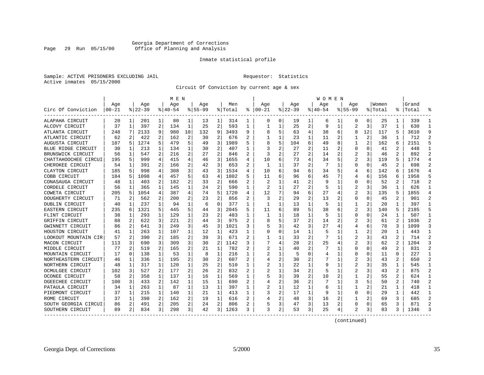#### Georgia Department of Corrections Page 29 Run 05/15/00 Office of Planning and Analysis

#### Inmate statistical profile

|  | Sample: ACTIVE PRISONERS EXCLUDING JAIL |  |
|--|-----------------------------------------|--|
|  | Active inmates 05/15/2000               |  |

Requestor: Statistics

#### Circuit Of Conviction by current age & sex

|                      |          |    |           |                | M E N    |                |           |                |         |                |                |                |          |                | W O M E N |                |                |                |         |                |           |                |
|----------------------|----------|----|-----------|----------------|----------|----------------|-----------|----------------|---------|----------------|----------------|----------------|----------|----------------|-----------|----------------|----------------|----------------|---------|----------------|-----------|----------------|
|                      | Age      |    | Aqe       |                | Aqe      |                | Aqe       |                | Men     |                | Aqe            |                | Aqe      |                | Age       |                | Age            |                | Women   |                | Grand     |                |
| Circ Of Conviction   | $ 00-21$ |    | $ 22-39 $ |                | $ 40-54$ |                | $8 55-99$ |                | % Total | ႜ              | $ 00-21$       |                | $ 22-39$ |                | $ 40-54$  |                | $8155 - 99$    |                | % Total |                | %   Total | ႜ              |
| ALAPAHA CIRCUIT      | 20       | 1  | 201       | 1              | 80       | 1              | 13        | 1              | 314     | 1              | $\Omega$       | $\Omega$       | 19       | 1              | 6         |                | 0              | $\Omega$       | 25      |                | 339       | 1              |
| ALCOVY CIRCUIT       | 37       | 1  | 397       | 2              | 134      | 1              | 25        | $\overline{2}$ | 593     | 1              |                |                | 25       | 2              | 9         | 1              | $\overline{a}$ | 3              | 37      | 1              | 630       | $\mathbf{1}$   |
| ATLANTA CIRCUIT      | 248      | 7  | 2133      | 9              | 980      | 10             | 132       | 9              | 3493    | 9              | 8              | 5              | 63       | 4              | 38        | 6              | 8              | 12             | 117     | 5              | 3610      | 9              |
| ATLANTIC CIRCUIT     | 62       | 2  | 422       | $\overline{a}$ | 162      | $\overline{2}$ | 30        | 2              | 676     | 2              |                |                | 23       | $\mathbf{1}$   | 11        | $\overline{2}$ |                | 2              | 36      |                | 712       | $\overline{a}$ |
| AUGUSTA CIRCUIT      | 187      | 5  | 1274      | 5              | 479      | 5              | 49        | 3              | 1989    | 5              |                | 5              | 104      | 6              | 49        | 8              |                | $\overline{c}$ | 162     | 6              | 2151      | 5              |
| BLUE RIDGE CIRCUIT   | 30       | 1  | 213       | $\mathbf{1}$   | 134      | 1              | 30        | 2              | 407     | $\mathbf{1}$   | २              | $\overline{a}$ | 27       | 2              | 11        | 2              | O              | $\Omega$       | 41      | $\overline{a}$ | 448       | $\mathbf{1}$   |
| BRUNSWICK CIRCUIT    | 56       | 1  | 547       | 2              | 216      | 2              | 27        | 2              | 846     | 2              | 3              | 2              | 27       | $\overline{a}$ | 14        | 2              | 2              | 3              | 46      | 2              | 892       | 2              |
| CHATTAHOOCHEE CIRCUI | 195      | .5 | 999       | 4              | 415      | 4              | 46        | 3              | 1655    | 4              | 10             | 6              | 73       | 4              | 34        | 5              | 2              | 3              | 119     | 5              | 1774      | 4              |
| CHEROKEE CIRCUIT     | 54       | 1  | 391       | 2              | 166      | 2              | 42        | 3              | 653     |                |                |                | 37       | 2              |           | 1              | 0              | $\Omega$       | 45      | 2              | 698       | $\overline{a}$ |
| CLAYTON CIRCUIT      | 185      | 5  | 998       | 4              | 308      | 3              | 43        | 3              | 1534    | 4              | 10             | 6              | 94       | 6              | 34        | 5              | 4              | 6              | 142     |                | 1676      | 4              |
| COBB CIRCUIT         | 184      | 5  | 1098      | 4              | 457      | 5              | 63        | 4              | 1802    | 5              | 11             | 6              | 96       | 6              | 45        | 7              | 4              | 6              | 156     | 6              | 1958      | 5              |
| CONASAUGA CIRCUIT    | 48       | 1  | 403       | 2              | 182      | $\overline{a}$ | 33        | 2              | 666     | 2              | 2              |                | 41       | 2              | 9         | 1              | 0              | $\Omega$       | 52      | 2              | 718       | $\overline{2}$ |
| CORDELE CIRCUIT      | 56       | 1  | 365       | 1              | 145      | 1              | 24        | 2              | 590     | $\mathbf{1}$   |                |                | 27       | 2              |           | 1              | 2              | 3              | 36      | 1              | 626       | $\mathbf{1}$   |
| COWETA CIRCUIT       | 205      | 5  | 1054      | 4              | 387      | 4              | 74        | 5              | 1720    | 4              | 12             | 7              | 94       | 6              | 27        | 4              | 2              | 3              | 135     | 5              | 1855      | 4              |
| DOUGHERTY CIRCUIT    | 71       | 2  | 562       | 2              | 200      | $\overline{a}$ | 23        | $\overline{2}$ | 856     | 2              | 3              | 2              | 29       | 2              | 13        | 2              | 0              | $\Omega$       | 45      | 2              | 901       | $\overline{2}$ |
| DUBLIN CIRCUIT       | 40       | 1  | 237       | 1              | 94       | 1              | 6         | $\Omega$       | 377     | 1              |                |                | 13       | $\mathbf{1}$   | 5         | 1              |                | 2              | 20      |                | 397       | $\mathbf{1}$   |
| EASTERN CIRCUIT      | 235      | 6  | 1321      | 5              | 445      | 5              | 44        | 3              | 2045    |                | 11             | 6              | 89       | 5              | 38        | 6              | 2              | 3              | 140     |                | 2185      | 5              |
| FLINT CIRCUIT        | 38       | 1  | 293       | 1              | 129      | 1              | 23        | $\overline{2}$ | 483     | 1              | 1              |                | 18       | 1              | 5         | 1              | O              | $\Omega$       | 24      |                | 507       | $\mathbf{1}$   |
| GRIFFIN CIRCUIT      | 88       | 2  | 622       | 3              | 221      | 2              | 44        | 3              | 975     | $\overline{2}$ | 8              | 5              | 37       | $\overline{a}$ | 14        | 2              | 2              | 3              | 61      | $\mathfrak{D}$ | 1036      | $\overline{a}$ |
| GWINNETT CIRCUIT     | 86       | 2  | 641       | 3              | 249      | 3              | 45        | 3              | 1021    | ς              | 5              | 3              | 42       | 3              | 27        | 4              | 4              | 6              | 78      | 3              | 1099      | 3              |
| HOUSTON CIRCUIT      | 41       | 1  | 263       | $\mathbf{1}$   | 107      | 1              | 12        | $\mathbf{1}$   | 423     | 1              | $\Omega$       | $\Omega$       | 14       | 1              |           | 1              |                | 2              | 20      | $\mathbf{1}$   | 443       | $\mathbf{1}$   |
| LOOKOUT MOUNTAIN CIR | 57       | 2  | 390       | 2              | 185      | 2              | 39        | 3              | 671     | 2              |                |                | 33       | 2              |           | 1              | 2              | 3              | 43      | 2              | 714       | 2              |
| MACON CIRCUIT        | 113      | 3  | 690       | 3              | 309      | 3              | 30        | $\overline{2}$ | 1142    | 3              |                |                | 28       | $\overline{a}$ | 25        | 4              | 2              | 3              | 62      | 2              | 1204      | 3              |
| MIDDLE CIRCUIT       | 77       | 2  | 519       | 2              | 165      | 2              | 21        | 1              | 782     | 2              |                |                | 40       | 2              |           | 1              | 0              | 0              | 49      | 2              | 831       | $\overline{2}$ |
| MOUNTAIN CIRCUIT     | 17       | 0  | 138       | 1              | 53       | 1              | 8         | 1              | 216     | 1              |                |                | -5       | O              |           | 1              | U              | $\Omega$       | 11      | $\Omega$       | 227       | $\mathbf{1}$   |
| NORTHEASTERN CIRCUIT | 46       | 1  | 336       | 1              | 195      | 2              | 30        | $\overline{2}$ | 607     | $\mathfrak{D}$ |                | 2              | 30       | 2              |           | 1              | 2              | 3              | 43      | $\mathfrak{D}$ | 650       | 2              |
| NORTHERN CIRCUIT     | 48       | 1  | 317       | 1              | 120      | 1              | 25        | $\overline{a}$ | 510     | 1              | 2              |                | 22       | $\mathbf{1}$   | 9         | 1              | 2              | 3              | 35      | 1              | 545       | $\mathbf{1}$   |
| OCMULGEE CIRCUIT     | 102      | 3  | 527       | 2              | 177      | 2              | 26        | $\overline{2}$ | 832     | 2              | 2              |                | 34       | 2              | 5         | 1              | 2              | 3              | 43      | 2              | 875       | $\overline{a}$ |
| OCONEE CIRCUIT       | 58       | 2  | 358       | $\mathbf{1}$   | 137      | 1              | 16        | $\mathbf{1}$   | 569     | $\mathbf{1}$   |                | 3              | 39       | 2              | 10        | 2              |                | 2              | 55      | $\overline{c}$ | 624       | $\mathbf{1}$   |
| OGEECHEE CIRCUIT     | 100      | 3  | 433       | 2              | 142      | $\mathbf 1$    | 15        | $\mathbf{1}$   | 690     | 2              |                | 2              | 36       | $\overline{a}$ |           | 1              | 3              | 5              | 50      | 2              | 740       | $\overline{2}$ |
| PATAULA CIRCUIT      | 34       | 1  | 263       | 1              | 87       | $\mathbf 1$    | 13        | 1              | 397     | 1              | $\overline{2}$ |                | 12       | 1              | 6         | 1              |                | 2              | 21      | 1              | 418       | 1              |
| PIEDMONT CIRCUIT     | 37       | 1  | 215       | 1              | 140      | 1              | 21        | 1              | 413     | 1              | 3              | 2              | 17       | 1              | 9         | 1              | O              | $\Omega$       | 29      | 1              | 442       | 1              |
| ROME CIRCUIT         | 37       | 1  | 398       | 2              | 162      | $\overline{a}$ | 19        | 1              | 616     | 2              |                | $\overline{2}$ | 48       | 3              | 16        | 2              |                | 2              | 69      | 3              | 685       | $\overline{2}$ |
| SOUTH GEORGIA CIRCUI | 86       | 2  | 491       | 2              | 205      | 2              | 24        | 2              | 806     |                |                | 3              | 47       | 3              | 13        | 2              | O              | O              | 65      | 3              | 871       | $\overline{a}$ |
| SOUTHERN CIRCUIT     | 89       | 2  | 834       | 3              | 298      | 3              | 42        | 3              | 1263    | 3              | 3              | 2              | 53       | 3              | 25        | 4              | 2              | 3              | 83      | 3              | 1346      | ζ              |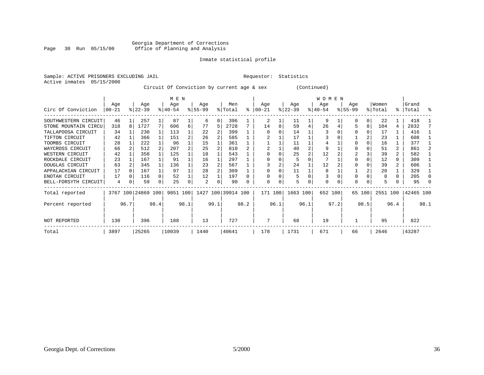#### Georgia Department of Corrections<br>Page 30 Run 05/15/00 Office of Planning and Analysis Page 30 Run 05/15/00 Office of Planning and Analysis

#### Inmate statistical profile

|  | Sample: ACTIVE PRISONERS EXCLUDING JAII |  |
|--|-----------------------------------------|--|
|  | Active inmates 05/15/2000               |  |

#### IL Requestor: Statistics

Circuit Of Conviction by current age & sex (Continued)

|                      |          |      |                    |      | MEN       |                |           |      |                    |           |          |      |           |                | <b>WOMEN</b> |      |             |        |          |                |           |      |
|----------------------|----------|------|--------------------|------|-----------|----------------|-----------|------|--------------------|-----------|----------|------|-----------|----------------|--------------|------|-------------|--------|----------|----------------|-----------|------|
|                      | Age      |      | Aqe                |      | Age       |                | Age       |      | Men                |           | Age      |      | Aqe       |                | Age          |      | Aqe         |        | Women    |                | Grand     |      |
| Circ Of Conviction   | $ 00-21$ |      | $ 22-39 $          |      | $8 40-54$ |                | $ 55-99 $ |      | % Total            | $\approx$ | $ 00-21$ |      | $ 22-39 $ |                | $ 40-54 $    |      | $8155 - 99$ |        | % Total  |                | %   Total | - 옹  |
| SOUTHWESTERN CIRCUIT | 46       |      | 257                |      | 87        |                | 6         | U    | 396                |           | 2        |      | 11        |                | 9            |      |             |        | 22       |                | 418       |      |
| STONE MOUNTAIN CIRCU | 318      |      | 1727               |      | 606       | 6              | 77        | 5    | 2728               |           | 14       |      | 59        | 4              | 26           |      |             | 8      | 104      | 4              | 2832      |      |
| TALLAPOOSA CIRCUIT   | 34       |      | 230                |      | 113       |                | 22        |      | 399                |           |          |      | 14        |                |              |      |             |        | 17       |                | 416       |      |
| TIFTON CIRCUIT       | 42       |      | 366                |      | 151       |                | 26        |      | 585                |           |          |      | 17        |                |              |      |             |        | 23       |                | 608       |      |
| TOOMBS CIRCUIT       | 28       |      | 222                |      | 96        |                | 15        |      | 361                |           |          |      | 11        |                |              |      |             |        | 16       |                | 377       |      |
| WAYCROSS CIRCUIT     | 66       |      | 512                |      | 207       | $\overline{2}$ | 25        |      | 810                |           |          |      | 40        |                | 9            |      |             |        | 51       | $\overline{2}$ | 861       |      |
| WESTERN CIRCUIT      | 42       |      | 358                |      | 125       |                | 18        |      | 543                |           |          |      | 25        | $\overline{a}$ | 12           |      |             |        | 39       |                | 582       |      |
| ROCKDALE CIRCUIT     | 23       |      | 167                |      | 91        |                | 16        |      | 297                |           |          |      | 5         |                |              |      |             |        | 12       | 0              | 309       |      |
| DOUGLAS CIRCUIT      | 63       |      | 345                |      | 136       |                | 23        |      | 567                |           |          |      | 24        |                | 12           |      |             |        | 39       | 2              | 606       |      |
| APPALACHIAN CIRCUIT  | 17       |      | 167                |      | 97        |                | 28        |      | 309                |           |          |      | 11        |                |              |      |             |        | 20       |                | 329       |      |
| ENOTAH CIRCUIT       | 17       |      | 116                |      | 52        |                | 12        |      | 197                |           |          |      | 5         |                |              |      |             |        | 8        |                | 205       |      |
| BELL-FORSYTH CIRCUIT | 4        |      | 59                 |      | 25        | 0              | 2         | 0    | 90                 |           | U        |      | 5         |                | $\Omega$     |      | $\Omega$    |        | 5        |                | 95        |      |
| Total reported       |          |      | 3767 100 24869 100 |      | 9851 100  |                |           |      | 1427 100 39914 100 |           | 171 100  |      | 1663 100  |                | 652 100      |      |             | 65 100 | 2551 100 |                | 42465 100 |      |
| Percent reported     |          | 96.7 |                    | 98.4 |           | 98.1           |           | 99.1 |                    | 98.2      |          | 96.1 |           | 96.1           |              | 97.2 |             | 98.5   |          | 96.4           |           | 98.1 |
| <b>NOT REPORTED</b>  | 130      |      | 396                |      | 188       |                | 13        |      | 727                |           |          |      | 68        |                | 19           |      |             |        | 95       |                | 822       |      |
| Total                | 3897     |      | 25265              |      | 10039     |                | 1440      |      | 40641              |           | 178      |      | 1731      |                | 671          |      | 66          |        | 2646     |                | 43287     |      |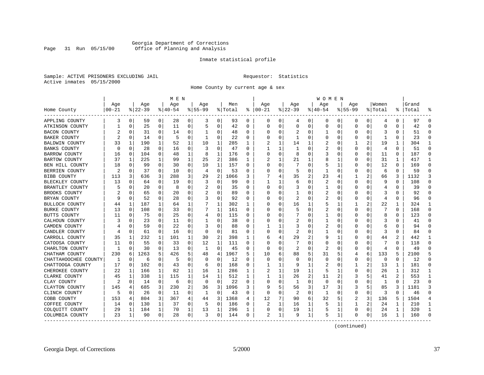#### Georgia Department of Corrections Office of Planning and Analysis

#### Inmate statistical profile

Sample: ACTIVE PRISONERS EXCLUDING JAIL **Requestor:** Statistics Active inmates 05/15/2000

Home County by current age & sex

|                      |           |             |           |              | M E N     |                |              |                |         |              |              |          |             |          | W O M E N |          |             |          |                |          |       |              |
|----------------------|-----------|-------------|-----------|--------------|-----------|----------------|--------------|----------------|---------|--------------|--------------|----------|-------------|----------|-----------|----------|-------------|----------|----------------|----------|-------|--------------|
|                      | Age       |             | Age       |              | Age       |                | Aqe          |                | Men     |              | Age          |          | Aqe         |          | Age       |          | Aqe         |          | Women          |          | Grand |              |
| Home County          | $00 - 21$ |             | $8 22-39$ |              | $8 40-54$ |                | $8155 - 99$  |                | % Total | နွ           | $ 00-21$     |          | $ 22-39 $   |          | $ 40-54$  |          | $8155 - 99$ |          | % Total        | ႜ        | Total |              |
| APPLING COUNTY       | 3         | 0           | 59        | 0            | 28        | 0              | 3            | 0              | 93      | 0            | 0            | 0        | 4           | 0        | 0         | 0        | 0           | 0        | 4              | 0        | 97    | $\Omega$     |
| ATKINSON COUNTY      |           | 0           | 25        | $\mathbf 0$  | 11        | $\mathbf 0$    | 5            | $\mathbf 0$    | 42      | $\Omega$     | $\Omega$     | $\Omega$ | $\mathbf 0$ | $\Omega$ | $\Omega$  | 0        | $\Omega$    | 0        | $\Omega$       | $\Omega$ | 42    | $\Omega$     |
| <b>BACON COUNTY</b>  |           | 0           | 31        | $\Omega$     | 14        | 0              | -1           | 0              | 48      | 0            |              | 0        | 2           | U        |           | 0        | U           | 0        | 3              | O        | 51    | $\Omega$     |
| BAKER COUNTY         | 2         | 0           | 14        | 0            | .5        | 0              | -1           | 0              | 22      | 0            |              |          | -1          | U        |           | n        |             | U        |                | U        | 23    | $\Omega$     |
| BALDWIN COUNTY       | 33        | 1           | 190       | 1            | 52        | 1              | 10           | 1              | 285     | 1            |              |          | 14          | 1        | 2         | n        |             | 2        | 19             | 1        | 304   | 1            |
| BANKS COUNTY         | 0         | $\Omega$    | 28        | 0            | 16        | 0              | 3            | 0              | 47      | $\Omega$     |              |          | 1           | U        | 2         | $\Omega$ | 0           | 0        | $\overline{4}$ | 0        | 51    | $\Omega$     |
| <b>BARROW COUNTY</b> | 16        | 0           | 104       | 0            | 48        | 1              | 8            | 1              | 176     | 0            |              | 0        | 8           | 0        |           | 0        | 0           | 0        | 11             | 0        | 187   | $\Omega$     |
| BARTOW COUNTY        | 37        | 1           | 225       | $\mathbf{1}$ | 99        | $\mathbf{1}$   | 25           | 2              | 386     | $\mathbf{1}$ |              |          | 21          |          |           | 1        | 0           | $\Omega$ | 31             | 1        | 417   | $\mathbf{1}$ |
| BEN HILL COUNTY      | 18        | 0           | 99        | $\Omega$     | 30        | 0              | 10           | $\mathbf{1}$   | 157     | $\Omega$     | <sup>0</sup> | $\Omega$ | 7           | 0        |           | 1        | 0           | 0        | 12             | $\Omega$ | 169   | $\Omega$     |
| BERRIEN COUNTY       | 2         | 0           | 37        | 0            | 10        | 0              | 4            | 0              | 53      | 0            |              | 0        | .5          | 0        |           | 0        | 0           | 0        | 6              | 0        | 59    | $\Omega$     |
| BIBB COUNTY          | 113       | 3           | 636       | 3            | 288       | 3              | 29           | $\overline{2}$ | 1066    | ੨            |              | 4        | 35          | 2        | 23        | 4        |             | 2        | 66             | 3        | 1132  | ζ            |
| BLECKLEY COUNTY      | 13        | 0           | 64        | $\Omega$     | 19        | $\Omega$       | 3            | 0              | 99      | $\Omega$     |              |          | 6           | U        | 2         | $\Omega$ | 0           | 0        | 9              | O        | 108   | $\Omega$     |
| BRANTLEY COUNTY      |           | $\mathbf 0$ | 20        | 0            | 8         | 0              | 2            | 0              | 35      | $\Omega$     |              | $\Omega$ | 3           | U        |           | 0        | 0           | 0        | 4              |          | 39    | $\Omega$     |
| BROOKS COUNTY        |           | 0           | 65        | $\Omega$     | 20        | 0              |              | 0              | 89      | $\Omega$     |              | O        |             | U        |           | $\Omega$ | U           | U        | 3              | 0        | 92    | $\Omega$     |
| BRYAN COUNTY         |           | 0           | 52        | 0            | 28        | 0              | 3            | 0              | 92      | 0            |              | O        | 2           | U        | 2         | n        | U           | U        | $\overline{4}$ | O        | 96    | $\Omega$     |
| BULLOCH COUNTY       | 44        | 1           | 187       | $\mathbf 1$  | 64        | 1              |              | 1              | 302     | 1            |              |          | 16          |          |           | 1        |             | 2        | 22             |          | 324   | $\mathbf{1}$ |
| <b>BURKE COUNTY</b>  | 13        | $\Omega$    | 108       | $\Omega$     | 33        | $\Omega$       | 7            | $\mathbf{1}$   | 161     | $\Omega$     |              |          | 5           | U        | 2         | n        | U           | U        | 7              | $\Omega$ | 168   | $\Omega$     |
| BUTTS COUNTY         | 11        | $\Omega$    | 75        | $\Omega$     | 25        | 0              | 4            | $\mathbf 0$    | 115     | $\Omega$     |              | O        |             | U        |           | n        | 0           | U        | 8              | 0        | 123   | $\Omega$     |
| CALHOUN COUNTY       | 3         | $\mathbf 0$ | 23        | 0            | 11        | 0              | $\mathbf{1}$ | 0              | 38      | $\Omega$     |              | O        | 2           | O        |           | n        |             | U        | 3              | O        | 41    | $\Omega$     |
| CAMDEN COUNTY        |           | 0           | 59        | $\Omega$     | 22        | $\mathbf 0$    |              | 0              | 88      | $\Omega$     |              |          | 3           | O        | 2         | n        | U           | U        | 6              | 0        | 94    | $\Omega$     |
| CANDLER COUNTY       | 4         | 0           | 61        | 0            | 16        | 0              | $\Omega$     | 0              | 81      | 0            |              | O        | 2           | O        |           | n        |             | U        | 3              | O        | 84    | $\Omega$     |
| CARROLL COUNTY       | 35        | 1           | 232       | 1            | 101       | 1              | 30           | 2              | 398     | 1            |              |          | 29          | 2        |           | 1        |             | 0        | 44             | 2        | 442   | 1            |
| CATOOSA COUNTY       | 11        | $\Omega$    | 55        | 0            | 33        | 0              | 12           | 1              | 111     | $\Omega$     |              |          |             | U        |           | $\cap$   | U           | U        |                | 0        | 118   | $\Omega$     |
| CHARLTON COUNTY      | 1         | 0           | 30        | 0            | 13        | 0              | 1            | 0              | 45      | 0            | 0            | $\Omega$ | 2           | 0        | 2         | n        | 0           | $\Omega$ | 4              | 0        | 49    | $\Omega$     |
| CHATHAM COUNTY       | 230       | 6           | 1263      | 5            | 426       | 5              | 48           | 4              | 1967    | 5            | 10           | 6        | 88          | 5        | 31        | 5        | 4           | 6        | 133            | 5        | 2100  | 5            |
| CHATTAHOOCHEE COUNTY | 1         | 0           | 6         | $\Omega$     | .5        | $\Omega$       | $\Omega$     | $\mathbf 0$    | 12      | $\Omega$     | <sup>0</sup> | O        | $\Omega$    | 0        | $\Omega$  | n        | 0           | 0        | $\Omega$       | $\Omega$ | 12    | $\Omega$     |
| CHATTOOGA COUNTY     | 17        | 0           | 102       | $\Omega$     | 43        | 0              | 6            | 0              | 168     | 0            |              |          | 9           |          | 2         | 0        |             | 2        | 13             | 1        | 181   | $\Omega$     |
| CHEROKEE COUNTY      | 22        | 1           | 166       | 1            | 82        | 1              | 16           | 1              | 286     | 1            |              |          | 19          | 1        |           | 1        | U           | 0        | 26             | 1        | 312   | $\mathbf{1}$ |
| CLARKE COUNTY        | 45        | 1           | 338       | 1            | 115       | 1              | 14           | 1              | 512     | 1            |              | 1        | 26          | 2        | 11        | 2        | 3           | 5        | 41             | 2        | 553   | 1            |
| CLAY COUNTY          | 2         | 0           | 14        | 0            | 6         | 0              | $\Omega$     | 0              | 22      | $\Omega$     |              | O        | 1           | $\Omega$ | $\Omega$  | $\Omega$ | 0           | U        | 1              | 0        | 23    | $\Omega$     |
| CLAYTON COUNTY       | 145       | 4           | 685       | 3            | 230       | $\overline{a}$ | 36           | 3              | 1096    | 3            |              | 5        | 56          | 3        | 17        | 3        | 3           | 5.       | 85             | 3        | 1181  | 3            |
| CLINCH COUNTY        | 5         | 0           | 26        | 0            | 11        | $\mathbf 0$    | $\mathbf{1}$ | 0              | 43      | 0            | <sup>0</sup> | O        | 2           | 0        | 1         | $\Omega$ | 0           | 0        | 3              | $\Omega$ | 46    | $\Omega$     |
| COBB COUNTY          | 153       | 4           | 804       | 3            | 367       | 4              | 44           | 3              | 1368    | 4            | 12           |          | 90          | 6        | 32        | 5        | 2           | 3        | 136            | 5        | 1504  | 4            |
| COFFEE COUNTY        | 14        | 0           | 130       | $\mathbf 1$  | 37        | 0              | 5            | 0              | 186     | 0            |              |          | 16          | 1        |           | 1        |             | 2        | 24             | 1        | 210   | $\mathbf{1}$ |
| COLQUITT COUNTY      | 29        | 1           | 184       | 1            | 70        | 1              | 13           | 1              | 296     | 1            |              | 0        | 19          | 1        |           | 1        | U           | 0        | 24             | 1        | 320   | 1            |
| COLUMBIA COUNTY      | 23        | 1           | 90        | 0            | 28        | 0              | 3            | 0              | 144     | 0            | 2            | 1        | 9           | 1        | 5         | 1        | U           | 0        | 16             | 1        | 160   | $\Omega$     |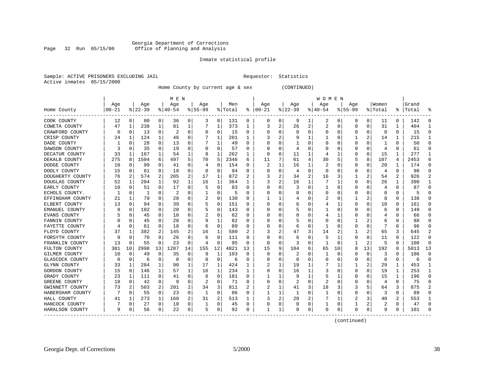#### Georgia Department of Corrections Page 32 Run 05/15/00 Office of Planning and Analysis

#### Inmate statistical profile

|  |                           | Sample: ACTIVE PRISONERS EXCLUDING JAIL |  |
|--|---------------------------|-----------------------------------------|--|
|  | Active inmates 05/15/2000 |                                         |  |

L Bample: Active Prequestor: Statistics

Home County by current age & sex (CONTINUED)

|                  |           |             |           |              | M E N          |          |           |             |         |          |              |          |          |   | W O M E N |             |             |          |         |          |           |               |
|------------------|-----------|-------------|-----------|--------------|----------------|----------|-----------|-------------|---------|----------|--------------|----------|----------|---|-----------|-------------|-------------|----------|---------|----------|-----------|---------------|
|                  | Age       |             | Age       |              | Age            |          | Aqe       |             | Men     |          | Age          |          | Age      |   | Aqe       |             | Aqe         |          | Women   |          | Grand     |               |
| Home County      | $00 - 21$ |             | $8 22-39$ |              | $8 40-54$      |          | $8 55-99$ |             | % Total | ႜ        | $ 00-21$     |          | $ 22-39$ |   | $ 40-54$  |             | $8155 - 99$ |          | % Total |          | %   Total |               |
| COOK COUNTY      | 12        | 0           | 80        | 0            | 36             | 0        | 3         | 0           | 131     | 0        | 0            | 0        | 9        | 1 | 2         | 0           | 0           | 0        | 11      | $\Omega$ | 142       | $\Omega$      |
| COWETA COUNTY    | 47        | 1           | 238       | 1            | 81             | 1        |           | 1           | 373     | 1        | 3            | 2        | 26       | 2 | 2         | 0           | O           | 0        | 31      | 1        | 404       | -1            |
| CRAWFORD COUNTY  | 0         | 0           | 13        | 0            | 2              | 0        | 0         | 0           | 15      | 0        |              | U        | $\Omega$ | 0 | 0         | 0           | 0           | 0        | 0       | $\Omega$ | 15        | ∩             |
| CRISP COUNTY     | 24        | 1           | 124       | $\mathbf 1$  | 46             | 0        |           | 1           | 201     | 1        | 3            | 2        |          | 1 |           | 0           |             | 2        | 14      | 1        | 215       |               |
| DADE COUNTY      |           | $\mathbf 0$ | 28        | 0            | 13             | 0        |           | 1           | 49      | O        |              | O        |          | 0 |           | $\mathbf 0$ | 0           | O        | -1      | O        | 50        |               |
| DAWSON COUNTY    |           | $\Omega$    | 35        | $\Omega$     | 19             | $\Omega$ | O         | $\Omega$    | 57      | O        |              | 0        | 4        | U |           | $\Omega$    | U           | $\Omega$ | 4       | $\Omega$ | 61        | ∩             |
| DECATUR COUNTY   | 33        | 1           | 167       | $\mathbf{1}$ | 54             | 1        | 8         | 1           | 262     | 1        | $\Omega$     | 0        | 11       | 1 | 4         | 1           | U           | $\Omega$ | 15      | 1        | 277       | -1            |
| DEKALB COUNTY    | 275       | 8           | 1504      | 6            | 497            | 5        | 70        | 5           | 2346    | 6        | 11           | 7        | 61       | 4 | 30        | 5           | 5           | 8        | 107     | 4        | 2453      | 6             |
| DODGE COUNTY     | 10        | 0           | 99        | 0            | 41             | 0        | 4         | 0           | 154     | O        | 2            |          | 16       | 1 | 2         | 0           | 0           | 0        | 20      | 1        | 174       | $\Omega$      |
| DOOLY COUNTY     | 15        | 0           | 61        | 0            | 18             | 0        | $\Omega$  | 0           | 94      | O        |              | U        | 4        | O | C         | $\Omega$    | U           | O        | 4       | $\Omega$ | 98        | $\Omega$      |
| DOUGHERTY COUNTY | 76        | 2           | 574       | 2            | 205            | 2        | 17        | 1           | 872     | 2        |              | 2        | 34       | 2 | 16        | 3           |             | 2        | 54      | 2        | 926       | $\mathcal{D}$ |
| DOUGLAS COUNTY   | 52        | 1           | 204       | $\mathbf 1$  | 92             | 1        | 16        | 1           | 364     | 1        | 3            | 2        | 16       | 1 |           | -1          | $\Omega$    | $\Omega$ | 26      | 1        | 390       |               |
| EARLY COUNTY     | 10        | 0           | 51        | 0            | 17             | 0        |           | 0           | 83      | 0        |              | 0        | 3        | 0 |           | 0           | 0           | 0        | 4       | 0        | 87        |               |
| ECHOLS COUNTY.   | 1         | $\Omega$    | 1         | 0            | $\overline{2}$ | $\Omega$ |           | 0           | 5       | O        |              | O        |          | U | C         | 0           | U           | O        | O       | $\Omega$ | 5         | $\cap$        |
| EFFINGHAM COUNTY | 21        | 1           | 79        | $\Omega$     | 28             | 0        |           | 0           | 130     | 0        |              |          |          | 0 | 2         | 0           | 1           | 2        | 8       | $\Omega$ | 138       | ∩             |
| ELBERT COUNTY    | 13        | $\mathbf 0$ | 94        | $\Omega$     | 39             | 0        |           | 0           | 151     | 0        |              | 0        | 6        | U |           | 1           | U           | $\Omega$ | 10      | $\Omega$ | 161       | ∩             |
| EMANUEL COUNTY   | 8         | 0           | 102       | $\Omega$     | 28             | 0        |           | 0           | 143     | 0        |              |          | 5        | 0 |           | 0           | 0           | 0        | 6       | 0        | 149       | $\Omega$      |
| EVANS COUNTY     |           | $\Omega$    | 45        | 0            | 10             | 0        |           | 0           | 62      | 0        |              |          |          | 0 |           | 1           | 0           | 0        |         | 0        | 66        |               |
| FANNIN COUNTY    |           | $\Omega$    | 45        | U            | 28             | $\Omega$ |           | 1           | 82      | O        |              | U        | 5        | 0 |           | $\Omega$    |             |          | 6       | 0        | 88        |               |
| FAYETTE COUNTY   |           | $\Omega$    | 61        | $\Omega$     | 18             | $\Omega$ | 6         | $\Omega$    | 89      | 0        |              | 0        | 6        | 0 |           | $\Omega$    | 0           | O        | 7       | O        | 96        |               |
| FLOYD COUNTY     | 37        | 1           | 382       | 2            | 145            | 2        | 16        | 1           | 580     | 2        | 3            | 2        | 47       | 3 | 14        | 2           |             | 2        | 65      | 3        | 645       | 2             |
| FORSYTH COUNTY   | 9         | 0           | 70        | 0            | 26             | $\Omega$ | 6         | 0           | 111     | 0        |              | 0        | 6        | 0 |           | 1           | 0           | 0        | 11      | 0        | 122       | $\Omega$      |
| FRANKLIN COUNTY  | 13        | $\Omega$    | 55        | 0            | 23             | $\Omega$ | 4         | $\Omega$    | 95      | $\Omega$ | <sup>0</sup> | 0        | 3        | 0 |           | $\Omega$    | 1           | 2        | 5       | $\Omega$ | 100       | $\Omega$      |
| FULTON COUNTY    | 381       | 10          | 2998      | 13           | 1287           | 14       | 155       | 12          | 4821    | 13       | 15           | 9        | 104      | 6 | 65        | 10          | 8           | 13       | 192     | 8        | 5013      | 13            |
| GILMER COUNTY    | 10        | 0           | 49        | 0            | 35             | 0        | 9         | 1           | 103     | 0        | O            | O        | 2        | 0 |           | 0           | 0           | 0        | 3       | 0        | 106       | $\Omega$      |
| GLASCOCK COUNTY  | 0         | 0           | 6         | 0            | 0              | 0        | O         | 0           | 6       | 0        |              |          | O        | 0 |           | 0           | 0           | 0        | 0       | 0        | 6         | $\Omega$      |
| GLYNN COUNTY     | 33        | 1           | 284       | 1            | 90             | 1        | 17        | 1           | 424     |          |              |          | 19       | 1 |           | 1           |             | 2        | 29      | 1        | 453       | -1            |
| GORDON COUNTY    | 15        | $\Omega$    | 146       | $\mathbf{1}$ | 57             | 1        | 16        | 1           | 234     | 1        |              | 0        | 16       | 1 | 3         | $\Omega$    | 0           | O        | 19      | 1        | 253       | -1            |
| GRADY COUNTY     | 23        | 1           | 111       | 0            | 41             | 0        | 6         | 0           | 181     | 0        |              |          | 9        | 1 | 5         | -1          | 0           | 0        | 15      | 1        | 196       | ∩             |
| GREENE COUNTY    | 18        | 0           | 42        | $\mathbf 0$  | 9              | 0        | 2         | 0           | 71      | 0        |              | $\Omega$ | 2        | 0 | 2         | 0           | 0           | 0        | 4       | 0        | 75        | ∩             |
| GWINNETT COUNTY  | 73        | 2           | 503       | 2            | 201            | 2        | 34        | 3           | 811     |          |              | 1        | 41       | 3 | 18        | 3           | 3           | 5        | 64      | 3        | 875       |               |
| HABERSHAM COUNTY |           | 0           | 55        | 0            | 23             | 0        | 1         | $\mathbf 0$ | 86      | O        |              | 1        | 1        | 0 | 1         | 0           | 0           | 0        | 3       | $\Omega$ | 89        | ∩             |
| HALL COUNTY      | 41        | 1           | 273       | 1            | 168            | 2        | 31        | 2           | 513     | 1        |              | 2        | 28       | 2 | 7         | 1           | 2           | 3        | 40      | 2        | 553       | -1            |
| HANCOCK COUNTY   |           | 0           | 27        | 0            | 10             | 0        |           | 0           | 45      | 0        | 0            | 0        | 0        | 0 |           | 0           |             | 2        | 2       | 0        | 47        | ∩             |
| HARALSON COUNTY  | 9         | 0           | 56        | 0            | 22             | 0        | 5         | 0           | 92      | 0        | 1            | 1        | 8        | 0 | $\Omega$  | 0           | 0           | 0        | -9      | 0        | 101       |               |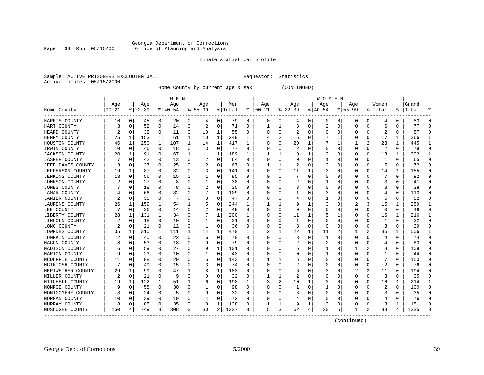#### Georgia Department of Corrections Page 33 Run 05/15/00 Office of Planning and Analysis

#### Inmate statistical profile

|  | Sample: ACTIVE PRISONERS EXCLUDING JAIL |  |
|--|-----------------------------------------|--|
|  | Active inmates 05/15/2000               |  |

L Bample: Active Prequestor: Statistics

Home County by current age & sex (CONTINUED)

|                       |          |             |          |          | M E N    |          |           |             |         |          |          |   |           |          | W O M E N |   |              |          |         |          |           |              |
|-----------------------|----------|-------------|----------|----------|----------|----------|-----------|-------------|---------|----------|----------|---|-----------|----------|-----------|---|--------------|----------|---------|----------|-----------|--------------|
|                       | Age      |             | Age      |          | Age      |          | Age       |             | Men     |          | Age      |   | Age       |          | Age       |   | Aqe          |          | Women   |          | Grand     |              |
| Home County           | $ 00-21$ |             | $ 22-39$ |          | $ 40-54$ |          | $8 55-99$ |             | % Total | ⊱        | $ 00-21$ |   | $8 22-39$ |          | $ 40-54$  |   | $8155 - 99$  |          | % Total |          | %   Total |              |
| HARRIS COUNTY         | 10       | 0           | 45       | 0        | 20       | 0        | 4         | 0           | 79      | 0        | 0        | 0 | 4         | 0        | 0         | 0 | 0            | 0        | 4       | 0        | 83        | O            |
| HART COUNTY           | ੨        | 0           | 52       | 0        | 14       | 0        | 2         | 0           | 71      | O        |          |   | 3         | $\Omega$ | 2         | C | <sup>0</sup> | $\Omega$ | 6       | O        | 77        | ſ            |
| HEARD COUNTY          | 2        | 0           | 32       | 0        | 11       | 0        | 10        | 1           | 55      | O        | C        | 0 |           | O        | 0         | C | O            | $\Omega$ | 2       | 0        | 57        | C            |
| HENRY COUNTY          | 25       | 1           | 153      | 1        | 61       | 1        | 10        | 1           | 249     | ı.       |          | 2 | 6         | O        |           |   |              | $\Omega$ | 17      | 1        | 266       |              |
| HOUSTON COUNTY        | 46       | 1           | 250      | 1        | 107      | 1        | 14        | 1           | 417     | 1        |          | 0 | 20        |          |           |   |              | 2        | 28      | 1        | 445       |              |
| IRWIN COUNTY          | 10       | $\mathbf 0$ | 46       | 0        | 18       | $\Omega$ | 3         | 0           | 77      | $\Omega$ | C        | O |           | $\Omega$ | U         | C | <sup>0</sup> | $\Omega$ | 2       | $\Omega$ | 79        | $\Omega$     |
| <b>JACKSON COUNTY</b> | 20       | 1           | 91       | $\Omega$ | 67       | 1        | 11        | 1           | 189     | 1        |          | 1 | 10        | 1        | 2         | C | <sup>0</sup> | $\Omega$ | 13      | 1        | 202       | -1           |
| JASPER COUNTY         |          | 0           | 42       | 0        | 13       | 0        | 2         | 0           | 64      | O        | $\Omega$ | 0 | O         | $\Omega$ |           | C | O            | O        | -1      | 0        | 65        | $\Omega$     |
| JEFF DAVIS COUNTY     |          | 0           | 37       | 0        | 25       | 0        | 2         | 0           | 67      | O        |          |   | 2         | $\Omega$ | 2         | C |              | O        | 5       | 0        | 72        | $\Omega$     |
| JEFFERSON COUNTY      | 19       | 1           | 87       | 0        | 32       | 0        |           | $\Omega$    | 141     | O        | C        | 0 | 11        |          | 3         | 0 |              | 0        | 14      | 1        | 155       | <sup>0</sup> |
| JENKINS COUNTY        | 13       | $\Omega$    | 56       | 0        | 15       | 0        |           | $\Omega$    | 85      | O        | C        | 0 |           | $\Omega$ | 0         | C | <sup>0</sup> |          |         | 0        | 92        | ∩            |
| JOHNSON COUNTY        |          | $\Omega$    | 27       | 0        | 8        | 0        |           | $\Omega$    | 38      | O        | C        | U |           | O        |           | C |              | U        | 3       | 0        | 41        | n            |
| JONES COUNTY          |          | 0           | 18       | 0        | 8        | 0        | 2         | 0           | 35      | O        |          | 0 |           | 0        | 0         | C |              | O        | 3       | 0        | 38        | n            |
| LAMAR COUNTY          |          | 0           | 66       | 0        | 32       | 0        |           | 1           | 109     | O        |          | 0 |           | O        | 3         | C |              | O        |         | 0        | 113       | C            |
| LANIER COUNTY         |          | 0           | 35       | 0        | 7        | 0        | 3         | 0           | 47      | O        |          | 0 |           | O        |           | C | <sup>0</sup> | O        | 5       | 0        | 52        | ∩            |
| LAURENS COUNTY        | 26       | 1           | 159      | 1        | 54       | 1        |           | 0           | 244     | 1        |          | 1 | 9         |          | 3         | C | 2            | 3        | 15      | 1        | 259       | ำ            |
| LEE COUNTY            |          | 0           | 26       | 0        | 14       | 0        |           | 0           | 49      | O        | 0        | 0 | $\Omega$  | O        | 0         | C | O            | $\Omega$ | 0       | 0        | 49        | $\Omega$     |
| LIBERTY COUNTY        | 28       | 1           | 131      | 1        | 34       | 0        |           | 1           | 200     | 1        | C        | 0 | 11        |          | 5         |   |              | O        | 16      | 1        | 216       |              |
| LINCOLN COUNTY        |          | 0           | 18       | 0        | 10       | 0        |           | $\Omega$    | 31      | O        | C        | U |           | $\Omega$ | 0         | C |              |          |         | 0        | 32        | C            |
| LONG COUNTY           |          | 0           | 21       | 0        | 12       | 0        |           | 0           | 36      | 0        | 0        | 0 | 3         | $\Omega$ | 0         | C | O            | U        | 3       | 0        | 39        |              |
| LOWNDES COUNTY        | 35       | 1           | 310      | 1        | 111      | 1        | 14        | 1           | 470     | 1        | 2        | 1 | 22        | 1        | 11        |   |              | 2        | 36      | 1        | 506       |              |
| LUMPKIN COUNTY        | 2        | 0           | 40       | 0        | 22       | 0        | 6         | $\mathbf 0$ | 70      | 0        | C        | 0 | 3         | $\Omega$ | 1         | C | 0            | O        | 4       | 0        | 74        | <sup>0</sup> |
| MACON COUNTY          |          | 0           | 53       | 0        | 18       | O        |           | 0           | 79      | $\Omega$ |          | O |           | $\Omega$ | 2         | C | <sup>0</sup> | O        | 4       | O        | 83        | $\Omega$     |
| MADISON COUNTY        |          | 0           | 59       | $\Omega$ | 27       | 0        | 9         | 1           | 101     | 0        | C        | U | h         | O        |           | C |              | 2        | 8       | $\Omega$ | 109       | $\Omega$     |
| MARION COUNTY         | q        | $\Omega$    | 23       | $\Omega$ | 10       | 0        |           | 0           | 43      | O        | O        | U | O         | O        |           | C | <sup>0</sup> | O        |         | 0        | 44        | $\Omega$     |
| MCDUFFIE COUNTY       | 11       | 0           | 98       | 0        | 29       | 0        |           | $\Omega$    | 143     | 0        |          |   | b         | 0        | 0         | C |              |          |         | 0        | 150       | 0            |
| MCINTOSH COUNTY       |          | $\Omega$    | 49       | 0        | 15       | 0        | 3         | $\Omega$    | 74      | O        | C        | 0 |           | $\Omega$ | 0         | ſ |              | O        |         | 0        | 76        | ∩            |
| MERIWETHER COUNTY     | 29       | 1           | 99       | 0        | 47       | 1        | 8         | 1           | 183     | O        |          | U | 6         | $\Omega$ | 3         | C |              | 3        | 11      | $\Omega$ | 194       | n            |
| MILLER COUNTY         |          | $\Omega$    | 21       | 0        | q        | 0        | 0         | $\Omega$    | 32      | 0        |          | 1 |           | $\Omega$ | 0         | C | <sup>0</sup> | $\Omega$ | 3       | 0        | 35        | n            |
| MITCHELL COUNTY       | 19       | 1           | 122      | 1        | 51       | 1        | b         | 0           | 198     | 1        | 3        | 2 | 10        |          | 3         | C |              | $\Omega$ | 16      | 1        | 214       |              |
| MONROE COUNTY         |          | 0           | 58       | 0        | 30       | 0        |           | 0           | 98      | O        |          | 0 |           | $\Omega$ |           | C |              | O        | 2       | 0        | 100       | <sup>0</sup> |
| MONTGOMERY COUNTY     |          | 0           | 24       | 0        | 5        | 0        | O         | 0           | 32      | 0        | C        | 0 |           | O        | 0         | C | O            | 0        | 3       | 0        | 35        | $\Omega$     |
| MORGAN COUNTY         | 10       | 0           | 39       | 0        | 19       | 0        |           | $\Omega$    | 72      | 0        |          | 0 |           | 0        | 0         | C | <sup>0</sup> | $\Omega$ | 4       | 0        | 76        | $\Omega$     |
| MURRAY COUNTY         | 8        | 0           | 85       | 0        | 35       | 0        | 10        | 1           | 138     | 0        |          | 1 | 9         | 1        | 3         | 0 | 0            | 0        | 13      | 1        | 151       | O            |
| MUSCOGEE COUNTY       | 150      | 4           | 749      | 3        | 308      | 3        | 30        | 2           | 1237    | 3        | 5        | 3 | 62        | 4        | 30        | 5 |              | 2        | 98      | 4        | 1335      |              |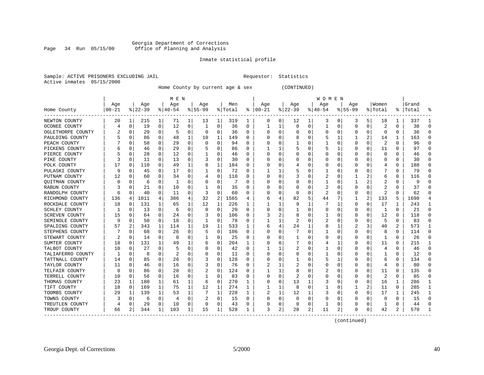#### Georgia Department of Corrections Page 34 Run 05/15/00 Office of Planning and Analysis

#### Inmate statistical profile

|  | Sample: ACTIVE PRISONERS EXCLUDING JAIL |  |
|--|-----------------------------------------|--|
|  | Active inmates 05/15/2000               |  |

L Bample: Active Prequestor: Statistics

Home County by current age & sex (CONTINUED)

|                   |           |                |          |              | M E N    |             |           |             |         |   |          |          |             |          | W O M E N |          |             |          |         |                |           |              |
|-------------------|-----------|----------------|----------|--------------|----------|-------------|-----------|-------------|---------|---|----------|----------|-------------|----------|-----------|----------|-------------|----------|---------|----------------|-----------|--------------|
|                   | Age       |                | Age      |              | Age      |             | Age       |             | Men     |   | Age      |          | Age         |          | Age       |          | Age         |          | Women   |                | Grand     |              |
| Home County       | $00 - 21$ |                | $ 22-39$ |              | $ 40-54$ |             | $8 55-99$ |             | % Total | ႜ | $ 00-21$ |          | $ 22-39$    |          | $ 40-54$  |          | $8155 - 99$ |          | % Total |                | %   Total |              |
| NEWTON COUNTY     | 20        | 1              | 215      | 1            | 71       | 1           | 13        | 1           | 319     | 1 | 0        | 0        | 12          | 1        | 3         | 0        | 3           | 5        | 18      | 1              | 337       |              |
| OCONEE COUNTY     |           | $\mathbf 0$    | 19       | 0            | 12       | $\mathbf 0$ | 1         | $\mathbf 0$ | 36      | 0 | 1        | 1        | $\mathbf 0$ | 0        | 1         | 0        | $\Omega$    | 0        | 2       | 0              | 38        | O            |
| OGLETHORPE COUNTY | ∠         | 0              | 29       | $\Omega$     | 5        | $\Omega$    | 0         | 0           | 36      | 0 | 0        | $\Omega$ | 0           | 0        | 0         | 0        | $\Omega$    | $\Omega$ | 0       | 0              | 36        | <sup>0</sup> |
| PAULDING COUNTY   |           | $\mathbf 0$    | 86       | 0            | 48       | 1           | 10        | 1           | 149     | 0 |          | 0        | 8           | 0        | 5         | 1        |             | 2        | 14      | 1              | 163       | ſ            |
| PEACH COUNTY      |           | $\Omega$       | 58       | 0            | 29       | 0           | O         | 0           | 94      | U |          | 0        |             | 0        |           | 0        | $\Omega$    | 0        | 2       | 0              | 96        | ∩            |
| PICKENS COUNTY    |           | $\Omega$       | 46       | 0            | 29       | 0           |           | 0           | 86      | 0 |          | 1        |             | 0        | 5         |          | O           | 0        | 11      | 0              | 97        | ∩            |
| PIERCE COUNTY     |           | 0              | 28       | 0            | 12       | 0           |           | 0           | 46      | 0 | O        | 0        | O           | 0        | 0         | 0        | O           | 0        | 0       | 0              | 46        | O            |
| PIKE COUNTY       |           | 0              | 11       | 0            | 13       | 0           |           | 0           | 30      | 0 |          | 0        |             | 0        | 0         | 0        |             |          | C       | 0              | 30        | ∩            |
| POLK COUNTY       | 17        | 0              | 110      | U            | 49       | 1           | 8         | 1           | 184     | U | 0        | 0        | 4           | 0        | 0         | n        | O           |          | 4       | 0              | 188       | n            |
| PULASKI COUNTY    | q         | $\Omega$       | 45       | $\Omega$     | 17       | 0           |           | 0           | 72      | U |          | 1        |             | 0        |           | n        | O           | 0        |         | 0              | 79        |              |
| PUTNAM COUNTY     | 12        | $\Omega$       | 60       | 0            | 34       | 0           | 4         | 0           | 110     | 0 | 0        | 0        |             | 0        | 2         | 0        |             | 2        | 6       | 0              | 116       | O            |
| QUITMAN COUNTY    |           | 0              | 6        | 0            | 1        | $\Omega$    |           | 0           |         | U | 0        | 0        |             | 0        |           | 0        |             | 2        | 2       | 0              | 9         |              |
| RABUN COUNTY      |           | $\Omega$       | 21       | 0            | 10       | $\Omega$    |           | 0           | 35      | U | 0        | O        | O           | O        | 2         | 0        | $\Omega$    | O        |         | 0              | 37        | ∩            |
| RANDOLPH COUNTY   | 6         | $\Omega$       | 40       | $\Omega$     | 11       | 0           | 3         | 0           | 60      | 0 | O        | 0        | $\Omega$    | O        | 2         | n        | O           | 0        | 2       | 0              | 62        | n            |
| RICHMOND COUNTY   | 136       | 4              | 1011     | 4            | 386      | 4           | 32        | 2           | 1565    | 4 | 6        | 4        | 82          | 5        | 44        |          |             | 2        | 133     | 5              | 1698      |              |
| ROCKDALE COUNTY   | 18        | 0              | 131      | 1            | 65       | 1           | 12        | 1           | 226     |   | 1        | 1        | 9           |          |           |          | 0           | 0        | 17      | 1              | 243       |              |
| SCHLEY COUNTY     | -1        | 0              | 13       | 0            | 6        | 0           | O         | $\Omega$    | 20      | U |          | O        |             | O        | 0         | $\left($ | $\Omega$    | $\Omega$ | 1       | 0              | 21        | ∩            |
| SCREVEN COUNTY    | 15        | $\Omega$       | 64       | 0            | 24       | $\Omega$    | 3         | $\Omega$    | 106     | U |          | 2        | 8           | O        |           | $\Omega$ | O           | $\Omega$ | 12      | 0              | 118       |              |
| SEMINOLE COUNTY   |           | $\Omega$       | 50       | $\Omega$     | 18       | 0           | 1         | 0           | 78      | U |          | 1        |             | U        | 2         | n        | O           | $\Omega$ | 5       | 0              | 83        | n            |
| SPALDING COUNTY   | 57        | $\overline{c}$ | 343      | $\mathbf{1}$ | 114      | 1           | 19        | 1           | 533     | 1 | 6        | 4        | 24          |          | 8         |          | 2           | 3        | 40      | $\overline{2}$ | 573       |              |
| STEPHENS COUNTY   |           | $\mathbf 0$    | 68       | 0            | 26       | 0           | 5         | 0           | 106     | O | O        | $\Omega$ |             | $\Omega$ |           | 0        | $\Omega$    | 0        | 8       | 0              | 114       | $\Omega$     |
| STEWART COUNTY    |           | 0              | 14       | 0            | 8        | $\Omega$    |           | 0           | 25      | U | C        | 0        |             | O        | 0         | 0        | O           | $\Omega$ | 1       | $\Omega$       | 26        | $\Omega$     |
| SUMTER COUNTY     | 18        | 0              | 131      | $\mathbf{1}$ | 49       | 1           | 6         | 0           | 204     | 1 | O        | 0        |             | U        | 4         | ำ        | O           | $\Omega$ | 11      | 0              | 215       | ำ            |
| TALBOT COUNTY     | 10        | 0              | 27       | 0            | 5        | 0           | 0         | 0           | 42      | U |          |          |             | 0        |           | 0        | O           | 0        | 4       | 0              | 46        | $\Omega$     |
| TALIAFERRO COUNTY |           | 0              | 8        | U            | 2        | 0           |           | $\Omega$    | 11      | U |          | O        | O           | 0        |           | O        |             |          |         | 0              | 12        |              |
| TATTNALL COUNTY   | 14        | $\Omega$       | 85       | 0            | 26       | $\Omega$    |           | $\Omega$    | 128     | U |          | O        |             | 0        | 5         |          |             | 0        | 6       | $\Omega$       | 134       |              |
| TAYLOR COUNTY     | 11        | $\Omega$       | 46       | $\Omega$     | 16       | $\mathbf 0$ |           | 0           | 76      | U |          | 1        |             | 0        | Ω         | n        | O           | $\Omega$ | 4       | 0              | 80        | n            |
| TELFAIR COUNTY    | 8         | $\Omega$       | 86       | $\Omega$     | 28       | 0           |           | 0           | 124     | U |          | 1        | 8           | U        | 2         | n        | $\left($    | 0        | 11      | 0              | 135       | n            |
| TERRELL COUNTY    | 10        | 0              | 56       | 0            | 16       | $\Omega$    |           | 0           | 83      | U | 0        | $\Omega$ | 2           | O        | Ω         | 0        |             | 0        | 2       | 0              | 85        | Ω            |
| THOMAS COUNTY     | 23        | 1              | 180      | 1            | 61       | 1           | 6         | 0           | 270     | 1 | O        | $\Omega$ | 13          |          | 3         | 0        | $\Omega$    | 0        | 16      | 1              | 286       |              |
| TIFT COUNTY       | 18        | 0              | 169      | 1            | 75       | 1           | 12        | 1           | 274     | 1 |          | 1        | 8           | O        |           | $\Omega$ |             | 2        | 11      | 0              | 285       | -1           |
| TOOMBS COUNTY     | 29        | 1              | 139      | $\mathbf 1$  | 53       | 1           |           | 1           | 228     | 1 |          | 1        | 12          |          | 3         | 0        | $\Omega$    | $\Omega$ | 17      | 1              | 245       | -1           |
| TOWNS COUNTY      | 3         | 0              | 6        | 0            | 4        | 0           |           | 0           | 15      | 0 | O        | 0        | $\Omega$    | O        | 0         | 0        | O           | $\Omega$ | n       | 0              | 15        | $\Omega$     |
| TREUTLEN COUNTY   |           | 0              | 29       | 0            | 10       | 0           | O         | 0           | 43      | 0 |          | 0        | $\Omega$    | 0        |           | 0        |             | 0        | -1      | 0              | 44        |              |
| TROUP COUNTY      | 66        | 2              | 344      | $\mathbf{1}$ | 103      | 1           | 15        | 1           | 528     | 1 | 3        | 2        | 28          | 2        | 11        | 2        | $\Omega$    | 0        | 42      | 2              | 570       |              |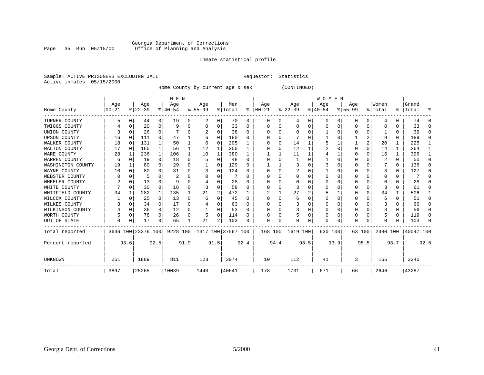#### Georgia Department of Corrections Page 35 Run 05/15/00 Office of Planning and Analysis

#### Inmate statistical profile

|  | Sample: ACTIVE PRISONERS EXCLUDING JAI |  |
|--|----------------------------------------|--|
|  | Active inmates 05/15/2000              |  |

IL Requestor: Statistics

Home County by current age & sex (CONTINUED)

|                     | M E N      |              |          |                |          |          |                                                |      |         |      |          |          |                | <b>WOMEN</b> |           |          |           |             |          |          |           |          |
|---------------------|------------|--------------|----------|----------------|----------|----------|------------------------------------------------|------|---------|------|----------|----------|----------------|--------------|-----------|----------|-----------|-------------|----------|----------|-----------|----------|
|                     | Age        |              | Age      |                | Age      |          | Age                                            |      | Men     |      | Age      |          | Age            |              | Age       |          | Age       |             | Women    |          | Grand     |          |
| Home County         | $ 00 - 21$ |              | $ 22-39$ |                | $ 40-54$ |          | $8 55-99$                                      |      | % Total | ႜ    | $ 00-21$ |          | $ 22-39 $      |              | $8 40-54$ |          | $ 55-99 $ |             | % Total  | ⊱        | Total     | °≈       |
| TURNER COUNTY       | 5          | O            | 44       | $\overline{0}$ | 19       | $\Omega$ | 2                                              | 0    | 70      | 0    | $\Omega$ | $\Omega$ | $\overline{4}$ | 0            | 0         | 0        | 0         | 0           | 4        | $\Omega$ | 74        | $\Omega$ |
| TWIGGS COUNTY       |            |              | 20       | 0              | 9        |          |                                                | 0    | 33      |      |          |          | 0              |              | 0         | $\Omega$ |           | $\mathbf 0$ | 0        | O        | 33        | $\Omega$ |
| UNION COUNTY        |            |              | 26       | 0              |          |          |                                                | 0    | 38      | U    | O        |          | $\Omega$       |              |           | O        | O         | 0           |          | 0        | 39        | $\Omega$ |
| <b>UPSON COUNTY</b> | 16         | <sup>0</sup> | 111      | 0              | 47       |          |                                                | 0    | 180     | U    | U        |          |                |              |           | O        |           | 2           | 9        | $\Omega$ | 189       | $\Omega$ |
| WALKER COUNTY       | 18         | $\Omega$     | 131      | 1              | 50       |          | 6                                              | 0    | 205     |      |          | O        | 14             |              |           |          |           | 2           | 20       | 1        | 225       |          |
| WALTON COUNTY       | 17         | $\Omega$     | 165      | $\mathbf{1}$   | 56       |          | 12                                             | 1    | 250     |      |          |          | 12             |              |           | $\Omega$ | O         | $\Omega$    | 14       | 1        | 264       |          |
| WARE COUNTY         | 28         |              | 236      | 1              | 106      |          | 10                                             |      | 380     |      |          |          | 11             |              |           | 1        |           | $\Omega$    | 16       | 1        | 396       |          |
| WARREN COUNTY       | 6          |              | 19       | $\Omega$       | 18       |          | 5                                              | 0    | 48      | O    |          |          |                |              |           | $\Omega$ |           | $\Omega$    | 2        | 0        | 50        | $\Omega$ |
| WASHINGTON COUNTY   | 19         |              | 80       | 0              | 29       |          |                                                | U    | 129     | n    |          |          | 3              |              |           | O        | O         | $\Omega$    |          | $\Omega$ | 136       | O.       |
| WAYNE COUNTY        | 10         |              | 80       | 0              | 31       |          |                                                | 0    | 124     |      |          |          | 2              |              |           | O        |           | $\Omega$    |          | $\Omega$ | 127       | 0        |
| WEBSTER COUNTY      |            | $\Omega$     | 5        | 0              | 2        |          |                                                | 0    |         |      | O        |          | $\Omega$       | U            | 0         | O        |           | $\Omega$    | O        | $\Omega$ |           | 0        |
| WHEELER COUNTY      |            | $\Omega$     | 13       | 0              | q        |          |                                                |      | 28      | n    |          |          | $\Omega$       |              | O         | O        |           | $\Omega$    | O        | 0        | 2.8       | n        |
| WHITE COUNTY        |            | $\Omega$     | 30       | 0              | 18       |          | 3                                              | U    | 58      |      |          |          |                |              | O         | O        |           | $\Omega$    |          | 0        | 61        | 0        |
| WHITFIELD COUNTY    | 34         |              | 282      | 1              | 135      |          | 21                                             | 2    | 472     |      |          |          | 27             | 2            |           |          |           | $\mathbf 0$ | 34       | 1        | 506       |          |
| WILCOX COUNTY       |            | U            | 25       | $\Omega$       | 13       | U        | 6                                              | U    | 45      | U    | O        | 0        | -6             |              | O         | O        | 0         | $\Omega$    | 6        | 0        | 51        | 0        |
| WILKES COUNTY       |            |              | 34       | 0              | 17       |          |                                                |      | 63      |      |          |          | 3              |              | O         | O        |           | $\Omega$    |          | 0        | 66        | 0        |
| WILKINSON COUNTY    |            | 0            | 36       | $\overline{0}$ | 12       | 0        |                                                | 0    | 53      | O    |          |          | 3              | U            | 0         | O        |           | 0           | 3        | 0        | 56        | $\Omega$ |
| WORTH COUNTY        |            | $\Omega$     | 78       | 0              | 26       | 0        | 5                                              | 0    | 114     | n    |          |          |                | U            | O         | O        | Ω         | $\Omega$    |          | 0        | 119       | $\Omega$ |
| OUT OF STATE        | O          | 0            | 17       | 0              | 65       |          | 21                                             | 2    | 103     |      | O        | 0        | $\Omega$       | U            | O         | 0        | U         | 0           | O        | 0        | 103       | $\Omega$ |
| Total reported      |            |              |          |                |          |          | 3646 100 23376 100 9228 100 1317 100 37567 100 |      |         |      | 168 100  |          | 1619 100       |              | 630 100   |          | 63 100    |             | 2480 100 |          | 40047 100 |          |
| Percent reported    |            | 93.6         |          | 92.5           |          | 91.9     |                                                | 91.5 |         | 92.4 |          | 94.4     |                | 93.5         |           | 93.9     |           | 95.5        |          | 93.7     |           | 92.5     |
| <b>UNKNOWN</b>      | 251        |              | 1889     |                | 811      |          | 123                                            |      | 3074    |      | 10       |          | 112            |              | 41        |          | 3         |             | 166      |          | 3240      |          |
| Total               | 3897       |              | 25265    |                | 10039    |          | 1440                                           |      | 40641   |      | 178      |          | 1731           |              | 671       |          | 66        |             | 2646     |          | 43287     |          |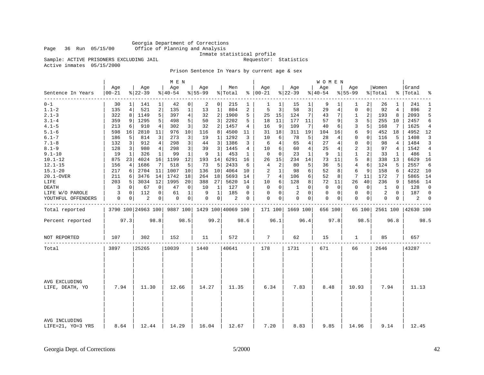Georgia Department of Corrections Office of Planning and Analysis

Inmate statistical profile

Sample: ACTIVE PRISONERS EXCLUDING JAIL **Requestor:** Statistics

Active inmates 05/15/2000

Prison Sentence In Years by current age & sex

|                                    |                   |          |                    |             | M E N            |                |                  |                |                             |              |                      |                |                  |              | W O M E N          |              |                    |              |                  |              |                 |                |
|------------------------------------|-------------------|----------|--------------------|-------------|------------------|----------------|------------------|----------------|-----------------------------|--------------|----------------------|----------------|------------------|--------------|--------------------|--------------|--------------------|--------------|------------------|--------------|-----------------|----------------|
| Sentence In Years                  | Age<br>$ 00 - 21$ |          | Age<br>$8 22-39$   |             | Age<br>$8 40-54$ |                | Age<br>$8 55-99$ |                | Men<br>% Total              |              | Age<br>$8   00 - 21$ |                | Age<br>$8 22-39$ |              | Age<br>$8140 - 54$ |              | Age<br>$8155 - 99$ |              | Women<br>% Total | ႜႜ           | Grand<br> Total | ್ಠಿ            |
| $0 - 1$                            | 30                |          | 141                |             | 42               | 0              | 2                | 0 <sup>1</sup> | 215                         |              | 1                    | 1              | 15               | 1            | 9                  |              | 1                  | 2            | 26               | 1            | 241             | 1              |
| $1.1 - 2$                          | 135               | 4        | 521                | 2           | 135              | 1              | 13               | 1              | 804                         | 2            | 5                    | 3              | 58               | 3            | 29                 | 4            | 0                  | $\mathbf 0$  | 92               | 4            | 896             | 2              |
| $2.1 - 3$                          | 322               | 8        | 1149               | 5           | 397              | 4              | 32               | 2              | 1900                        | 5            | 25                   | 15             | 124              | 7            | 43                 | 7            | 1                  | 2            | 193              | 8            | 2093            | 5              |
| $3.1 - 4$                          | 359               | 9        | 1295               | 5           | 498              | 5              | 50               | 3              | 2202                        | 5            | 18                   | 11             | 177              | 11           | 57                 | 9            | 3                  | 5            | 255              | 10           | 2457            | 6              |
| $4.1 - 5$                          | 213               | 6        | 910                | 4           | 302              | 3 <sup>1</sup> | 32               | 2              | 1457                        | 4            | 16                   | 9              | 109              | 7            | 40                 | 6            | 3                  | 5            | 168              | 7            | 1625            | 4              |
| $5.1 - 6$                          | 598               | 16       | 2810               | 11          | 976              | 10             | 116              | 8              | 4500                        | 11           | 31                   | 18             | 311              | 19           | 104                | 16           | 6                  | 9            | 452              | 18           | 4952            | 12             |
| $6.1 - 7$                          | 186               | 5        | 814                | 3           | 273              | 3              | 19               | 1              | 1292                        | 3            | 10                   | 6              | 78               | 5            | 28                 | 4            | $\mathbf 0$        | $\mathbf 0$  | 116              | 5            | 1408            | 3              |
| $7.1 - 8$                          | 132               | 3        | 912                | 4           | 298              | 3              | 44               | 3              | 1386                        | 3            | 6                    | 4              | 65               | 4            | 27                 | 4            | $\mathbf 0$        | $\mathbf{0}$ | 98               | 4            | 1484            | 3              |
| $8.1 - 9$                          | 128               | 3        | 980                | 4           | 298              | 3              | 39               | 3              | 1445                        | 4            | 10                   | 6              | 60               | 4            | 25                 | 4            | 2                  | 3            | 97               | 4            | 1542            | $\overline{4}$ |
| $9.1 - 10$                         | 19                | 1        | 326                | 1           | 99               | $\mathbf{1}$   | 9                | 1              | 453                         | $\mathbf{1}$ | $\Omega$             | $\Omega$       | 23               | $\mathbf{1}$ | 9                  | $\mathbf{1}$ | $\mathbf{1}$       | 2            | 33               | $\mathbf{1}$ | 486             | 1              |
| $10.1 - 12$                        | 875               | 23       | 4024               | 16          | 1199             | 12             | 193              | 14             | 6291                        | 16           | 26                   | 15             | 234              | 14           | 73                 | 11           | 5                  | 8            | 338              | 13           | 6629            | 16             |
| $12.1 - 15$                        | 156               | 4        | 1686               | 7           | 518              | 5              | 73               | 5              | 2433                        | 6            | 4                    | $\overline{a}$ | 80               | 5            | 36                 | 5            | $\overline{4}$     | 6            | 124              | 5            | 2557            | 6              |
| $15.1 - 20$                        | 217               | 6        | 2704               | 11          | 1007             | 10             | 136              | 10             | 4064                        | 10           | 2                    | $\mathbf{1}$   | 98               | 6            | 52                 | 8            | 6                  | 9            | 158              | 6            | 4222            | 10             |
| 20.1-OVER                          | 211               | 6        | 3476               | 14          | 1742             | 18             | 264              | 18             | 5693                        | 14           | 7                    | 4              | 106              | 6            | 52                 | 8            | 7                  | 11           | 172              | 7            | 5865            | 14             |
| LIFE                               | 203               | 5        | 3034               | 12          | 1995             | 20             | 388              | 27             | 5620                        | 14           | 10                   | 6              | 128              | 8            | 72                 | 11           | 26                 | 40           | 236              | 9            | 5856            | 14             |
| <b>DEATH</b>                       | 3                 | $\Omega$ | 67                 | $\mathbf 0$ | 47               | 0              | 10               | 1              | 127                         | 0            | $\Omega$             | $\Omega$       | $\mathbf{1}$     | $\Omega$     | $\Omega$           | $\Omega$     | $\mathbf 0$        | $\Omega$     | 1                | $\Omega$     | 128             | $\mathbf 0$    |
| LIFE W/O PAROLE                    | 3                 | 0        | 112                | 0           | 61               | 1              | 9                | $\mathbf{1}$   | 185                         | 0            | 0                    | 0              | $\overline{2}$   | $\Omega$     | 0                  | 0            | $\mathbf{0}$       | $\mathbf 0$  | 2                | $\Omega$     | 187             | $\Omega$       |
| YOUTHFUL OFFENDERS                 | $\mathbf 0$       | 0        | 2                  | 0           | 0                | 0              | 0                | 0 <sup>1</sup> | 2                           | 0            | $\Omega$             | 0              | $\mathbf 0$      | $\mathbf{0}$ | 0                  | 0            | $\mathbf{0}$       | 0            | 0                | 0            | 2               | 0              |
| Total reported                     |                   |          | 3790 100 24963 100 |             |                  |                |                  |                | 9887 100 1429 100 40069 100 |              |                      |                | 171 100 1669 100 |              | 656 100            |              |                    | 65 100       | 2561 100         |              | 42630 100       |                |
| Percent reported                   |                   | 97.3     |                    | 98.8        |                  | 98.5           |                  | 99.2           |                             | 98.6         |                      | 96.1           |                  | 96.4         |                    | 97.8         |                    | 98.5         |                  | 96.8         |                 | 98.5           |
| NOT REPORTED                       | 107               |          | 302                |             | 152              |                | 11               |                | 572                         |              | 7                    |                | 62               |              | 15                 |              | 1                  |              | 85               |              | 657             |                |
| Total                              | 3897              |          | 25265              |             | 10039            |                | 1440             |                | 40641                       |              | 178                  |                | 1731             |              | 671                |              | 66                 |              | 2646             |              | 43287           |                |
|                                    |                   |          |                    |             |                  |                |                  |                |                             |              |                      |                |                  |              |                    |              |                    |              |                  |              |                 |                |
| AVG EXCLUDING<br>LIFE, DEATH, YO   | 7.94              |          | 11.30              |             | 12.66            |                | 14.27            |                | 11.35                       |              | 6.34                 |                | 7.83             |              | 8.48               |              | 10.93              |              | 7.94             |              | 11.13           |                |
| AVG INCLUDING<br>LIFE=21, YO=3 YRS | 8.64              |          | 12.44              |             | 14.29            |                | 16.04            |                | 12.67                       |              | 7.20                 |                | 8.83             |              | 9.85               |              | 14.96              |              | 9.14             |              | 12.45           |                |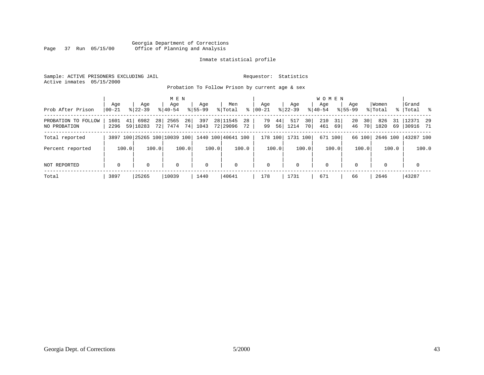#### Georgia Department of Corrections<br>Page 37 Run 05/15/00 office of Planning and Analysis Office of Planning and Analysis

#### Inmate statistical profile

Sample: ACTIVE PRISONERS EXCLUDING JAIL **Requestor:** Statistics Active inmates 05/15/2000

Probation To Follow Prison by current age & sex

| Prob After Prison                   | Age<br>$ 00-21 $ | Age<br>$8 22-39$             |          | M E N<br>Age<br>$8140 - 54$ |          | Age<br>$8155 - 99$ |       | Men<br>% Total       | ွေ       | Aqe<br>$00 - 21$ |          | Aqe<br>$ 22 - 39 $ |          | W O M E N<br>Aqe<br>$8 40-54$ |          | Age<br>$8155 - 99$ |          | Women<br>% Total |          | Grand<br>%   Total % |       |
|-------------------------------------|------------------|------------------------------|----------|-----------------------------|----------|--------------------|-------|----------------------|----------|------------------|----------|--------------------|----------|-------------------------------|----------|--------------------|----------|------------------|----------|----------------------|-------|
| PROBATION TO FOLLOW<br>NO PROBATION | 1601<br>2296     | 6982<br>41  <br>59 18283     | 28<br>72 | 2565<br>7474                | 26<br>74 | 397<br>1043        |       | 28 11545<br>72 29096 | 28<br>72 | 79<br>99         | 44<br>56 | 517<br>1214        | 30<br>70 | 210<br>461                    | 31<br>69 | 20<br>46           | 30<br>70 | 826<br>1820      | 31<br>69 | 12371<br> 30916 71   | 29    |
| Total reported                      |                  | 3897 100 25265 100 10039 100 |          |                             |          |                    |       | 1440 100 40641 100   |          | 178 100          |          | 1731 100           |          | 671 100                       |          |                    | 66 100   |                  |          | 2646 100 43287 100   |       |
| Percent reported                    |                  | 100.0                        | 100.0    |                             | 100.0    |                    | 100.0 |                      | 100.0    |                  | 100.0    |                    | 100.0    |                               | 100.0    |                    | 100.0    |                  | 100.0    |                      | 100.0 |
| NOT REPORTED                        | $\mathbf 0$      | 0                            |          | $\mathbf 0$                 |          | $\mathbf 0$        |       | 0                    |          | $\mathbf 0$      |          | $\mathbf 0$        |          | $\mathbf 0$                   |          | $\Omega$           |          | 0                |          | $\mathbf 0$          |       |
| Total                               | 3897             | 25265                        |          | 10039                       |          | 1440               |       | 40641                |          | 178              |          | 1731               |          | 671                           |          | 66                 |          | 2646             |          | 43287                |       |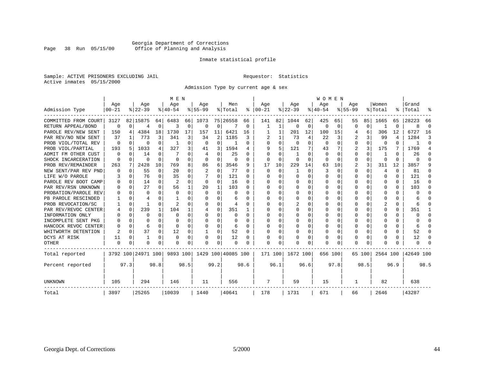#### Georgia Department of Corrections<br>Page 38 Run 05/15/00 office of Planning and Analysis Office of Planning and Analysis

#### Inmate statistical profile

Sample: ACTIVE PRISONERS EXCLUDING JAIL **Requestor:** Statistics Active inmates 05/15/2000

Admission Type by current age & sex

|                      |           |              |                    |             |                | M E N    |           |                |                    |          |          |          |           |      | <b>WOMEN</b> |          |             |          |                |                |           |                |
|----------------------|-----------|--------------|--------------------|-------------|----------------|----------|-----------|----------------|--------------------|----------|----------|----------|-----------|------|--------------|----------|-------------|----------|----------------|----------------|-----------|----------------|
|                      | Age       |              | Age                |             | Age            |          | Age       |                | Men                |          | Age      |          | Age       |      | Age          |          | Age         |          | Women          |                | Grand     |                |
| Admission Type       | $00 - 21$ |              | $8 22-39$          |             | $8 40-54$      |          | $8 55-99$ |                | % Total            | ៖        | $ 00-21$ |          | $ 22-39 $ |      | $8 40-54$    |          | $8155 - 99$ |          | % Total        |                | %   Total | ႜ              |
| COMMITTED FROM COURT | 3127      |              | 82 15875           | 64          | 6483           | 66       | 1073      |                | 75 26558           | 66       | 141      | 82       | 1044      | 62   | 425          | 65       | 55          | 85       | 1665           | 65             | 28223     | 66             |
| RETURN APPEAL/BOND   | $\Omega$  | $\Omega$     | 4                  | 0           | २              | $\Omega$ | O         | $\Omega$       |                    | $\Omega$ | 1        | 1        | $\Omega$  | 0    | O            | $\Omega$ | U           | 0        |                | $\Omega$       |           | $\Omega$       |
| PAROLE REV/NEW SENT  | 150       | 4            | 4384               | 18          | 1730           | 17       | 157       | 11             | 6421               | 16       |          |          | 201       | 12   | 100          | 15       | 4           | 6        | 306            | 12             | 6727      | 16             |
| PAR REV/NO NEW SENT  | 37        |              | 773                | 3           | 341            | 3        | 34        | $\overline{2}$ | 1185               | ζ        |          |          | 73        | 4    | 22           | 3        |             | 3        | 99             | $\overline{4}$ | 1284      | 3              |
| PROB VIOL/TOTAL REV  | O         | 0            | 0                  | $\Omega$    |                | 0        | $\Omega$  | 0              |                    | O        | $\Omega$ | 0        | $\Omega$  | 0    | $\Omega$     | $\Omega$ | 0           | $\Omega$ | 0              | $\Omega$       |           | $\Omega$       |
| PROB VIOL/PARTIAL    | 193       | 5            | 1033               | 4           | 327            | 3        | 41        | 3              | 1594               | 4        | q        | 5        | 121       | 7    | 43           | 7        | 2           | 3        | 175            | 7              | 1769      | $\overline{4}$ |
| ADMIT FM OTHER CUST  | 0         | O            | 14                 | $\Omega$    |                |          |           | 0              | 25                 | U        | ∩        |          |           | U    | $\Omega$     | $\Omega$ | 0           | $\Omega$ | -1             | <sup>0</sup>   | 26        | ∩              |
| SHOCK INCARCERATION  | $\Omega$  | 0            | U                  | $\Omega$    | $\Omega$       | O        | O         | 0              | $\Omega$           | O        | $\Omega$ | $\Omega$ | $\Omega$  | 0    | $\Omega$     | $\Omega$ | 0           | $\Omega$ | 0              | $\Omega$       | U         | ∩              |
| PROB REV/REMAINDER   | 263       | 7            | 2428               | 10          | 769            | 8        | 86        | 6              | 3546               | 9        | 17       | 10       | 229       | 14   | 63           | 10       | 2           | 3        | 311            | 12             | 3857      | 9              |
| NEW SENT/PAR REV PND | O         | $\Omega$     | 55                 | $\mathbf 0$ | 20             | U        | 2         | 0              | 77                 | U        | $\Omega$ | $\Omega$ |           | U    | 3            | $\Omega$ | 0           | 0        | $\overline{4}$ | $\Omega$       | 81        |                |
| LIFE W/O PAROLE      | 3         | 0            | 76                 | $\Omega$    | 35             | U        |           | 0              | 121                | U        |          | $\cap$   | $\Omega$  | U    |              | U        | 0           | 0        | $\Omega$       | $\Omega$       | 121       | U              |
| PAROLE REV BOOT CAMP |           | $\Omega$     | 14                 | $\Omega$    | $\overline{2}$ | $\cap$   | 0         | $\Omega$       | 16                 | U        | O        | $\Omega$ | 0         | O    |              | O        | U           | 0        | 0              | 0              | 16        | ∩              |
| PAR REV/RSN UNKNOWN  |           | $\Omega$     | 27                 | $\Omega$    | 56             |          | 20        | $\mathbf{1}$   | 103                | U        | ∩        | $\Omega$ | O         | U    |              | U        |             | 0        | $\Omega$       | 0              | 103       | ∩              |
| PROBATION/PAROLE REV |           | $\Omega$     | U                  | U           | $\Omega$       | U        | U         | U              | $\cap$             | U        |          |          | n         | U    |              | U        |             | 0        | $\Omega$       | 0              |           |                |
| PB PAROLE RESCINDED  |           | $\Omega$     |                    | U           |                |          | O         | U              | 6                  |          | ∩        | U        | n         | U    | n            | 0        | U           | 0        | $\Omega$       | 0              |           |                |
| PROB REVOCATION/SC   |           | O            |                    | $\Omega$    | $\mathcal{D}$  |          | U         | U              |                    |          |          |          |           | U    |              | $\Omega$ |             | 0        | $\overline{2}$ | 0              |           |                |
| PAR REV/REVOC CENTER |           | 0            | 239                | 1           | 104            |          | 4         | 0              | 351                |          |          |          |           | U    |              | O        |             | 0        | $\Omega$       | 0              | 351       |                |
| INFORMATION ONLY     |           | 0            | U                  | $\Omega$    | $\Omega$       | O        | U         | U              | n                  | O        | $\Omega$ | O        | O         | U    |              | $\Omega$ | U           | 0        | 0              | 0              |           | ∩              |
| INCOMPLETE SENT PKG  |           | <sup>0</sup> | U                  | $\Omega$    | ∩              | O        | U         | 0              | n                  | n        | O        | O        |           | U    |              | $\Omega$ | U           | 0        | C              | 0              |           | $\cap$         |
| HANCOCK REVOC CENTER |           | 0            | 6                  | $\Omega$    | ∩              | O        | U         | 0              | 6                  | U        |          | O        |           | U    |              | $\Omega$ | U           | 0        | $\cap$         | 0              |           | $\cap$         |
| WHITWORTH DETENTION  |           | 0            | 37                 | $\Omega$    | 12             | O        |           | 0              | 52                 | 0        |          | O        |           | U    | O            | $\Omega$ | U           | 0        | $\cap$         | 0              | 52        | ∩              |
| DCYS AT RISK         | 11        | 0            |                    | $\Omega$    | $\Omega$       | $\Omega$ |           | $\Omega$       | 12                 | O        |          | $\Omega$ | 0         | 0    |              | $\Omega$ | 0           | 0        | 0              | 0              | 12        | ∩              |
| <b>OTHER</b>         | 0         | 0            | O                  | $\Omega$    | $\Omega$       | 0        |           | O              | $\Omega$           | U        | $\Omega$ |          | O         | U    | U            | O        | O           | O        | $\Omega$       | N              |           |                |
| Total reported       |           |              | 3792 100 24971 100 |             | 9893 100       |          |           |                | 1429 100 40085 100 |          | 171 100  |          | 1672 100  |      | 656 100      |          |             | 65 100   | 2564 100       |                | 42649 100 |                |
| Percent reported     |           | 97.3         |                    | 98.8        |                | 98.5     |           | 99.2           |                    | 98.6     |          | 96.1     |           | 96.6 |              | 97.8     |             | 98.5     |                | 96.9           |           | 98.5           |
| UNKNOWN              | 105       |              | 294                |             | 146            |          | 11        |                | 556                |          | 7        |          | 59        |      | 15           |          | 1           |          | 82             |                | 638       |                |
| Total                | 3897      |              | 25265              |             | 10039          |          | 1440      |                | 40641              |          | 178      |          | 1731      |      | 671          |          | 66          |          | 2646           |                | 43287     |                |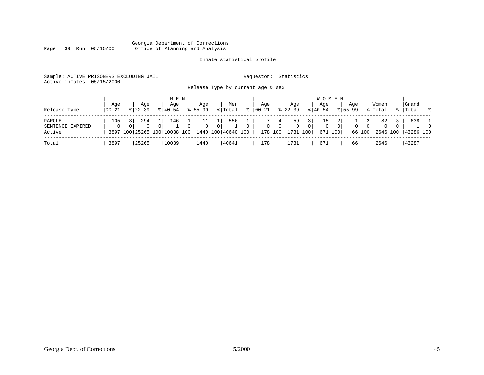#### Georgia Department of Corrections Page 39 Run 05/15/00 Office of Planning and Analysis

### Inmate statistical profile

| Sample: ACTIVE PRISONERS EXCLUDING JAIL<br>Active inmates | 05/15/2000 |                                                 |             |                            |                                   |          | Requestor:   |                | Statistics   |                |             |              |             |          |          |          |           |          |
|-----------------------------------------------------------|------------|-------------------------------------------------|-------------|----------------------------|-----------------------------------|----------|--------------|----------------|--------------|----------------|-------------|--------------|-------------|----------|----------|----------|-----------|----------|
|                                                           |            |                                                 |             |                            | Release Type by current age & sex |          |              |                |              |                |             |              |             |          |          |          |           |          |
|                                                           |            |                                                 | M E N       |                            |                                   |          |              |                |              |                |             | <b>WOMEN</b> |             |          |          |          |           |          |
|                                                           | Age        | Age                                             | Age         | Age                        | Men                               |          | Aqe          |                | Aqe          |                | Aqe         |              | Age         |          | Women    |          | Grand     |          |
| Release Type                                              | 00-21      | $8122 - 39$                                     | $8140 - 54$ | $8155 - 99$                | % Total                           | ៖        | 00-21        |                | $ 22 - 39 $  |                | $ 40-54 $   |              | $8155 - 99$ |          | % Total  | % ၂      | Total     | - 왕      |
| PAROLE                                                    | 105        | 294                                             | 146         | 11                         | 556                               |          |              | 4              | 59           | 3              | 15          | 2            |             | 2        | 82       |          | 638       |          |
| SENTENCE<br>EXPIRED                                       | 0          | $\Omega$<br>$\Omega$                            | $\Omega$    | $\Omega$<br>0 <sup>1</sup> | $\Omega$                          | $\Omega$ | $\mathbf{0}$ | 0 <sup>1</sup> | $\mathbf{0}$ | $\overline{0}$ | $\mathbf 0$ | $\mathbf{0}$ | 0           | $\Omega$ | $\Omega$ | $\Omega$ |           | $\Omega$ |
| Active                                                    |            | 3897 100 25265 100 10038 100 1440 100 40640 100 |             |                            |                                   |          |              | 178 100        | 1731 100     |                |             | 671 100      |             | 66 100   | 2646 100 |          | 43286 100 |          |
| Total                                                     | 3897       | 25265                                           | 10039       | 1440                       | 40641                             |          | 178          |                | 1731         |                | 671         |              | 66          |          | 2646     |          | 43287     |          |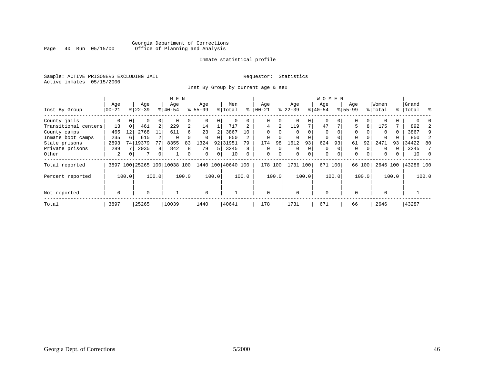#### Georgia Department of Corrections<br>Page 40 Run 05/15/00 office of Planning and Analysis Office of Planning and Analysis

#### Inmate statistical profile

Sample: ACTIVE PRISONERS EXCLUDING JAIL **Requestor:** Statistics Active inmates 05/15/2000

Inst By Group by current age & sex

|                      |             |          |                              |                | M E N     |       |           |       |                    |       |             |       |             |          | <b>WOMEN</b> |         |             |        |          |       |           |       |
|----------------------|-------------|----------|------------------------------|----------------|-----------|-------|-----------|-------|--------------------|-------|-------------|-------|-------------|----------|--------------|---------|-------------|--------|----------|-------|-----------|-------|
|                      | Age         |          | Age                          |                | Age       |       | Age       |       | Men                |       | Age         |       | Age         |          | Age          |         | Age         |        | Women    |       | Grand     |       |
| Inst By Group        | $ 00-21$    |          | $ 22-39 $                    |                | $ 40-54 $ |       | $8 55-99$ |       | % Total            | ႜ     | $ 00 - 21$  |       | $ 22-39 $   |          | $ 40-54 $    |         | $8155 - 99$ |        | % Total  |       | %   Total | ႜ     |
| County jails         | 0           |          | 0                            | $\Omega$       | 0         | 0     |           |       | 0                  | 0     | 0           | 0     | $\Omega$    |          | $\Omega$     |         | 0           |        |          |       |           |       |
| Transitional centers | 13          | $\Omega$ | 461                          | 2              | 229       | 2     | 14        |       | 717                |       | 4           | 2     | 119         | 7        | 47           |         | 5           | 8      | 175      |       | 892       |       |
| County camps         | 465         | 12       | 2768                         | 11             | 611       | б.    | 23        |       | 3867               | 10    | $\Omega$    |       | $\Omega$    |          | 0            |         | 0           |        | $\Omega$ |       | 3867      | 9     |
| Inmate boot camps    | 235         |          | 615                          |                | $\Omega$  |       | $\Omega$  | 0     | 850                |       | $\Omega$    |       | 0           | 0        | 0            |         | 0           |        | $\Omega$ |       | 850       | 2     |
| State prisons        | 2893        |          | 74   19379                   | 77             | 8355      | 83    | 1324      |       | 92 31951           | 79    | 174         | 98    | 1612        | 93       | 624          | 93      | 61          | 92     | 2471     | 93    | 34422     | 80    |
| Private prisons      | 289         |          | 2035                         | 8              | 842       | 8     | 79        | 5     | 3245               | 8     | 0           | 0     | $\mathbf 0$ | 0        | 0            |         | 0           |        | $\Omega$ |       | 3245      |       |
| Other                | 2           | 0        | 7                            | $\overline{0}$ |           | 0     | $\Omega$  | 0     | 10                 | 0     | $\mathbf 0$ | 0     | $\mathbf 0$ | $\Omega$ | $\mathbf{0}$ |         | 0           |        | $\Omega$ |       | 10        |       |
| Total reported       |             |          | 3897 100 25265 100 10038 100 |                |           |       |           |       | 1440 100 40640 100 |       | 178         | 100   | 1731 100    |          |              | 671 100 |             | 66 100 | 2646 100 |       | 43286 100 |       |
| Percent reported     |             | 100.0    |                              | 100.0          |           | 100.0 |           | 100.0 |                    | 100.0 |             | 100.0 |             | 100.0    |              | 100.0   |             | 100.0  |          | 100.0 |           | 100.0 |
| Not reported         | $\mathbf 0$ |          | $\Omega$                     |                |           |       | $\Omega$  |       |                    |       | $\Omega$    |       | $\Omega$    |          | 0            |         | $\Omega$    |        | $\Omega$ |       |           |       |
| Total                | 3897        |          | 25265                        |                | 10039     |       | 1440      |       | 40641              |       | 178         |       | 1731        |          | 671          |         | 66          |        | 2646     |       | 43287     |       |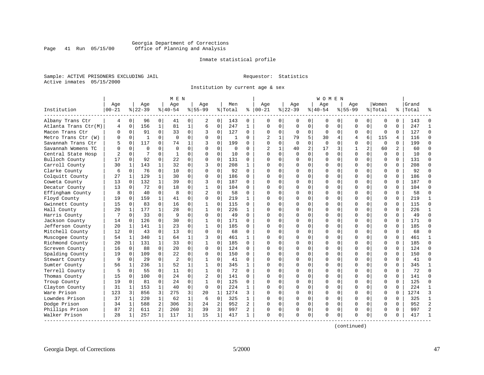#### Georgia Department of Corrections<br>Page 41 Run 05/15/00 office of Planning and Analysis Office of Planning and Analysis

#### Inmate statistical profile

Sample: ACTIVE PRISONERS EXCLUDING JAIL **Requestor:** Statistics Active inmates 05/15/2000

Institution by current age & sex

| Age<br>Age<br>Men<br>Aqe<br>Aqe<br>Women<br>Grand<br>Age<br>Aqe<br>Age<br>Aqe<br>$ 22-39$<br>$8155 - 99$<br>Institution<br>$00 - 21$<br>$8 22-39$<br>$8 40-54$<br>$8155 - 99$<br>% Total<br>နွ<br>$ 00-21$<br>$ 40-54$<br>% Total<br>%   Total<br>Albany Trans Ctr<br>0<br>96<br>0<br>41<br>0<br>0<br>143<br>$\mathbf{0}$<br>0<br>0<br>143<br>4<br>2<br>0<br>$\Omega$<br>0<br>0<br>0<br>0<br>0<br>0<br>156<br>$\mathbf{1}$<br>81<br>$\mathbf{1}$<br>$\mathbf 0$<br>247<br>$\Omega$<br>247<br>Atlanta Trans Ctr(M)<br>$\mathbf 0$<br>6<br>$\mathbf{1}$<br>$\Omega$<br>$\Omega$<br>$\mathbf 0$<br>$\mathbf 0$<br>$\Omega$<br>$\mathbf 0$<br>$\Omega$<br>$\mathbf 0$<br>$\Omega$<br>4<br>$\mathbf 0$<br>91<br>$\Omega$<br>33<br>$\mathbf 0$<br>$\mathbf 0$<br>127<br>$\mathbf 0$<br>$\mathbf 0$<br>$\Omega$<br>127<br>Macon Trans Ctr<br>$\Omega$<br>$\Omega$<br>$\Omega$<br>$\Omega$<br>$\mathbf 0$<br>$\Omega$<br>$\mathbf 0$<br>$\Omega$<br>3<br>$\Omega$<br>5<br>$\mathbf 0$<br>$\Omega$<br>$\Omega$<br>$\mathbf 0$<br>$\Omega$<br>$\overline{2}$<br>79<br>6<br>116<br>Metro Trans Ctr (W)<br>$\mathbf{1}$<br>$\Omega$<br>$\Omega$<br>$\mathbf{1}$<br>30<br>4<br>4<br>115<br>4<br>U<br>-1<br>$\Omega$<br>117<br>$\Omega$<br>199<br>$\Omega$<br>$\Omega$<br>$\Omega$<br>199<br>Savannah Trans Ctr<br>0<br>74<br>1<br>ζ<br>$\Omega$<br>$\Omega$<br>$\Omega$<br>$\Omega$<br>$\Omega$<br>$\Omega$<br>$\Omega$<br>$\Omega$<br>5<br>$\overline{c}$<br>$\overline{a}$<br>$\Omega$<br>$\Omega$<br>$\Omega$<br>$\overline{2}$<br>$\mathbf{1}$<br>40<br>17<br>3<br>$\mathbf{1}$<br>2<br>60<br>Savannah Womens TC<br>$\Omega$<br>$\Omega$<br>$\Omega$<br>$\Omega$<br>$\mathbf 0$<br>60<br>U<br>0<br>$\mathbf 0$<br>7<br>$\mathbf 0$<br>0<br>$\Omega$<br>$\mathbf 0$<br>$\mathbf 0$<br>$\mathbf 0$<br>$\mathbf 0$<br>$\Omega$<br>Central State Hosp<br>2<br>1<br>0<br>$\Omega$<br>10<br>$\Omega$<br>$\Omega$<br>$\mathbf 0$<br>$\mathbf 0$<br>10<br>0<br>Bulloch County<br>92<br>$\Omega$<br>22<br>$\Omega$<br>131<br>0<br>$\Omega$<br>$\Omega$<br>$\Omega$<br>$\Omega$<br>131<br>17<br>$\Omega$<br>$\Omega$<br>$\Omega$<br>$\Omega$<br>$\cap$<br>$\Omega$<br>$\Omega$<br>$\Omega$<br>$\Omega$<br>Carroll County<br>30<br>143<br>$\mathbf{1}$<br>32<br>$\Omega$<br>208<br>$\Omega$<br>208<br>1<br>$\Omega$<br>3<br>$\mathbf{1}$<br>$\cap$<br>$\Omega$<br>$\Omega$<br>0<br>$\Omega$<br>$\Omega$<br>$\Omega$<br>$\Omega$<br>$\Omega$<br>$\Omega$<br>76<br>$\Omega$<br>0<br>92<br>0<br>$\Omega$<br>92<br>Clarke County<br>6<br>$\mathbf 0$<br>10<br>$\Omega$<br>$\Omega$<br>$\Omega$<br>$\Omega$<br>0<br>$\Omega$<br>$\Omega$<br>$\Omega$<br>C<br>129<br>$\mathbf{1}$<br>30<br>$\Omega$<br>$\Omega$<br>$\Omega$<br>$\Omega$<br>186<br>Colquitt County<br>27<br>1<br>$\Omega$<br>$\Omega$<br>186<br>$\Omega$<br>0<br>$\Omega$<br>$\Omega$<br>$\Omega$<br>$\Omega$<br>$\Omega$<br>∩<br>$\mathbf 0$<br>$\Omega$<br>132<br>$\mathbf{1}$<br>39<br>$\Omega$<br>187<br>$\Omega$<br>$\Omega$<br>$\mathbf 0$<br>187<br>13<br>$\Omega$<br>3<br>$\Omega$<br>$\Omega$<br>$\Omega$<br>$\Omega$<br>$\Omega$<br>Coweta County<br><sup>0</sup><br>$\Omega$<br>72<br>$\Omega$<br>18<br>$\mathbf 0$<br>$\mathbf 1$<br>$\mathbf 0$<br>104<br>$\Omega$<br>0<br>$\mathbf 0$<br>$\mathbf 0$<br>$\Omega$<br>104<br>Decatur County<br>13<br>$\mathbf 0$<br>$\Omega$<br>$\cap$<br>0<br>$\Omega$<br>0<br>$\Omega$<br>8<br>$\overline{c}$<br>$\mathbf 0$<br>58<br>58<br>Effingham County<br>8<br>$\mathbf 0$<br>40<br>0<br>$\Omega$<br>$\Omega$<br>O<br>$\Omega$<br>0<br>$\Omega$<br>$\Omega$<br>$\Omega$<br>$\Omega$<br>$\Omega$<br>U<br>$\mathbf 0$<br>Floyd County<br>19<br>159<br>$\mathbf 1$<br>41<br>0<br>$\Omega$<br>219<br>$\Omega$<br>0<br>$\Omega$<br>$\Omega$<br>219<br>0<br>1<br>∩<br>$\Omega$<br>$\Omega$<br>0<br>0<br>0<br>Gwinnett County<br>83<br>0<br>16<br>0<br>0<br>O<br>$\Omega$<br>$\Omega$<br>115<br>15<br>0<br>1<br>115<br>$\Omega$<br>$\Omega$<br>$\Omega$<br>$\Omega$<br>0<br>$\Omega$<br>$\mathbf 0$<br>226<br>177<br>$\mathbf{1}$<br>28<br>$\Omega$<br>$\mathbf{1}$<br>$\Omega$<br>226<br>$\Omega$<br>$\Omega$<br>0<br>$\Omega$<br>$\Omega$<br>$\Omega$<br>$\Omega$<br>Hall County<br>20<br>$\mathbf{1}$<br>$\mathbf{1}$<br>$\Omega$<br>$\Omega$<br>∩<br>$\Omega$<br>9<br>$\Omega$<br>49<br>0<br>$\Omega$<br>33<br>$\Omega$<br>$\Omega$<br>$\Omega$<br>$\Omega$<br>$\Omega$<br>$\Omega$<br>$\Omega$<br>$\Omega$<br>49<br>Harris County<br>$\Omega$<br>$\Omega$<br>$\Omega$<br>7<br>∩<br>126<br>$\mathbf 0$<br>30<br>$\mathbf 1$<br>$\mathbf 0$<br>171<br>$\Omega$<br>0<br>$\mathbf 0$<br>$\Omega$<br>$\Omega$<br>$\mathbf 0$<br>$\Omega$<br>171<br>Jackson County<br>0<br>0<br>$\Omega$<br>O<br>14<br>185<br>$\mathbf{1}$<br>23<br>$\mathbf{1}$<br>$\Omega$<br>185<br>$\Omega$<br>Jefferson County<br>20<br>$\mathbf 1$<br>141<br>$\Omega$<br>$\Omega$<br>$\Omega$<br>$\Omega$<br>$\Omega$<br>0<br>$\Omega$<br>$\Omega$<br>$\Omega$<br>$\Omega$<br>$\Omega$<br>12<br>$\Omega$<br>13<br>$\mathbf 0$<br>0<br>68<br>Mitchell County<br>0<br>43<br>0<br>$\Omega$<br>68<br>0<br>0<br>$\Omega$<br>$\Omega$<br>$\Omega$<br>$\Omega$<br>0<br><sup>0</sup><br>$\Omega$<br>$\Omega$<br>$\mathbf{1}$<br>$\mathbf 0$<br>0<br>461<br>Muscogee County<br>54<br>340<br>1<br>461<br>$\Omega$<br>$\Omega$<br>$\Omega$<br>$\mathbf 0$<br>$\Omega$<br>1<br>64<br>3<br>1<br>$\Omega$<br>O<br>0<br>$\mathbf 0$<br>$\Omega$<br>185<br>Richmond County<br>131<br>$\mathbf{1}$<br>33<br>$\Omega$<br>1<br>185<br>0<br>$\Omega$<br>$\Omega$<br>$\Omega$<br>$\Omega$<br>$\Omega$<br>20<br>1<br>$\Omega$<br>$\cap$<br>$\Omega$<br>0<br>$\mathbf 0$<br>$\mathbf 0$<br>$\mathbf 0$<br>$\Omega$<br>$\mathbf 0$<br>124<br>16<br>88<br>20<br>0<br>124<br>0<br>$\Omega$<br>$\Omega$<br>$\mathbf 0$<br>$\Omega$<br>Screven County<br>0<br>$\Omega$<br>$\Omega$<br>$\Omega$<br>$\Omega$<br>$\mathbf 0$<br>22<br>$\mathbf 0$<br>$\mathbf 0$<br>Spalding County<br>$\mathbf 0$<br>109<br>$\mathbf 0$<br>$\Omega$<br>150<br>$\Omega$<br>$\Omega$<br>$\Omega$<br>$\Omega$<br>0<br>$\mathbf 0$<br>$\Omega$<br>0<br>$\Omega$<br>150<br>19<br>29<br>$\Omega$<br>$\overline{2}$<br>$\Omega$<br>$\Omega$<br>41<br>$\Omega$<br>$\Omega$<br>41<br>Stewart County<br>9<br>$\Omega$<br>$\mathbf{1}$<br>$\Omega$<br>$\Omega$<br>$\Omega$<br>$\Omega$<br>0<br>$\Omega$<br>$\Omega$<br>$\Omega$<br>$\Omega$<br>$\mathbf{1}$<br>52<br>$\Omega$<br>345<br>0<br>345<br>Sumter County<br>56<br>1<br>236<br>1<br>1<br>$\cap$<br>0<br>$\Omega$<br>$\Omega$<br>0<br>$\Omega$<br>$\Omega$<br>$\Omega$<br>$\Omega$<br>1<br>Terrell County<br>1<br>$\mathbf 0$<br>72<br>5<br>55<br>$\Omega$<br>11<br>0<br>72<br>$\Omega$<br>$\Omega$<br>O<br>$\mathbf 0$<br>$\Omega$<br>$\Omega$<br>$\Omega$<br>$\Omega$<br>0<br>$\Omega$<br>$\Omega$<br>$\overline{a}$<br>$\Omega$<br>0<br>Thomas County<br>100<br>$\Omega$<br>24<br>$\Omega$<br>141<br>$\cap$<br>$\Omega$<br>$\Omega$<br>$\Omega$<br>$\Omega$<br>$\Omega$<br>141<br>15<br>0<br>0<br>∩<br>$\Omega$<br>$\Omega$<br>$\mathbf 0$<br>$\mathbf 0$<br>125<br>$\Omega$<br>0<br>125<br>Troup County<br>19<br>81<br>24<br>0<br>1<br>$\Omega$<br>0<br>$\Omega$<br>$\Omega$<br>$\mathbf 0$<br>$\Omega$<br>0<br>0<br>$\Omega$<br>$\mathbf{1}$<br>40<br>$\mathbf 0$<br>$\Omega$<br>$\mathbf 0$<br>224<br>$\mathbf 0$<br>224<br>Clayton County<br>31<br>$\mathbf 1$<br>153<br>1<br>0<br>0<br>0<br>0<br>$\Omega$<br>$\Omega$<br>$\Omega$<br>856<br>3<br>275<br>3<br>20<br>1274<br>1274<br>Ware Prison<br>123<br>3<br>1<br>0<br>0<br>$\Omega$<br>$\mathbf 0$<br>3<br>$\cap$<br>$\Omega$<br>$\Omega$<br>0<br>$\Omega$<br>$\Omega$<br>Lowndes Prison<br>220<br>$\mathbf{1}$<br>$\mathbf 1$<br>$\mathbf 0$<br>325<br>$\Omega$<br>$\Omega$<br>325<br>37<br>$\mathbf 1$<br>62<br>6<br>0<br>0<br>$\Omega$<br>$\Omega$<br>1<br>∩<br>$\Omega$<br>$\Omega$<br>$\Omega$<br>2<br>Dodge Prison<br>588<br>306<br>3<br>24<br>2<br>952<br>2<br>$\Omega$<br>$\Omega$<br>952<br>34<br>$\mathbf 1$<br>$\cap$<br>$\Omega$<br>$\Omega$<br>$\Omega$<br>0<br>$\Omega$<br>$\Omega$<br>$\Omega$<br>Phillips Prison<br>2<br>3<br>3<br>997<br>87<br>2<br>611<br>260<br>39<br>997<br>2<br>0<br>0<br>0<br>$\Omega$<br>$\mathbf 0$<br>$\Omega$<br>$\Omega$<br>$\Omega$<br>$\Omega$<br><sup>0</sup> |               |    |     | M E N |             |  |     |  |   |  | W O M E N |  |  |  |                |
|----------------------------------------------------------------------------------------------------------------------------------------------------------------------------------------------------------------------------------------------------------------------------------------------------------------------------------------------------------------------------------------------------------------------------------------------------------------------------------------------------------------------------------------------------------------------------------------------------------------------------------------------------------------------------------------------------------------------------------------------------------------------------------------------------------------------------------------------------------------------------------------------------------------------------------------------------------------------------------------------------------------------------------------------------------------------------------------------------------------------------------------------------------------------------------------------------------------------------------------------------------------------------------------------------------------------------------------------------------------------------------------------------------------------------------------------------------------------------------------------------------------------------------------------------------------------------------------------------------------------------------------------------------------------------------------------------------------------------------------------------------------------------------------------------------------------------------------------------------------------------------------------------------------------------------------------------------------------------------------------------------------------------------------------------------------------------------------------------------------------------------------------------------------------------------------------------------------------------------------------------------------------------------------------------------------------------------------------------------------------------------------------------------------------------------------------------------------------------------------------------------------------------------------------------------------------------------------------------------------------------------------------------------------------------------------------------------------------------------------------------------------------------------------------------------------------------------------------------------------------------------------------------------------------------------------------------------------------------------------------------------------------------------------------------------------------------------------------------------------------------------------------------------------------------------------------------------------------------------------------------------------------------------------------------------------------------------------------------------------------------------------------------------------------------------------------------------------------------------------------------------------------------------------------------------------------------------------------------------------------------------------------------------------------------------------------------------------------------------------------------------------------------------------------------------------------------------------------------------------------------------------------------------------------------------------------------------------------------------------------------------------------------------------------------------------------------------------------------------------------------------------------------------------------------------------------------------------------------------------------------------------------------------------------------------------------------------------------------------------------------------------------------------------------------------------------------------------------------------------------------------------------------------------------------------------------------------------------------------------------------------------------------------------------------------------------------------------------------------------------------------------------------------------------------------------------------------------------------------------------------------------------------------------------------------------------------------------------------------------------------------------------------------------------------------------------------------------------------------------------------------------------------------------------------------------------------------------------------------------------------------------------------------------------------------------------------------------------------------------------------------------------------------------------------------------------------------------------------------------------------------------------------------------------------------------------------------------------------------------------------------------------------------------------------------------------------------------------------------------------------------------------------------------------------------------------------------------------------------------------------------------------------------------------------------------------------------------------------------------------------------------------------------------------------------------------------------------------------------------------------------------------------------------------------------------------------------------------------------------------------------------------------------------------------------------------------------------------------------------------------------------------------------------------------------------------------------------------------------------------------------------------------------------------------------------------------------------------------------------------------------------------------------------------------------------------------------------------------------------------------------------------------------------------------------------------------------------------------------------------------------------------------------------------------------------------------------------------------------------------------------------------------------------------------------------------------------------------------------------------------------------------------------------------------------------------------------------------------------------------------------------------------------------------------------------------------------------------------------------------------------------------------------------------------------------------------------------------------------------------------------------------------------------------------------------------------------------------------------------------------------------------------------------------------------------------------------------------------------------------------------------------------------------------------------------------------------------------------------------------------------------------------------------------------------------------------------------------------------------------------------------------------------------------------------------------------------------------------------------------------------------------------------------------------------------------------------------------------|---------------|----|-----|-------|-------------|--|-----|--|---|--|-----------|--|--|--|----------------|
|                                                                                                                                                                                                                                                                                                                                                                                                                                                                                                                                                                                                                                                                                                                                                                                                                                                                                                                                                                                                                                                                                                                                                                                                                                                                                                                                                                                                                                                                                                                                                                                                                                                                                                                                                                                                                                                                                                                                                                                                                                                                                                                                                                                                                                                                                                                                                                                                                                                                                                                                                                                                                                                                                                                                                                                                                                                                                                                                                                                                                                                                                                                                                                                                                                                                                                                                                                                                                                                                                                                                                                                                                                                                                                                                                                                                                                                                                                                                                                                                                                                                                                                                                                                                                                                                                                                                                                                                                                                                                                                                                                                                                                                                                                                                                                                                                                                                                                                                                                                                                                                                                                                                                                                                                                                                                                                                                                                                                                                                                                                                                                                                                                                                                                                                                                                                                                                                                                                                                                                                                                                                                                                                                                                                                                                                                                                                                                                                                                                                                                                                                                                                                                                                                                                                                                                                                                                                                                                                                                                                                                                                                                                                                                                                                                                                                                                                                                                                                                                                                                                                                                                                                                                                                                                                                                                                                                                                                                                                                                                                                                                                                                                                                                                                                            |               |    |     |       |             |  |     |  |   |  |           |  |  |  |                |
|                                                                                                                                                                                                                                                                                                                                                                                                                                                                                                                                                                                                                                                                                                                                                                                                                                                                                                                                                                                                                                                                                                                                                                                                                                                                                                                                                                                                                                                                                                                                                                                                                                                                                                                                                                                                                                                                                                                                                                                                                                                                                                                                                                                                                                                                                                                                                                                                                                                                                                                                                                                                                                                                                                                                                                                                                                                                                                                                                                                                                                                                                                                                                                                                                                                                                                                                                                                                                                                                                                                                                                                                                                                                                                                                                                                                                                                                                                                                                                                                                                                                                                                                                                                                                                                                                                                                                                                                                                                                                                                                                                                                                                                                                                                                                                                                                                                                                                                                                                                                                                                                                                                                                                                                                                                                                                                                                                                                                                                                                                                                                                                                                                                                                                                                                                                                                                                                                                                                                                                                                                                                                                                                                                                                                                                                                                                                                                                                                                                                                                                                                                                                                                                                                                                                                                                                                                                                                                                                                                                                                                                                                                                                                                                                                                                                                                                                                                                                                                                                                                                                                                                                                                                                                                                                                                                                                                                                                                                                                                                                                                                                                                                                                                                                                            |               |    |     |       |             |  |     |  |   |  |           |  |  |  |                |
|                                                                                                                                                                                                                                                                                                                                                                                                                                                                                                                                                                                                                                                                                                                                                                                                                                                                                                                                                                                                                                                                                                                                                                                                                                                                                                                                                                                                                                                                                                                                                                                                                                                                                                                                                                                                                                                                                                                                                                                                                                                                                                                                                                                                                                                                                                                                                                                                                                                                                                                                                                                                                                                                                                                                                                                                                                                                                                                                                                                                                                                                                                                                                                                                                                                                                                                                                                                                                                                                                                                                                                                                                                                                                                                                                                                                                                                                                                                                                                                                                                                                                                                                                                                                                                                                                                                                                                                                                                                                                                                                                                                                                                                                                                                                                                                                                                                                                                                                                                                                                                                                                                                                                                                                                                                                                                                                                                                                                                                                                                                                                                                                                                                                                                                                                                                                                                                                                                                                                                                                                                                                                                                                                                                                                                                                                                                                                                                                                                                                                                                                                                                                                                                                                                                                                                                                                                                                                                                                                                                                                                                                                                                                                                                                                                                                                                                                                                                                                                                                                                                                                                                                                                                                                                                                                                                                                                                                                                                                                                                                                                                                                                                                                                                                                            |               |    |     |       |             |  |     |  |   |  |           |  |  |  | $\Omega$       |
|                                                                                                                                                                                                                                                                                                                                                                                                                                                                                                                                                                                                                                                                                                                                                                                                                                                                                                                                                                                                                                                                                                                                                                                                                                                                                                                                                                                                                                                                                                                                                                                                                                                                                                                                                                                                                                                                                                                                                                                                                                                                                                                                                                                                                                                                                                                                                                                                                                                                                                                                                                                                                                                                                                                                                                                                                                                                                                                                                                                                                                                                                                                                                                                                                                                                                                                                                                                                                                                                                                                                                                                                                                                                                                                                                                                                                                                                                                                                                                                                                                                                                                                                                                                                                                                                                                                                                                                                                                                                                                                                                                                                                                                                                                                                                                                                                                                                                                                                                                                                                                                                                                                                                                                                                                                                                                                                                                                                                                                                                                                                                                                                                                                                                                                                                                                                                                                                                                                                                                                                                                                                                                                                                                                                                                                                                                                                                                                                                                                                                                                                                                                                                                                                                                                                                                                                                                                                                                                                                                                                                                                                                                                                                                                                                                                                                                                                                                                                                                                                                                                                                                                                                                                                                                                                                                                                                                                                                                                                                                                                                                                                                                                                                                                                                            |               |    |     |       |             |  |     |  |   |  |           |  |  |  | $\mathbf{1}$   |
|                                                                                                                                                                                                                                                                                                                                                                                                                                                                                                                                                                                                                                                                                                                                                                                                                                                                                                                                                                                                                                                                                                                                                                                                                                                                                                                                                                                                                                                                                                                                                                                                                                                                                                                                                                                                                                                                                                                                                                                                                                                                                                                                                                                                                                                                                                                                                                                                                                                                                                                                                                                                                                                                                                                                                                                                                                                                                                                                                                                                                                                                                                                                                                                                                                                                                                                                                                                                                                                                                                                                                                                                                                                                                                                                                                                                                                                                                                                                                                                                                                                                                                                                                                                                                                                                                                                                                                                                                                                                                                                                                                                                                                                                                                                                                                                                                                                                                                                                                                                                                                                                                                                                                                                                                                                                                                                                                                                                                                                                                                                                                                                                                                                                                                                                                                                                                                                                                                                                                                                                                                                                                                                                                                                                                                                                                                                                                                                                                                                                                                                                                                                                                                                                                                                                                                                                                                                                                                                                                                                                                                                                                                                                                                                                                                                                                                                                                                                                                                                                                                                                                                                                                                                                                                                                                                                                                                                                                                                                                                                                                                                                                                                                                                                                                            |               |    |     |       |             |  |     |  |   |  |           |  |  |  | $\Omega$       |
|                                                                                                                                                                                                                                                                                                                                                                                                                                                                                                                                                                                                                                                                                                                                                                                                                                                                                                                                                                                                                                                                                                                                                                                                                                                                                                                                                                                                                                                                                                                                                                                                                                                                                                                                                                                                                                                                                                                                                                                                                                                                                                                                                                                                                                                                                                                                                                                                                                                                                                                                                                                                                                                                                                                                                                                                                                                                                                                                                                                                                                                                                                                                                                                                                                                                                                                                                                                                                                                                                                                                                                                                                                                                                                                                                                                                                                                                                                                                                                                                                                                                                                                                                                                                                                                                                                                                                                                                                                                                                                                                                                                                                                                                                                                                                                                                                                                                                                                                                                                                                                                                                                                                                                                                                                                                                                                                                                                                                                                                                                                                                                                                                                                                                                                                                                                                                                                                                                                                                                                                                                                                                                                                                                                                                                                                                                                                                                                                                                                                                                                                                                                                                                                                                                                                                                                                                                                                                                                                                                                                                                                                                                                                                                                                                                                                                                                                                                                                                                                                                                                                                                                                                                                                                                                                                                                                                                                                                                                                                                                                                                                                                                                                                                                                                            |               |    |     |       |             |  |     |  |   |  |           |  |  |  | $\Omega$       |
|                                                                                                                                                                                                                                                                                                                                                                                                                                                                                                                                                                                                                                                                                                                                                                                                                                                                                                                                                                                                                                                                                                                                                                                                                                                                                                                                                                                                                                                                                                                                                                                                                                                                                                                                                                                                                                                                                                                                                                                                                                                                                                                                                                                                                                                                                                                                                                                                                                                                                                                                                                                                                                                                                                                                                                                                                                                                                                                                                                                                                                                                                                                                                                                                                                                                                                                                                                                                                                                                                                                                                                                                                                                                                                                                                                                                                                                                                                                                                                                                                                                                                                                                                                                                                                                                                                                                                                                                                                                                                                                                                                                                                                                                                                                                                                                                                                                                                                                                                                                                                                                                                                                                                                                                                                                                                                                                                                                                                                                                                                                                                                                                                                                                                                                                                                                                                                                                                                                                                                                                                                                                                                                                                                                                                                                                                                                                                                                                                                                                                                                                                                                                                                                                                                                                                                                                                                                                                                                                                                                                                                                                                                                                                                                                                                                                                                                                                                                                                                                                                                                                                                                                                                                                                                                                                                                                                                                                                                                                                                                                                                                                                                                                                                                                                            |               |    |     |       |             |  |     |  |   |  |           |  |  |  | $\Omega$       |
|                                                                                                                                                                                                                                                                                                                                                                                                                                                                                                                                                                                                                                                                                                                                                                                                                                                                                                                                                                                                                                                                                                                                                                                                                                                                                                                                                                                                                                                                                                                                                                                                                                                                                                                                                                                                                                                                                                                                                                                                                                                                                                                                                                                                                                                                                                                                                                                                                                                                                                                                                                                                                                                                                                                                                                                                                                                                                                                                                                                                                                                                                                                                                                                                                                                                                                                                                                                                                                                                                                                                                                                                                                                                                                                                                                                                                                                                                                                                                                                                                                                                                                                                                                                                                                                                                                                                                                                                                                                                                                                                                                                                                                                                                                                                                                                                                                                                                                                                                                                                                                                                                                                                                                                                                                                                                                                                                                                                                                                                                                                                                                                                                                                                                                                                                                                                                                                                                                                                                                                                                                                                                                                                                                                                                                                                                                                                                                                                                                                                                                                                                                                                                                                                                                                                                                                                                                                                                                                                                                                                                                                                                                                                                                                                                                                                                                                                                                                                                                                                                                                                                                                                                                                                                                                                                                                                                                                                                                                                                                                                                                                                                                                                                                                                                            |               |    |     |       |             |  |     |  |   |  |           |  |  |  | $\Omega$       |
|                                                                                                                                                                                                                                                                                                                                                                                                                                                                                                                                                                                                                                                                                                                                                                                                                                                                                                                                                                                                                                                                                                                                                                                                                                                                                                                                                                                                                                                                                                                                                                                                                                                                                                                                                                                                                                                                                                                                                                                                                                                                                                                                                                                                                                                                                                                                                                                                                                                                                                                                                                                                                                                                                                                                                                                                                                                                                                                                                                                                                                                                                                                                                                                                                                                                                                                                                                                                                                                                                                                                                                                                                                                                                                                                                                                                                                                                                                                                                                                                                                                                                                                                                                                                                                                                                                                                                                                                                                                                                                                                                                                                                                                                                                                                                                                                                                                                                                                                                                                                                                                                                                                                                                                                                                                                                                                                                                                                                                                                                                                                                                                                                                                                                                                                                                                                                                                                                                                                                                                                                                                                                                                                                                                                                                                                                                                                                                                                                                                                                                                                                                                                                                                                                                                                                                                                                                                                                                                                                                                                                                                                                                                                                                                                                                                                                                                                                                                                                                                                                                                                                                                                                                                                                                                                                                                                                                                                                                                                                                                                                                                                                                                                                                                                                            |               |    |     |       |             |  |     |  |   |  |           |  |  |  | $\Omega$       |
|                                                                                                                                                                                                                                                                                                                                                                                                                                                                                                                                                                                                                                                                                                                                                                                                                                                                                                                                                                                                                                                                                                                                                                                                                                                                                                                                                                                                                                                                                                                                                                                                                                                                                                                                                                                                                                                                                                                                                                                                                                                                                                                                                                                                                                                                                                                                                                                                                                                                                                                                                                                                                                                                                                                                                                                                                                                                                                                                                                                                                                                                                                                                                                                                                                                                                                                                                                                                                                                                                                                                                                                                                                                                                                                                                                                                                                                                                                                                                                                                                                                                                                                                                                                                                                                                                                                                                                                                                                                                                                                                                                                                                                                                                                                                                                                                                                                                                                                                                                                                                                                                                                                                                                                                                                                                                                                                                                                                                                                                                                                                                                                                                                                                                                                                                                                                                                                                                                                                                                                                                                                                                                                                                                                                                                                                                                                                                                                                                                                                                                                                                                                                                                                                                                                                                                                                                                                                                                                                                                                                                                                                                                                                                                                                                                                                                                                                                                                                                                                                                                                                                                                                                                                                                                                                                                                                                                                                                                                                                                                                                                                                                                                                                                                                                            |               |    |     |       |             |  |     |  |   |  |           |  |  |  | $\Omega$       |
|                                                                                                                                                                                                                                                                                                                                                                                                                                                                                                                                                                                                                                                                                                                                                                                                                                                                                                                                                                                                                                                                                                                                                                                                                                                                                                                                                                                                                                                                                                                                                                                                                                                                                                                                                                                                                                                                                                                                                                                                                                                                                                                                                                                                                                                                                                                                                                                                                                                                                                                                                                                                                                                                                                                                                                                                                                                                                                                                                                                                                                                                                                                                                                                                                                                                                                                                                                                                                                                                                                                                                                                                                                                                                                                                                                                                                                                                                                                                                                                                                                                                                                                                                                                                                                                                                                                                                                                                                                                                                                                                                                                                                                                                                                                                                                                                                                                                                                                                                                                                                                                                                                                                                                                                                                                                                                                                                                                                                                                                                                                                                                                                                                                                                                                                                                                                                                                                                                                                                                                                                                                                                                                                                                                                                                                                                                                                                                                                                                                                                                                                                                                                                                                                                                                                                                                                                                                                                                                                                                                                                                                                                                                                                                                                                                                                                                                                                                                                                                                                                                                                                                                                                                                                                                                                                                                                                                                                                                                                                                                                                                                                                                                                                                                                                            |               |    |     |       |             |  |     |  |   |  |           |  |  |  | $\Omega$       |
|                                                                                                                                                                                                                                                                                                                                                                                                                                                                                                                                                                                                                                                                                                                                                                                                                                                                                                                                                                                                                                                                                                                                                                                                                                                                                                                                                                                                                                                                                                                                                                                                                                                                                                                                                                                                                                                                                                                                                                                                                                                                                                                                                                                                                                                                                                                                                                                                                                                                                                                                                                                                                                                                                                                                                                                                                                                                                                                                                                                                                                                                                                                                                                                                                                                                                                                                                                                                                                                                                                                                                                                                                                                                                                                                                                                                                                                                                                                                                                                                                                                                                                                                                                                                                                                                                                                                                                                                                                                                                                                                                                                                                                                                                                                                                                                                                                                                                                                                                                                                                                                                                                                                                                                                                                                                                                                                                                                                                                                                                                                                                                                                                                                                                                                                                                                                                                                                                                                                                                                                                                                                                                                                                                                                                                                                                                                                                                                                                                                                                                                                                                                                                                                                                                                                                                                                                                                                                                                                                                                                                                                                                                                                                                                                                                                                                                                                                                                                                                                                                                                                                                                                                                                                                                                                                                                                                                                                                                                                                                                                                                                                                                                                                                                                                            |               |    |     |       |             |  |     |  |   |  |           |  |  |  | $\Omega$       |
|                                                                                                                                                                                                                                                                                                                                                                                                                                                                                                                                                                                                                                                                                                                                                                                                                                                                                                                                                                                                                                                                                                                                                                                                                                                                                                                                                                                                                                                                                                                                                                                                                                                                                                                                                                                                                                                                                                                                                                                                                                                                                                                                                                                                                                                                                                                                                                                                                                                                                                                                                                                                                                                                                                                                                                                                                                                                                                                                                                                                                                                                                                                                                                                                                                                                                                                                                                                                                                                                                                                                                                                                                                                                                                                                                                                                                                                                                                                                                                                                                                                                                                                                                                                                                                                                                                                                                                                                                                                                                                                                                                                                                                                                                                                                                                                                                                                                                                                                                                                                                                                                                                                                                                                                                                                                                                                                                                                                                                                                                                                                                                                                                                                                                                                                                                                                                                                                                                                                                                                                                                                                                                                                                                                                                                                                                                                                                                                                                                                                                                                                                                                                                                                                                                                                                                                                                                                                                                                                                                                                                                                                                                                                                                                                                                                                                                                                                                                                                                                                                                                                                                                                                                                                                                                                                                                                                                                                                                                                                                                                                                                                                                                                                                                                                            |               |    |     |       |             |  |     |  |   |  |           |  |  |  | $\Omega$       |
|                                                                                                                                                                                                                                                                                                                                                                                                                                                                                                                                                                                                                                                                                                                                                                                                                                                                                                                                                                                                                                                                                                                                                                                                                                                                                                                                                                                                                                                                                                                                                                                                                                                                                                                                                                                                                                                                                                                                                                                                                                                                                                                                                                                                                                                                                                                                                                                                                                                                                                                                                                                                                                                                                                                                                                                                                                                                                                                                                                                                                                                                                                                                                                                                                                                                                                                                                                                                                                                                                                                                                                                                                                                                                                                                                                                                                                                                                                                                                                                                                                                                                                                                                                                                                                                                                                                                                                                                                                                                                                                                                                                                                                                                                                                                                                                                                                                                                                                                                                                                                                                                                                                                                                                                                                                                                                                                                                                                                                                                                                                                                                                                                                                                                                                                                                                                                                                                                                                                                                                                                                                                                                                                                                                                                                                                                                                                                                                                                                                                                                                                                                                                                                                                                                                                                                                                                                                                                                                                                                                                                                                                                                                                                                                                                                                                                                                                                                                                                                                                                                                                                                                                                                                                                                                                                                                                                                                                                                                                                                                                                                                                                                                                                                                                                            |               |    |     |       |             |  |     |  |   |  |           |  |  |  | $\Omega$       |
|                                                                                                                                                                                                                                                                                                                                                                                                                                                                                                                                                                                                                                                                                                                                                                                                                                                                                                                                                                                                                                                                                                                                                                                                                                                                                                                                                                                                                                                                                                                                                                                                                                                                                                                                                                                                                                                                                                                                                                                                                                                                                                                                                                                                                                                                                                                                                                                                                                                                                                                                                                                                                                                                                                                                                                                                                                                                                                                                                                                                                                                                                                                                                                                                                                                                                                                                                                                                                                                                                                                                                                                                                                                                                                                                                                                                                                                                                                                                                                                                                                                                                                                                                                                                                                                                                                                                                                                                                                                                                                                                                                                                                                                                                                                                                                                                                                                                                                                                                                                                                                                                                                                                                                                                                                                                                                                                                                                                                                                                                                                                                                                                                                                                                                                                                                                                                                                                                                                                                                                                                                                                                                                                                                                                                                                                                                                                                                                                                                                                                                                                                                                                                                                                                                                                                                                                                                                                                                                                                                                                                                                                                                                                                                                                                                                                                                                                                                                                                                                                                                                                                                                                                                                                                                                                                                                                                                                                                                                                                                                                                                                                                                                                                                                                                            |               |    |     |       |             |  |     |  |   |  |           |  |  |  | $\Omega$       |
|                                                                                                                                                                                                                                                                                                                                                                                                                                                                                                                                                                                                                                                                                                                                                                                                                                                                                                                                                                                                                                                                                                                                                                                                                                                                                                                                                                                                                                                                                                                                                                                                                                                                                                                                                                                                                                                                                                                                                                                                                                                                                                                                                                                                                                                                                                                                                                                                                                                                                                                                                                                                                                                                                                                                                                                                                                                                                                                                                                                                                                                                                                                                                                                                                                                                                                                                                                                                                                                                                                                                                                                                                                                                                                                                                                                                                                                                                                                                                                                                                                                                                                                                                                                                                                                                                                                                                                                                                                                                                                                                                                                                                                                                                                                                                                                                                                                                                                                                                                                                                                                                                                                                                                                                                                                                                                                                                                                                                                                                                                                                                                                                                                                                                                                                                                                                                                                                                                                                                                                                                                                                                                                                                                                                                                                                                                                                                                                                                                                                                                                                                                                                                                                                                                                                                                                                                                                                                                                                                                                                                                                                                                                                                                                                                                                                                                                                                                                                                                                                                                                                                                                                                                                                                                                                                                                                                                                                                                                                                                                                                                                                                                                                                                                                                            |               |    |     |       |             |  |     |  |   |  |           |  |  |  | $\Omega$       |
|                                                                                                                                                                                                                                                                                                                                                                                                                                                                                                                                                                                                                                                                                                                                                                                                                                                                                                                                                                                                                                                                                                                                                                                                                                                                                                                                                                                                                                                                                                                                                                                                                                                                                                                                                                                                                                                                                                                                                                                                                                                                                                                                                                                                                                                                                                                                                                                                                                                                                                                                                                                                                                                                                                                                                                                                                                                                                                                                                                                                                                                                                                                                                                                                                                                                                                                                                                                                                                                                                                                                                                                                                                                                                                                                                                                                                                                                                                                                                                                                                                                                                                                                                                                                                                                                                                                                                                                                                                                                                                                                                                                                                                                                                                                                                                                                                                                                                                                                                                                                                                                                                                                                                                                                                                                                                                                                                                                                                                                                                                                                                                                                                                                                                                                                                                                                                                                                                                                                                                                                                                                                                                                                                                                                                                                                                                                                                                                                                                                                                                                                                                                                                                                                                                                                                                                                                                                                                                                                                                                                                                                                                                                                                                                                                                                                                                                                                                                                                                                                                                                                                                                                                                                                                                                                                                                                                                                                                                                                                                                                                                                                                                                                                                                                                            |               |    |     |       |             |  |     |  |   |  |           |  |  |  | $\mathbf{1}$   |
|                                                                                                                                                                                                                                                                                                                                                                                                                                                                                                                                                                                                                                                                                                                                                                                                                                                                                                                                                                                                                                                                                                                                                                                                                                                                                                                                                                                                                                                                                                                                                                                                                                                                                                                                                                                                                                                                                                                                                                                                                                                                                                                                                                                                                                                                                                                                                                                                                                                                                                                                                                                                                                                                                                                                                                                                                                                                                                                                                                                                                                                                                                                                                                                                                                                                                                                                                                                                                                                                                                                                                                                                                                                                                                                                                                                                                                                                                                                                                                                                                                                                                                                                                                                                                                                                                                                                                                                                                                                                                                                                                                                                                                                                                                                                                                                                                                                                                                                                                                                                                                                                                                                                                                                                                                                                                                                                                                                                                                                                                                                                                                                                                                                                                                                                                                                                                                                                                                                                                                                                                                                                                                                                                                                                                                                                                                                                                                                                                                                                                                                                                                                                                                                                                                                                                                                                                                                                                                                                                                                                                                                                                                                                                                                                                                                                                                                                                                                                                                                                                                                                                                                                                                                                                                                                                                                                                                                                                                                                                                                                                                                                                                                                                                                                                            |               |    |     |       |             |  |     |  |   |  |           |  |  |  | $\Omega$       |
|                                                                                                                                                                                                                                                                                                                                                                                                                                                                                                                                                                                                                                                                                                                                                                                                                                                                                                                                                                                                                                                                                                                                                                                                                                                                                                                                                                                                                                                                                                                                                                                                                                                                                                                                                                                                                                                                                                                                                                                                                                                                                                                                                                                                                                                                                                                                                                                                                                                                                                                                                                                                                                                                                                                                                                                                                                                                                                                                                                                                                                                                                                                                                                                                                                                                                                                                                                                                                                                                                                                                                                                                                                                                                                                                                                                                                                                                                                                                                                                                                                                                                                                                                                                                                                                                                                                                                                                                                                                                                                                                                                                                                                                                                                                                                                                                                                                                                                                                                                                                                                                                                                                                                                                                                                                                                                                                                                                                                                                                                                                                                                                                                                                                                                                                                                                                                                                                                                                                                                                                                                                                                                                                                                                                                                                                                                                                                                                                                                                                                                                                                                                                                                                                                                                                                                                                                                                                                                                                                                                                                                                                                                                                                                                                                                                                                                                                                                                                                                                                                                                                                                                                                                                                                                                                                                                                                                                                                                                                                                                                                                                                                                                                                                                                                            |               |    |     |       |             |  |     |  |   |  |           |  |  |  | $\mathbf{1}$   |
|                                                                                                                                                                                                                                                                                                                                                                                                                                                                                                                                                                                                                                                                                                                                                                                                                                                                                                                                                                                                                                                                                                                                                                                                                                                                                                                                                                                                                                                                                                                                                                                                                                                                                                                                                                                                                                                                                                                                                                                                                                                                                                                                                                                                                                                                                                                                                                                                                                                                                                                                                                                                                                                                                                                                                                                                                                                                                                                                                                                                                                                                                                                                                                                                                                                                                                                                                                                                                                                                                                                                                                                                                                                                                                                                                                                                                                                                                                                                                                                                                                                                                                                                                                                                                                                                                                                                                                                                                                                                                                                                                                                                                                                                                                                                                                                                                                                                                                                                                                                                                                                                                                                                                                                                                                                                                                                                                                                                                                                                                                                                                                                                                                                                                                                                                                                                                                                                                                                                                                                                                                                                                                                                                                                                                                                                                                                                                                                                                                                                                                                                                                                                                                                                                                                                                                                                                                                                                                                                                                                                                                                                                                                                                                                                                                                                                                                                                                                                                                                                                                                                                                                                                                                                                                                                                                                                                                                                                                                                                                                                                                                                                                                                                                                                                            |               |    |     |       |             |  |     |  |   |  |           |  |  |  | $\Omega$       |
|                                                                                                                                                                                                                                                                                                                                                                                                                                                                                                                                                                                                                                                                                                                                                                                                                                                                                                                                                                                                                                                                                                                                                                                                                                                                                                                                                                                                                                                                                                                                                                                                                                                                                                                                                                                                                                                                                                                                                                                                                                                                                                                                                                                                                                                                                                                                                                                                                                                                                                                                                                                                                                                                                                                                                                                                                                                                                                                                                                                                                                                                                                                                                                                                                                                                                                                                                                                                                                                                                                                                                                                                                                                                                                                                                                                                                                                                                                                                                                                                                                                                                                                                                                                                                                                                                                                                                                                                                                                                                                                                                                                                                                                                                                                                                                                                                                                                                                                                                                                                                                                                                                                                                                                                                                                                                                                                                                                                                                                                                                                                                                                                                                                                                                                                                                                                                                                                                                                                                                                                                                                                                                                                                                                                                                                                                                                                                                                                                                                                                                                                                                                                                                                                                                                                                                                                                                                                                                                                                                                                                                                                                                                                                                                                                                                                                                                                                                                                                                                                                                                                                                                                                                                                                                                                                                                                                                                                                                                                                                                                                                                                                                                                                                                                                            |               |    |     |       |             |  |     |  |   |  |           |  |  |  | $\Omega$       |
|                                                                                                                                                                                                                                                                                                                                                                                                                                                                                                                                                                                                                                                                                                                                                                                                                                                                                                                                                                                                                                                                                                                                                                                                                                                                                                                                                                                                                                                                                                                                                                                                                                                                                                                                                                                                                                                                                                                                                                                                                                                                                                                                                                                                                                                                                                                                                                                                                                                                                                                                                                                                                                                                                                                                                                                                                                                                                                                                                                                                                                                                                                                                                                                                                                                                                                                                                                                                                                                                                                                                                                                                                                                                                                                                                                                                                                                                                                                                                                                                                                                                                                                                                                                                                                                                                                                                                                                                                                                                                                                                                                                                                                                                                                                                                                                                                                                                                                                                                                                                                                                                                                                                                                                                                                                                                                                                                                                                                                                                                                                                                                                                                                                                                                                                                                                                                                                                                                                                                                                                                                                                                                                                                                                                                                                                                                                                                                                                                                                                                                                                                                                                                                                                                                                                                                                                                                                                                                                                                                                                                                                                                                                                                                                                                                                                                                                                                                                                                                                                                                                                                                                                                                                                                                                                                                                                                                                                                                                                                                                                                                                                                                                                                                                                                            |               |    |     |       |             |  |     |  |   |  |           |  |  |  | $\Omega$       |
|                                                                                                                                                                                                                                                                                                                                                                                                                                                                                                                                                                                                                                                                                                                                                                                                                                                                                                                                                                                                                                                                                                                                                                                                                                                                                                                                                                                                                                                                                                                                                                                                                                                                                                                                                                                                                                                                                                                                                                                                                                                                                                                                                                                                                                                                                                                                                                                                                                                                                                                                                                                                                                                                                                                                                                                                                                                                                                                                                                                                                                                                                                                                                                                                                                                                                                                                                                                                                                                                                                                                                                                                                                                                                                                                                                                                                                                                                                                                                                                                                                                                                                                                                                                                                                                                                                                                                                                                                                                                                                                                                                                                                                                                                                                                                                                                                                                                                                                                                                                                                                                                                                                                                                                                                                                                                                                                                                                                                                                                                                                                                                                                                                                                                                                                                                                                                                                                                                                                                                                                                                                                                                                                                                                                                                                                                                                                                                                                                                                                                                                                                                                                                                                                                                                                                                                                                                                                                                                                                                                                                                                                                                                                                                                                                                                                                                                                                                                                                                                                                                                                                                                                                                                                                                                                                                                                                                                                                                                                                                                                                                                                                                                                                                                                                            |               |    |     |       |             |  |     |  |   |  |           |  |  |  | $\Omega$       |
|                                                                                                                                                                                                                                                                                                                                                                                                                                                                                                                                                                                                                                                                                                                                                                                                                                                                                                                                                                                                                                                                                                                                                                                                                                                                                                                                                                                                                                                                                                                                                                                                                                                                                                                                                                                                                                                                                                                                                                                                                                                                                                                                                                                                                                                                                                                                                                                                                                                                                                                                                                                                                                                                                                                                                                                                                                                                                                                                                                                                                                                                                                                                                                                                                                                                                                                                                                                                                                                                                                                                                                                                                                                                                                                                                                                                                                                                                                                                                                                                                                                                                                                                                                                                                                                                                                                                                                                                                                                                                                                                                                                                                                                                                                                                                                                                                                                                                                                                                                                                                                                                                                                                                                                                                                                                                                                                                                                                                                                                                                                                                                                                                                                                                                                                                                                                                                                                                                                                                                                                                                                                                                                                                                                                                                                                                                                                                                                                                                                                                                                                                                                                                                                                                                                                                                                                                                                                                                                                                                                                                                                                                                                                                                                                                                                                                                                                                                                                                                                                                                                                                                                                                                                                                                                                                                                                                                                                                                                                                                                                                                                                                                                                                                                                                            |               |    |     |       |             |  |     |  |   |  |           |  |  |  | -1             |
|                                                                                                                                                                                                                                                                                                                                                                                                                                                                                                                                                                                                                                                                                                                                                                                                                                                                                                                                                                                                                                                                                                                                                                                                                                                                                                                                                                                                                                                                                                                                                                                                                                                                                                                                                                                                                                                                                                                                                                                                                                                                                                                                                                                                                                                                                                                                                                                                                                                                                                                                                                                                                                                                                                                                                                                                                                                                                                                                                                                                                                                                                                                                                                                                                                                                                                                                                                                                                                                                                                                                                                                                                                                                                                                                                                                                                                                                                                                                                                                                                                                                                                                                                                                                                                                                                                                                                                                                                                                                                                                                                                                                                                                                                                                                                                                                                                                                                                                                                                                                                                                                                                                                                                                                                                                                                                                                                                                                                                                                                                                                                                                                                                                                                                                                                                                                                                                                                                                                                                                                                                                                                                                                                                                                                                                                                                                                                                                                                                                                                                                                                                                                                                                                                                                                                                                                                                                                                                                                                                                                                                                                                                                                                                                                                                                                                                                                                                                                                                                                                                                                                                                                                                                                                                                                                                                                                                                                                                                                                                                                                                                                                                                                                                                                                            |               |    |     |       |             |  |     |  |   |  |           |  |  |  | $\Omega$       |
|                                                                                                                                                                                                                                                                                                                                                                                                                                                                                                                                                                                                                                                                                                                                                                                                                                                                                                                                                                                                                                                                                                                                                                                                                                                                                                                                                                                                                                                                                                                                                                                                                                                                                                                                                                                                                                                                                                                                                                                                                                                                                                                                                                                                                                                                                                                                                                                                                                                                                                                                                                                                                                                                                                                                                                                                                                                                                                                                                                                                                                                                                                                                                                                                                                                                                                                                                                                                                                                                                                                                                                                                                                                                                                                                                                                                                                                                                                                                                                                                                                                                                                                                                                                                                                                                                                                                                                                                                                                                                                                                                                                                                                                                                                                                                                                                                                                                                                                                                                                                                                                                                                                                                                                                                                                                                                                                                                                                                                                                                                                                                                                                                                                                                                                                                                                                                                                                                                                                                                                                                                                                                                                                                                                                                                                                                                                                                                                                                                                                                                                                                                                                                                                                                                                                                                                                                                                                                                                                                                                                                                                                                                                                                                                                                                                                                                                                                                                                                                                                                                                                                                                                                                                                                                                                                                                                                                                                                                                                                                                                                                                                                                                                                                                                                            |               |    |     |       |             |  |     |  |   |  |           |  |  |  | $\Omega$       |
|                                                                                                                                                                                                                                                                                                                                                                                                                                                                                                                                                                                                                                                                                                                                                                                                                                                                                                                                                                                                                                                                                                                                                                                                                                                                                                                                                                                                                                                                                                                                                                                                                                                                                                                                                                                                                                                                                                                                                                                                                                                                                                                                                                                                                                                                                                                                                                                                                                                                                                                                                                                                                                                                                                                                                                                                                                                                                                                                                                                                                                                                                                                                                                                                                                                                                                                                                                                                                                                                                                                                                                                                                                                                                                                                                                                                                                                                                                                                                                                                                                                                                                                                                                                                                                                                                                                                                                                                                                                                                                                                                                                                                                                                                                                                                                                                                                                                                                                                                                                                                                                                                                                                                                                                                                                                                                                                                                                                                                                                                                                                                                                                                                                                                                                                                                                                                                                                                                                                                                                                                                                                                                                                                                                                                                                                                                                                                                                                                                                                                                                                                                                                                                                                                                                                                                                                                                                                                                                                                                                                                                                                                                                                                                                                                                                                                                                                                                                                                                                                                                                                                                                                                                                                                                                                                                                                                                                                                                                                                                                                                                                                                                                                                                                                                            |               |    |     |       |             |  |     |  |   |  |           |  |  |  | $\Omega$       |
|                                                                                                                                                                                                                                                                                                                                                                                                                                                                                                                                                                                                                                                                                                                                                                                                                                                                                                                                                                                                                                                                                                                                                                                                                                                                                                                                                                                                                                                                                                                                                                                                                                                                                                                                                                                                                                                                                                                                                                                                                                                                                                                                                                                                                                                                                                                                                                                                                                                                                                                                                                                                                                                                                                                                                                                                                                                                                                                                                                                                                                                                                                                                                                                                                                                                                                                                                                                                                                                                                                                                                                                                                                                                                                                                                                                                                                                                                                                                                                                                                                                                                                                                                                                                                                                                                                                                                                                                                                                                                                                                                                                                                                                                                                                                                                                                                                                                                                                                                                                                                                                                                                                                                                                                                                                                                                                                                                                                                                                                                                                                                                                                                                                                                                                                                                                                                                                                                                                                                                                                                                                                                                                                                                                                                                                                                                                                                                                                                                                                                                                                                                                                                                                                                                                                                                                                                                                                                                                                                                                                                                                                                                                                                                                                                                                                                                                                                                                                                                                                                                                                                                                                                                                                                                                                                                                                                                                                                                                                                                                                                                                                                                                                                                                                                            |               |    |     |       |             |  |     |  |   |  |           |  |  |  | $\Omega$       |
|                                                                                                                                                                                                                                                                                                                                                                                                                                                                                                                                                                                                                                                                                                                                                                                                                                                                                                                                                                                                                                                                                                                                                                                                                                                                                                                                                                                                                                                                                                                                                                                                                                                                                                                                                                                                                                                                                                                                                                                                                                                                                                                                                                                                                                                                                                                                                                                                                                                                                                                                                                                                                                                                                                                                                                                                                                                                                                                                                                                                                                                                                                                                                                                                                                                                                                                                                                                                                                                                                                                                                                                                                                                                                                                                                                                                                                                                                                                                                                                                                                                                                                                                                                                                                                                                                                                                                                                                                                                                                                                                                                                                                                                                                                                                                                                                                                                                                                                                                                                                                                                                                                                                                                                                                                                                                                                                                                                                                                                                                                                                                                                                                                                                                                                                                                                                                                                                                                                                                                                                                                                                                                                                                                                                                                                                                                                                                                                                                                                                                                                                                                                                                                                                                                                                                                                                                                                                                                                                                                                                                                                                                                                                                                                                                                                                                                                                                                                                                                                                                                                                                                                                                                                                                                                                                                                                                                                                                                                                                                                                                                                                                                                                                                                                                            |               |    |     |       |             |  |     |  |   |  |           |  |  |  | $\mathbf{1}$   |
|                                                                                                                                                                                                                                                                                                                                                                                                                                                                                                                                                                                                                                                                                                                                                                                                                                                                                                                                                                                                                                                                                                                                                                                                                                                                                                                                                                                                                                                                                                                                                                                                                                                                                                                                                                                                                                                                                                                                                                                                                                                                                                                                                                                                                                                                                                                                                                                                                                                                                                                                                                                                                                                                                                                                                                                                                                                                                                                                                                                                                                                                                                                                                                                                                                                                                                                                                                                                                                                                                                                                                                                                                                                                                                                                                                                                                                                                                                                                                                                                                                                                                                                                                                                                                                                                                                                                                                                                                                                                                                                                                                                                                                                                                                                                                                                                                                                                                                                                                                                                                                                                                                                                                                                                                                                                                                                                                                                                                                                                                                                                                                                                                                                                                                                                                                                                                                                                                                                                                                                                                                                                                                                                                                                                                                                                                                                                                                                                                                                                                                                                                                                                                                                                                                                                                                                                                                                                                                                                                                                                                                                                                                                                                                                                                                                                                                                                                                                                                                                                                                                                                                                                                                                                                                                                                                                                                                                                                                                                                                                                                                                                                                                                                                                                                            |               |    |     |       |             |  |     |  |   |  |           |  |  |  | $\Omega$       |
|                                                                                                                                                                                                                                                                                                                                                                                                                                                                                                                                                                                                                                                                                                                                                                                                                                                                                                                                                                                                                                                                                                                                                                                                                                                                                                                                                                                                                                                                                                                                                                                                                                                                                                                                                                                                                                                                                                                                                                                                                                                                                                                                                                                                                                                                                                                                                                                                                                                                                                                                                                                                                                                                                                                                                                                                                                                                                                                                                                                                                                                                                                                                                                                                                                                                                                                                                                                                                                                                                                                                                                                                                                                                                                                                                                                                                                                                                                                                                                                                                                                                                                                                                                                                                                                                                                                                                                                                                                                                                                                                                                                                                                                                                                                                                                                                                                                                                                                                                                                                                                                                                                                                                                                                                                                                                                                                                                                                                                                                                                                                                                                                                                                                                                                                                                                                                                                                                                                                                                                                                                                                                                                                                                                                                                                                                                                                                                                                                                                                                                                                                                                                                                                                                                                                                                                                                                                                                                                                                                                                                                                                                                                                                                                                                                                                                                                                                                                                                                                                                                                                                                                                                                                                                                                                                                                                                                                                                                                                                                                                                                                                                                                                                                                                                            |               |    |     |       |             |  |     |  |   |  |           |  |  |  | $\Omega$       |
|                                                                                                                                                                                                                                                                                                                                                                                                                                                                                                                                                                                                                                                                                                                                                                                                                                                                                                                                                                                                                                                                                                                                                                                                                                                                                                                                                                                                                                                                                                                                                                                                                                                                                                                                                                                                                                                                                                                                                                                                                                                                                                                                                                                                                                                                                                                                                                                                                                                                                                                                                                                                                                                                                                                                                                                                                                                                                                                                                                                                                                                                                                                                                                                                                                                                                                                                                                                                                                                                                                                                                                                                                                                                                                                                                                                                                                                                                                                                                                                                                                                                                                                                                                                                                                                                                                                                                                                                                                                                                                                                                                                                                                                                                                                                                                                                                                                                                                                                                                                                                                                                                                                                                                                                                                                                                                                                                                                                                                                                                                                                                                                                                                                                                                                                                                                                                                                                                                                                                                                                                                                                                                                                                                                                                                                                                                                                                                                                                                                                                                                                                                                                                                                                                                                                                                                                                                                                                                                                                                                                                                                                                                                                                                                                                                                                                                                                                                                                                                                                                                                                                                                                                                                                                                                                                                                                                                                                                                                                                                                                                                                                                                                                                                                                                            |               |    |     |       |             |  |     |  |   |  |           |  |  |  | $\Omega$       |
|                                                                                                                                                                                                                                                                                                                                                                                                                                                                                                                                                                                                                                                                                                                                                                                                                                                                                                                                                                                                                                                                                                                                                                                                                                                                                                                                                                                                                                                                                                                                                                                                                                                                                                                                                                                                                                                                                                                                                                                                                                                                                                                                                                                                                                                                                                                                                                                                                                                                                                                                                                                                                                                                                                                                                                                                                                                                                                                                                                                                                                                                                                                                                                                                                                                                                                                                                                                                                                                                                                                                                                                                                                                                                                                                                                                                                                                                                                                                                                                                                                                                                                                                                                                                                                                                                                                                                                                                                                                                                                                                                                                                                                                                                                                                                                                                                                                                                                                                                                                                                                                                                                                                                                                                                                                                                                                                                                                                                                                                                                                                                                                                                                                                                                                                                                                                                                                                                                                                                                                                                                                                                                                                                                                                                                                                                                                                                                                                                                                                                                                                                                                                                                                                                                                                                                                                                                                                                                                                                                                                                                                                                                                                                                                                                                                                                                                                                                                                                                                                                                                                                                                                                                                                                                                                                                                                                                                                                                                                                                                                                                                                                                                                                                                                                            |               |    |     |       |             |  |     |  |   |  |           |  |  |  | $\mathbf{1}$   |
|                                                                                                                                                                                                                                                                                                                                                                                                                                                                                                                                                                                                                                                                                                                                                                                                                                                                                                                                                                                                                                                                                                                                                                                                                                                                                                                                                                                                                                                                                                                                                                                                                                                                                                                                                                                                                                                                                                                                                                                                                                                                                                                                                                                                                                                                                                                                                                                                                                                                                                                                                                                                                                                                                                                                                                                                                                                                                                                                                                                                                                                                                                                                                                                                                                                                                                                                                                                                                                                                                                                                                                                                                                                                                                                                                                                                                                                                                                                                                                                                                                                                                                                                                                                                                                                                                                                                                                                                                                                                                                                                                                                                                                                                                                                                                                                                                                                                                                                                                                                                                                                                                                                                                                                                                                                                                                                                                                                                                                                                                                                                                                                                                                                                                                                                                                                                                                                                                                                                                                                                                                                                                                                                                                                                                                                                                                                                                                                                                                                                                                                                                                                                                                                                                                                                                                                                                                                                                                                                                                                                                                                                                                                                                                                                                                                                                                                                                                                                                                                                                                                                                                                                                                                                                                                                                                                                                                                                                                                                                                                                                                                                                                                                                                                                                            |               |    |     |       |             |  |     |  |   |  |           |  |  |  | 3              |
|                                                                                                                                                                                                                                                                                                                                                                                                                                                                                                                                                                                                                                                                                                                                                                                                                                                                                                                                                                                                                                                                                                                                                                                                                                                                                                                                                                                                                                                                                                                                                                                                                                                                                                                                                                                                                                                                                                                                                                                                                                                                                                                                                                                                                                                                                                                                                                                                                                                                                                                                                                                                                                                                                                                                                                                                                                                                                                                                                                                                                                                                                                                                                                                                                                                                                                                                                                                                                                                                                                                                                                                                                                                                                                                                                                                                                                                                                                                                                                                                                                                                                                                                                                                                                                                                                                                                                                                                                                                                                                                                                                                                                                                                                                                                                                                                                                                                                                                                                                                                                                                                                                                                                                                                                                                                                                                                                                                                                                                                                                                                                                                                                                                                                                                                                                                                                                                                                                                                                                                                                                                                                                                                                                                                                                                                                                                                                                                                                                                                                                                                                                                                                                                                                                                                                                                                                                                                                                                                                                                                                                                                                                                                                                                                                                                                                                                                                                                                                                                                                                                                                                                                                                                                                                                                                                                                                                                                                                                                                                                                                                                                                                                                                                                                                            |               |    |     |       |             |  |     |  |   |  |           |  |  |  | $\mathbf{1}$   |
|                                                                                                                                                                                                                                                                                                                                                                                                                                                                                                                                                                                                                                                                                                                                                                                                                                                                                                                                                                                                                                                                                                                                                                                                                                                                                                                                                                                                                                                                                                                                                                                                                                                                                                                                                                                                                                                                                                                                                                                                                                                                                                                                                                                                                                                                                                                                                                                                                                                                                                                                                                                                                                                                                                                                                                                                                                                                                                                                                                                                                                                                                                                                                                                                                                                                                                                                                                                                                                                                                                                                                                                                                                                                                                                                                                                                                                                                                                                                                                                                                                                                                                                                                                                                                                                                                                                                                                                                                                                                                                                                                                                                                                                                                                                                                                                                                                                                                                                                                                                                                                                                                                                                                                                                                                                                                                                                                                                                                                                                                                                                                                                                                                                                                                                                                                                                                                                                                                                                                                                                                                                                                                                                                                                                                                                                                                                                                                                                                                                                                                                                                                                                                                                                                                                                                                                                                                                                                                                                                                                                                                                                                                                                                                                                                                                                                                                                                                                                                                                                                                                                                                                                                                                                                                                                                                                                                                                                                                                                                                                                                                                                                                                                                                                                                            |               |    |     |       |             |  |     |  |   |  |           |  |  |  | $\overline{2}$ |
|                                                                                                                                                                                                                                                                                                                                                                                                                                                                                                                                                                                                                                                                                                                                                                                                                                                                                                                                                                                                                                                                                                                                                                                                                                                                                                                                                                                                                                                                                                                                                                                                                                                                                                                                                                                                                                                                                                                                                                                                                                                                                                                                                                                                                                                                                                                                                                                                                                                                                                                                                                                                                                                                                                                                                                                                                                                                                                                                                                                                                                                                                                                                                                                                                                                                                                                                                                                                                                                                                                                                                                                                                                                                                                                                                                                                                                                                                                                                                                                                                                                                                                                                                                                                                                                                                                                                                                                                                                                                                                                                                                                                                                                                                                                                                                                                                                                                                                                                                                                                                                                                                                                                                                                                                                                                                                                                                                                                                                                                                                                                                                                                                                                                                                                                                                                                                                                                                                                                                                                                                                                                                                                                                                                                                                                                                                                                                                                                                                                                                                                                                                                                                                                                                                                                                                                                                                                                                                                                                                                                                                                                                                                                                                                                                                                                                                                                                                                                                                                                                                                                                                                                                                                                                                                                                                                                                                                                                                                                                                                                                                                                                                                                                                                                                            |               |    |     |       |             |  |     |  |   |  |           |  |  |  | $\mathcal{D}$  |
| $\mathbf 1$<br>117<br>15<br>1<br>$\Omega$<br>0<br>$\Omega$<br>$\mathbf 0$<br>$\Omega$<br>0<br>$\Omega$<br>0<br>417<br>1<br>1<br>$\Omega$                                                                                                                                                                                                                                                                                                                                                                                                                                                                                                                                                                                                                                                                                                                                                                                                                                                                                                                                                                                                                                                                                                                                                                                                                                                                                                                                                                                                                                                                                                                                                                                                                                                                                                                                                                                                                                                                                                                                                                                                                                                                                                                                                                                                                                                                                                                                                                                                                                                                                                                                                                                                                                                                                                                                                                                                                                                                                                                                                                                                                                                                                                                                                                                                                                                                                                                                                                                                                                                                                                                                                                                                                                                                                                                                                                                                                                                                                                                                                                                                                                                                                                                                                                                                                                                                                                                                                                                                                                                                                                                                                                                                                                                                                                                                                                                                                                                                                                                                                                                                                                                                                                                                                                                                                                                                                                                                                                                                                                                                                                                                                                                                                                                                                                                                                                                                                                                                                                                                                                                                                                                                                                                                                                                                                                                                                                                                                                                                                                                                                                                                                                                                                                                                                                                                                                                                                                                                                                                                                                                                                                                                                                                                                                                                                                                                                                                                                                                                                                                                                                                                                                                                                                                                                                                                                                                                                                                                                                                                                                                                                                                                                   | Walker Prison | 28 | 257 |       | $\mathbf 1$ |  | 417 |  | 0 |  |           |  |  |  | $\mathbf{1}$   |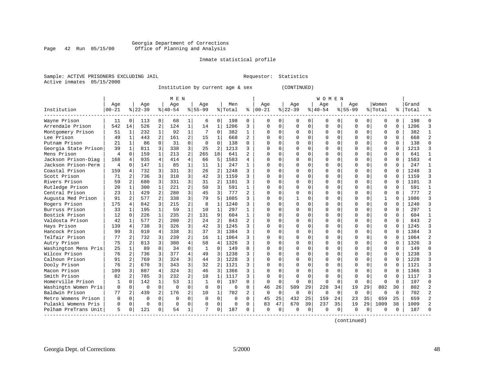#### Georgia Department of Corrections<br>Page 42 Run 05/15/00 office of Planning and Analysis Page 42 Run 05/15/00 Office of Planning and Analysis

#### Inmate statistical profile

|  | Sample: ACTIVE PRISONERS EXCLUDING JAIL |  |
|--|-----------------------------------------|--|
|  | Active inmates 05/15/2000               |  |

L Bample: Activities Requestor: Statistics

Institution by current age & sex (CONTINUED)

|                      |           |                |          |                | M E N    |                |              |                |         |                |              |             |             |             | W O M E N |          |           |          |              |          |       |                |
|----------------------|-----------|----------------|----------|----------------|----------|----------------|--------------|----------------|---------|----------------|--------------|-------------|-------------|-------------|-----------|----------|-----------|----------|--------------|----------|-------|----------------|
|                      | Age       |                | Age      |                | Age      |                | Age          |                | Men     |                | Age          |             | Age         |             | Age       |          | Age       |          | Women        |          | Grand |                |
| Institution          | $00 - 21$ |                | $ 22-39$ |                | $ 40-54$ |                | $8 55-99$    |                | % Total | ి              | $ 00-21$     |             | $8$   22-39 |             | $ 40-54$  |          | $8 55-99$ |          | % Total      | ႜ        | Total |                |
| Wayne Prison         | 11        | $\Omega$       | 113      | $\Omega$       | 68       | 1              | 6            | $\Omega$       | 198     | 0              | $\Omega$     | 0           | O           | $\Omega$    | 0         | O        | n         | $\Omega$ | U            | $\Omega$ | 198   |                |
| Arrendale Prison     | 542       | 14             | 526      | 2              | 124      | $\mathbf{1}$   | 14           | 1              | 1206    | 3              | $\Omega$     | 0           | $\Omega$    | 0           | $\Omega$  | $\Omega$ | $\Omega$  | $\Omega$ | $\Omega$     | $\Omega$ | 1206  |                |
| Montgomery Prison    | 51        | $\mathbf{1}$   | 232      | $\mathbf{1}$   | 92       | $\mathbf{1}$   |              | $\Omega$       | 382     | $\mathbf{1}$   | Ω            | 0           | ∩           | $\Omega$    | $\Omega$  | $\Omega$ | $\Omega$  | $\Omega$ | $\Omega$     | $\Omega$ | 382   |                |
| Lee Prison           | 49        | $\mathbf{1}$   | 443      | 2              | 161      | $\overline{a}$ | 15           | $\mathbf 1$    | 668     | $\overline{a}$ | Ω            | 0           |             | $\Omega$    | $\Omega$  | $\Omega$ |           | $\Omega$ | $\Omega$     | $\Omega$ | 668   |                |
| Putnam Prison        | 21        | $\mathbf{1}$   | 86       | $\Omega$       | 31       | $\Omega$       | $\Omega$     | $\Omega$       | 138     | $\Omega$       | $\Omega$     | 0           |             | $\Omega$    | N         | $\Omega$ | $\Omega$  | $\Omega$ | $\Omega$     | $\Omega$ | 138   | $\cap$         |
| Georgia State Prison | 39        | $\mathbf{1}$   | 811      | 3              | 338      | 3              | 25           | 2              | 1213    | 3              | $\cap$       | 0           |             | $\Omega$    | O         | O        | $\Omega$  | $\Omega$ | $\Omega$     | $\Omega$ | 1213  | κ              |
| Mens Prison          | 4         | $\Omega$       | 159      | $\mathbf{1}$   | 213      | 2              | 265          | 18             | 641     | 2              | $\Omega$     | 0           |             | $\Omega$    | 0         | O        | $\Omega$  | $\Omega$ | $\Omega$     | $\Omega$ | 641   | -1             |
| Jackson Prison-Diag  | 168       | $\overline{4}$ | 935      | 4              | 414      | 4              | 66           | 5              | 1583    | 4              | Λ            | 0           |             | $\Omega$    | 0         | O        |           | 0        | U            | U        | 1583  |                |
| Jackson Prison-Perm  | 4         | U              | 147      | $\mathbf{1}$   | 85       | $\mathbf{1}$   | 11           | $\mathbf{1}$   | 247     | 1              | Λ            | 0           |             | $\Omega$    | U         | U        |           | $\Omega$ | $\Omega$     | $\Omega$ | 247   |                |
| Coastal Prison       | 159       | $\overline{4}$ | 732      | 3              | 331      | 3              | 26           | 2              | 1248    | 3              | Λ            | 0           |             | $\Omega$    | O         | U        | $\Omega$  | $\Omega$ | $\Omega$     | $\Omega$ | 1248  |                |
| Scott Prison         | 71        | $\mathfrak{D}$ | 736      | 3              | 310      | 3              | 42           | 3              | 1159    | ζ              | Λ            | $\Omega$    |             | $\Omega$    | O         | U        | $\Omega$  | $\Omega$ | $\Omega$     | $\Omega$ | 1159  |                |
| Rivers Prison        | 59        | 2              | 680      | 3              | 331      | 3              | 31           | $\overline{2}$ | 1101    | ζ              | Ω            | 0           |             | $\Omega$    | O         | O        |           | $\Omega$ | $\Omega$     | $\Omega$ | 1101  |                |
| Rutledge Prison      | 20        | 1              | 300      | $\mathbf{1}$   | 221      | 2              | 50           | 3              | 591     | $\mathbf{1}$   |              | 0           |             | $\Omega$    | ი         | O        |           | $\Omega$ | $\Omega$     | $\Omega$ | 591   |                |
| Central Prison       | 23        | $\mathbf{1}$   | 429      | 2              | 280      | 3              | 45           | 3              | 777     | $\overline{a}$ | O            | 0           |             | $\Omega$    | O         | O        | $\Omega$  | $\Omega$ | $\Omega$     | $\Omega$ | 777   | $\mathfrak{D}$ |
| Augusta Med Prison   | 91        | 2              | 577      | 2              | 338      | 3              | 79           | 5              | 1085    | ς              | $\cap$       | 0           |             | $\Omega$    | O         | O        | $\Omega$  | $\Omega$ | $\mathbf{1}$ | $\Omega$ | 1086  |                |
| Rogers Prison        | 175       | 4              | 842      | 3              | 215      | 2              | 8            | 1              | 1240    | ς              | ∩            | 0           | $\Omega$    | $\Omega$    | 0         | O        | ∩         | 0        | $\Omega$     | $\Omega$ | 1240  |                |
| Burruss Prison       | 33        |                | 195      |                | 59       | $\mathbf{1}$   | 10           | $\mathbf{1}$   | 297     | 1              | ∩            | 0           |             | $\Omega$    | O         | U        |           | $\Omega$ | $\cap$       | $\cap$   | 297   | $\mathbf{1}$   |
| Bostick Prison       | 12        | $\Omega$       | 226      | $\mathbf{1}$   | 235      | 2              | 131          | 9              | 604     | $\mathbf{1}$   | $\cap$       | 0           |             | $\Omega$    | $\Omega$  | U        | $\Omega$  | $\Omega$ | $\Omega$     | $\cap$   | 604   |                |
| Valdosta Prison      | 42        | 1              | 577      | $\overline{2}$ | 200      | $\mathfrak{D}$ | 24           | $\overline{a}$ | 843     | $\overline{a}$ | $\cap$       | 0           |             | $\Omega$    | $\Omega$  | U        | $\Omega$  | $\Omega$ | $\Omega$     | $\Omega$ | 843   | っ              |
| Hays Prison          | 139       | 4              | 738      | 3              | 326      | 3              | 42           | 3              | 1245    | 3              | <sup>0</sup> | 0           |             | $\Omega$    | O         | $\Omega$ | $\Omega$  | $\Omega$ | $\Omega$     | $\Omega$ | 1245  |                |
| Hancock Prison       | 99        | 3              | 910      | 4              | 338      | 3              | 37           | 3              | 1384    | ς              | Ω            | 0           |             | $\mathbf 0$ | O         | $\Omega$ |           | $\Omega$ | $\Omega$     | $\Omega$ | 1384  |                |
| Telfair Prison       | 77        | 2              | 732      | 3              | 239      | 2              | 16           | $\mathbf 1$    | 1064    | 3              |              | 0           |             | $\Omega$    | N         | O        |           | $\Omega$ | $\Omega$     | $\Omega$ | 1064  |                |
| Autry Prison         | 75        | $\overline{2}$ | 813      | 3              | 380      | 4              | 58           | 4              | 1326    | 3              | U            | 0           |             | $\Omega$    | O         | O        | $\Omega$  | $\Omega$ | $\Omega$     | $\Omega$ | 1326  |                |
| Washington Mens Pris | 25        | $\mathbf{1}$   | 89       | $\Omega$       | 34       | $\Omega$       | $\mathbf{1}$ | $\Omega$       | 149     | U              | U            | 0           |             | $\Omega$    | O         | O        | $\Omega$  | $\Omega$ | 0            | $\Omega$ | 149   | $\cap$         |
| Wilcox Prison        | 76        | 2              | 736      | 3              | 377      | 4              | 49           | 3              | 1238    | ς              | Λ            | 0           |             | $\Omega$    | O         | O        |           | $\Omega$ | $\Omega$     | U        | 1238  |                |
| Calhoun Prison       | 91        | 2              | 769      | 3              | 324      | 3              | 44           | 3              | 1228    | ς              | Λ            | 0           |             | $\Omega$    | ი         | U        |           | $\Omega$ | $\Omega$     | $\cap$   | 1228  |                |
| Dooly Prison         | 76        | $\overline{2}$ | 670      | 3              | 343      | 3              | 32           | $\overline{2}$ | 1121    | ς              | ∩            | 0           | ∩           | $\Omega$    | O         | U        | ∩         | $\Omega$ | $\Omega$     | $\cap$   | 1121  |                |
| Macon Prison         | 109       | 3              | 887      | 4              | 324      | 3              | 46           | 3              | 1366    | 3              | ∩            | 0           |             | $\Omega$    | O         | U        | ∩         | 0        | 0            | $\Omega$ | 1366  |                |
| Smith Prison         | 82        | 2              | 785      | 3              | 232      | 2              | 18           | $\mathbf{1}$   | 1117    | 3              | n            | 0           | $\Omega$    | $\Omega$    | 0         | U        | ∩         | $\Omega$ | $\Omega$     | $\Omega$ | 1117  | κ              |
| Homerville Prison    | 1         | $\Omega$       | 142      | 1              | 53       | $\mathbf{1}$   | 1            | $\Omega$       | 197     | 0              | $\Omega$     | $\mathbf 0$ | $\Omega$    | $\Omega$    | $\Omega$  | $\Omega$ | $\Omega$  | $\Omega$ | $\Omega$     | $\Omega$ | 197   | U              |
| Washingtn Women Pris | 0         | 0              | $\Omega$ | $\Omega$       | $\Omega$ | $\Omega$       | $\Omega$     | $\Omega$       | 0       | $\Omega$       | 46           | 26          | 509         | 29          | 228       | 34       | 19        | 29       | 802          | 30       | 802   |                |
| Baldwin Prison       | 77        | 2              | 439      | 2              | 176      | 2              | 10           | 1              | 702     | $\overline{a}$ | $\Omega$     | $\mathbf 0$ | $\mathbf 0$ | $\Omega$    | $\Omega$  | $\Omega$ | $\Omega$  | $\Omega$ | $\Omega$     | $\Omega$ | 702   | $\mathcal{D}$  |
| Metro Womens Prison  | 0         | 0              | $\Omega$ | $\Omega$       | $\Omega$ | 0              | $\Omega$     | $\Omega$       | 0       | $\Omega$       | 45           | 25          | 432         | 25          | 159       | 24       | 23        | 35       | 659          | 25       | 659   |                |
| Pulaski Womens Pris  | 0         | 0              | $\Omega$ | $\Omega$       | $\Omega$ | 0              | n            | 0              | 0       | U              | 83           | 47          | 670         | 39          | 237       | 35       | 19        | 29       | 1009         | 38       | 1009  |                |
| Pelham PreTrans Unit | 5         | 0              | 121      | $\Omega$       | 54       | 1              | 7            | 0              | 187     | O              | $\Omega$     | $\mathbf 0$ | O           | 0           | 0         | 0        | ∩         | 0        | O            | 0        | 187   |                |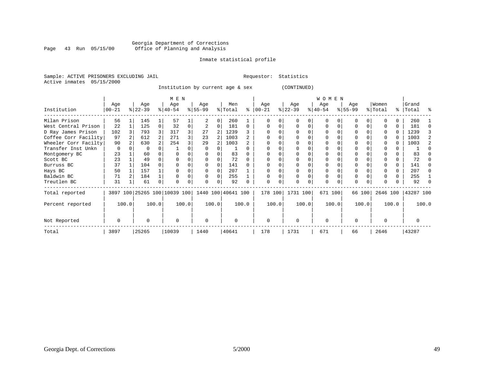#### Georgia Department of Corrections<br>Page 43 Run 05/15/00 Office of Planning and Analysis Page 43 Run 05/15/00 Office of Planning and Analysis

#### Inmate statistical profile

|  | Sample: ACTIVE PRISONERS EXCLUDING JAII |  |
|--|-----------------------------------------|--|
|  | Active inmates 05/15/2000               |  |

L<br>
Requestor: Statistics

Institution by current age & sex (CONTINUED)

|                      |          |       |           |                | M E N                   |       |           |       |                    |              |            |       |           |       | <b>WOMEN</b> |          |           |        |          |       |           |       |
|----------------------|----------|-------|-----------|----------------|-------------------------|-------|-----------|-------|--------------------|--------------|------------|-------|-----------|-------|--------------|----------|-----------|--------|----------|-------|-----------|-------|
|                      | Age      |       | Age       |                | Age                     |       | Age       |       | Men                |              | Age        |       | Age       |       | Age          |          | Age       |        | Women    |       | Grand     |       |
| Institution          | $ 00-21$ |       | $ 22-39 $ |                | $ 40-54 $               |       | $ 55-99 $ |       | % Total            | ⊱            | $ 00 - 21$ |       | $ 22-39 $ |       | $ 40-54 $    |          | $ 55-99 $ |        | % Total  |       | %   Total | ႜ     |
| Milan Prison         | 56       |       | 145       |                | 57                      |       |           | 0     | 260                |              |            |       |           |       |              |          |           |        |          |       | 260       |       |
| West Central Prison  | 22       |       | 125       | 0              | 32                      | 0     | 2         | 0     | 181                | $\Omega$     |            |       |           | 0     | $\Omega$     | $\Omega$ |           |        | $\Omega$ | 0     | 181       |       |
| D Ray James Prison   | 102      |       | 793       |                | 317                     | 3     | 27        | 2     | 1239               |              |            |       |           |       |              |          |           |        | $\Omega$ | 0     | 1239      |       |
| Coffee Corr Facility | 97       |       | 612       | $\overline{2}$ | 271                     | 3     | 23        |       | 1003               | $\mathbf{2}$ |            |       |           |       |              |          |           |        | $\Omega$ |       | 1003      |       |
| Wheeler Corr Facilty | 90       |       | 630       |                | 254                     |       | 29        |       | 1003               |              |            |       |           |       |              |          |           |        | $\Omega$ |       | 1003      |       |
| Transfer Inst Unkn   | 0        |       |           |                |                         |       | $\Omega$  |       |                    | 0            |            |       |           |       |              |          |           |        |          |       |           |       |
| Montgomery BC        | 23       |       | 60        |                |                         |       | 0         |       | 83                 |              |            |       |           |       |              |          |           |        |          |       | 83        |       |
| Scott BC             | 23       |       | 49        |                |                         |       |           |       | 72                 |              |            |       |           |       |              |          |           |        |          |       | 72        |       |
| Burruss BC           | 37       |       | 104       |                |                         |       | $\Omega$  | 0     | 141                |              |            |       |           |       |              |          |           |        |          | 0     | 141       |       |
| Hays BC              | 50       |       | 157       |                |                         |       | $\Omega$  | 0     | 207                |              |            |       |           |       |              |          |           |        |          | 0     | 207       |       |
| Baldwin BC           | 71       |       | 184       |                |                         |       | $\Omega$  | 0     | 255                |              |            |       |           |       |              |          | 0         |        |          | 0     | 255       |       |
| Treutlen BC          | 31       |       | 61        | 0              |                         |       | U         | 0     | 92                 |              | $\cap$     |       |           |       |              |          | $\Omega$  |        |          |       | 92        |       |
| Total reported       | 3897     |       |           |                | 100 25265 100 10039 100 |       |           |       | 1440 100 40641 100 |              | 178 100    |       | 1731 100  |       | 671 100      |          |           | 66 100 | 2646 100 |       | 43287 100 |       |
| Percent reported     |          | 100.0 |           | 100.0          |                         | 100.0 |           | 100.0 |                    | 100.0        |            | 100.0 |           | 100.0 |              | 100.0    |           | 100.0  |          | 100.0 |           | 100.0 |
| Not Reported         | O        |       | U         |                | $\Omega$                |       | 0         |       | $\Omega$           |              | $\Omega$   |       | $\Omega$  |       | $\Omega$     |          | O         |        | $\Omega$ |       |           |       |
| Total                | 3897     |       | 25265     |                | 10039                   |       | 1440      |       | 40641              |              | 178        |       | 1731      |       | 671          |          | 66        |        | 2646     |       | 43287     |       |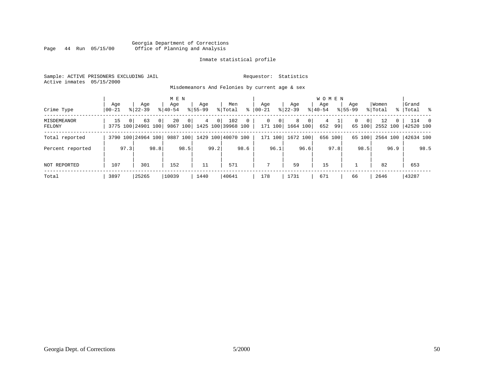#### Georgia Department of Corrections<br>Page 44 Run 05/15/00 office of Planning and Analysis Office of Planning and Analysis

#### Inmate statistical profile

Sample: ACTIVE PRISONERS EXCLUDING JAIL **Requestor:** Statistics Active inmates 05/15/2000

Misdemeanors And Felonies by current age & sex

| Crime Type            | Age<br>$00 - 21$ | Age<br>$8122 - 39$                   | M E N<br>Aqe<br>$8140 - 54$                  | Aqe<br>$8155 - 99$  | Men<br>ႜ<br>% Total                       | Aqe<br>$00 - 21$               | Aqe<br>$8 22-39$                | <b>WOMEN</b><br>Aqe<br>$ 40-54 $ | Aqe<br>$8155 - 99$ | Women<br>% Total           | Grand<br>%   Total %                |
|-----------------------|------------------|--------------------------------------|----------------------------------------------|---------------------|-------------------------------------------|--------------------------------|---------------------------------|----------------------------------|--------------------|----------------------------|-------------------------------------|
| MISDEMEANOR<br>FELONY | 15               | 63<br>$\Omega$<br>3775 100 24901 100 | 20<br>$\Omega$<br>$\overline{0}$<br>9867 100 | 4<br>0 <sup>1</sup> | 102<br>$\mathbf{0}$<br>1425 100 39968 100 | 0 <sup>1</sup><br>0<br>171 100 | 8<br>0 <sup>1</sup><br>1664 100 | 4<br>652<br>99                   | 0<br>0<br>65 100   | 12<br>$\Omega$<br>2552 100 | 114<br>$\overline{0}$<br> 42520 100 |
| Total reported        |                  | 3790 100 24964 100                   | 100<br>9887                                  |                     | 1429 100 40070 100                        | 171 100                        | 1672 100                        | 656 100                          | 65 100             | 2564 100                   | 42634 100                           |
| Percent reported      | 97.3             | 98.8                                 | 98.5                                         | 99.2                | 98.6                                      | 96.1                           | 96.6                            | 97.8                             | 98.5               | 96.9                       | 98.5                                |
| <b>NOT REPORTED</b>   | 107              | 301                                  | 152                                          | 11                  | 571                                       | 7                              | 59                              | 15                               |                    | 82                         | 653                                 |
| Total                 | 3897             | 25265                                | 10039                                        | 1440                | 40641                                     | 178                            | 1731                            | 671                              | 66                 | 2646                       | 43287                               |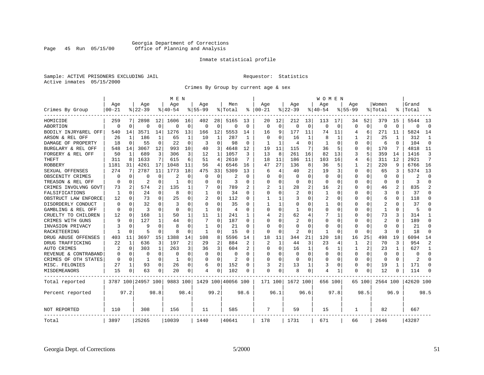#### Georgia Department of Corrections<br>Page 45 Run 05/15/00 office of Planning and Analysis Office of Planning and Analysis

#### Inmate statistical profile

Sample: ACTIVE PRISONERS EXCLUDING JAIL **Requestor:** Statistics Active inmates 05/15/2000

Crimes By Group by current age & sex

|                      |           |             |                    |              | M E N       |          |              |              |                    |                |          |          |                |      | <b>WOMEN</b> |          |             |                |                |              |           |                |
|----------------------|-----------|-------------|--------------------|--------------|-------------|----------|--------------|--------------|--------------------|----------------|----------|----------|----------------|------|--------------|----------|-------------|----------------|----------------|--------------|-----------|----------------|
|                      | Age       |             | Age                |              | Age         |          | Age          |              | Men                |                | Age      |          | Age            |      | Age          |          | Age         |                | Women          |              | Grand     |                |
| Crimes By Group      | $00 - 21$ |             | $8 22-39$          |              | $8140 - 54$ |          | $8155 - 99$  |              | % Total            | ႜ              | $ 00-21$ |          | $8$   22-39    |      | $ 40-54$     |          | $8155 - 99$ |                | % Total        |              | Total     | °              |
| HOMICIDE             | 259       | 7           | 2898               | 12           | 1606        | 16       | 402          | 28           | 5165               | 13             | 20       | 12       | 212            | 13   | 113          | 17       | 34          | 52             | 379            | 15           | 5544      | 13             |
| ABORTION             | $\Omega$  | 0           | $\Omega$           | 0            | $\Omega$    | 0        | 0            | 0            | $\Omega$           | $\Omega$       | $\Omega$ | $\Omega$ | $\mathbf 0$    | 0    | $\Omega$     | 0        | $\Omega$    | $\overline{0}$ | $\Omega$       | $\Omega$     | $\Omega$  | $\mathbf 0$    |
| BODILY INJRY&REL OFF | 540       | 14          | 3571               | 14           | 1276        | 13       | 166          | 12           | 5553               | 14             | 16       | 9        | 177            | 11   | 74           | 11       | 4           | 6              | 271            | 11           | 5824      | 14             |
| ARSON & REL OFF      | 26        | 1           | 186                | 1            | 65          | 1        | 10           | 1            | 287                |                | $\Omega$ | $\Omega$ | 16             |      | 8            | 1        |             | 2              | 25             |              | 312       | 1              |
| DAMAGE OF PROPERTY   | 18        | $\Omega$    | 55                 | 0            | 22          | O        | 3            | 0            | 98                 | $\Omega$       | 1        |          | 4              | U    |              | $\Omega$ | O           | $\Omega$       | 6              | $\Omega$     | 104       | $\Omega$       |
| BURGLARY & REL OFF   | 548       | 14          | 3067               | 12           | 993         | 10       | 40           | 3            | 4648               | 12             | 19       | 11       | 115            | 7    | 36           | 5        | 0           | $\Omega$       | 170            | 7            | 4818      | 11             |
| FORGERY & REL OFF    | 50        | 1           | 689                | 3            | 306         | 3        | 12           | $\mathbf{1}$ | 1057               | ζ              | 13       | 8        | 261            | 16   | 82           | 13       | 3           | 5              | 359            | 14           | 1416      | 3              |
| THEFT                | 311       | 8           | 1633               | 7            | 615         | 6        | 51           | 4            | 2610               | 7              | 18       | 11       | 186            | 11   | 103          | 16       | 4           | 6              | 311            | 12           | 2921      | 7              |
| ROBBERY              | 1181      | 31          | 4261               | 17           | 1048        | 11       | 56           | 4            | 6546               | 16             | 47       | 27       | 136            | 8    | 36           | 5        |             | 2              | 220            | 9            | 6766      | 16             |
| SEXUAL OFFENSES      | 274       | 7           | 2787               | 11           | 1773        | 18       | 475          | 33           | 5309               | 13             | 6        | 4        | 40             | 2    | 19           | 3        | C           | $\Omega$       | 65             | 3            | 5374      | 13             |
| OBSCENITY CRIMES     | O         | $\Omega$    | U                  | 0            | 2           | O        | U            | 0            | 2                  | $\Omega$       | O        | $\Omega$ | $\Omega$       | U    | O            | $\Omega$ | U           | $\Omega$       | $\Omega$       | $\Omega$     | 2         | $\Omega$       |
| TREASON & REL OFF    | O         | $\Omega$    | 2                  | 0            | -1          | 0        | U            | $\Omega$     | २                  | O              | O        | $\Omega$ | 0              | 0    | O            | $\Omega$ | 0           | $\Omega$       | $\Omega$       | 0            | 3         | $\Omega$       |
| CRIMES INVOLVNG GOVT | 73        | 2           | 574                | 2            | 135         | 1        |              | $\Omega$     | 789                |                |          |          | 28             | 2    | 16           | 2        | Ω           | $\Omega$       | 46             | 2            | 835       | $\overline{a}$ |
| FALSIFICATIONS       | 1         | $\Omega$    | 24                 | 0            | 8           | 0        | $\mathbf{1}$ | 0            | 34                 | O              | $\Omega$ | $\Omega$ | $\overline{2}$ | 0    | 1            | $\Omega$ | C           | 0              | 3              | 0            | 37        | $\Omega$       |
| OBSTRUCT LAW ENFORCE | 12        | $\Omega$    | 73                 | 0            | 25          | 0        | 2            | $\Omega$     | 112                |                |          |          | 3              | 0    | 2            | $\Omega$ | C           | 0              | 6              |              | 118       | $\Omega$       |
| DISORDERLY CONDUCT   | $\Omega$  | $\Omega$    | 32                 | U            | 3           | O        | U            | O            | 35                 | U              |          |          | n              | U    |              | $\Omega$ | Ω           | $\Omega$       |                | $\Omega$     | 37        | U              |
| GAMBLING & REL OFF   | $\Omega$  | $\Omega$    | 3                  | 0            | $\Omega$    | 0        | -1           | 0            | 4                  | U              | $\Omega$ | $\Omega$ | -1             | U    | O            | $\Omega$ | C           | $\Omega$       | 1              | <sup>0</sup> | 5         | U              |
| CRUELTY TO CHILDREN  | 12        | 0           | 168                | $\mathbf 1$  | 50          | 1        | 11           | 1            | 241                |                |          | 2        | 62             | 4    |              | 1        | C           | $\Omega$       | 73             | 3            | 314       | 1              |
| CRIMES WITH GUNS     | 9         | $\Omega$    | 127                | $\mathbf{1}$ | 44          | $\Omega$ | 7            | $\Omega$     | 187                | O              | $\Omega$ | $\Omega$ | $\overline{2}$ | 0    | $\Omega$     | $\Omega$ | C           | $\Omega$       | $\overline{2}$ | $\Omega$     | 189       | $\Omega$       |
| INVASION PRIVACY     |           | $\Omega$    | 9                  | U            | 8           | O        | -1           | 0            | 21                 | O              | O        | O        | 0              | 0    | O            | $\Omega$ | C           | 0              | $\Omega$       | 0            | 21        | $\Omega$       |
| RACKETEERING         |           | $\mathbf 0$ | 5                  | $\Omega$     |             | O        | 1            | 0            | 15                 | O              | $\Omega$ | $\Omega$ | $\overline{2}$ | 0    | 1            | $\Omega$ | C           | $\Omega$       | 3              | ∩            | 18        | $\Omega$       |
| DRUG ABUSE OFFENSES  | 403       | 11          | 3697               | 15           | 1388        | 14       | 108          | 8            | 5596               | 14             | 18       | 11       | 344            | 21   | 120          | 18       | 16          | 25             | 498            | 19           | 6094      | 14             |
| DRUG TRAFFICKING     | 22        | 1           | 636                | 3            | 197         | 2        | 29           | 2            | 884                | $\overline{c}$ | 2        | 1        | 44             | 3    | 23           | 4        |             | 2              | 70             | 3            | 954       | 2              |
| AUTO CRIMES          | 2         | $\mathbf 0$ | 303                | $\mathbf{1}$ | 263         | 3        | 36           | 3            | 604                |                | $\Omega$ | $\Omega$ | 16             | 1    | 6            | 1        |             | 2              | 23             | 1            | 627       | $\mathbf{1}$   |
| REVENUE & CONTRABAND | 0         | 0           | 0                  | 0            | $\Omega$    | 0        | $\Omega$     | 0            | 0                  | U              | $\Omega$ | $\Omega$ | 0              | 0    | O            | 0        | 0           | 0              | 0              | $\Omega$     | $\Omega$  | $\mathbf 0$    |
| CRIMES OF OTH STATES | 0         | 0           | 1                  | 0            | 1           | 0        | U            | 0            | 2                  | O              | $\Omega$ | $\Omega$ | $\Omega$       | 0    | $\Omega$     | $\Omega$ | 0           | 0              | $\Omega$       | $\Omega$     | 2         | $\Omega$       |
| MISC. FELONIES       | 27        | 1           | 93                 | 0            | 26          | 0        | 6            | 0            | 152                | $\Omega$       | 3        |          | 13             |      | 3            | $\Omega$ | 0           | $\Omega$       | 19             | 1            | 171       | $\cap$         |
| MISDEMEANORS         | 15        | $\Omega$    | 63                 | 0            | 20          | 0        | 4            | 0            | 102                | O              | $\Omega$ | $\Omega$ | 8              | 0    |              | 1        | 0           | 0              | 12             | $\Omega$     | 114       | ∩              |
| Total reported       |           |             | 3787 100 24957 100 |              | 9883 100    |          |              |              | 1429 100 40056 100 |                | 171 100  |          | 1672 100       |      | 656 100      |          |             | 65 100         | 2564 100       |              | 42620 100 |                |
| Percent reported     |           | 97.2        |                    | 98.8         |             | 98.4     |              | 99.2         |                    | 98.6           |          | 96.1     |                | 96.6 |              | 97.8     |             | 98.5           |                | 96.9         |           | 98.5           |
| NOT REPORTED         | 110       |             | 308                |              | 156         |          | 11           |              | 585                |                | 7        |          | 59             |      | 15           |          | 1           |                | 82             |              | 667       |                |
| Total                | 3897      |             | 25265              |              | 10039       |          | 1440         |              | 40641              |                | 178      |          | 1731           |      | 671          |          | 66          |                | 2646           |              | 43287     |                |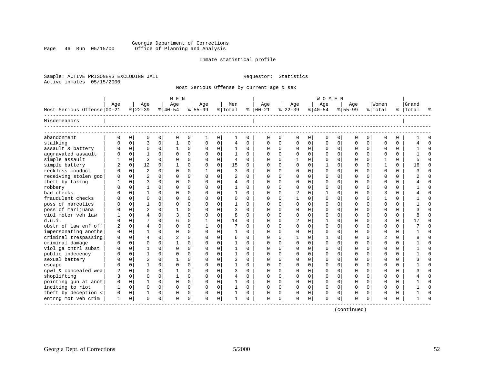#### Georgia Department of Corrections<br>Page 46 Run 05/15/00 office of Planning and Analysis Office of Planning and Analysis

#### Inmate statistical profile

Sample: ACTIVE PRISONERS EXCLUDING JAIL **Requestor:** Statistics Active inmates 05/15/2000

Most Serious Offense by current age & sex

|                            |          |             |                |              | M E N     |          |           |             |                |          |            |          |                |          | <b>WOMEN</b> |             |             |             |                |          |           |             |
|----------------------------|----------|-------------|----------------|--------------|-----------|----------|-----------|-------------|----------------|----------|------------|----------|----------------|----------|--------------|-------------|-------------|-------------|----------------|----------|-----------|-------------|
|                            | Aqe      |             | Age            |              | Aqe       |          | Age       |             | Men            |          | Age        |          | Age            |          | Aqe          |             | Age         |             | Women          |          | Grand     |             |
| Most Serious Offense 00-21 |          |             | $ 22-39 $      |              | $ 40-54 $ |          | $8 55-99$ |             | % Total        |          | $% 100-21$ |          | $ 22-39 $      |          | $ 40-54 $    |             | $8155 - 99$ |             | % Total        |          | %   Total |             |
| Misdemeanors               |          |             |                |              |           |          |           |             |                |          |            |          |                |          |              |             |             |             |                |          |           |             |
| abandonment                | 0        | 0           | 0              | 0            | 0         | 0        | 1         | 0           |                | 0        | 0          | $\Omega$ | 0              | 0        | 0            | 0           | 0           | 0           | $\Omega$       | $\Omega$ |           |             |
| stalking                   |          | $\Omega$    | 3              | 0            |           | 0        | O         | 0           | 4              | $\Omega$ |            | $\Omega$ | $\Omega$       | $\Omega$ |              | $\mathbf 0$ | 0           | $\mathbf 0$ | $\Omega$       | $\Omega$ |           | $\Omega$    |
| assault & battery          |          | $\Omega$    | $\Omega$       | $\Omega$     |           | $\Omega$ |           | 0           |                | $\Omega$ |            | $\Omega$ | $\mathbf 0$    | $\Omega$ |              | $\mathbf 0$ | $\Omega$    | $\Omega$    | $\Omega$       | $\Omega$ |           | $\Omega$    |
| aggravated assault         |          | 0           |                | $\Omega$     | $\Omega$  | 0        |           | $\mathbf 0$ |                | $\Omega$ |            | $\Omega$ | $\mathbf 0$    | $\Omega$ |              | $\Omega$    | U           | $\Omega$    | $\Omega$       | $\Omega$ |           | $\Omega$    |
| simple assault             |          | $\Omega$    | 3              | $\Omega$     | $\Omega$  | $\Omega$ |           | $\mathbf 0$ | 4              | $\Omega$ |            | $\Omega$ |                | $\Omega$ |              | $\Omega$    | U           | $\Omega$    |                | $\Omega$ |           | $\Omega$    |
| simple battery             | 2        | $\Omega$    | 12             | 0            |           | 0        |           | $\Omega$    | 15             | $\Omega$ |            | $\Omega$ | 0              | $\Omega$ |              | $\Omega$    | U           | $\Omega$    |                | $\Omega$ | 16        | $\Omega$    |
| reckless conduct           |          | $\mathbf 0$ | $\overline{c}$ | $\Omega$     | $\Omega$  | $\Omega$ |           | $\mathbf 0$ | 3              | $\Omega$ |            | $\Omega$ | $\Omega$       | $\Omega$ |              | $\Omega$    | O           | $\Omega$    | $\Omega$       | $\Omega$ |           | $\Omega$    |
| receiving stolen goo       |          | $\Omega$    | $\overline{a}$ | $\Omega$     | $\Omega$  | $\Omega$ |           | $\mathbf 0$ | $\overline{a}$ | $\Omega$ |            | $\Omega$ | $\Omega$       | $\Omega$ |              | $\Omega$    | 0           | $\Omega$    | $\Omega$       | $\Omega$ |           | $\Omega$    |
| theft by taking            |          | $\Omega$    | 3              | $\Omega$     | O         | 0        |           | $\mathbf 0$ | 4              | $\Omega$ |            | $\Omega$ | $\Omega$       | $\Omega$ |              | $\Omega$    | U           | $\Omega$    | $\Omega$       | $\Omega$ |           | $\Omega$    |
| robbery                    |          | 0           |                | $\Omega$     | 0         | $\Omega$ |           | 0           |                | $\Omega$ |            | $\Omega$ | $\Omega$       | $\Omega$ |              | $\Omega$    | 0           | $\Omega$    | $\Omega$       | $\Omega$ |           | $\Omega$    |
| bad checks                 |          | O           |                | $\Omega$     | O         | 0        |           | $\mathbf 0$ |                | $\Omega$ | U          | $\Omega$ | $\overline{2}$ | $\Omega$ |              | $\Omega$    | U           | $\Omega$    | 3              | $\Omega$ |           | $\Omega$    |
| fraudulent checks          |          | $\Omega$    | $\Omega$       | $\Omega$     | O         | $\Omega$ |           | $\Omega$    | $\Omega$       | $\Omega$ | $\Omega$   | $\Omega$ | $\mathbf{1}$   | $\Omega$ |              | $\Omega$    | O           | $\Omega$    |                | $\Omega$ |           | $\Omega$    |
| poss of narcotics          |          | $\Omega$    |                | $\Omega$     | $\Omega$  | $\Omega$ |           | 0           |                | $\Omega$ |            | $\Omega$ | $\Omega$       | $\Omega$ |              | $\Omega$    | 0           | $\Omega$    | $\Omega$       | $\Omega$ |           | $\Omega$    |
| poss of marijuana          |          | $\Omega$    | $\overline{a}$ | $\Omega$     |           | 0        |           | $\mathbf 0$ | 3              | $\Omega$ |            | $\Omega$ | O              | $\Omega$ |              | $\Omega$    | U           | $\Omega$    | ∩              | $\Omega$ |           | $\Omega$    |
| viol motor veh law         |          | 0           |                | $\Omega$     | 3         | $\Omega$ |           | 0           | 8              | $\Omega$ |            | $\Omega$ | $\Omega$       | $\Omega$ |              | $\Omega$    | U           | $\Omega$    | ∩              | $\Omega$ |           | $\Omega$    |
| d.u.i.                     |          | $\Omega$    |                | <sup>0</sup> | 6         | 0        |           | $\mathbf 0$ | 14             | $\Omega$ |            | 0        | 2              | $\Omega$ |              | $\Omega$    | U           | 0           | 3              | $\Omega$ | 17        | $\Omega$    |
| obstr of law enf off       | 2        | $\Omega$    | 4              | $\Omega$     | $\Omega$  | $\Omega$ |           | $\Omega$    | 7              | $\Omega$ | $\Omega$   | $\Omega$ | O              | $\Omega$ |              | $\Omega$    | U           | $\Omega$    | ∩              | $\Omega$ |           | $\Omega$    |
| impersonating anothe       | 0        | $\Omega$    | 1              | $\Omega$     | n         | 0        | U         | 0           | 1              | $\Omega$ | ∩          | 0        | U              | 0        | ∩            | $\Omega$    | O           | $\Omega$    | ∩              | $\Omega$ |           | $\Omega$    |
| criminal trespassing       | U        | $\Omega$    |                | $\Omega$     | 2         | 0        |           | $\mathbf 0$ | 6              | $\Omega$ |            | 0        |                | U        |              | $\Omega$    | U           | $\Omega$    | $\overline{2}$ | $\Omega$ |           | $\Omega$    |
| criminal damage            | U        | $\Omega$    | $\Omega$       | $\Omega$     |           | $\Omega$ |           | 0           | $\mathbf{1}$   | $\Omega$ |            | $\Omega$ | O              | $\Omega$ |              | $\Omega$    | U           | $\Omega$    | ∩              | $\Omega$ |           | $\Omega$    |
| viol ga cntrl subst        | U        | $\Omega$    |                | $\Omega$     | n         | 0        | U         | 0           | $\mathbf{1}$   | $\Omega$ | U          | 0        | U              | 0        | ∩            | $\Omega$    | U           | $\Omega$    | ∩              | $\Omega$ |           | $\Omega$    |
| public indecency           | N        | $\Omega$    | 1              | $\Omega$     | O         | 0        | U         | $\mathbf 0$ | -1             | $\Omega$ | ∩          | 0        | U              | $\Omega$ |              | $\Omega$    | U           | $\Omega$    | ∩              | $\Omega$ |           | $\Omega$    |
| sexual battery             |          | O           | $\overline{a}$ | $\Omega$     |           | 0        | ∩         | 0           | 3              | $\Omega$ | ∩          | 0        | U              | 0        |              | $\Omega$    | U           | $\Omega$    | ∩              | $\Omega$ |           | $\Omega$    |
| escape                     | U        | O           |                | $\Omega$     | O         | 0        | U         | $\mathbf 0$ |                | $\Omega$ | ∩          | 0        | O              | $\Omega$ |              | $\Omega$    | U           | $\Omega$    | ∩              | $\Omega$ |           | $\Omega$    |
| cpwl & concealed wea       | 2        | $\Omega$    | U              | $\Omega$     |           | 0        | U         | 0           | 3              | $\Omega$ | ∩          | $\Omega$ | O              | $\Omega$ |              | $\Omega$    | Ω           | $\Omega$    | $\Omega$       | $\Omega$ |           | $\Omega$    |
| shoplifting                | 3        | 0           | U              | $\Omega$     |           | 0        | U         | 0           | 4              | $\Omega$ | ∩          | 0        | O              | 0        |              | $\Omega$    | U           | $\Omega$    | ∩              | 0        |           | $\mathbf 0$ |
| pointing gun at anot       | U        | $\mathbf 0$ |                | $\Omega$     | O         | 0        | O         | $\mathbf 0$ |                | $\Omega$ | U          | 0        | O              | $\Omega$ | O            | $\Omega$    | O           | $\Omega$    | $\Omega$       | $\Omega$ |           | $\Omega$    |
| inciting to riot           |          | 0           | O              | $\Omega$     | O         | 0        | U         | $\mathbf 0$ |                | 0        |            | 0        | O              | 0        | ∩            | $\Omega$    | O           | $\Omega$    | ∩              | 0        |           | $\Omega$    |
| theft by deception <       | $\Omega$ | 0           |                | $\Omega$     | O         | 0        | O         | 0           |                | 0        | O          | 0        | O              | 0        |              | 0           | O           | 0           | $\Omega$       | $\Omega$ |           | $\Omega$    |
| entrng mot veh crim        | 1        | $\mathbf 0$ | $\Omega$       | 0            | $\Omega$  | 0        | $\Omega$  | 0           |                | $\Omega$ | $\Omega$   | $\Omega$ | U              | 0        | <sup>0</sup> | $\Omega$    | 0           | $\Omega$    | ∩              | $\Omega$ |           | $\Omega$    |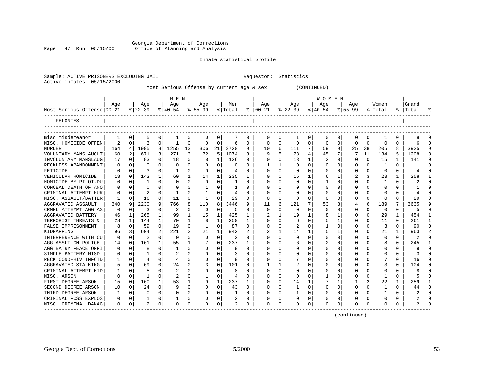#### Georgia Department of Corrections Page 47 Run 05/15/00 Office of Planning and Analysis

Active inmates 05/15/2000

Inmate statistical profile

Sample: ACTIVE PRISONERS EXCLUDING JAIL **Requestor:** Statistics

|                              |                |          |                |                |           |              |              |                | Most Serious Offense by current age & sex |              |                |              |              |              | (CONTINUED)  |          |          |                |          |           |                           |              |
|------------------------------|----------------|----------|----------------|----------------|-----------|--------------|--------------|----------------|-------------------------------------------|--------------|----------------|--------------|--------------|--------------|--------------|----------|----------|----------------|----------|-----------|---------------------------|--------------|
|                              |                |          |                |                | MEN       |              |              |                |                                           |              |                |              |              |              | W O M E N    |          |          |                |          |           |                           |              |
|                              | Age            |          | Aqe            |                | Aqe       |              | Age          |                | Men                                       |              | Aqe            |              | Age          |              | Aqe          |          | Aqe      |                | Women    |           | Grand                     |              |
| Most Serious Offense   00-21 |                |          | $ 22-39 $      |                | $ 40-54 $ |              | $8 55-99$    |                | % Total                                   |              | $8   00 - 21$  |              | $ 22-39 $    |              | $8 40-54$    |          | $ 55-99$ |                | % Total  | $\approx$ | Total                     |              |
| FELONIES                     |                |          |                |                |           |              |              |                |                                           |              |                |              |              |              |              |          |          |                |          |           |                           |              |
|                              |                |          |                |                |           |              |              |                |                                           |              |                |              |              |              |              |          |          |                |          |           |                           |              |
| misc misdemeanor             | 1              | $\Omega$ | 5              | 0              | 1         | 0            | 0            | 0              | 7                                         | 0            | 0              | 0            | 1            | 0            | 0            | 0        | 0        | 0              |          | $\Omega$  |                           |              |
| MISC. HOMICIDE OFFEN         | $\overline{2}$ | $\Omega$ | 3              | 0              | 1         | $\Omega$     | $\Omega$     | $\Omega$       | 6                                         | $\Omega$     | $\Omega$       | $\Omega$     | $\Omega$     | $\Omega$     | $\Omega$     | $\Omega$ | 0        | $\Omega$       | $\Omega$ | $\Omega$  | 6                         | $\cap$       |
| <b>MURDER</b>                | 164            | 4        | 1995           | 8              | 1255      | 13           | 306          | 21             | 3720                                      | 9            | 10             | 6            | 111          | 7            | 59           | 9        | 25       | 38             | 205      | 8         | 3925                      |              |
| VOLUNTARY MANSLAUGHT         | 60             | 2        | 671            | $\overline{3}$ | 271       | 3            | 72           | 5 <sup>1</sup> | 1074                                      | 3            | 9              | 5            | 73           | 4            | 45           | 7        | 7        | 11             | 134      | 5         | 1208                      |              |
| INVOLUNTARY MANSLAUG         | 17             | $\Omega$ | 83             | 0              | 18        | $\Omega$     | 8            | 1              | 126                                       | $\Omega$     | $\Omega$       | $\Omega$     | 13           | $\mathbf{1}$ | 2            | $\Omega$ | $\Omega$ | $\Omega$       | 15       | 1         | 141                       | n            |
| RECKLESS ABANDONMENT         | 0              | 0        | $\Omega$       | 0              | $\Omega$  | $\Omega$     | 0            | 0              | $\Omega$                                  | 0            |                | 1            | 0            | $\Omega$     | $\Omega$     | $\Omega$ | C        | 0              |          | $\Omega$  | -1                        | ∩            |
| FETICIDE                     | $\Omega$       | $\Omega$ | 3              | $\Omega$       | -1        | $\Omega$     | $\Omega$     | $\Omega$       | $\overline{4}$                            | $\Omega$     | $\Omega$       | $\Omega$     | $\Omega$     | $\Omega$     | $\Omega$     | $\Omega$ | U        | $\Omega$       | $\Omega$ | $\Omega$  | $\overline{4}$            |              |
| VEHICULAR HOMICIDE           | 18             | $\Omega$ | 143            | 1              | 60        | $\mathbf{1}$ | 14           | 1              | 235                                       | 1            | $\Omega$       | $\Omega$     | 15           | $\mathbf{1}$ | 6            |          | 2        | 3              | 23       | 1         | 258                       |              |
| HOMICIDE BY PILOT, DU        | 0              | $\Omega$ | 1              | $\Omega$       | $\Omega$  | $\Omega$     | $\Omega$     | $\Omega$       | 1                                         | $\Omega$     | $\Omega$       | $\Omega$     | $\Omega$     | $\Omega$     |              | $\Omega$ | $\Omega$ | $\Omega$       |          | $\Omega$  | $\overline{a}$            | $\Omega$     |
| CONCEAL DEATH OF ANO         | 0              | $\Omega$ | 0              | $\Omega$       | $\Omega$  | $\Omega$     | 1            | $\Omega$       | 1                                         | $\Omega$     | $\Omega$       | $\Omega$     | 0            | $\Omega$     | $\Omega$     | $\Omega$ | C        | $\Omega$       | $\Omega$ | $\Omega$  | $\mathbf{1}$              | $\cap$       |
| CRIMINAL ATTEMPT MUR         | $\Omega$       | $\Omega$ | 2              | $\Omega$       | 1         | $\Omega$     | $\mathbf{1}$ | 0              | 4                                         | $\Omega$     | $\Omega$       | $\Omega$     | $\Omega$     | $\Omega$     | $\Omega$     | $\Omega$ | U        | $\Omega$       | $\Omega$ | $\Omega$  | 4                         | $\Omega$     |
| MISC. ASSAULT/BATTER         | 1              | $\Omega$ | 16             | 0              | 11        | $\Omega$     | 1            | 0              | 29                                        | 0            | $\Omega$       | $\Omega$     | $\Omega$     | $\Omega$     | $\Omega$     | $\Omega$ | O        | 0              | O        | $\Omega$  | 29                        |              |
| AGGRAVATED ASSAULT           | 340            | 9        | 2230           | 9              | 766       | 8            | 110          | 8              | 3446                                      | 9            | 11             | 6            | 121          |              | 53           |          |          | 6              | 189      | 7         | 3635                      |              |
| CRMNL ATTEMPT AGG AS         | $\Omega$       | $\Omega$ | 3              | $\Omega$       | 2         | $\Omega$     | $\Omega$     | 0              | 5                                         | 0            | $\Omega$       | $\Omega$     | ∩            | $\Omega$     | $\Omega$     | ∩        | C        | $\Omega$       | $\Omega$ | $\Omega$  | 5                         |              |
| AGGRAVATED BATTERY           | 46             | 1        | 265            | 1              | 99        | 1            | 15           | 1              | 425                                       | 1            | 2              | $\mathbf{1}$ | 19           | $\mathbf{1}$ | 8            |          | $\Omega$ | 0              | 29       | 1         | 454                       |              |
| TERRORIST THREATS &          | 28             |          | 144            | $\mathbf{1}$   | 70        | $\mathbf{1}$ | 8            | $\mathbf{1}$   | 250                                       | $\mathbf{1}$ | $\Omega$       | $\Omega$     | 6            | $\Omega$     | 5            |          | 0        | $\Omega$       | 11       | $\Omega$  | 261                       |              |
| FALSE IMPRISONMENT           | 8              | $\Omega$ | 59             | 0              | 19        | $\Omega$     | $\mathbf{1}$ | $\Omega$       | 87                                        | $\Omega$     | $\Omega$       | $\Omega$     | 2            | $\Omega$     | $\mathbf{1}$ | $\Omega$ | O        | $\Omega$       | 3        | $\Omega$  | 90                        | $\cap$       |
| KIDNAPPING                   | 96             | 3        | 604            | 2              | 221       | 2            | 21           | 1              | 942                                       | 2            | $\overline{2}$ | 1            | 14           | 1            | 5            |          | $\Omega$ | $\Omega$       | 21       | 1         | 963                       |              |
| INTERFERENCE WITH CU         | $\Omega$       | $\Omega$ | 2              | 0              | $\Omega$  | $\Omega$     | $\Omega$     | 0              | 2                                         | 0            | $\Omega$       | $\Omega$     | $\Omega$     | $\Omega$     | $\Omega$     | $\Omega$ | $\Omega$ | 0              | $\Omega$ | $\Omega$  | 2                         | ∩            |
| AGG ASSLT ON POLICE          | 14             | $\Omega$ | 161            | $\mathbf{1}$   | 55        | $\mathbf{1}$ | 7            | $\Omega$       | 237                                       | 1            |                | $\Omega$     | б            | $\Omega$     |              | $\Omega$ | C        | $\Omega$       |          | $\Omega$  | 245                       |              |
| AGG BATRY PEACE OFFI         | ∩              | $\Omega$ | 8              | 0              | 1         | $\Omega$     | 0            | 0              | q                                         | 0            | $\Omega$       | $\Omega$     | U            | $\Omega$     | $\Omega$     | $\Omega$ | C        | 0              | $\Omega$ | $\Omega$  | 9                         |              |
| SIMPLE BATTERY MISD          | $\Omega$       | $\Omega$ | -1             | $\Omega$       | 2         | $\Omega$     | $\Omega$     | $\Omega$       | 3                                         | $\Omega$     | $\Omega$       | $\Omega$     | 0            | $\Omega$     | $\Omega$     | $\Omega$ | 0        | $\Omega$       | $\Omega$ | $\Omega$  | 3                         |              |
| RECK COND-HIV INFCTD         | ı              | $\Omega$ | 4              | $\mathbf{0}$   | 4         | $\Omega$     | $\Omega$     | 0              | 9                                         | $\Omega$     |                | $\mathbf 0$  |              | $\Omega$     | $\Omega$     | $\Omega$ | C        | $\mathbf 0$    |          | $\Omega$  | 16                        |              |
| AGGRAVATED STALKING          | 5              | $\Omega$ | 69             | 0              | 24        | $\Omega$     | 3            | 0              | 101                                       | 0            |                | 1            | 2            | $\Omega$     | $\Omega$     | $\Omega$ | C        | 0              | 3        | $\Omega$  | 104                       | n            |
| CRIMINAL ATTEMPT KID         | 1              | $\Omega$ | 5              | 0              | 2         | $\Omega$     | 0            | 0              | 8                                         | 0            | $\Omega$       | $\Omega$     | 0            | $\Omega$     | $\Omega$     | $\Omega$ | C        | $\Omega$       | O        | $\Omega$  | 8                         | <sup>0</sup> |
| MISC. ARSON                  | $\Omega$       |          | $\mathbf{1}$   | 0              | 2         | 0            | 1            | 0              | $\overline{4}$                            | 0            | $\Omega$       | 0            | $\Omega$     | 0            |              | $\Omega$ | C        | 0              |          | $\Omega$  | 5                         | ∩            |
| FIRST DEGREE ARSON           | 15             | $\Omega$ | 160            | 1              | 53        | $\mathbf{1}$ | 9            | 1              | 237                                       | 1            | $\Omega$       | $\Omega$     | 14           |              |              |          |          | $\overline{a}$ | 22       | 1         | 259                       |              |
| SECOND DEGREE ARSON          | 10             | $\Omega$ | 24             | 0              | 9         | $\Omega$     | $\Omega$     | $\Omega$       | 43                                        | 0            | $\Omega$       | $\Omega$     | 1            | $\Omega$     | $\Omega$     | $\Omega$ | 0        | 0              |          | $\Omega$  | 44                        | U            |
| THIRD DEGREE ARSON           | -1             | $\Omega$ | $\Omega$       | $\Omega$       | $\Omega$  | $\Omega$     | $\Omega$     | 0              | 1                                         | $\Omega$     | $\Omega$       | $\Omega$     | $\mathbf{1}$ | $\Omega$     | $\Omega$     | $\Omega$ | $\Omega$ | $\Omega$       |          | $\Omega$  | $\overline{a}$            |              |
| CRIMINAL POSS EXPLOS         | 0              | 0        |                | 0              |           | 0            | 0            | 0              |                                           | 0            |                | $\mathbf 0$  | 0            | 0            | $\Omega$     | $\Omega$ | 0        | 0              |          | 0         | $\overline{2}$            |              |
| MISC. CRIMINAL DAMAG         | $\Omega$       | $\Omega$ | $\mathfrak{D}$ | $\Omega$       | $\Omega$  | $\Omega$     | O            | $\Omega$       | $\mathfrak{D}$                            | $\Omega$     | $\Omega$       | $\Omega$     | $\Omega$     | $\Omega$     | $\Omega$     | $\Omega$ | $\Omega$ | $\Omega$       | $\Omega$ | $\Omega$  | $\overline{\mathfrak{L}}$ |              |
| ----------------             |                |          |                |                |           |              |              |                |                                           |              |                |              |              |              |              |          |          |                |          |           |                           |              |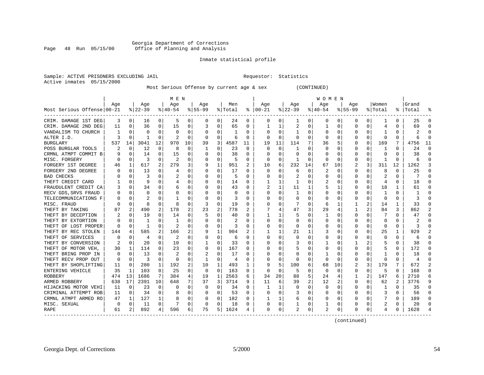#### Georgia Department of Corrections<br>Page 48 Run 05/15/00 office of Planning and Analysis Page 48 Run 05/15/00 Office of Planning and Analysis

#### Inmate statistical profile

|                           | Sample: ACTIVE PRISONERS EXCLUDING JAIL | Requestor: Statistics |  |
|---------------------------|-----------------------------------------|-----------------------|--|
| Active inmates 05/15/2000 |                                         |                       |  |

Most Serious Offense by current age & sex (CONTINUED)

|                                   |          |             |                |          | M E N          |             |              |              |               |          |               |              |              |                | <b>WOMEN</b> |          |             |          |                |              |              |                |
|-----------------------------------|----------|-------------|----------------|----------|----------------|-------------|--------------|--------------|---------------|----------|---------------|--------------|--------------|----------------|--------------|----------|-------------|----------|----------------|--------------|--------------|----------------|
|                                   | Aqe      |             | Age            |          | Aqe            |             | Aqe          |              | Men           |          | Aqe           |              | Aqe          |                | Aqe          |          | Aqe         |          | Women          |              | Grand        |                |
| Most Serious Offense 00-21        |          |             | % 22-39        |          | $8 40-54$      |             | $8155 - 99$  |              | % Total       |          | $8   00 - 21$ |              | $ 22-39 $    |                | $ 40-54 $    |          | $8155 - 99$ |          | % Total        |              | %   Total    | ႜ              |
| CRIM. DAMAGE 1ST DEG              | 3        | 0           | 16             | 0        | 5              | 0           | $\Omega$     | 0            | 24            | 0        | $\Omega$      | 0            | 1            | 0              | 0            | 0        | 0           | 0        |                | $\Omega$     | 25           | $\Omega$       |
| CRIM. DAMAGE 2ND DEG              | 11       | $\Omega$    | 36             | $\Omega$ | 15             | 0           | 3            | $\Omega$     | 65            | $\Omega$ |               |              | 2            | $\Omega$       |              | $\Omega$ | $\Omega$    | $\Omega$ | 4              | $\Omega$     | 69           | $\cap$         |
| VANDALISM TO CHURCH               |          | $\Omega$    | $\Omega$       | $\Omega$ | $\Omega$       | $\Omega$    | 0            | $\Omega$     | 1             | $\Omega$ | $\Omega$      | $\Omega$     | $\mathbf{1}$ | $\Omega$       | $\Omega$     | $\Omega$ | 0           | $\Omega$ | 1              | $\Omega$     |              | $\Omega$       |
| ALTER I.D.                        | 3        | $\Omega$    | 1              | $\Omega$ | 2              | $\Omega$    | $\Omega$     | 0            | 6             | $\Omega$ | $\Omega$      | $\Omega$     | $\Omega$     | $\Omega$       | $\Omega$     | $\Omega$ | 0           | $\Omega$ | $\Omega$       | $\Omega$     | 6            | $\Omega$       |
| <b>BURGLARY</b>                   | 537      | 14          | 3041           | 12       | 970            | 10          | 39           | 3            | 4587          | 11       | 19            | 11           | 114          | 7              | 36           | 5        | 0           | 0        | 169            | 7            | 4756         | 11             |
| POSS BURGLAR TOOLS                |          | 0           | 12             | 0        | 8              | 0           | 1            | 0            | 23            | $\Omega$ | $\Omega$      | $\Omega$     | 1            | 0              | O            | $\Omega$ | 0           | $\Omega$ | 1              | $\Omega$     | 24           | $\Omega$       |
| CRMNL ATMPT COMMIT B              |          | $\mathbf 0$ | 14             | $\Omega$ | 15             | 0           | $\Omega$     | 0            | 38            | $\Omega$ | $\Omega$      | $\Omega$     | $\Omega$     | 0              | O            | $\Omega$ | O           | $\Omega$ | $\Omega$       | $\Omega$     | 38           | $\Omega$       |
| MISC. FORGERY                     | O        | 0           | 3              | $\Omega$ | $\overline{2}$ | 0           | $\Omega$     | 0            | 5             | $\Omega$ | O             | $\Omega$     | -1           | O              | ∩            | $\Omega$ | 0           | $\Omega$ | -1             | $\Omega$     | 6            | $\Omega$       |
| FORGERY 1ST DEGREE                | 46       | 1           | 617            | 2        | 279            | 3           | 9            | 1            | 951           | 2        | 10            | 6            | 232          | 14             | 67           | 10       | 2           | 3        | 311            | 12           | 1262         | 3              |
| FORGERY 2ND DEGREE                |          | $\Omega$    | 13             | 0        | 4              | 0           | 0            | $\Omega$     | 17            | $\Omega$ | $\Omega$      |              | 6            | 0              |              | $\Omega$ | Ω           | $\Omega$ | 8              | $\Omega$     | 25           | O              |
| <b>BAD CHECKS</b>                 |          | $\Omega$    | 3              | U        |                | 0           | O            | $\Omega$     |               | $\Omega$ | $\Omega$      | $\Omega$     | 2            | 0              |              | $\Omega$ | U           | $\Omega$ |                | $\Omega$     |              | $\cap$         |
| THEFT CREDIT CARD                 |          | $\Omega$    | 9              | $\Omega$ | 4              | 0           | 0            | 0            | 14            | $\Omega$ |               | 1            | -1           | 0              |              | $\Omega$ | O           | $\Omega$ | 4              | $\Omega$     | 18           | $\Omega$       |
| FRAUDULENT CREDIT CA              |          | 0           | 34             | $\Omega$ | 6              | 0           | O            | $\mathbf 0$  | 43            | $\Omega$ | 2             | $\mathbf{1}$ | 11           | 1              |              | 1        | O           | $\Omega$ | 18             |              | 61           | $\Omega$       |
| RECV GDS, SRVS FRAUD              |          | $\Omega$    | $\Omega$       | $\Omega$ | $\Omega$       | $\Omega$    | O            | $\Omega$     | $\Omega$      | $\Omega$ | $\Omega$      | $\Omega$     | 1            | $\Omega$       |              | $\Omega$ | U           | $\Omega$ | $\mathbf{1}$   | $\Omega$     | $\mathbf{1}$ | $\Omega$       |
| TELECOMMUNICATIONS F              | O        | $\Omega$    | $\overline{c}$ | $\Omega$ | -1             | $\Omega$    | $\Omega$     | $\Omega$     | 3             | $\Omega$ | $\Omega$      | $\Omega$     | $\Omega$     | 0              | $\Omega$     | $\Omega$ | 0           | $\Omega$ | $\Omega$       | $\Omega$     |              | $\Omega$       |
| MISC. FRAUD                       |          | $\mathbf 0$ | 8              | $\Omega$ | 8              | $\mathbf 0$ | 3            | 0            | 19            | $\Omega$ | O             | $\Omega$     | 7            | $\Omega$       | 6            | 1        |             | 2        | 14             | 1            | 33           | $\Omega$       |
| THEFT BY TAKING                   | 87       | 2           | 490            | 2        | 178            | 2           | 23           | 2            | 778           | 2        |               |              | 47           | 3              | 29           | 4        |             | 2        | 84             | 3            | 862          | 2              |
| THEFT BY DECEPTION                |          | $\Omega$    | 19             | O        | 14             | 0           | 5            | 0            | 40            | O        |               |              | 5            | 0              |              | $\Omega$ | O           | $\Omega$ |                | $\Omega$     | 47           | $\Omega$       |
| THEFT BY EXTORTION                |          | $\Omega$    | 1              | U        | -1             | $\Omega$    | O            | $\Omega$     | $\mathcal{D}$ | $\Omega$ | $\Omega$      | $\Omega$     | $\Omega$     | 0              | O            | $\Omega$ | U           | $\Omega$ | $\Omega$       | 0            |              | U              |
| THEFT OF LOST PROPER              | O        | $\Omega$    | 1              | $\Omega$ | $\overline{2}$ | $\Omega$    | U            | $\mathbf 0$  | 3             | $\Omega$ | $\Omega$      | $\Omega$     | $\Omega$     | $\Omega$       | O            | $\Omega$ | O           | $\Omega$ | $\Omega$       | $\Omega$     | 3            | $\cap$         |
| THEFT BY REC STOLEN               | 144      | 4           | 585            | 2        | 166            | 2           | 9            | $\mathbf{1}$ | 904           | 2        |               |              | 21           |                | 3            | 0        | U           | $\Omega$ | 25             |              | 929          |                |
| THEFT OF SERVICES                 |          | $\mathbf 0$ | 4              | $\Omega$ | $\overline{c}$ | 0           | 0            | $\mathbf 0$  | 6             | $\Omega$ | $\Omega$      | $\Omega$     | $\Omega$     | O              |              | $\Omega$ | C           | $\Omega$ | $\Omega$       | $\Omega$     | 6            | $\Omega$       |
| THEFT BY CONVERSION               |          | $\Omega$    | 20             | $\Omega$ | 10             | $\Omega$    | $\mathbf{1}$ | $\Omega$     | 33            | $\Omega$ | $\Omega$      | $\Omega$     | 3            | 0              |              | $\Omega$ |             | 2        |                | $\Omega$     | 38           | $\Omega$       |
| THEFT OF MOTOR VEH.               | 30       | 1           | 114            | $\Omega$ | 23             | $\Omega$    | $\Omega$     | $\Omega$     | 167           | $\Omega$ | O             | O            | 5            | 0              | O            | $\Omega$ | 0           | $\Omega$ | 5              | $\Omega$     | 172          | $\Omega$       |
| THEFT BRING PROP IN               | $\Omega$ | 0           | 13             | O        | $\overline{2}$ | 0           | 2            | 0            | 17            | O        |               |              | 0            | O              |              | $\Omega$ | C           | O        |                |              | 18           | $\Omega$       |
| THEFT RECV PROP OUT               | $\Omega$ | $\Omega$    | 3              | $\Omega$ | $\Omega$       | 0           | $\mathbf{1}$ | 0            | 4             | ∩        | ∩             | $\Omega$     | -C           | O              | O            | $\Omega$ | ი           | $\Omega$ | ∩              | $\Omega$     | 4            | $\Omega$       |
| THEFT BY SHOPLIFTING              | 11       | $\Omega$    | 280            | 1        | 192            | 2           | 10           | $\mathbf{1}$ | 493           | 1        | 9             | 5            | 100          | 6              | 68           | 10       | 2           | 3        | 179            | 7            | 672          | $\overline{a}$ |
| ENTERING VEHICLE                  | 35       | 1           | 103            | $\Omega$ | 25             | $\Omega$    | $\Omega$     | $\Omega$     | 163           | $\Omega$ | ∩             | $\Omega$     | 5            | 0              | 0            | $\Omega$ | O           | $\Omega$ | 5              | <sup>0</sup> | 168          | $\cap$         |
| <b>ROBBERY</b>                    | 474      | 13          | 1686           | 7        | 384            | 4           | 19           | 1            | 2563          | 6        | 34            | 20           | 88           | 5              | 24           | 4        |             | 2        | 147            |              | 2710         | 6              |
| ARMED ROBBERY                     | 638      | 17          | 2391           | 10       | 648            | 7           | 37           | 3            | 3714          | 9        | 11            | 6            | 39           | $\overline{a}$ | 12           | 2        | 0           | $\Omega$ | 62             | 2            | 3776         | 9              |
| HIJACKING MOTOR VEHI              | 11       | $\mathbf 0$ | 23             | $\Omega$ | $\Omega$       | 0           | $\Omega$     | 0            | 34            | $\Omega$ | 1             |              | $\Omega$     | 0              | $\Omega$     | 0        | 0           | 0        | 1              | $\Omega$     | 35           | $\Omega$       |
| CRIMINAL ATTEMPT ROB              | 11       | 0           | 34             | 0        | 8              | 0           | 0            | 0            | 53            | 0        | O             | 0            | 3            | 0              | O            | 0        | 0           | 0        | 3              | $\Omega$     | 56           | $\Omega$       |
| CRMNL ATMPT ARMED RO              | 47       | 1           | 127            | 1        | 8              | 0           | 0            | 0            | 182           | 0        |               |              | 6            | 0              | O            | 0        | 0           | 0        |                | 0            | 189          | 0              |
| MISC. SEXUAL                      | 0        | 0           | 11             | 0        | 7              | 0           | 0            | 0            | 18            | 0        |               | 0            |              | 0              |              | 0        | Ω           | 0        | $\overline{2}$ | $\Omega$     | 20           | $\Omega$       |
| <b>RAPE</b><br>------------------ | 61       | 2           | 892            | 4        | 596            | 6           | 75           | 5            | 1624          | 4        | $\Omega$      | 0            | 2            | 0              | 2            | 0        | O           | $\Omega$ | 4              | $\Omega$     | 1628         |                |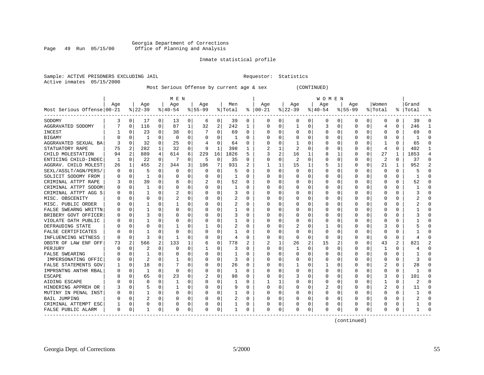#### Georgia Department of Corrections Page 49 Run 05/15/00 Office of Planning and Analysis

#### Inmate statistical profile

|                           | Sample: ACTIVE PRISONERS EXCLUDING JAIL | Requestor: Statistics |  |
|---------------------------|-----------------------------------------|-----------------------|--|
| Active inmates 05/15/2000 |                                         |                       |  |

Most Serious Offense by current age & sex (CONTINUED)

|                                           |     |             |              |          | M E N     |          |           |             |         |          |               |                |              |                | <b>WOMEN</b> |             |          |          |                         |          |           |                |
|-------------------------------------------|-----|-------------|--------------|----------|-----------|----------|-----------|-------------|---------|----------|---------------|----------------|--------------|----------------|--------------|-------------|----------|----------|-------------------------|----------|-----------|----------------|
|                                           | Aqe |             | Age          |          | Age       |          | Aqe       |             | Men     |          | Aqe           |                | Aqe          |                | Aqe          |             | Aqe      |          | Women                   |          | Grand     |                |
| Most Serious Offense 00-21                |     |             | $8 22-39$    |          | $8 40-54$ |          | $8 55-99$ |             | % Total |          | $8   00 - 21$ |                | $ 22-39$     |                | $ 40-54 $    |             | $ 55-99$ |          | % Total                 |          | %   Total | ু              |
| SODOMY                                    | 3   | 0           | 17           | 0        | 13        | 0        | 6         | 0           | 39      | 0        | 0             | 0              | 0            | 0              | 0            | 0           | 0        | 0        | 0                       | 0        | 39        | $\Omega$       |
| AGGRAVATED SODOMY                         |     | 0           | 116          | 0        | 87        | 1        | 32        | 2           | 242     | 1        | $\Omega$      | 0              | $\mathbf{1}$ | $\Omega$       | 3            | 0           | $\Omega$ | O        | 4                       | $\Omega$ | 246       | -1             |
| <b>INCEST</b>                             |     | n           | 23           | 0        | 38        | 0        |           | 0           | 69      | 0        | C             | 0              | $\Omega$     | $\Omega$       | $\Omega$     | 0           | O        | 0        | $\Omega$                | 0        | 69        | $\Omega$       |
| <b>BIGAMY</b>                             |     | $\Omega$    | 1            | $\Omega$ | $\Omega$  | $\Omega$ | O         | $\Omega$    | -1      | U        | C             | $\Omega$       | $\Omega$     | $\Omega$       | O            | $\Omega$    | $\Omega$ | $\Omega$ | $\Omega$                | $\Omega$ |           | $\Omega$       |
| AGGRAVATED SEXUAL BA                      |     | $\Omega$    | 32           | 0        | 25        | 0        |           | 0           | 64      | 0        |               | 0              | -1           | 0              |              | 0           | 0        | 0        | -1                      | N        | 65        | $\Omega$       |
| STATUATORY RAPE                           | 75  | 2           | 282          | 1        | 32        | 0        | 9         | 1           | 398     | 1        |               | 1              | 2            | $\Omega$       | O            | 0           | O        | $\Omega$ | 4                       | $\Omega$ | 402       | -1             |
| CHILD MOLESTATION                         | 94  | 2           | 889          | 4        | 614       | 6        | 229       | 16          | 1826    | 5        |               | $\overline{a}$ | 16           | 1              | 8            | 1           | 0        | $\Omega$ | 27                      | 1        | 1853      | $\overline{4}$ |
| ENTICING CHILD-INDEC                      | 1   | 0           | 22           | 0        | 7         | 0        | 5         | 0           | 35      | U        | C             | 0              | 2            | 0              | U            | 0           | 0        | $\Omega$ | $\overline{\mathbf{c}}$ | $\Omega$ | 37        | $\Omega$       |
| AGGRAV. CHILD MOLEST                      | 26  | 1           | 455          | 2        | 344       | 3        | 106       | 7           | 931     | 2        |               | 1              | 15           | 1              | 5            | 1           | 0        | 0        | 21                      |          | 952       | $\overline{2}$ |
| SEXL/ASSLT/AGN/PERS/                      | O   | 0           | 5            | O        | 0         | U        | 0         | O           | 5       | U        | C             | $\Omega$       | $\Omega$     | 0              | O            | 0           | O        | U        | $\Omega$                | 0        |           | ∩              |
| SOLICIT SODOMY FROM                       | 0   | 0           | $\mathbf{1}$ | 0        | 0         | 0        | O         | 0           | -1      | U        | C             | 0              | O            | 0              | 0            | 0           | O        | 0        | $\Omega$                | 0        |           | ∩              |
| CRIMINAL ATTPT RAPE                       | 3   | $\mathbf 0$ | 39           | $\Omega$ | 8         | 0        | 2         | 0           | 52      | U        | C             | $\Omega$       | $\Omega$     | $\Omega$       | $\Omega$     | $\mathbf 0$ | $\Omega$ | $\Omega$ | $\mathbf 0$             | $\Omega$ | 52        | $\Omega$       |
| CRIMINAL ATTPT SODOM                      | 0   | 0           |              | 0        | 0         | 0        |           | 0           | 1       | 0        | O             | 0              | 0            | 0              |              | 0           | 0        | 0        | 0                       | 0        |           | $\Omega$       |
| CRIMINAL ATTPT AGG S                      | O   | 0           | 1            | 0        | 2         | 0        |           | 0           | 3       | U        | C             | 0              | 0            | 0              | O            | 0           | 0        | 0        | <sup>0</sup>            | 0        |           | $\cap$         |
| MISC. OBSCENITY                           | O   | n           | O            | 0        | 2         | 0        |           | 0           | 2       | 0        | $\cap$        | 0              | 0            | $\Omega$       | O            | 0           | O        | $\Omega$ | <sup>0</sup>            | 0        |           | ∩              |
| MISC. PUBLIC ORDER                        | O   | $\Omega$    |              | 0        |           | 0        | O         | $\Omega$    | 2       | 0        | C             | 0              | $\Omega$     | $\Omega$       | O            | 0           | O        | 0        | <sup>0</sup>            | O        |           |                |
| FALSE SWEARNG WRITTN                      |     | $\Omega$    |              | O        | $\Omega$  | 0        |           | $\Omega$    |         | 0        | O             | 0              | 0            | $\Omega$       | 0            | 0           | 0        | $\Omega$ | $\Omega$                | 0        |           |                |
| BRIBERY GOVT OFFICER                      | O   | 0           |              | O        | $\Omega$  | 0        | $\Omega$  | O           | 3       | 0        | O             | 0              | 0            | 0              | U            | 0           | O        | U        | $\Omega$                | O        |           |                |
| VIOLATE OATH PUBLIC                       |     | n           |              | 0        | 0         | 0        | $\left($  | $\Omega$    |         | 0        | 0             | $\Omega$       | 0            | $\Omega$       | O            | $\Omega$    | O        | 0        | <sup>0</sup>            | 0        |           | ∩              |
| DEFRAUDING STATE                          |     | $\Omega$    | O            | O        |           | 0        |           | 0           | 2       | U        | O             | 0              | 2            | $\Omega$       |              | $\mathbf 0$ | 0        | 0        | 3                       | N        |           |                |
| FALSE CERTIFICATES                        |     | 0           |              | O        | 0         | 0        |           | $\Omega$    |         | 0        | O             | $\Omega$       | 0            | 0              | $\Omega$     | 0           | 0        | O        | 0                       | O        |           | ∩              |
| INFLUENCING WITNESS                       | U   | 0           | 3            | 0        | -1        | 0        | $\Omega$  | 0           | 4       | 0        | C             | 0              | $\Omega$     | 0              | $\Omega$     | 0           | 0        | $\Omega$ | 0                       | $\Omega$ |           | $\cap$         |
| OBSTR OF LAW ENF OFF                      | 73  | 2           | 566          | 2        | 133       | 1        | 6         | 0           | 778     | 2        | 2             | 1              | 26           | $\overline{2}$ | 15           | 2           | 0        | $\Omega$ | 43                      | 2        | 821       | 2              |
| PERJURY                                   | O   | n           | 2            | 0        | $\Omega$  | 0        |           | 0           | 3       | U        | C             | 0              | -1           | $\Omega$       | $\Omega$     | 0           | 0        | O        | -1                      | U        |           |                |
| FALSE SWEARING                            |     | $\Omega$    |              | O        | $\Omega$  | 0        | $\Omega$  | $\Omega$    |         | U        | O             | $\Omega$       | $\Omega$     | $\Omega$       | $\Omega$     | $\Omega$    | $\Omega$ | $\Omega$ | $\Omega$                | $\Omega$ |           | $\cap$         |
| IMPERSONATING OFFIC                       | O   | $\Omega$    | 2            | 0        |           | 0        | $\Omega$  | 0           | 3       | U        | C             | 0              | $\Omega$     | 0              | $\Omega$     | 0           | O        | 0        | 0                       | 0        | κ         | $\cap$         |
| FALSE STATEMENTS GOV                      |     | 0           | 18           | 0        |           | U        | $\left($  | 0           | 26      | 0        | O             | $\Omega$       | -1           | $\Omega$       | 1            | 0           | O        | $\Omega$ | 2                       | 0        | 28        | ∩              |
| IMPRSNTNG ANTHR RBAL                      |     | $\mathbf 0$ | 1            | $\Omega$ | $\Omega$  | U        |           | $\mathbf 0$ | 1       | U        |               | $\mathbf 0$    | $\Omega$     | $\Omega$       | O            | $\mathbf 0$ | 0        | $\Omega$ | $\Omega$                | O        |           |                |
| <b>ESCAPE</b>                             |     | $\Omega$    | 65           | $\Omega$ | 23        | O        |           | 0           | 98      | $\Omega$ | $\Omega$      | $\Omega$       | 3            | $\Omega$       | U            | $\mathbf 0$ | $\Omega$ | $\Omega$ | 3                       | $\Omega$ | 101       | $\cap$         |
| AIDING ESCAPE                             |     | $\Omega$    | O            | O        | -1        | 0        |           | 0           | 1       | 0        |               | $\mathbf{1}$   | 0            | 0              | 0            | $\Omega$    | 0        | 0        | 1                       | 0        | 2         | ∩              |
| HINDERING APPREH OR                       | 3   | 0           | 5            | 0        |           | 0        | O         | 0           | 9       | 0        | O             | 0              | 0            | 0              | 2            | 0           | 0        | 0        | 2                       | 0        | 11        | ∩              |
| MUTINY IN PENAL INST                      | O   | 0           |              | 0        | O         | 0        | O         | $\Omega$    |         | 0        | O             | 0              | C            | 0              | 0            | 0           | 0        | O        | O                       | 0        |           |                |
| <b>BAIL JUMPING</b>                       |     | $\Omega$    |              | 0        | $\Omega$  | 0        | $\Omega$  | $\Omega$    | 2       | 0        | C             | 0              | U            | $\Omega$       | $\Omega$     | 0           | $\Omega$ | O        | $\Omega$                | $\Omega$ |           |                |
| CRIMINAL ATTEMPT ESC                      |     | $\Omega$    | 0            | 0        | 0         | 0        |           | 0           |         | 0        | O             | 0              | 0            | $\Omega$       | 0            | 0           | 0        | 0        | 0                       | 0        |           |                |
| FALSE PUBLIC ALARM<br>------------------- | 0   | 0           |              | 0        | $\Omega$  | 0        | $\Omega$  | 0           | 1       | 0        | 0             | 0              | $\Omega$     | 0              | $\Omega$     | 0           | O        | 0        | 0                       | 0        |           |                |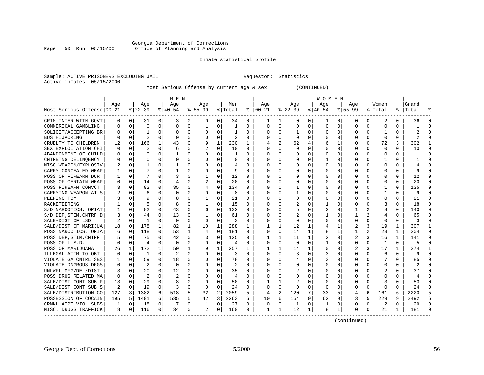#### Georgia Department of Corrections<br>Page 50 Run 05/15/00 office of Planning and Analysis Page 50 Run 05/15/00 Office of Planning and Analysis

#### Inmate statistical profile

|                           | Sample: ACTIVE PRISONERS EXCLUDING JAIL | Requestor: Statistics |  |
|---------------------------|-----------------------------------------|-----------------------|--|
| Active inmates 05/15/2000 |                                         |                       |  |

Most Serious Offense by current age & sex (CONTINUED)

|                            |     |          |                |                | M E N          |             |                |                |                |              |                |              |              |          | <b>WOMEN</b> |             |                |          |                |              |           |          |
|----------------------------|-----|----------|----------------|----------------|----------------|-------------|----------------|----------------|----------------|--------------|----------------|--------------|--------------|----------|--------------|-------------|----------------|----------|----------------|--------------|-----------|----------|
|                            | Aqe |          | Age            |                | Aqe            |             | Aqe            |                | Men            |              | Aqe            |              | Aqe          |          | Aqe          |             | Aqe            |          | Women          |              | Grand     |          |
| Most Serious Offense 00-21 |     |          | $ 22-39$       |                | $8 40-54$      |             | $8155 - 99$    |                | % Total        |              | $8   00 - 21$  |              | $ 22-39$     |          | $ 40-54$     |             | $8155 - 99$    |          | % Total        |              | %   Total |          |
| CRIM INTER WITH GOVT       | 0   | 0        | 31             | $\overline{0}$ | 3              | 0           | 0              | 0              | 34             | 0            |                |              | 0            | 0        |              | 0           | 0              | 0        | 2              | 0            | 36        |          |
| COMMERICAL GAMBLING        |     | $\Omega$ | $\Omega$       | $\Omega$       | $\Omega$       | 0           | 1              | 0              | 1              | $\Omega$     | $\Omega$       | $\Omega$     | $\Omega$     | 0        | $\Omega$     | $\mathbf 0$ | $\Omega$       | 0        | $\Omega$       | $\Omega$     |           |          |
| SOLICIT/ACCEPTING BR       |     | $\Omega$ | 1              | $\Omega$       | $\Omega$       | $\Omega$    | $\Omega$       | $\Omega$       | $\mathbf{1}$   | $\Omega$     | $\Omega$       | $\Omega$     | $\mathbf{1}$ | 0        | $\Omega$     | $\Omega$    | $\Omega$       | 0        | -1             | $\Omega$     |           |          |
| <b>BUS HIJACKING</b>       |     | $\Omega$ | $\overline{a}$ | $\Omega$       | $\Omega$       | $\Omega$    | $\Omega$       | $\Omega$       | $\overline{c}$ | $\Omega$     | $\Omega$       | $\Omega$     | $\Omega$     | $\Omega$ |              | $\Omega$    | U              | $\Omega$ | $\Omega$       | $\Omega$     | 2         |          |
| CRUELTY TO CHILDREN        | 12  | 0        | 166            | $\mathbf{1}$   | 43             | 0           | 9              | $\mathbf{1}$   | 230            | 1            |                | 2            | 62           | 4        |              | 1           | 0              | $\Omega$ | 72             | 3            | 302       |          |
| SEX EXPLOITATION CHI       |     | $\Omega$ | 2              | $\Omega$       | 6              | 0           |                | $\mathbf 0$    | 10             | $\Omega$     | $\Omega$       | $\Omega$     | $\Omega$     | O        |              | $\mathbf 0$ | $\Omega$       | 0        | $\mathbf 0$    | $\Omega$     | 10        | $\Omega$ |
| ABANDONMENT OF CHILD       |     | $\Omega$ | U              | 0              | -1             | 0           | $\Omega$       | 0              | 1              | $\Omega$     | $\Omega$       | 0            | U            | U        | Ω            | 0           | U              | 0        | $\Omega$       | $\Omega$     |           | $\Omega$ |
| CNTRBTNG DELINOENCY        |     | $\Omega$ | O              | 0              | $\Omega$       | 0           | $\Omega$       | 0              | 0              | $\Omega$     | ∩              | 0            | O            | U        |              | 0           | O              | $\Omega$ | -1             | 0            |           | ∩        |
| MISC WEAPON/EXPLOSIV       | 2   | $\Omega$ |                | 0              |                | 0           | U              | $\Omega$       | 4              | 0            |                | 0            | O            | O        |              | 0           | U              | 0        | $\Omega$       | $\Omega$     |           |          |
| CARRY CONCEALED WEAP       |     | $\Omega$ |                |                |                | 0           | 0              | $\Omega$       | 9              | $\Omega$     |                |              | 0            | U        |              | $\Omega$    | U              | U        | $\cap$         | $\Omega$     |           |          |
| POSS OF FIREARM DUR        |     | $\Omega$ | 7              | 0              | 3              | 0           | 1              | $\Omega$       | 12             | $\Omega$     |                | 0            | U            | U        |              | $\Omega$    | U              | 0        | $\Omega$       | $\Omega$     | 12        |          |
| POSS OF CERTAIN WEAP       |     | $\Omega$ | 14             | 0              | $\overline{4}$ | 0           | 2              | $\mathbf 0$    | 20             | $\Omega$     | n              | $\Omega$     | O            | 0        |              | $\Omega$    | U              | $\Omega$ | $\Omega$       | $\Omega$     | 20        |          |
| POSS FIREARM CONVCT        | 3   | 0        | 92             | 0              | 35             | 0           | 4              | $\mathbf 0$    | 134            | $\Omega$     |                | $\Omega$     | -1           | 0        |              | $\mathbf 0$ | U              | $\Omega$ | -1             | $\Omega$     | 135       |          |
| CARRYING WEAPON AT S       |     | $\Omega$ | 6              | $\Omega$       | $\Omega$       | 0           | O              | $\Omega$       | 8              | $\Omega$     |                | $\Omega$     | $\mathbf{1}$ | O        |              | $\Omega$    | $\Omega$       | 0        | $\mathbf{1}$   | $\Omega$     | 9         | $\cap$   |
| PEEPING TOM                |     | $\Omega$ | 9              | 0              | 8              | 0           | $\mathbf{1}$   | $\Omega$       | 21             | $\Omega$     | $\Omega$       | 0            | 0            | 0        | $\Omega$     | $\Omega$    | 0              | $\Omega$ | $\Omega$       | $\Omega$     | 21        | $\Omega$ |
| RACKETEERING               |     | $\Omega$ | 5              | 0              | 8              | 0           | $\mathbf{1}$   | 0              | 15             | $\Omega$     | $\Omega$       | 0            | 2            | U        |              | 0           | U              | 0        | 3              | $\Omega$     | 18        | $\Omega$ |
| S/D NARCOTICS, OPIAT       |     | $\Omega$ | 82             | 0              | 43             | 0           | 6              | 0              | 132            | $\Omega$     |                | U            | 5            | 0        | 2            | 0           |                |          | 8              | 0            | 140       | ∩        |
| S/D DEP, STIM, CNTRF D     |     | $\Omega$ | 44             | 0              | 13             | 0           | -1             | 0              | 61             | 0            |                | 0            |              | U        |              | 0           | 1              |          |                | $\Omega$     | 65        |          |
| SALE-DIST OF LSD           | 2   | $\Omega$ | $\mathbf{1}$   | 0              | $\Omega$       | 0           | $\Omega$       | $\Omega$       | 3              | $\Omega$     | $\Omega$       | $\Omega$     | $\Omega$     | U        | ∩            | $\Omega$    | O              | 0        | $\Omega$       | $\Omega$     | २         |          |
| SALE/DIST OF MARIJUA       | 18  | $\Omega$ | 178            | $\mathbf{1}$   | 82             | 1           | 10             | 1              | 288            | 1            | ı.             | $\mathbf{1}$ | 12           | 1        | 4            | 1           | 2              | 3        | 19             | 1            | 307       |          |
| POSS NARCOTICS, OPIA       |     | 0        | 118            | 0              | 53             | $\mathbf 1$ | 4              | $\mathbf 0$    | 181            | $\Omega$     | $\Omega$       | $\Omega$     | 14           | 1        | 8            | 1           | 1              | 2        | 23             | $\mathbf{1}$ | 204       | $\Omega$ |
| POSS DEP, STIM, CNTRF      |     | $\Omega$ | 75             | $\Omega$       | 42             | 0           | 3              | $\mathbf 0$    | 125            | 0            |                | $\mathbf{1}$ | 11           | 1        | 2            | 0           | $\overline{2}$ | 3        | 16             | $\mathbf{1}$ | 141       | $\Omega$ |
| POSS OF L.S.D.             |     | $\Omega$ | 4              | $\Omega$       | $\Omega$       | $\Omega$    | $\Omega$       | $\Omega$       | $\overline{4}$ | $\Omega$     | $\Omega$       | $\Omega$     | $\Omega$     | 0        |              | $\Omega$    | $\Omega$       | 0        | $\mathbf{1}$   | $\Omega$     | 5         | $\Omega$ |
| POSS OF MARIJUANA          | 26  | 1        | 172            | $\mathbf{1}$   | 50             | 1           | 9              | $\mathbf{1}$   | 257            | $\mathbf{1}$ |                |              | 14           | 1        | 0            | $\Omega$    |                | 3        | 17             | 1            | 274       | -1       |
| ILLEGAL ATTM TO OBT        |     | 0        | 1              | 0              | 2              | 0           | O              | 0              | 3              | $\Omega$     |                |              | 3            | U        |              | 0           | 0              | 0        | 6              | 0            |           |          |
| VIOLATE GA CNTRL SBS       |     | $\Omega$ | 59             | 0              | 18             | 0           | U              | $\Omega$       | 78             | $\Omega$     |                |              | 4            | U        |              | $\Omega$    | U              |          |                | $\Omega$     | 85        |          |
| VIOLATE DNGROUS DRGS       |     | $\Omega$ | 2              | 0              | $\Omega$       | 0           | U              | $\Omega$       | 2              | $\Omega$     | $\Omega$       | 0            | U            | U        | O            | $\Omega$    | U              | 0        | $\Omega$       | $\Omega$     |           |          |
| UNLWFL MFG/DEL/DIST        | 3   | $\Omega$ | 20             | 0              | 12             | 0           | O              | $\Omega$       | 35             | $\Omega$     | ∩              | $\Omega$     |              | 0        |              | $\Omega$    | O              | 0        | 2              | 0            | 37        |          |
| POSS DRUG RELATED MA       | n   | $\Omega$ | 2              | 0              | 2              | $\Omega$    | U              | $\Omega$       | 4              | $\Omega$     |                | $\Omega$     | U            | 0        |              | $\Omega$    | U              | $\Omega$ | $\Omega$       | $\Omega$     |           |          |
| SALE/DIST CONT SUB P       | 13  | $\Omega$ | 29             | 0              | 8              | 0           | 0              | 0              | 50             | $\Omega$     |                | 1            | 2            | 0        |              | 0           | 0              | $\Omega$ | 3              | 0            | 53        |          |
| SALE/DIST CONT SUB S       | 2   | $\Omega$ | 19             | 0              | 3              | 0           | $\Omega$       | $\mathbf 0$    | 24             | $\Omega$     | $\Omega$       | $\Omega$     | 0            | 0        | $\Omega$     | 0           | O              | $\Omega$ | $\Omega$       | $\Omega$     | 24        | ∩        |
| SALE/DISTRIBUTION CO       | 127 | 3        | 1382           | 6              | 518            | 5           | 32             | $\overline{2}$ | 2059           | 5            | $\overline{4}$ | 2            | 120          | 7        | 33           | 5           | 4              | 6        | 161            | 6            | 2220      | 5        |
| POSSESSION OF COCAIN       | 195 | 5        | 1491           | 6              | 535            | 5           | 42             | 3              | 2263           | 6            | 10             | 6            | 154          | 9        | 62           | 9           | 3              | 5        | 229            | 9            | 2492      | 6        |
| CRMNL ATPT VIOL SUBS       | 1   | 0        | 18             | 0              | 7              | 0           | 1              | $\mathsf 0$    | 27             | 0            | $\Omega$       | 0            | 1            | 0        | -1           | 0           | $\Omega$       | 0        | $\overline{2}$ | 0            | 29        |          |
| MISC. DRUGS TRAFFICK       | 8   | 0        | 116            | $\Omega$       | 34             | 0           | $\overline{a}$ | 0              | 160            | $\Omega$     | 1              | 1            | 12           | $1\vert$ | 8            | 1           | $\Omega$       | 0        | 21             | 1            | 181       |          |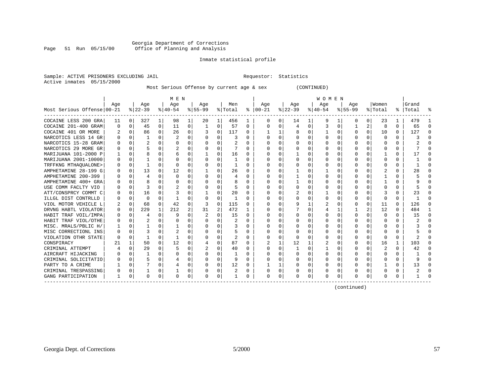#### Georgia Department of Corrections<br>Page 51 Run 05/15/00 office of Planning and Analysis Page 51 Run 05/15/00 Office of Planning and Analysis

#### Inmate statistical profile

|  |                           | Sample: ACTIVE PRISONERS EXCLUDING JAI |  |
|--|---------------------------|----------------------------------------|--|
|  | Active inmates 05/15/2000 |                                        |  |

IL Requestor: Statistics

Most Serious Offense by current age & sex (CONTINUED)

|                            |          |          |          |              | M E N          |          |           |              |         |          |          |             |           |          | W O M E N |             |             |              |                         |              |           |        |
|----------------------------|----------|----------|----------|--------------|----------------|----------|-----------|--------------|---------|----------|----------|-------------|-----------|----------|-----------|-------------|-------------|--------------|-------------------------|--------------|-----------|--------|
|                            | Age      |          | Age      |              | Age            |          | Age       |              | Men     |          | Age      |             | Age       |          | Age       |             | Age         |              | Women                   |              | Grand     |        |
| Most Serious Offense 00-21 |          |          | $ 22-39$ |              | $8 40-54$      |          | $8 55-99$ |              | % Total | ႜ        | $ 00-21$ |             | $ 22-39 $ |          | $ 40-54 $ |             | $8155 - 99$ |              | % Total                 |              | %   Total | ႜ      |
| COCAINE LESS 200 GRA       | 11       | $\Omega$ | 327      | 1            | 98             | 1        | 20        | 1            | 456     | 1        | 0        | 0           | 14        | 1        | 9         |             | O           | $\Omega$     | 23                      | 1            | 479       |        |
| COCAINE 201-400 GRAM       | $\Omega$ | $\Omega$ | 45       | $\Omega$     | 11             | $\Omega$ |           | 0            | 57      | $\Omega$ | $\Omega$ | $\Omega$    | 4         | $\Omega$ |           | $\mathbf 0$ |             | 2            | 8                       | $\Omega$     | 65        | ∩      |
| COCAINE 401 OR MORE        | 2        | $\Omega$ | 86       | $\Omega$     | 26             | 0        |           | 0            | 117     | 0        |          | 1           | 8         | 0        |           | 0           | O           | $\Omega$     | 10                      | $\Omega$     | 127       | $\cap$ |
| NARCOTICS LESS 14 GR       |          | 0        |          | 0            | $\overline{c}$ | 0        |           | 0            | 3       | U        |          | 0           | U         | 0        |           | 0           | O           | 0            | 0                       | $\Omega$     |           |        |
| NARCOTICS 15-28 GRAM       | O        | $\Omega$ | 2        | $\cap$       | $\Omega$       | O        |           | $\Omega$     | 2       | 0        |          | $\Omega$    |           | $\Omega$ |           | $\Omega$    | O           | <sup>n</sup> | $\Omega$                | 0            |           |        |
| NARCOTICS 29 MORE GR       | U        | $\cap$   |          | <sup>n</sup> | 2              | O        |           | $\Omega$     |         | U        |          | $\Omega$    | ∩         | $\Omega$ |           | ∩           | n           | <sup>n</sup> | ∩                       | <sup>n</sup> |           |        |
| MARIJUANA 101-2000 P       |          | 0        | 8        | 0            | 6              | 0        |           | $\Omega$     | 16      | U        | O        | 0           |           | 0        |           | $\Omega$    | O           | 0            |                         | 0            |           |        |
| MARIJUANA 2001-10000       | 0        | $\Omega$ |          | 0            | 0              | 0        | O         | 0            |         | 0        | C        | 0           | 0         | 0        | O         | $\Omega$    | O           | 0            | 0                       | 0            |           | n      |
| TRFFKNG MTHAQUALONE>       |          | $\Omega$ |          | $\Omega$     | $\Omega$       | 0        |           | $\Omega$     |         | U        |          | $\Omega$    |           | $\Omega$ |           | $\Omega$    | 0           | $\Omega$     | O                       | 0            |           |        |
| AMPHETAMINE 28-199 G       | O        | $\Omega$ | 13       | 0            | 12             | U        |           | $\Omega$     | 26      | 0        | n        | $\Omega$    |           | $\Omega$ |           | $\Omega$    | n           | <sup>n</sup> |                         | 0            | 28        |        |
| AMPHETAMINE 200-399        |          | $\Omega$ |          |              | $\cap$         | O        |           | $\Omega$     | 4       | U        | C        | $\Omega$    |           | O        |           | $\Omega$    | n           |              |                         | <sup>n</sup> |           |        |
| AMPHETAMINE 400+ GRA       |          | $\Omega$ |          |              | 0              | 0        |           | $\Omega$     | 8       | U        |          | 0           |           | O        |           | 0           |             | 0            |                         | 0            |           |        |
| USE COMM FACLTY VIO        |          | $\Omega$ |          | 0            | 2              | 0        |           | $\Omega$     | 5       | 0        | n        | $\Omega$    | $\Omega$  | $\Omega$ | O         | 0           | O           | 0            | O                       | 0            |           | n      |
| ATT/CONSPRCY COMMT C       |          | $\Omega$ | 16       | O            |                | U        |           | $\Omega$     | 20      | U        |          | 0           |           | 0        |           | 0           | O           | O            |                         | 0            | 23        |        |
| ILLGL DIST CONTRLLD        |          | $\Omega$ | $\Omega$ | U            |                | 0        |           | 0            |         | U        |          | 0           | $\Omega$  | O        | O         | $\Omega$    | O           | 0            | $\Omega$                | 0            |           |        |
| VIOL MOTOR VEHICLE L       |          | $\Omega$ | 68       | 0            | 42             | U        |           | $\Omega$     | 115     | U        |          | 0           | 9         | 1        |           | $\Omega$    | 0           | $\Omega$     | 11                      | 0            | 126       |        |
| DRVNG HABTL VIOLATOR       | 0        | $\Omega$ | 229      | 1            | 212            | 2        | 31        | 2            | 472     |          | n        | 0           |           | $\Omega$ | 4         |             |             | 2            | 12                      | 0            | 484       |        |
| HABIT TRAF VOIL/IMPA       | U        | $\Omega$ |          | 0            | 9              | O        |           | 0            | 15      | 0        | C        | $\Omega$    | $\Omega$  | O        | U         | $\Omega$    | O           | 0            | $\Omega$                | 0            | 15        | ∩      |
| HABIT TRAF VIOL/OTHE       |          | $\Omega$ |          | 0            | O              | U        |           | $\Omega$     | 2       | 0        |          | $\Omega$    |           | $\Omega$ |           | $\Omega$    | O           | 0            | <sup>0</sup>            | O            | ◢.        |        |
| MISC. MRALS/PBLIC H,       |          | $\cap$   |          | 0            |                | U        | O         | <sup>0</sup> | 3       | U        | O        | $\Omega$    | U         | $\Omega$ |           | $\Omega$    | O           | 0            | O                       | 0            |           |        |
| MISC CORRECTIONL INS       | O        | $\Omega$ |          | 0            |                | U        |           | 0            | 5       | U        | C        | 0           |           | O        | U         | 0           | O           | 0            | C                       | 0            |           |        |
| VIOLATION OTHR STATE       | $\Omega$ | $\Omega$ | 1        | 0            |                | U        | ∩         | 0            | 2       | 0        | O        | $\Omega$    | $\Omega$  | O        | O         | 0           | O           | $\Omega$     | 0                       | 0            |           | n      |
| CONSPIRACY                 |          | 1        | 50       | 0            | 12             | U        |           | 0            | 87      | U        |          | 1           | 12        | 1        |           | 0           | O           | $\Omega$     | 16                      | 1            | 103       |        |
| CRIMINAL ATTEMPT           |          | $\Omega$ | 29       | 0            | 5              | U        |           | $\Omega$     | 40      | 0        |          | $\Omega$    | -1        | $\Omega$ |           | $\Omega$    | O           | 0            | $\overline{\mathbf{c}}$ | 0            | 42        |        |
| AIRCRAFT HIJACKING         |          | $\cap$   | 1        | ∩            | O              | U        |           | O            |         | U        |          | 0           | $\Omega$  | O        | U         | $\Omega$    | U           | <sup>n</sup> | ∩                       | 0            |           |        |
| CRIMINAL SOLICITATIO       |          | $\Omega$ |          | $\Omega$     |                | 0        |           | $\Omega$     | 9       | U        |          | 0           | U         | $\Omega$ |           | $\Omega$    | O           | $\Omega$     | C                       | $\Omega$     | q         |        |
| PARTY TO A CRIME           |          | 0        |          | 0            | 4              | 0        | ∩         | $\Omega$     | 12      | 0        |          | 1           | 0         | $\Omega$ | 0         | $\Omega$    | O           | $\Omega$     |                         | 0            | 13        | ∩      |
| CRIMINAL TRESPASSING       |          | 0        |          | 0            |                | 0        |           | 0            | 2       | 0        |          | 0           |           | 0        |           | 0           | 0           | 0            |                         | 0            | 2         |        |
| GANG PARTICIPATION         | 1        | 0        | O        | 0            | $\Omega$       | 0        | $\Omega$  | 0            |         | U        | $\Omega$ | $\mathbf 0$ | U         | $\Omega$ | $\Omega$  | 0           | O           | 0            | $\Omega$                | 0            |           |        |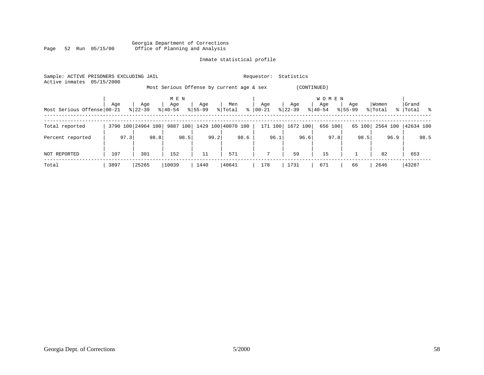|      |  |                 |  |  | Georgia Department of Corrections |  |  |
|------|--|-----------------|--|--|-----------------------------------|--|--|
| Page |  | 52 Run 05/15/00 |  |  | Office of Planning and Analysis   |  |  |

### Inmate statistical profile

| Sample: ACTIVE PRISONERS EXCLUDING JAIL<br>05/15/2000<br>Active inmates |      |                    | Statistics<br>Requestor:  |                    |                                           |              |                  |                                  |                    |                  |                      |  |  |
|-------------------------------------------------------------------------|------|--------------------|---------------------------|--------------------|-------------------------------------------|--------------|------------------|----------------------------------|--------------------|------------------|----------------------|--|--|
|                                                                         |      |                    |                           |                    | Most Serious Offense by current age & sex |              | (CONTINUED)      |                                  |                    |                  |                      |  |  |
| Most Serious Offense 00-21                                              | Age  | Age<br>$8 22-39$   | M E N<br>Age<br>$8 40-54$ | Age<br>$8155 - 99$ | Men<br>$\frac{6}{6}$<br>% Total           | Age<br>00-21 | Age<br>$ 22-39 $ | <b>WOMEN</b><br>Age<br>$8 40-54$ | Age<br>$8155 - 99$ | Women<br>% Total | Grand<br>%   Total % |  |  |
| Total reported                                                          |      | 3790 100 24964 100 | 9887 100                  |                    | 1429 100 40070 100                        | 171 100      | 1672 100         | 656 100                          | 65 100             | 2564 100         | 42634 100            |  |  |
| Percent reported                                                        | 97.3 | 98.8               | 98.5                      | 99.2               | 98.6                                      | 96.1         | 96.6             | 97.8                             | 98.5               | 96.9             | 98.5                 |  |  |
| NOT REPORTED                                                            | 107  | 301                | 152                       | 11                 | 571                                       | $7^{\circ}$  | 59               | 15                               |                    | 82               | 653                  |  |  |
| Total                                                                   | 3897 | 25265              | 10039                     | 1440               | 40641                                     | 178          | 1731             | 671                              | 66                 | 2646             | 43287                |  |  |